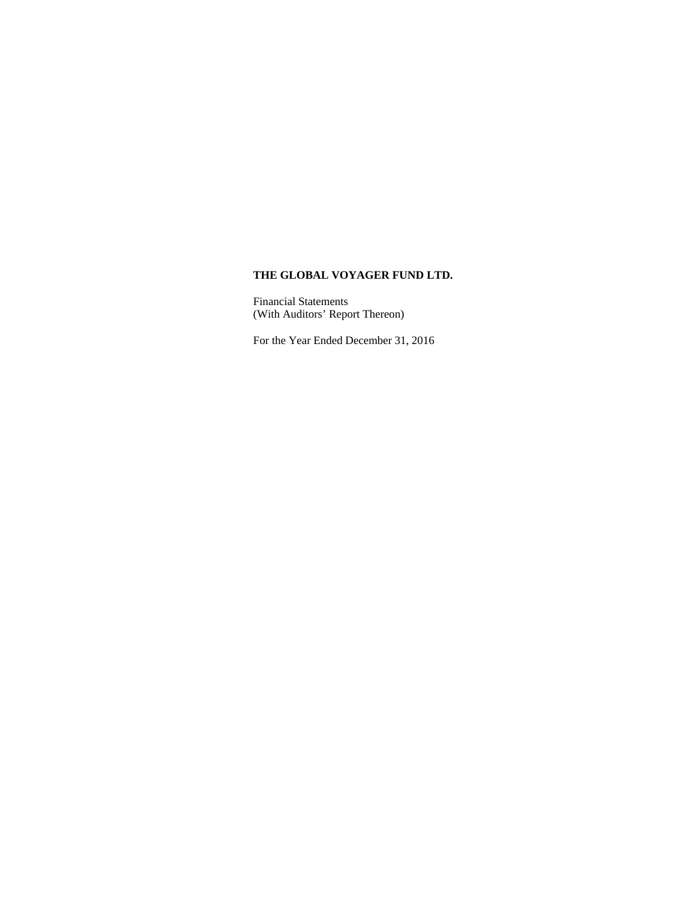Financial Statements (With Auditors' Report Thereon)

For the Year Ended December 31, 2016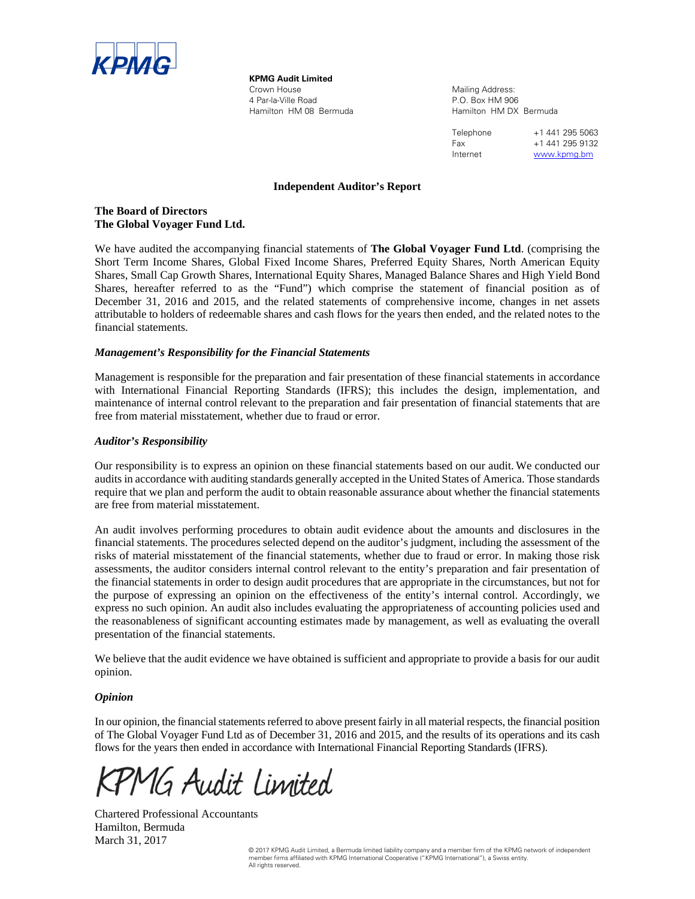

**KPMG Audit Limited**  Crown House 4 Par-la-Ville Road Hamilton HM 08 Bermuda

Mailing Address: P.O. Box HM 906 Hamilton HM DX Bermuda

Telephone +1 441 295 5063 Fax +1 441 295 9132 Internet www.kpmg.bm

#### **Independent Auditor's Report**

#### **The Board of Directors The Global Voyager Fund Ltd.**

We have audited the accompanying financial statements of **The Global Voyager Fund Ltd**. (comprising the Short Term Income Shares, Global Fixed Income Shares, Preferred Equity Shares, North American Equity Shares, Small Cap Growth Shares, International Equity Shares, Managed Balance Shares and High Yield Bond Shares, hereafter referred to as the "Fund") which comprise the statement of financial position as of December 31, 2016 and 2015, and the related statements of comprehensive income, changes in net assets attributable to holders of redeemable shares and cash flows for the years then ended, and the related notes to the financial statements.

#### *Management's Responsibility for the Financial Statements*

Management is responsible for the preparation and fair presentation of these financial statements in accordance with International Financial Reporting Standards (IFRS); this includes the design, implementation, and maintenance of internal control relevant to the preparation and fair presentation of financial statements that are free from material misstatement, whether due to fraud or error.

#### *Auditor's Responsibility*

Our responsibility is to express an opinion on these financial statements based on our audit. We conducted our audits in accordance with auditing standards generally accepted in the United States of America. Those standards require that we plan and perform the audit to obtain reasonable assurance about whether the financial statements are free from material misstatement.

An audit involves performing procedures to obtain audit evidence about the amounts and disclosures in the financial statements. The procedures selected depend on the auditor's judgment, including the assessment of the risks of material misstatement of the financial statements, whether due to fraud or error. In making those risk assessments, the auditor considers internal control relevant to the entity's preparation and fair presentation of the financial statements in order to design audit procedures that are appropriate in the circumstances, but not for the purpose of expressing an opinion on the effectiveness of the entity's internal control. Accordingly, we express no such opinion. An audit also includes evaluating the appropriateness of accounting policies used and the reasonableness of significant accounting estimates made by management, as well as evaluating the overall presentation of the financial statements.

We believe that the audit evidence we have obtained is sufficient and appropriate to provide a basis for our audit opinion.

#### *Opinion*

In our opinion, the financial statements referred to above present fairly in all material respects, the financial position of The Global Voyager Fund Ltd as of December 31, 2016 and 2015, and the results of its operations and its cash flows for the years then ended in accordance with International Financial Reporting Standards (IFRS).

MG Audit Limited

Chartered Professional Accountants Hamilton, Bermuda March 31, 2017

© 2017 KPMG Audit Limited, a Bermuda limited liability company and a member firm of the KPMG network of independent member firms affiliated with KPMG International Cooperative ("KPMG International"), a Swiss entity. All rights reserved.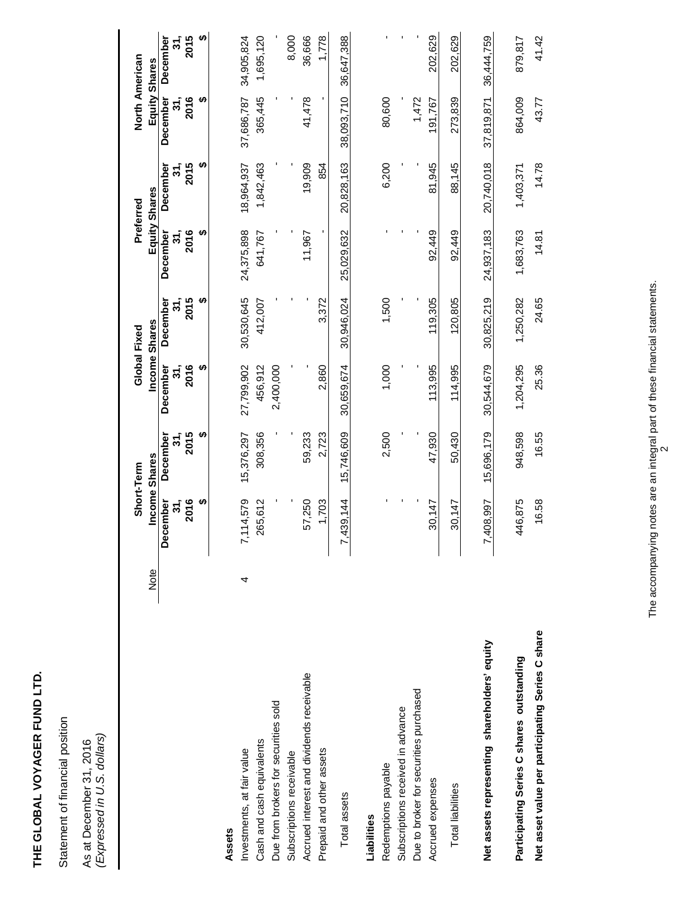| i           |
|-------------|
| 1           |
|             |
|             |
|             |
|             |
|             |
| i<br>֠      |
| I<br>l<br>i |
|             |
|             |
|             |
|             |
|             |
|             |
|             |
| í           |
|             |
|             |
|             |
|             |
| I<br>ì      |
| i           |
|             |
|             |
| í           |
|             |
|             |
|             |
|             |
|             |
| ۱           |
|             |
|             |
|             |
|             |
|             |

Statement of financial position Statement of financial position

As at December 31, 2016<br>(Expressed in U.S. dollars) *(Expressed in U.S. dollars)*  As at December 31, 2016

|                                                  |      |                            | Short-Term      |                 | Global Fixed    |                 | Preferred       | North American         |                 |
|--------------------------------------------------|------|----------------------------|-----------------|-----------------|-----------------|-----------------|-----------------|------------------------|-----------------|
|                                                  | Note |                            | Income Shares   |                 | Income Shares   |                 | Equity Shares   | Equity Shares          |                 |
|                                                  |      | December<br>31,            | December<br>31, | December<br>31, | December<br>31, | December<br>31, | December<br>31, | <b>December</b><br>31, | 31,<br>December |
|                                                  |      | ഗ<br>2016                  | 2015            | 2016            | 2015            | 2016<br>ഗ       | ഗ<br>2015       | မာ<br>2016             | ↮<br>2015       |
|                                                  |      |                            | မာ              | မာ              | မာ              |                 |                 |                        |                 |
| Assets                                           |      |                            |                 |                 |                 |                 |                 |                        |                 |
| Investments, at fair value                       | 4    | ,114,579<br>$\overline{r}$ | 15,376,297      | 27,799,902      | 30,530,645      | 24,375,898      | 18,964,937      | 37,686,787             | 34,905,824      |
| Cash and cash equivalents                        |      | 265,612                    | 308,356         | 456,912         | 412,007         | 641,767         | 1,842,463       | 365,445                | 1,695,120       |
| Due from brokers for securities sold             |      |                            |                 | 2,400,000       |                 |                 |                 |                        |                 |
| Subscriptions receivable                         |      |                            |                 |                 |                 |                 |                 |                        | 8,000           |
| Accrued interest and dividends receivable        |      | 57,250                     | 59,233          |                 |                 | 11,967          | 19,909          | 41,478                 | 36,666          |
| Prepaid and other assets                         |      | 1,703                      | 2,723           | 2,860           | 3,372           |                 | 854             |                        | 1,778           |
| Total assets                                     |      | 439,144<br>$\overline{r}$  | 15,746,609      | 30,659,674      | 30.946.024      | 25,029,632      | 20,828,163      | 38,093,710             | 36,647,388      |
| Liabilities                                      |      |                            |                 |                 |                 |                 |                 |                        |                 |
| Redemptions payable                              |      |                            | 2,500           | 1,000           | 1,500           |                 | 6,200           | 80,600                 |                 |
| Subscriptions received in advance                |      |                            |                 |                 |                 |                 |                 |                        |                 |
| Due to broker for securities purchased           |      |                            |                 |                 |                 |                 |                 | 1,472                  |                 |
| Accrued expenses                                 |      | 30,147                     | 47,930          | 113,995         | 119,305         | 92,449          | 81,945          | 91,767                 | 202,629         |
| <b>Total liabilities</b>                         |      | 30,147                     | 50,430          | 114.995         | 120,805         | 92,449          | 88,145          | 273,839                | 202,629         |
|                                                  |      |                            |                 |                 |                 |                 |                 |                        |                 |
| Net assets representing shareholders' equity     |      | 408,997<br>$\overline{r}$  | 15,696,179      | 30,544,679      | 30,825,219      | 24,937,183      | 20,740,018      | 37,819,871             | 36,444,759      |
| Participating Series C shares outstanding        |      | 446,875                    | 948,598         | 1,204,295       | 1,250,282       | 1,683,763       | 1,403,371       | 864,009                | 879,817         |
| Net asset value per participating Series C share |      | 16.58                      | 16.55           | 25.36           | 24.65           | 14.81           | 14.78           | 43.77                  | 41.42           |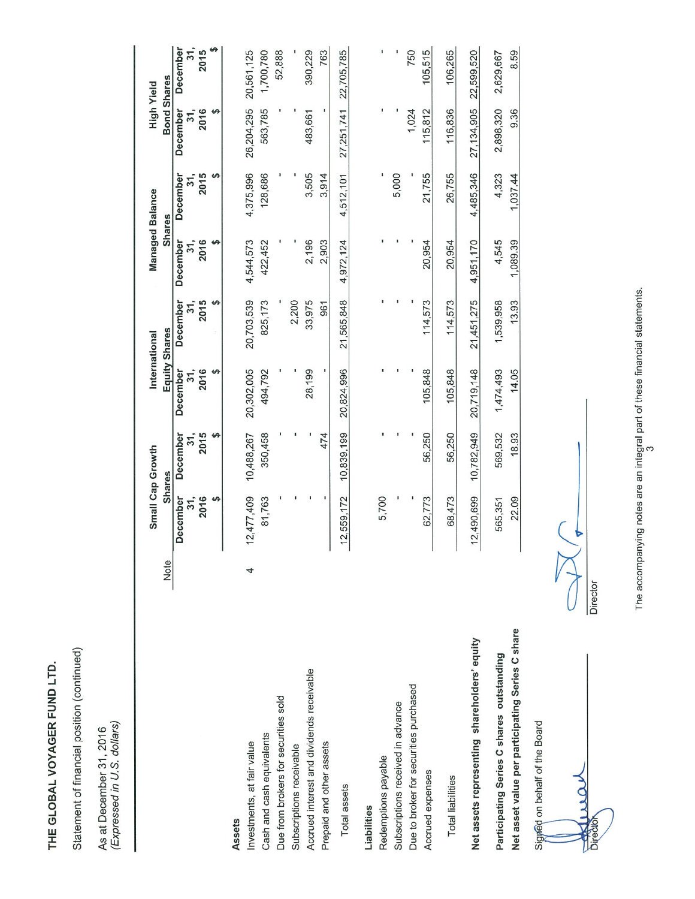Statement of financial position (continued)

As at December 31, 2016<br>(Expressed in U.S. dollars)

|                                                  |      |            | Small Cap Growth |            | International |               | <b>Managed Balance</b> | <b>High Yield</b>  |            |
|--------------------------------------------------|------|------------|------------------|------------|---------------|---------------|------------------------|--------------------|------------|
|                                                  | Note |            | <b>Shares</b>    |            | Equity Shares | <b>Shares</b> |                        | <b>Bond Shares</b> |            |
|                                                  |      | December   | December         | December   | December      | December      | December               | December           | December   |
|                                                  |      | 31,        | 31,              | 31,        | 31,           | 31,           | 31,                    | 31,                | 31,        |
|                                                  |      | 2016       | 2015             | 2016       | 2015          | 2016          | 2015                   | 2016               | 2015       |
|                                                  |      |            | ↮                |            |               |               |                        |                    |            |
| Assets                                           |      |            |                  |            |               |               |                        |                    |            |
| Investments, at fair value                       | 4    | 12,477,409 | 10,488,267       | 20,302,005 | 20,703,539    | 4,544,573     | 4,375,996              | 26,204,295         | 20,561,125 |
| Cash and cash equivalents                        |      | 81,763     | 350,458          | 494,792    | 825,173       | 422,452       | 128,686                | 563,785            | 1,700,780  |
| Due from brokers for securities sold             |      |            |                  |            |               |               |                        |                    | 52,888     |
| Subscriptions receivable                         |      |            |                  |            | 2,200         |               |                        |                    |            |
| Accrued interest and dividends receivable        |      |            |                  | 28,199     | 33,975        | 2,196         | 3,505                  | 483,661            | 390,229    |
| Prepaid and other assets                         |      |            | 474              |            | 961           | 2,903         | 3,914                  |                    | 763        |
| Total assets                                     |      | 12,559,172 | 10.839.199       | 20,824,996 | 21,565,848    | 4,972,124     | 4,512,101              | 27.251.741         | 22,705,785 |
| Liabilities                                      |      |            |                  |            |               |               |                        |                    |            |
| Redemptions payable                              |      | 5,700      |                  |            |               |               |                        |                    |            |
| Subscriptions received in advance                |      |            |                  |            |               |               | 5,000                  |                    |            |
| Due to broker for securities purchased           |      |            |                  |            |               |               |                        | 1,024              | 750        |
| Accrued expenses                                 |      | 62,773     | 56,250           | 105,848    | 114,573       | 20,954        | 21,755                 | 115,812            | 105.515    |
| <b>Total liabilities</b>                         |      | 68,473     | 56,250           | 105,848    | 114,573       | 20,954        | 26,755                 | 116,836            | 106,265    |
| Net assets representing shareholders' equity     |      | 12,490,699 | 10,782,949       | 20.719.148 | 21,451,275    | 4,951,170     | 4,485,346              | 27,134,905         | 22,599,520 |
| Participating Series C shares outstanding        |      | 565,351    | 569,532          | 1,474,493  | 1,539,958     | 4,545         | 4,323                  | 2,898,320          | 2,629,667  |
| Net asset value per participating Series C share |      | 22.09      | 18.93            | 14.05      | 13.93         | 1,089.39      | 1,037.44               | 9.36               | 8.59       |
| Signed on behalf of the Board                    |      |            |                  |            |               |               |                        |                    |            |

Director

Director

The accompanying notes are an integral part of these financial statements.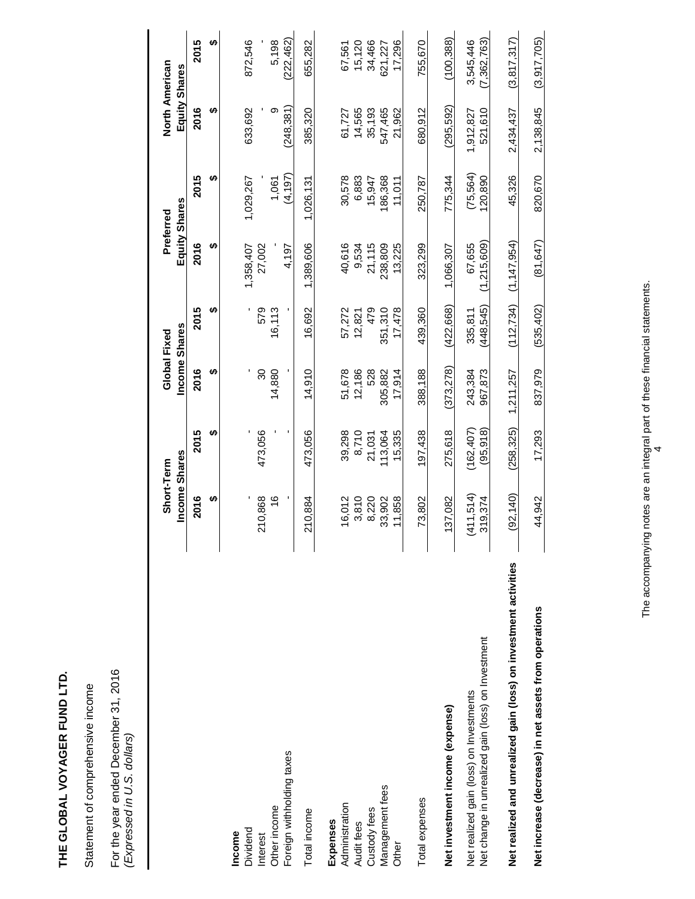Statement of comprehensive income Statement of comprehensive income

For the year ended December 31, 2016<br>(Expressed in U.S. dollars) For the year ended December 31, 2016 *(Expressed in U.S. dollars)* 

|                                                                  | Income Shares<br>Short-Term |            | Global Fixed | Income Shares | Equity Shares<br>Preferred |           | North American<br>Equity Shares |             |
|------------------------------------------------------------------|-----------------------------|------------|--------------|---------------|----------------------------|-----------|---------------------------------|-------------|
|                                                                  | 2016                        | 2015       | 2016         | 2015          | 2016                       | 2015      | 2016                            | 2015        |
|                                                                  | မာ                          | ഗ          | H)           | မာ            | H)                         | ക         | မာ                              | မာ          |
| Dividend<br>Income                                               |                             |            |              |               | 1,358,407                  | 1,029,267 | 633,692                         | 872,546     |
| Interest                                                         | 210,868                     | 473,056    | 30           | 579           | 27,002                     |           |                                 |             |
| Other income                                                     | $\frac{6}{5}$               |            | 14,880       | 16,113        |                            | 1,061     | თ                               | 5,198       |
| Foreign withholding taxes                                        |                             |            |              |               | 4,197                      | (4, 197)  | (248.381)                       | (222,462)   |
| Total income                                                     | 210,884                     | 473,056    | 14.910       | 16,692        | 1,389,606                  | 1,026,13  | 385,320                         | 655.282     |
| Expenses                                                         |                             |            |              |               |                            |           |                                 |             |
| Administration                                                   | 16,012                      | 39,298     | 51,678       | 57,272        | 40,616                     | 30,578    | 61,727                          | 67,561      |
| Audit fees                                                       | 3,810                       | 8,710      | 12,186       | 12,821        | 9,534                      | 6,883     | 14,565                          | 15,120      |
| Custody fees                                                     | 8,220                       | 21,031     | 528          | 479           | 21,115                     | 15,947    | 35,193                          | 34,466      |
| Management fees                                                  | 33,902                      | 113,064    | 305,882      | 351,310       | 238,809                    | 186,368   | 547,465                         | 621,227     |
| Other                                                            | 11,858                      | 15,335     | 17.914       | 17,478        | 13,225                     | 11.011    | 21,962                          | 17.296      |
| Total expenses                                                   | 73,802                      | 97,438     | 388,188      | 439,360       | 323,299                    | 250,787   | 680,912                         | 755,670     |
| Net investment income (expense)                                  | 137,082                     | 275,618    | (373,278)    | (422,668)     | 1,066,307                  | 775,344   | (295, 592)                      | (100, 388)  |
| Net realized gain (loss) on Investments                          | (411,514)                   | (162, 407) | 243,384      | 335,811       | 67.655                     | (75,564)  | 1,912,827                       | 3.545.446   |
| Net change in unrealized gain (loss) on Investment               | 319,374                     | (95, 918)  | 967,873      | 448,545)      | .215.609<br>F              | 120,890   | 521,610                         | (7,362,763) |
| Net realized and unrealized gain (loss) on investment activities | (92, 140)                   | (258, 325) | 1.211.257    | (112, 734)    | (1, 147, 954)              | 45,326    | 2,434,437                       | (3,817,317) |
|                                                                  |                             |            |              |               |                            |           |                                 |             |
| Net increase (decrease) in net assets from operations            | 44,942                      | 17,293     | 837,979      | (535, 402)    | (81, 647)                  | 820,670   | 2,138,845                       | (3,917,705) |

The accompanying notes are an integral part of these financial statements. The accompanying notes are an integral part of these financial statements.<br> $4$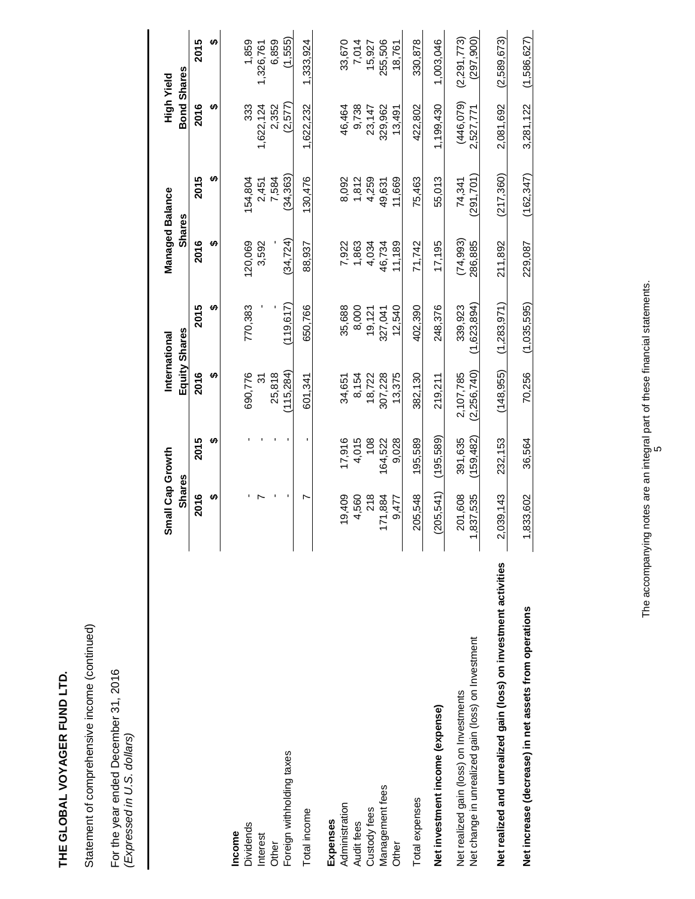Statement of comprehensive income (continued) Statement of comprehensive income (continued)

For the year ended December 31, 2016<br>(Expressed in U.S. dollars) For the year ended December 31, 2016 *(Expressed in U.S. dollars)* 

|                                                                  | Small Cap Growth |            |             | International | Managed Balance |            | High Yield         |               |
|------------------------------------------------------------------|------------------|------------|-------------|---------------|-----------------|------------|--------------------|---------------|
|                                                                  | <b>Shares</b>    |            |             | Equity Shares | <b>Shares</b>   |            | <b>Bond Shares</b> |               |
|                                                                  | 2016             | 2015       | 2016        | 2015          | 2016            | 2015       | 2016               | 2015          |
|                                                                  | ↮                | ക          | မာ          | မာ            | မာ              | ↮          | မာ                 | မာ            |
| Income                                                           |                  |            |             |               |                 |            |                    |               |
| <b>Dividends</b>                                                 |                  |            | 690,776     | 770,383       | 120,069         | 154,804    | 333                | 1,859         |
| Interest                                                         |                  |            | <u>რ</u>    |               | 3,592           | 2,451      | 622,124            | 1,326,761     |
| Other                                                            |                  |            | 25,818      |               |                 | 7,584      | 2,352              | 6,859         |
| Foreign withholding taxes                                        |                  |            | 115,284)    | 119.617)      | (34.724)        | (34, 363)  | (2,577)            | (1,555)       |
| Total income                                                     | r                |            | 601.341     | 650,766       | 88,937          | 130,476    | 622,232            | 1,333,924     |
| Expenses                                                         |                  |            |             |               |                 |            |                    |               |
| Administration                                                   | 19,409           | 17,916     | 34,651      | 35,688        | 7,922           | 8,092      | 46,464             | 33,670        |
| Audit fees                                                       | 4,560            | 4,015      | 8,154       | 8,000         | 1,863           | 1,812      | 9,738              | 7,014         |
| Custody fees                                                     | 218              | 108        | 18,722      | 19,121        | 4,034           | 4,259      | 23,147             | 15,927        |
| Management fees                                                  | 171,884          | 164,522    | 307,228     | 327,041       | 46,734          | 49,631     | 329,962            | 255,506       |
| Other                                                            | 9,477            | 9,028      | 13,375      | 12,540        | 11,189          | 11,669     | 13,491             | 18,761        |
| Total expenses                                                   | 205.548          | 195,589    | 382.130     | 402.390       | 71.742          | 75,463     | 422.802            | 330.878       |
| Net investment income (expense)                                  | (205, 541)       | (195.589)  | 219,211     | 248,376       | 17,195          | 55,013     | 1,199,430          | 1,003,046     |
| Net realized gain (loss) on Investments                          | 201,608          | 391,635    | 2,107,785   | 339,923       | (74, 993)       | 74,341     | (446, 079)         | (2, 291, 773) |
| Net change in unrealized gain (loss) on Investment               | 1,837,535        | (159, 482) | (2,256,740) | (1,623,894)   | 286,885         | 291,701    | 2,527,771          | (297, 900)    |
| Net realized and unrealized gain (loss) on investment activities | 2,039,143        | 232,153    | (148, 955)  | (1, 283, 971) | 211,892         | (217, 360) | 2,081,692          | (2,589,673)   |
|                                                                  |                  |            |             |               |                 |            |                    |               |
| Net increase (decrease) in net assets from operations            | 1,833,602        | 36,564     | 70,256      | (1.035.595)   | 229,087         | (162.347)  | 3,281,122          | (1.586, 627)  |
|                                                                  |                  |            |             |               |                 |            |                    |               |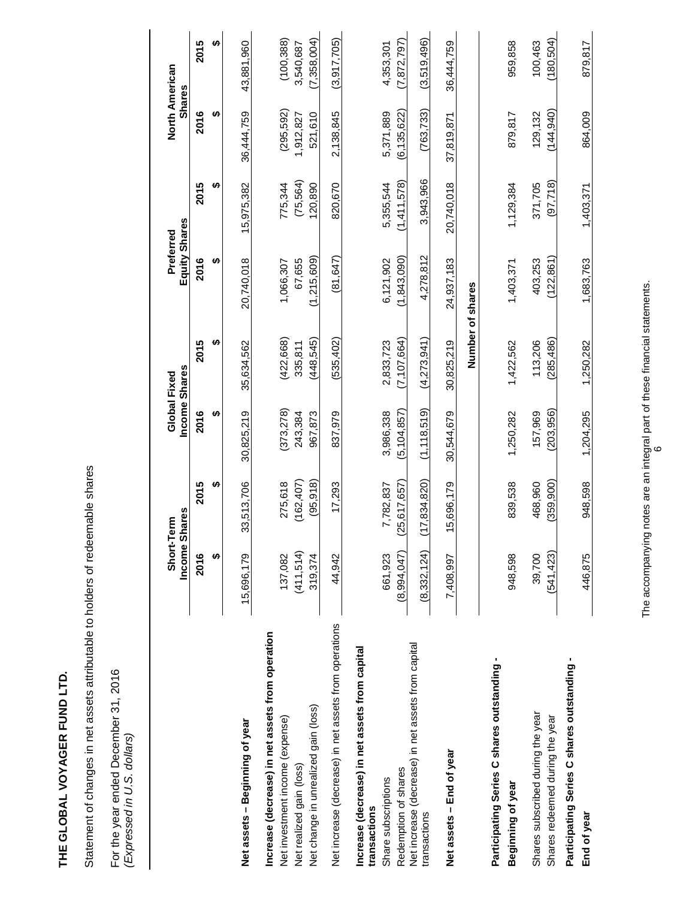Statement of changes in net assets attributable to holders of redeemable shares Statement of changes in net assets attributable to holders of redeemable shares

For the year ended December 31, 2016<br>(Expressed in U.S. dollars) For the year ended December 31, 2016 *(Expressed in U.S. dollars)* 

|                                                                                       | Income Shares<br>Short-Term |                         | Income Shares<br>Global Fixed |                       | Equity Shares<br>Preferred |                      | North American<br><b>Shares</b> |                          |
|---------------------------------------------------------------------------------------|-----------------------------|-------------------------|-------------------------------|-----------------------|----------------------------|----------------------|---------------------------------|--------------------------|
|                                                                                       | 2016                        | 2015                    | 2016                          | 2015                  | 2016                       | 2015                 | 2016                            | 2015                     |
|                                                                                       | ↮                           | ↮                       | ↮                             | ↮                     | ↮                          | ↮                    | ↮                               | ↮                        |
| Net assets - Beginning of year                                                        | 15,696,179                  | 33,513,706              | 30,825,219                    | 35,634,562            | 20,740,018                 | 15,975,382           | 36,444,759                      | 43,881,960               |
| Increase (decrease) in net assets from operation<br>Net investment income (expense)   | 137,082                     | 275,618                 | (373,278)                     | (422,668)             | 1,066,307                  | 775,344              | (295, 592)                      | (100, 388)               |
| Net change in unrealized gain (loss)<br>Net realized gain (loss)                      | (411,514)<br>319,374        | (162, 407)<br>(95, 918) | 243,384<br>967,873            | (448,545)<br>335,811  | (1,215,609)<br>67.655      | (75,564)<br>120,890  | 521,610<br>1,912,827            | (7,358,004)<br>3,540,687 |
| Net increase (decrease) in net assets from operations                                 | 44.942                      | 17,293                  | 837,979                       | (535, 402)            | (81.647)                   | 820,670              | 2,138,845                       | (3.917, 705)             |
| Increase (decrease) in net assets from capital<br>Share subscriptions<br>transactions | 661,923                     | 7,782,837               | 3,986,338                     | 2,833,723             | 6,121,902                  | 5,355,544            | 5,371,889                       | 4,353,301                |
| Redemption of shares                                                                  | (8,994,047)                 | (25, 617, 657)          | (5,104,857)                   | (7, 107, 664)         | (1, 843, 090)              | (1,411,578)          | (6, 135, 622)                   | (7,872,797)              |
| Net increase (decrease) in net assets from capital<br>transactions                    | (8,332,124)                 | (17, 834, 820)          | (1, 118, 519)                 | (4,273,941)           | 4,278,812                  | 3,943,966            | (763, 733)                      | (3,519,496)              |
| Net assets - End of year                                                              | 7,408,997                   | 5,696,179               | 30,544,679                    | 30,825,219            | 24,937,183                 | 20,740,018           | 37,819,871                      | 36,444,759               |
|                                                                                       |                             |                         |                               | Number of shares      |                            |                      |                                 |                          |
| Participating Series C shares outstanding<br>Beginning of year                        | 948,598                     | 839,538                 | 1,250,282                     | 1,422,562             | 1,403,371                  | 1,129,384            | 879,817                         | 959,858                  |
|                                                                                       |                             |                         |                               |                       |                            |                      |                                 |                          |
| Shares subscribed during the year<br>Shares redeemed during the year                  | (541, 423)<br>39,700        | (359, 900)<br>468,960   | (203, 956)<br>157,969         | (285, 486)<br>113,206 | (122, 861)<br>403,253      | (97, 718)<br>371,705 | (144, 940)<br>129,132           | (180, 504)<br>100,463    |
| Participating Series C shares outstanding -<br>End of year                            | 446,875                     | 948,598                 | 1,204,295                     | 1,250,282             | 1,683,763                  | 1,403,371            | 864,009                         | 879,817                  |

The accompanying notes are an integral part of these financial statements. The accompanying notes are an integral part of these financial statements.<br>6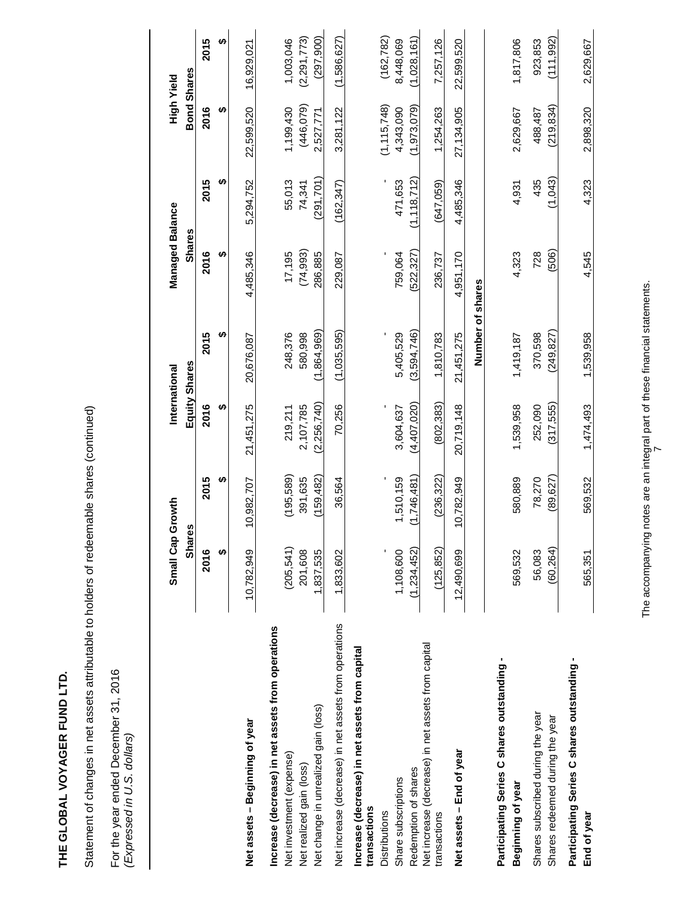| ۱           |
|-------------|
|             |
| l           |
|             |
|             |
|             |
|             |
| i<br>I<br>ı |
|             |
|             |
|             |
|             |
|             |
| i           |
|             |
|             |
|             |
| j           |
|             |
|             |
|             |
| ï           |

Statement of changes in net assets attributable to holders of redeemable shares (continued) Statement of changes in net assets attributable to holders of redeemable shares (continued)

For the year ended December 31, 2016<br>(Expressed in U.S. dollars) For the year ended December 31, 2016 *(Expressed in U.S. dollars)* 

|                                                                    | Small Cap             | Growth                | International        |                    | Managed Balance     |                  | <b>Play ApiH</b>        |                            |
|--------------------------------------------------------------------|-----------------------|-----------------------|----------------------|--------------------|---------------------|------------------|-------------------------|----------------------------|
|                                                                    | Shar                  | 89                    | Equity Shares        |                    | <b>Shares</b>       |                  | <b>Bond Shares</b>      |                            |
|                                                                    | 2016                  | 2015                  | 2016                 | 2015               | 2016                | 2015             | 2016                    | 2015                       |
|                                                                    | ക                     | ക                     | ക                    | မာ                 | H                   | H                | ക                       | ↮                          |
| Net assets - Beginning of year                                     | 10,782,949            | 10,982.707            | 21,451,275           | 20.676.087         | 4,485,346           | 5.294.752        | 22,599,520              | 16.929.021                 |
| Increase (decrease) in net assets from operations                  |                       |                       |                      |                    |                     |                  |                         |                            |
| Net investment (expense)<br>Net realized gain (loss)               | (205, 541)<br>201,608 | (195, 589)<br>391,635 | 2,107,785<br>219,211 | 248,376<br>580,998 | (74, 993)<br>17,195 | 55,013<br>74,341 | (446, 079)<br>1,199,430 | (2, 291, 773)<br>1,003,046 |
| Net change in unrealized gain (loss)                               | 1,837,535             | (159, 482)            | (2, 256, 740)        | (1,864,969)        | 286,885             | (291, 701)       | 2,527,771               | (297,900)                  |
| Net increase (decrease) in net assets from operations              | 1,833,602             | 36,564                | 70,256               | (1,035,595)        | 229,087             | (162, 347)       | 3,281,122               | (1,586,627)                |
| Increase (decrease) in net assets from capital<br>transactions     |                       |                       |                      |                    |                     |                  |                         |                            |
| Distributions                                                      |                       |                       |                      |                    |                     |                  | (1, 115, 748)           | (162, 782)                 |
| Share subscriptions                                                | 1,108,600             | 1,510,159             | 3,604,637            | 5,405,529          | 759,064             | 471,653          | 4,343,090               | 8,448,069                  |
| Redemption of shares                                               | (1,234,452)           | (1,746,481)           | (4,407,020)          | (3,594,746)        | 522,327)            | (1, 118, 712)    | (1,973,079)             | (1,028,161)                |
| Net increase (decrease) in net assets from capital<br>transactions | (125, 852)            | (236, 322)            | (802, 383)           | 1,810,783          | 236,737             | (647,059)        | 1,254,263               | 7,257,126                  |
| Net assets - End of year                                           | 12,490,699            | 10,782,949            | 20,719,148           | 21,451,275         | 4,951,170           | 4,485,346        | 27,134,905              | 22,599,520                 |
|                                                                    |                       |                       |                      | Number of shares   |                     |                  |                         |                            |
| Participating Series C shares outstanding-                         |                       |                       |                      |                    |                     |                  |                         |                            |
| Beginning of year                                                  | 569,532               | 580,889               | 1,539,958            | 1,419,187          | 4,323               | 4,931            | 2,629,667               | 1,817,806                  |
| Shares subscribed during the year                                  | 56,083                | 78,270                | 252,090              | 370,598            | 728                 | 435              | 488,487                 | 923,853                    |
| Shares redeemed during the year                                    | (60, 264)             | (89, 627)             | (317,555)            | (249, 827)         | (506)               | (1,043)          | (219, 834)              | (111, 992)                 |
| Participating Series C shares outstanding -<br>End of year         | 565,351               | 569,532               | 1,474,493            | 1,539,958          | 4,545               | 4,323            | 2,898,320               | 2,629,667                  |
|                                                                    |                       |                       |                      |                    |                     |                  |                         |                            |

The accompanying notes are an integral part of these financial statements. The accompanying notes are an integral part of these financial statements.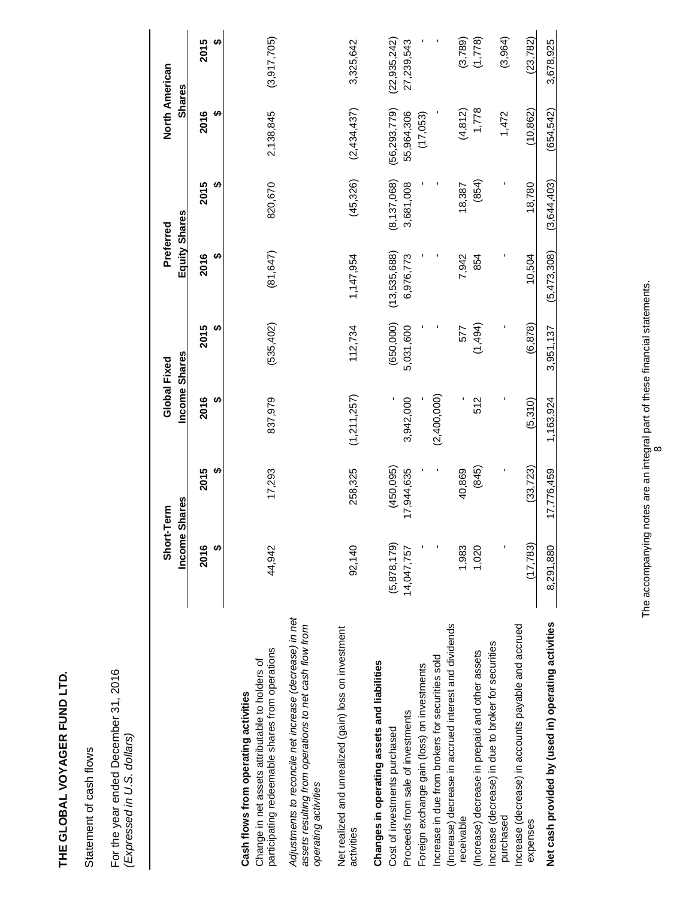Statement of cash flows Statement of cash flows

For the year ended December 31, 2016<br>(Expressed in U.S. dollars) For the year ended December 31, 2016 *(Expressed in U.S. dollars)* 

|                                                                                                                                            | Short-Term<br>Incom | e Shares   | Income Shares<br>Global Fixed |            | Equity Shares<br>Preferred |               | North American<br><b>Shares</b> |                |
|--------------------------------------------------------------------------------------------------------------------------------------------|---------------------|------------|-------------------------------|------------|----------------------------|---------------|---------------------------------|----------------|
|                                                                                                                                            | 2016<br>↮           | 2015<br>↮  | 2016<br>ശ                     | 2015       | 2016<br>H)                 | 2015<br>မာ    | 2016<br>ക                       | 2015<br>↮      |
| participating redeemable shares from operations<br>Change in net assets attributable to holders of<br>Cash flows from operating activities | 44,942              | 17,293     | 837,979                       | (535, 402) | (81, 647)                  | 820,670       | 2,138,845                       | (3,917,705)    |
| Adjustments to reconcile net increase (decrease) in net<br>assets resulting from operations to net cash flow from<br>operating activities  |                     |            |                               |            |                            |               |                                 |                |
| Net realized and unrealized (gain) loss on investment<br>activities                                                                        | 92,140              | 258,325    | (1,211,257)                   | 112,734    | 1,147,954                  | (45, 326)     | (2,434,437)                     | 3,325,642      |
| Changes in operating assets and liabilities                                                                                                |                     |            |                               |            |                            |               |                                 |                |
| Cost of investments purchased                                                                                                              | (5,878,179)         | (450,095)  |                               | (650,000)  | (13,535,688)               | (8, 137, 068) | (56, 293, 779)                  | (22, 935, 242) |
| Proceeds from sale of investments                                                                                                          | 14,047,757          | 17,944,635 | 3,942,000                     | 5,031,600  | 6,976,773                  | 3,681,008     | 55,964,306                      | 27,239,543     |
| Foreign exchange gain (loss) on investments                                                                                                |                     |            |                               |            |                            |               | (17,053)                        |                |
| ncrease in due from brokers for securities sold                                                                                            |                     |            | (2,400,000)                   |            |                            |               |                                 |                |
| (Increase) decrease in accrued interest and dividends<br>receivable                                                                        | 1,983               | 40,869     |                               | 577        | 7,942                      | 18,387        | (4, 812)                        | (3,789)        |
| (Increase) decrease in prepaid and other assets                                                                                            | 1,020               | (845)      | 512                           | (1,494)    | 854                        | (854)         | 1,778                           | (1,778)        |
| Increase (decrease) in due to broker for securities<br>purchased                                                                           |                     |            |                               |            |                            |               | 1,472                           | (3,964)        |
| Increase (decrease) in accounts payable and accrued<br>expenses                                                                            | (17, 783)           | (33, 723)  | (5,310)                       | (6, 878)   | 10,504                     | 18,780        | (10, 862)                       | (23, 782)      |
| Net cash provided by (used in) operating activities                                                                                        | 8,291,880           | 17,776,459 | 1,163,924                     | 3,951,137  | (5,473,308)                | (3,644,403)   | (654, 542)                      | 3,678,925      |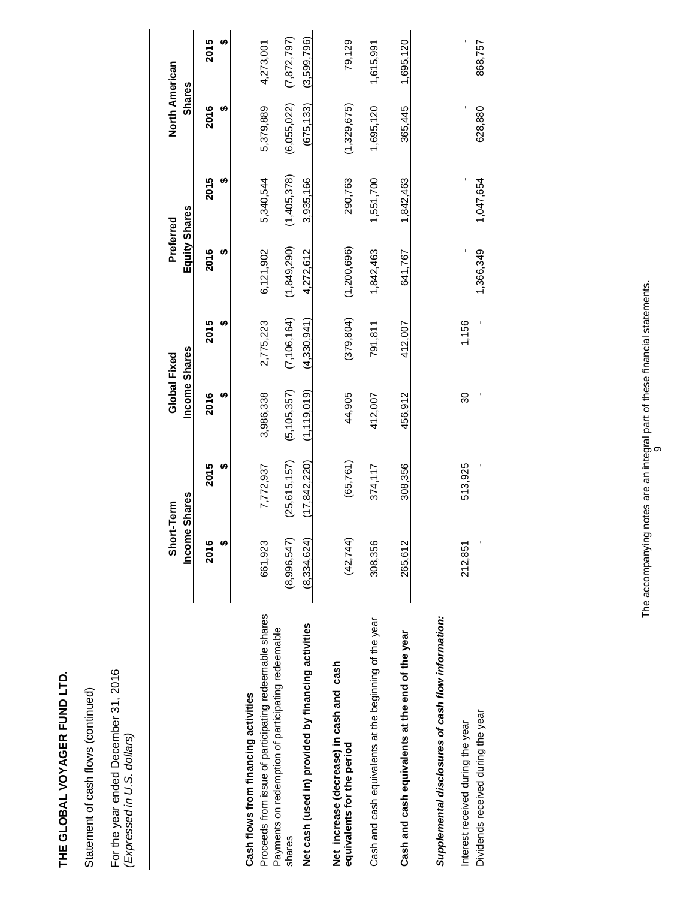Statement of cash flows (continued) Statement of cash flows (continued)

For the year ended December 31, 2016<br>(Expressed in U.S. dollars) For the year ended December 31, 2016 *(Expressed in U.S. dollars)* 

|                                                                                                | Income Shares<br>Short-Term |                | Income Shares<br>Global Fixed |               | Equity Shares<br>Preferred |             | North American<br><b>Shares</b> |               |
|------------------------------------------------------------------------------------------------|-----------------------------|----------------|-------------------------------|---------------|----------------------------|-------------|---------------------------------|---------------|
|                                                                                                | 2016                        | 2015           | 2016<br>မာ                    | 2015          | 2016                       | 2015        | 2016                            | 2015          |
| Proceeds from issue of participating redeemable shares<br>Cash flows from financing activities | 661,923                     | 7,772,937      | 3,986,338                     | 2,775,223     | 6,121,902                  | 5,340,544   | 5,379,889                       | 4,273,001     |
| Payments on redemption of participating redeemable<br>shares                                   | (8,996,547)                 | (25, 615, 157) | (5, 105, 357)                 | (7, 106, 164) | (1,849,290)                | (1,405,378) | (6,055,022)                     | (7, 872, 797) |
| Net cash (used in) provided by financing activities                                            | (8,334,624)                 | (17, 842, 220) | (1, 119, 019)                 | (4,330,941)   | 4,272,612                  | 3,935,166   | (675, 133)                      | (3,599,796)   |
| Net increase (decrease) in cash and cash<br>equivalents for the period                         | (42, 744)                   | (65,761)       | 44,905                        | (379, 804)    | (1,200,696)                | 290,763     | (1,329,675)                     | 79,129        |
| Cash and cash equivalents at the beginning of the year                                         | 308,356                     | 374,117        | 412,007                       | 791,811       | 1,842,463                  | 1,551,700   | 1,695,120                       | 1,615,991     |
| Cash and cash equivalents at the end of the year                                               | 265,612                     | 308,356        | 456,912                       | 412.007       | 641,767                    | 1,842,463   | 365,445                         | 1,695,120     |
| Supplemental disclosures of cash flow information:                                             |                             |                |                               |               |                            |             |                                 |               |
| Dividends received during the year<br>Interest received during the year                        | 212,851                     | 513,925        | 30                            | 1,156         | 1,366,349                  | 1,047,654   | 628,880                         | 868,757       |
|                                                                                                |                             |                |                               |               |                            |             |                                 |               |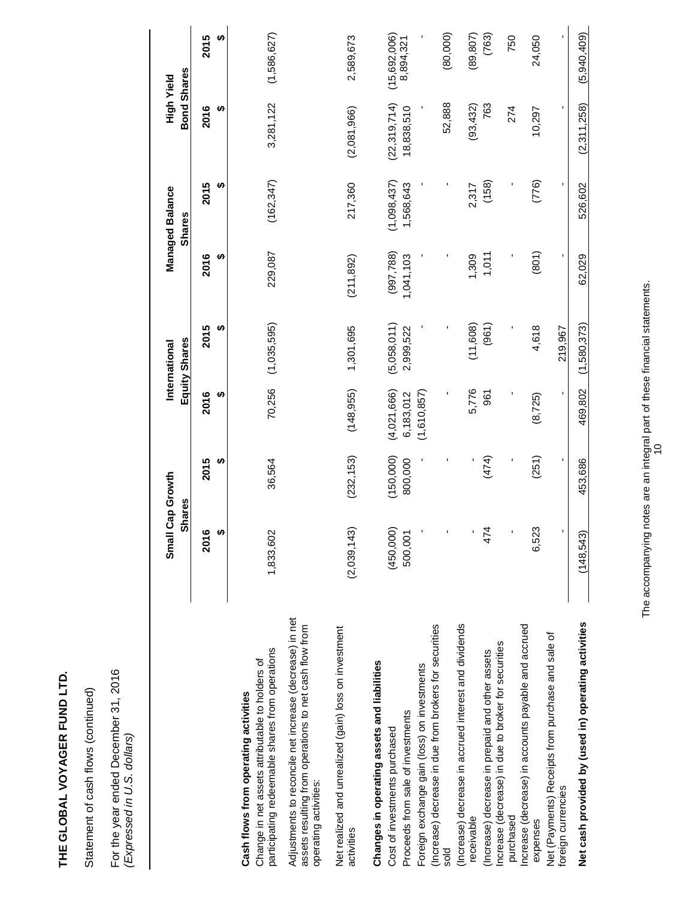Statement of cash flows (continued) Statement of cash flows (continued)

For the year ended December 31, 2016<br>(Expressed in U.S. dollars) For the year ended December 31, 2016 *(Expressed in U.S. dollars)* 

|                                                                                                                                            | <b>Shares</b><br>Small   | Cap Growth |             | Equity Shares<br>International |            | <b>Managed Balance</b><br><b>Shares</b> | Bond Shares<br>High Yield |              |
|--------------------------------------------------------------------------------------------------------------------------------------------|--------------------------|------------|-------------|--------------------------------|------------|-----------------------------------------|---------------------------|--------------|
|                                                                                                                                            | 60<br><b>201</b>         | မာ<br>2015 | 2016<br>မာ  | မာ<br>2015                     | ക<br>2016  | ക<br>2015                               | 2016<br>ക                 | 2015<br>မာ   |
| participating redeemable shares from operations<br>Change in net assets attributable to holders of<br>Cash flows from operating activities | 1,833,602                | 36,564     | 70,256      | (1,035,595)                    | 229,087    | (162, 347)                              | 3,281,122                 | (1,586,627)  |
| Adjustments to reconcile net increase (decrease) in net<br>assets resulting from operations to net cash flow from<br>operating activities: |                          |            |             |                                |            |                                         |                           |              |
| Net realized and unrealized (gain) loss on investment<br>activities                                                                        | (2,039,143)              | (232, 153) | (148, 955)  | 1,301,695                      | (211, 892) | 217,360                                 | (2,081,966)               | 2,589,673    |
| Changes in operating assets and liabilities                                                                                                |                          |            |             |                                |            |                                         |                           |              |
| Cost of investments purchased                                                                                                              |                          | (150,000)  | (4,021,666) | (5,058,011)                    | (997, 788) | (1,098,437)                             | (22, 319, 714)            | (15,692,006) |
| Proceeds from sale of investments                                                                                                          | $(450,000)$<br>$500,001$ | 800,000    | 6,183,012   | 2,999,522                      | 1,041,103  | 1,568,643                               | 18,838,510                | 8,894,321    |
| Foreign exchange gain (loss) on investments                                                                                                |                          |            | (1,610,857) |                                |            |                                         |                           |              |
| (Increase) decrease in due from brokers for securities<br>sold                                                                             |                          |            |             |                                |            |                                         | 52,888                    | (80,000)     |
| (Increase) decrease in accrued interest and dividends<br>receivable                                                                        |                          |            | 5,776       | (11,608)                       | 1,309      | 2,317                                   | (93, 432)                 | (89, 807)    |
| (Increase) decrease in prepaid and other assets                                                                                            | 474                      | (474)      | 967         | (961)                          | 1,011      | (158)                                   | 763                       | (763)        |
| Increase (decrease) in due to broker for securities<br>purchased                                                                           |                          |            |             |                                |            |                                         | 274                       | 750          |
| Increase (decrease) in accounts payable and accrued<br>expenses                                                                            | 6,523                    | (251)      | (8, 725)    | 4,618                          | (801)      | (776)                                   | 10,297                    | 24,050       |
| Net (Payments) Receipts from purchase and sale of<br>foreign currencies                                                                    |                          |            |             | 219,967                        |            | ı.                                      |                           | ٠            |
|                                                                                                                                            |                          |            |             |                                |            |                                         |                           |              |
| Net cash provided by (used in) operating activities                                                                                        | (148, 543)               | 453,686    | 469,802     | (1,580,373)                    | 62,029     | 526,602                                 | (2,311,258)               | (5,940,409)  |

The accompanying notes are an integral part of these financial statements. The accompanying notes are an integral part of these financial statements.<br>10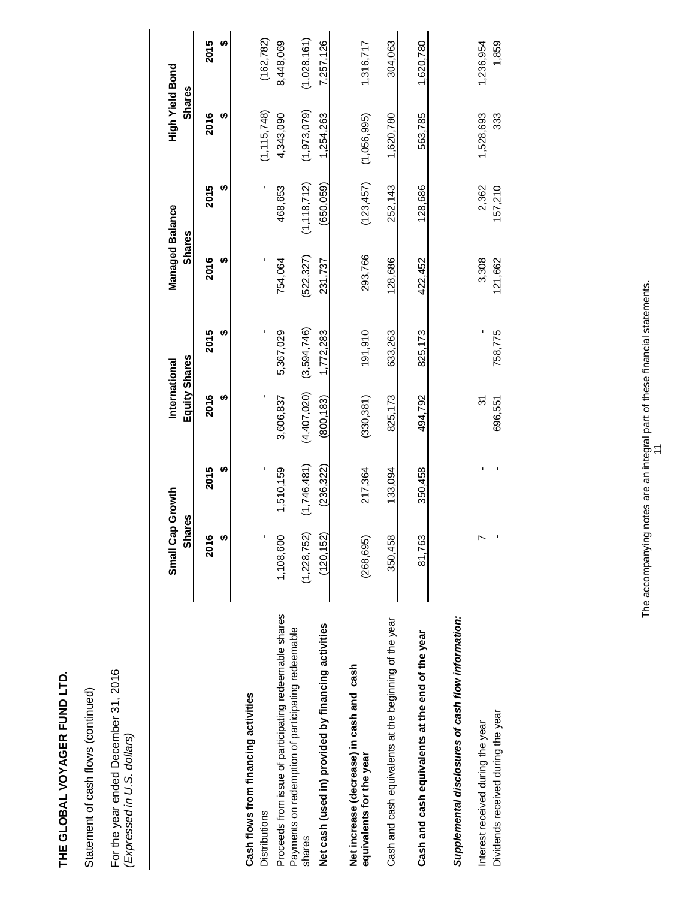Statement of cash flows (continued) Statement of cash flows (continued)

For the year ended December 31, 2016<br>(Expressed in U.S. dollars) For the year ended December 31, 2016 *(Expressed in U.S. dollars)* 

|                                                                         | Small Cap Growth<br><b>Shares</b> |             | Equity Shares<br>International |             | Managed Balance<br><b>Shares</b> |                  | High Yield Bond<br><b>Shares</b> |                    |
|-------------------------------------------------------------------------|-----------------------------------|-------------|--------------------------------|-------------|----------------------------------|------------------|----------------------------------|--------------------|
|                                                                         | 2016<br>↮                         | 2015<br>မာ  | 2016<br>ക                      | 2015<br>မာ  | 2016                             | 2015             | 2016<br>မာ                       | 2015<br>မာ         |
| Cash flows from financing activities<br><b>Distributions</b>            |                                   |             |                                |             |                                  |                  | (1, 115, 748)                    | (162, 782)         |
| Proceeds from issue of participating redeemable shares                  | 1,108,600                         | 1,510,159   | 3,606,837                      | 5,367,029   | 754,064                          | 468,653          | 4,343,090                        | 8,448,069          |
| Payments on redemption of participating redeemable<br>shares            | (1,228,752)                       | (1,746,481) | (4,407,020)                    | (3,594,746) | (522, 327)                       | (1, 118, 712)    | (1,973,079)                      | (1,028,161)        |
| Net cash (used in) provided by financing activities                     | (120, 152)                        | (236, 322)  | (800, 183)                     | 1,772,283   | 231,737                          | (650, 059)       | 1,254,263                        | 7,257,126          |
| Net increase (decrease) in cash and cash<br>equivalents for the year    | (268, 695)                        | 217,364     | (330, 381)                     | 191,910     | 293,766                          | (123, 457)       | (1,056,995)                      | 1,316,717          |
| Cash and cash equivalents at the beginning of the year                  | 350,458                           | 133,094     | 825,173                        | 633,263     | 128,686                          | 252,143          | 1,620,780                        | 304,063            |
| Cash and cash equivalents at the end of the year                        | 81,763                            | 350,458     | 494,792                        | 825,173     | 422,452                          | 128,686          | 563,785                          | 1,620,780          |
| Supplemental disclosures of cash flow information:                      |                                   |             |                                |             |                                  |                  |                                  |                    |
| Dividends received during the year<br>Interest received during the year | r                                 |             | 31<br>696,551                  | 758,775     | 3,308<br>121,662                 | 2,362<br>157,210 | 1,528,693<br>333                 | 1,859<br>1,236,954 |
|                                                                         |                                   |             |                                |             |                                  |                  |                                  |                    |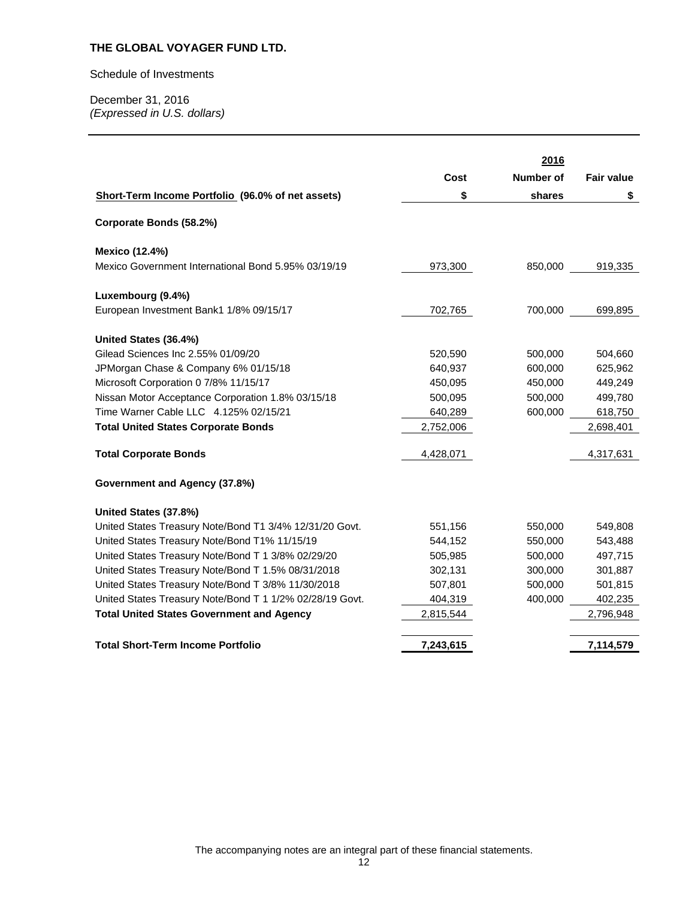#### Schedule of Investments

|                                                          |           | 2016      |                   |
|----------------------------------------------------------|-----------|-----------|-------------------|
|                                                          | Cost      | Number of | <b>Fair value</b> |
| Short-Term Income Portfolio (96.0% of net assets)        | \$        | shares    | \$                |
| Corporate Bonds (58.2%)                                  |           |           |                   |
| <b>Mexico (12.4%)</b>                                    |           |           |                   |
| Mexico Government International Bond 5.95% 03/19/19      | 973,300   | 850,000   | 919,335           |
| Luxembourg (9.4%)                                        |           |           |                   |
| European Investment Bank1 1/8% 09/15/17                  | 702,765   | 700,000   | 699,895           |
| United States (36.4%)                                    |           |           |                   |
| Gilead Sciences Inc 2.55% 01/09/20                       | 520,590   | 500,000   | 504,660           |
| JPMorgan Chase & Company 6% 01/15/18                     | 640,937   | 600,000   | 625,962           |
| Microsoft Corporation 0 7/8% 11/15/17                    | 450,095   | 450,000   | 449,249           |
| Nissan Motor Acceptance Corporation 1.8% 03/15/18        | 500,095   | 500,000   | 499,780           |
| Time Warner Cable LLC 4.125% 02/15/21                    | 640,289   | 600,000   | 618,750           |
| <b>Total United States Corporate Bonds</b>               | 2,752,006 |           | 2,698,401         |
| <b>Total Corporate Bonds</b>                             | 4,428,071 |           | 4,317,631         |
| Government and Agency (37.8%)                            |           |           |                   |
| United States (37.8%)                                    |           |           |                   |
| United States Treasury Note/Bond T1 3/4% 12/31/20 Govt.  | 551,156   | 550,000   | 549,808           |
| United States Treasury Note/Bond T1% 11/15/19            | 544,152   | 550,000   | 543,488           |
| United States Treasury Note/Bond T 1 3/8% 02/29/20       | 505,985   | 500,000   | 497,715           |
| United States Treasury Note/Bond T 1.5% 08/31/2018       | 302,131   | 300,000   | 301,887           |
| United States Treasury Note/Bond T 3/8% 11/30/2018       | 507,801   | 500,000   | 501,815           |
| United States Treasury Note/Bond T 1 1/2% 02/28/19 Govt. | 404,319   | 400,000   | 402,235           |
| <b>Total United States Government and Agency</b>         | 2,815,544 |           | 2,796,948         |
| <b>Total Short-Term Income Portfolio</b>                 | 7,243,615 |           | 7,114,579         |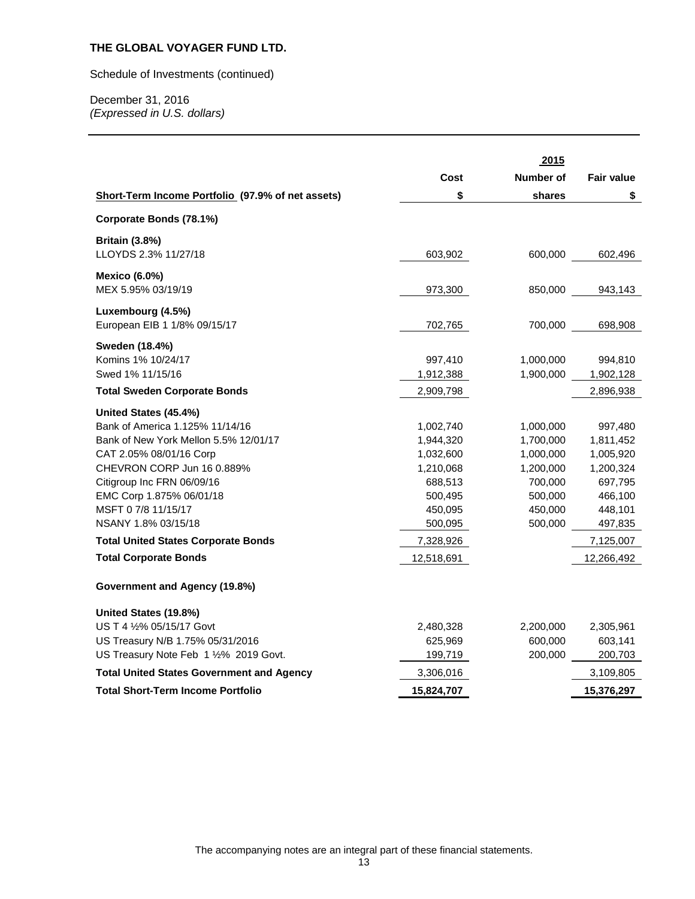Schedule of Investments (continued)

December 31, 2016 *(Expressed in U.S. dollars)* 

|                                                   |            | 2015      |                   |
|---------------------------------------------------|------------|-----------|-------------------|
|                                                   | Cost       | Number of | <b>Fair value</b> |
| Short-Term Income Portfolio (97.9% of net assets) | \$         | shares    | \$                |
| Corporate Bonds (78.1%)                           |            |           |                   |
| <b>Britain (3.8%)</b>                             |            |           |                   |
| LLOYDS 2.3% 11/27/18                              | 603,902    | 600,000   | 602,496           |
| <b>Mexico (6.0%)</b>                              |            |           |                   |
| MEX 5.95% 03/19/19                                | 973,300    | 850,000   | 943,143           |
| Luxembourg (4.5%)                                 |            |           |                   |
| European EIB 1 1/8% 09/15/17                      | 702,765    | 700,000   | 698,908           |
| Sweden (18.4%)                                    |            |           |                   |
| Komins 1% 10/24/17                                | 997,410    | 1,000,000 | 994,810           |
| Swed 1% 11/15/16                                  | 1,912,388  | 1,900,000 | 1,902,128         |
| <b>Total Sweden Corporate Bonds</b>               | 2,909,798  |           | 2,896,938         |
| United States (45.4%)                             |            |           |                   |
| Bank of America 1.125% 11/14/16                   | 1,002,740  | 1,000,000 | 997,480           |
| Bank of New York Mellon 5.5% 12/01/17             | 1,944,320  | 1,700,000 | 1,811,452         |
| CAT 2.05% 08/01/16 Corp                           | 1,032,600  | 1,000,000 | 1,005,920         |
| CHEVRON CORP Jun 16 0.889%                        | 1,210,068  | 1,200,000 | 1,200,324         |
| Citigroup Inc FRN 06/09/16                        | 688,513    | 700,000   | 697,795           |
| EMC Corp 1.875% 06/01/18                          | 500,495    | 500,000   | 466,100           |
| MSFT 0 7/8 11/15/17                               | 450,095    | 450,000   | 448,101           |
| NSANY 1.8% 03/15/18                               | 500,095    | 500,000   | 497,835           |
| <b>Total United States Corporate Bonds</b>        | 7,328,926  |           | 7,125,007         |
| <b>Total Corporate Bonds</b>                      | 12,518,691 |           | 12,266,492        |
| Government and Agency (19.8%)                     |            |           |                   |
| United States (19.8%)                             |            |           |                   |
| US T 4 1/2% 05/15/17 Govt                         | 2,480,328  | 2,200,000 | 2,305,961         |
| US Treasury N/B 1.75% 05/31/2016                  | 625,969    | 600,000   | 603,141           |
| US Treasury Note Feb 1 1/2% 2019 Govt.            | 199,719    | 200,000   | 200,703           |
| <b>Total United States Government and Agency</b>  | 3,306,016  |           | 3,109,805         |
| <b>Total Short-Term Income Portfolio</b>          | 15,824,707 |           | 15,376,297        |
|                                                   |            |           |                   |

The accompanying notes are an integral part of these financial statements.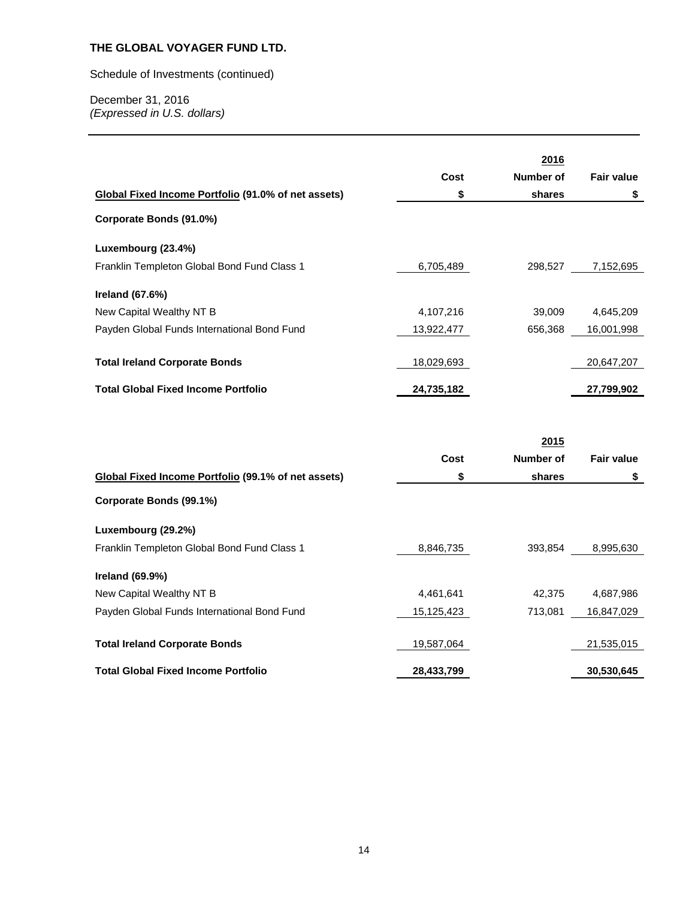Schedule of Investments (continued)

|                                                     |            | 2016      |                   |
|-----------------------------------------------------|------------|-----------|-------------------|
|                                                     | Cost       | Number of | <b>Fair value</b> |
| Global Fixed Income Portfolio (91.0% of net assets) | \$         | shares    | \$                |
| Corporate Bonds (91.0%)                             |            |           |                   |
| Luxembourg (23.4%)                                  |            |           |                   |
| Franklin Templeton Global Bond Fund Class 1         | 6,705,489  | 298,527   | 7,152,695         |
| Ireland (67.6%)                                     |            |           |                   |
| New Capital Wealthy NT B                            | 4,107,216  | 39,009    | 4,645,209         |
| Payden Global Funds International Bond Fund         | 13,922,477 | 656,368   | 16,001,998        |
| <b>Total Ireland Corporate Bonds</b>                | 18,029,693 |           | 20,647,207        |
| <b>Total Global Fixed Income Portfolio</b>          | 24,735,182 |           | 27,799,902        |

|                                                     | 2015       |           |                   |
|-----------------------------------------------------|------------|-----------|-------------------|
|                                                     | Cost       | Number of | <b>Fair value</b> |
| Global Fixed Income Portfolio (99.1% of net assets) | \$         | shares    | \$                |
| Corporate Bonds (99.1%)                             |            |           |                   |
| Luxembourg (29.2%)                                  |            |           |                   |
| Franklin Templeton Global Bond Fund Class 1         | 8,846,735  | 393,854   | 8,995,630         |
| <b>Ireland (69.9%)</b>                              |            |           |                   |
| New Capital Wealthy NT B                            | 4,461,641  | 42.375    | 4,687,986         |
| Payden Global Funds International Bond Fund         | 15,125,423 | 713.081   | 16,847,029        |
|                                                     |            |           |                   |
| <b>Total Ireland Corporate Bonds</b>                | 19,587,064 |           | 21,535,015        |
| <b>Total Global Fixed Income Portfolio</b>          | 28,433,799 |           | 30,530,645        |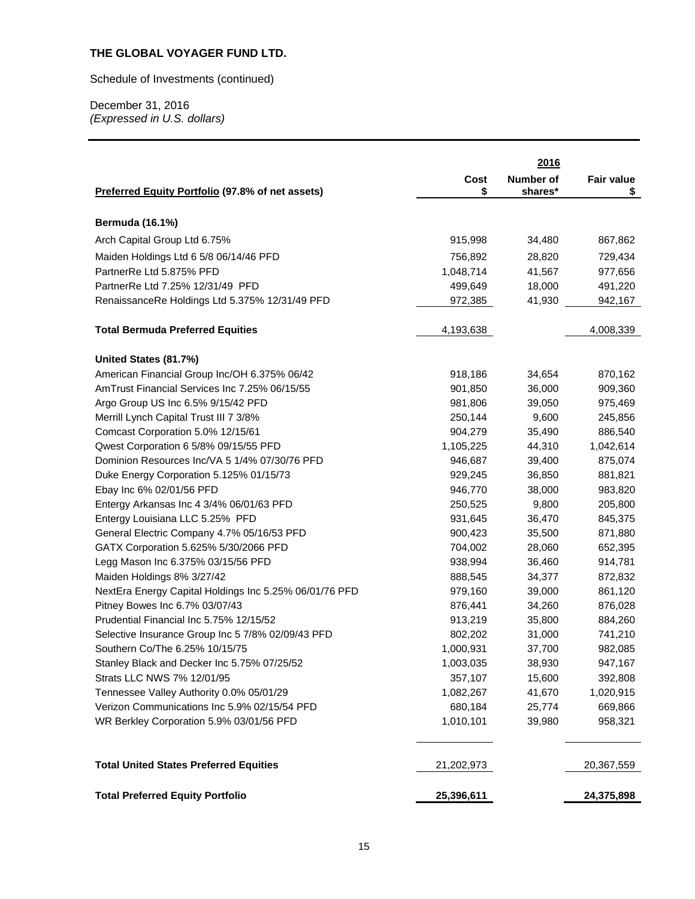Schedule of Investments (continued)

|                                                        |            | 2016      |                   |
|--------------------------------------------------------|------------|-----------|-------------------|
|                                                        | Cost       | Number of | <b>Fair value</b> |
| Preferred Equity Portfolio (97.8% of net assets)       | \$         | shares*   | \$                |
| <b>Bermuda (16.1%)</b>                                 |            |           |                   |
| Arch Capital Group Ltd 6.75%                           | 915,998    | 34,480    | 867,862           |
| Maiden Holdings Ltd 6 5/8 06/14/46 PFD                 | 756,892    | 28,820    | 729,434           |
| PartnerRe Ltd 5.875% PFD                               | 1,048,714  | 41,567    | 977,656           |
| PartnerRe Ltd 7.25% 12/31/49 PFD                       | 499,649    | 18,000    | 491,220           |
| RenaissanceRe Holdings Ltd 5.375% 12/31/49 PFD         | 972,385    | 41,930    | 942,167           |
|                                                        |            |           |                   |
| <b>Total Bermuda Preferred Equities</b>                | 4,193,638  |           | 4,008,339         |
| United States (81.7%)                                  |            |           |                   |
| American Financial Group Inc/OH 6.375% 06/42           | 918,186    | 34,654    | 870,162           |
| AmTrust Financial Services Inc 7.25% 06/15/55          | 901,850    | 36,000    | 909,360           |
| Argo Group US Inc 6.5% 9/15/42 PFD                     | 981,806    | 39,050    | 975,469           |
| Merrill Lynch Capital Trust III 7 3/8%                 | 250,144    | 9,600     | 245,856           |
| Comcast Corporation 5.0% 12/15/61                      | 904,279    | 35,490    | 886,540           |
| Qwest Corporation 6 5/8% 09/15/55 PFD                  | 1,105,225  | 44,310    | 1,042,614         |
| Dominion Resources Inc/VA 5 1/4% 07/30/76 PFD          | 946,687    | 39,400    | 875,074           |
| Duke Energy Corporation 5.125% 01/15/73                | 929,245    | 36,850    | 881,821           |
| Ebay Inc 6% 02/01/56 PFD                               | 946,770    | 38,000    | 983,820           |
| Entergy Arkansas Inc 4 3/4% 06/01/63 PFD               | 250,525    | 9,800     | 205,800           |
| Entergy Louisiana LLC 5.25% PFD                        | 931,645    | 36,470    | 845,375           |
| General Electric Company 4.7% 05/16/53 PFD             | 900,423    | 35,500    | 871,880           |
| GATX Corporation 5.625% 5/30/2066 PFD                  | 704,002    | 28,060    | 652,395           |
| Legg Mason Inc 6.375% 03/15/56 PFD                     | 938,994    | 36,460    | 914,781           |
| Maiden Holdings 8% 3/27/42                             | 888,545    | 34,377    | 872,832           |
| NextEra Energy Capital Holdings Inc 5.25% 06/01/76 PFD | 979,160    | 39,000    | 861,120           |
| Pitney Bowes Inc 6.7% 03/07/43                         | 876,441    | 34,260    | 876,028           |
| Prudential Financial Inc 5.75% 12/15/52                | 913,219    | 35,800    | 884,260           |
| Selective Insurance Group Inc 5 7/8% 02/09/43 PFD      | 802,202    | 31,000    | 741,210           |
| Southern Co/The 6.25% 10/15/75                         | 1,000,931  | 37,700    | 982,085           |
| Stanley Black and Decker Inc 5.75% 07/25/52            | 1,003,035  | 38,930    | 947,167           |
| Strats LLC NWS 7% 12/01/95                             | 357,107    | 15,600    | 392,808           |
| Tennessee Valley Authority 0.0% 05/01/29               | 1,082,267  | 41,670    | 1,020,915         |
| Verizon Communications Inc 5.9% 02/15/54 PFD           | 680,184    | 25,774    | 669,866           |
| WR Berkley Corporation 5.9% 03/01/56 PFD               | 1,010,101  | 39,980    | 958,321           |
| <b>Total United States Preferred Equities</b>          | 21,202,973 |           | 20,367,559        |
| <b>Total Preferred Equity Portfolio</b>                | 25,396,611 |           | 24,375,898        |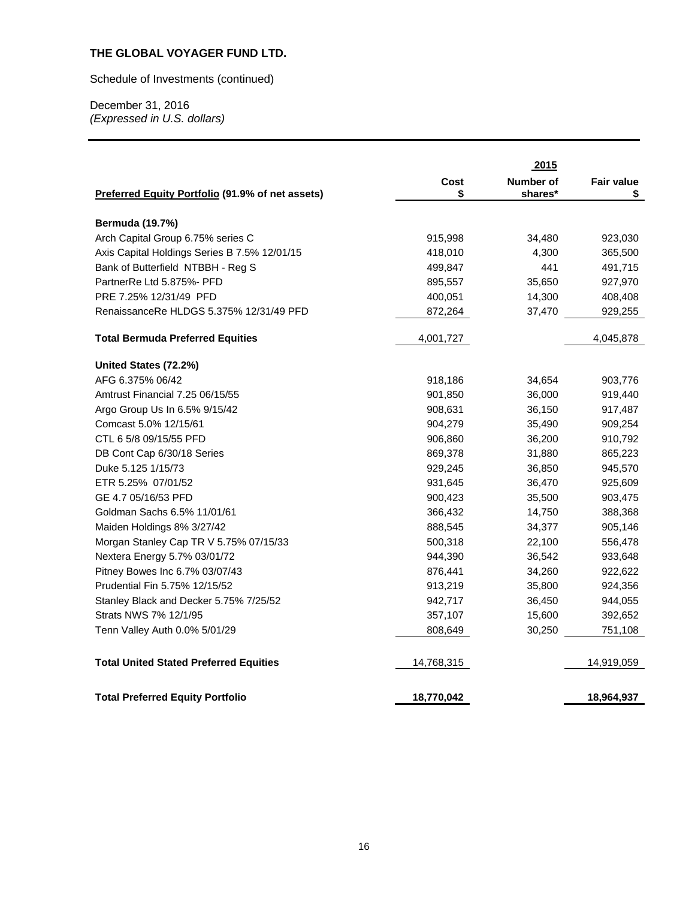Schedule of Investments (continued)

|                                                  |            | 2015                        |                  |
|--------------------------------------------------|------------|-----------------------------|------------------|
| Preferred Equity Portfolio (91.9% of net assets) | Cost<br>\$ | <b>Number of</b><br>shares* | Fair value<br>\$ |
|                                                  |            |                             |                  |
| <b>Bermuda (19.7%)</b>                           |            |                             |                  |
| Arch Capital Group 6.75% series C                | 915,998    | 34,480                      | 923,030          |
| Axis Capital Holdings Series B 7.5% 12/01/15     | 418,010    | 4,300                       | 365,500          |
| Bank of Butterfield NTBBH - Reg S                | 499,847    | 441                         | 491,715          |
| PartnerRe Ltd 5.875%- PFD                        | 895,557    | 35,650                      | 927,970          |
| PRE 7.25% 12/31/49 PFD                           | 400,051    | 14,300                      | 408,408          |
| RenaissanceRe HLDGS 5.375% 12/31/49 PFD          | 872,264    | 37,470                      | 929,255          |
| <b>Total Bermuda Preferred Equities</b>          | 4,001,727  |                             | 4,045,878        |
| United States (72.2%)                            |            |                             |                  |
| AFG 6.375% 06/42                                 | 918,186    | 34,654                      | 903,776          |
| Amtrust Financial 7.25 06/15/55                  | 901,850    | 36,000                      | 919,440          |
| Argo Group Us In 6.5% 9/15/42                    | 908,631    | 36,150                      | 917,487          |
| Comcast 5.0% 12/15/61                            | 904,279    | 35,490                      | 909,254          |
| CTL 6 5/8 09/15/55 PFD                           | 906,860    | 36,200                      | 910,792          |
| DB Cont Cap 6/30/18 Series                       | 869,378    | 31,880                      | 865,223          |
| Duke 5.125 1/15/73                               | 929,245    | 36,850                      | 945,570          |
| ETR 5.25% 07/01/52                               | 931,645    | 36,470                      | 925,609          |
| GE 4.7 05/16/53 PFD                              | 900,423    | 35,500                      | 903,475          |
| Goldman Sachs 6.5% 11/01/61                      | 366,432    | 14,750                      | 388,368          |
| Maiden Holdings 8% 3/27/42                       | 888,545    | 34,377                      | 905,146          |
| Morgan Stanley Cap TR V 5.75% 07/15/33           | 500,318    | 22,100                      | 556,478          |
| Nextera Energy 5.7% 03/01/72                     | 944,390    | 36,542                      | 933,648          |
| Pitney Bowes Inc 6.7% 03/07/43                   | 876,441    | 34,260                      | 922,622          |
| Prudential Fin 5.75% 12/15/52                    | 913,219    | 35,800                      | 924,356          |
| Stanley Black and Decker 5.75% 7/25/52           | 942,717    | 36,450                      | 944,055          |
| Strats NWS 7% 12/1/95                            | 357,107    | 15,600                      | 392,652          |
| Tenn Valley Auth 0.0% 5/01/29                    | 808,649    | 30,250                      | 751,108          |
| <b>Total United Stated Preferred Equities</b>    | 14,768,315 |                             | 14,919,059       |
| <b>Total Preferred Equity Portfolio</b>          | 18,770,042 |                             | 18,964,937       |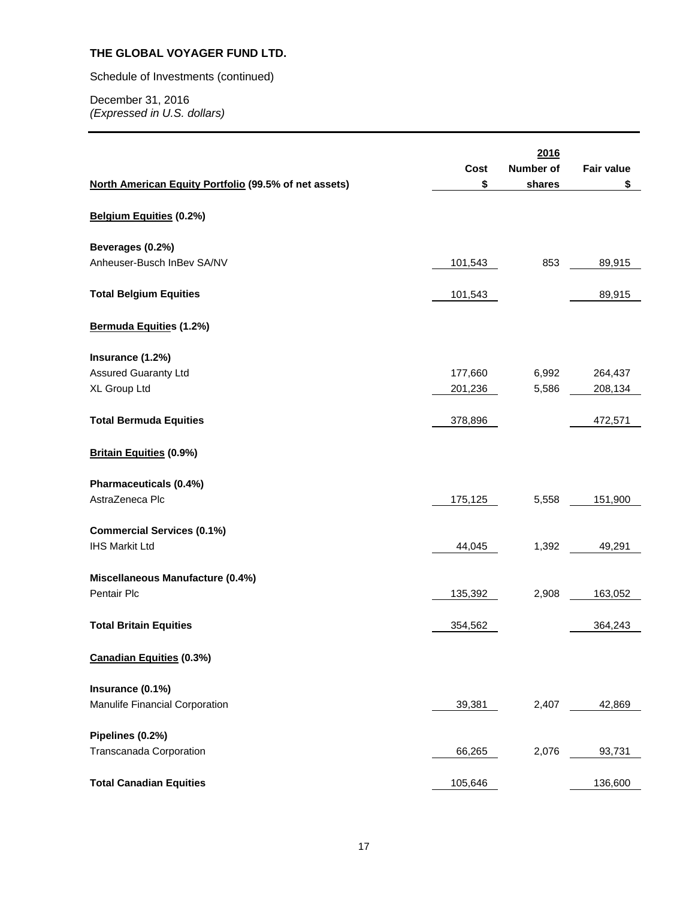Schedule of Investments (continued)

|                                                            |         | 2016             |                   |
|------------------------------------------------------------|---------|------------------|-------------------|
|                                                            | Cost    | <b>Number of</b> | <b>Fair value</b> |
| North American Equity Portfolio (99.5% of net assets)      | \$      | shares           | \$                |
|                                                            |         |                  |                   |
| Belgium Equities (0.2%)                                    |         |                  |                   |
| Beverages (0.2%)                                           |         |                  |                   |
| Anheuser-Busch InBev SA/NV                                 | 101,543 | 853              | 89,915            |
| <b>Total Belgium Equities</b>                              | 101,543 |                  | 89,915            |
|                                                            |         |                  |                   |
| <b>Bermuda Equities (1.2%)</b>                             |         |                  |                   |
| Insurance (1.2%)                                           |         |                  |                   |
| <b>Assured Guaranty Ltd</b>                                | 177,660 | 6,992            | 264,437           |
| XL Group Ltd                                               | 201,236 | 5,586            | 208,134           |
|                                                            |         |                  |                   |
| <b>Total Bermuda Equities</b>                              | 378,896 |                  | 472,571           |
| <b>Britain Equities (0.9%)</b>                             |         |                  |                   |
| Pharmaceuticals (0.4%)                                     |         |                  |                   |
| AstraZeneca Plc                                            | 175,125 | 5,558            | 151,900           |
|                                                            |         |                  |                   |
| <b>Commercial Services (0.1%)</b><br><b>IHS Markit Ltd</b> |         |                  |                   |
|                                                            | 44,045  | 1,392            | 49,291            |
| Miscellaneous Manufacture (0.4%)                           |         |                  |                   |
| Pentair Plc                                                | 135,392 | 2,908            | 163,052           |
|                                                            |         |                  |                   |
| <b>Total Britain Equities</b>                              | 354,562 |                  | 364,243           |
| <b>Canadian Equities (0.3%)</b>                            |         |                  |                   |
|                                                            |         |                  |                   |
| Insurance (0.1%)<br>Manulife Financial Corporation         |         | 2,407            |                   |
|                                                            | 39,381  |                  | 42,869            |
| Pipelines (0.2%)                                           |         |                  |                   |
| Transcanada Corporation                                    | 66,265  | 2,076            | 93,731            |
|                                                            |         |                  |                   |
| <b>Total Canadian Equities</b>                             | 105,646 |                  | 136,600           |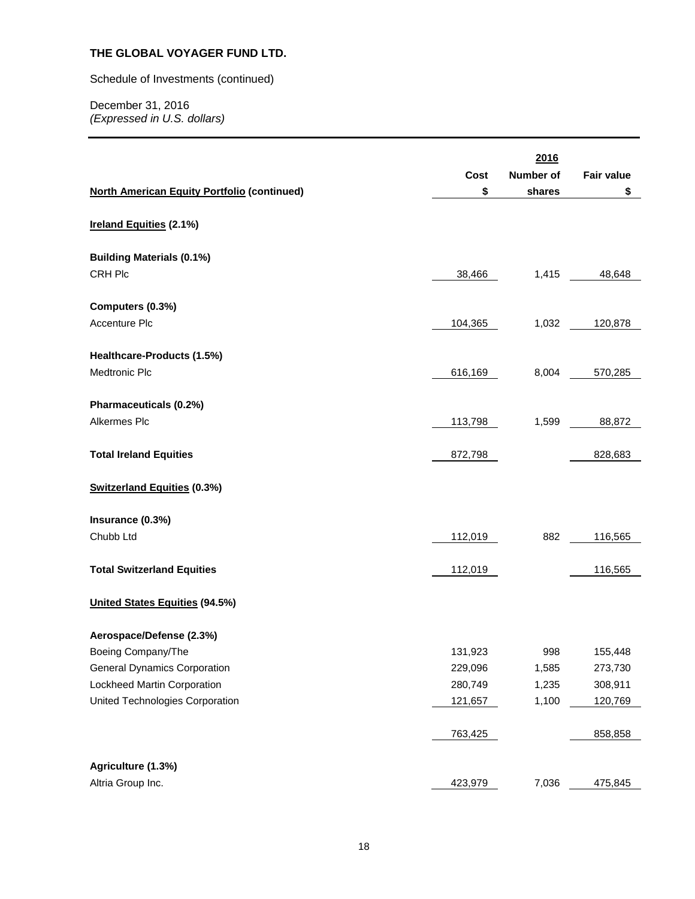Schedule of Investments (continued)

|                                                    | Cost    | 2016<br><b>Number of</b> | <b>Fair value</b> |
|----------------------------------------------------|---------|--------------------------|-------------------|
| <b>North American Equity Portfolio (continued)</b> | \$      | shares                   | \$                |
| Ireland Equities (2.1%)                            |         |                          |                   |
| <b>Building Materials (0.1%)</b>                   |         |                          |                   |
| CRH Plc                                            | 38,466  | 1,415                    | 48,648            |
| Computers (0.3%)                                   |         |                          |                   |
| Accenture Plc                                      | 104,365 | 1,032                    | 120,878           |
| Healthcare-Products (1.5%)                         |         |                          |                   |
| Medtronic Plc                                      | 616,169 | 8,004                    | 570,285           |
| Pharmaceuticals (0.2%)                             |         |                          |                   |
| Alkermes Plc                                       | 113,798 | 1,599                    | 88,872            |
| <b>Total Ireland Equities</b>                      | 872,798 |                          | 828,683           |
| <b>Switzerland Equities (0.3%)</b>                 |         |                          |                   |
| Insurance (0.3%)                                   |         |                          |                   |
| Chubb Ltd                                          | 112,019 | 882                      | 116,565           |
| <b>Total Switzerland Equities</b>                  | 112,019 |                          | 116,565           |
| <b>United States Equities (94.5%)</b>              |         |                          |                   |
| Aerospace/Defense (2.3%)                           |         |                          |                   |
| Boeing Company/The                                 | 131,923 | 998                      | 155,448           |
| <b>General Dynamics Corporation</b>                | 229,096 | 1,585                    | 273,730           |
| Lockheed Martin Corporation                        | 280,749 | 1,235                    | 308,911           |
| United Technologies Corporation                    | 121,657 | 1,100                    | 120,769           |
|                                                    | 763,425 |                          | 858,858           |
|                                                    |         |                          |                   |
| Agriculture (1.3%)                                 |         |                          |                   |
| Altria Group Inc.                                  | 423,979 | 7,036                    | 475,845           |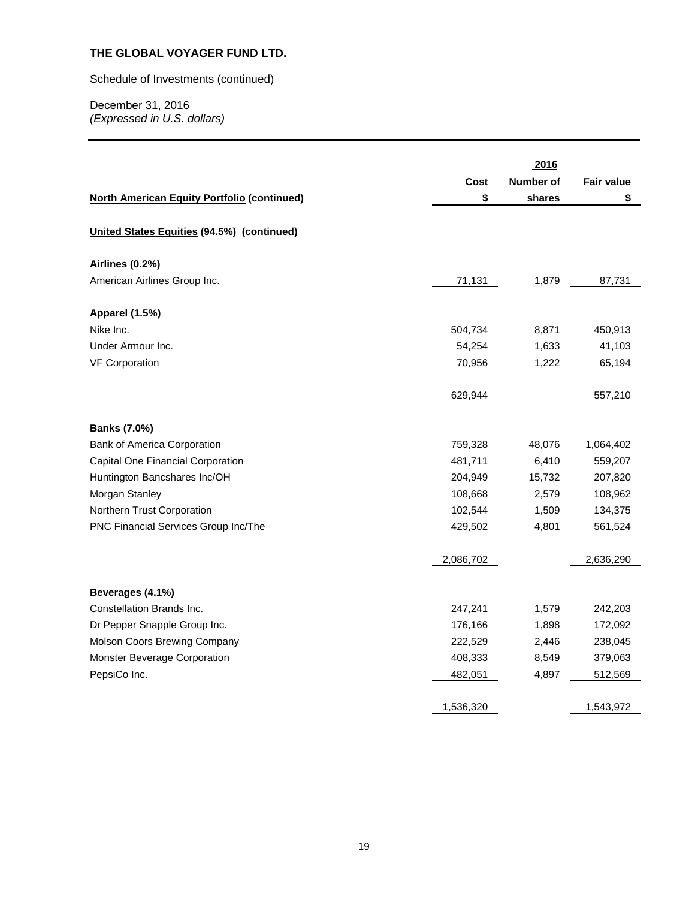#### Schedule of Investments (continued)

|                                                    |           | 2016      |                   |
|----------------------------------------------------|-----------|-----------|-------------------|
|                                                    | Cost      | Number of | <b>Fair value</b> |
| <b>North American Equity Portfolio (continued)</b> | \$        | shares    | \$                |
|                                                    |           |           |                   |
| United States Equities (94.5%) (continued)         |           |           |                   |
| <b>Airlines (0.2%)</b>                             |           |           |                   |
| American Airlines Group Inc.                       | 71,131    | 1,879     | 87,731            |
| Apparel (1.5%)                                     |           |           |                   |
| Nike Inc.                                          | 504,734   | 8,871     | 450,913           |
| Under Armour Inc.                                  | 54,254    | 1,633     | 41,103            |
| <b>VF Corporation</b>                              | 70,956    | 1,222     | 65,194            |
|                                                    | 629,944   |           | 557,210           |
| <b>Banks (7.0%)</b>                                |           |           |                   |
| Bank of America Corporation                        | 759,328   | 48,076    | 1,064,402         |
| Capital One Financial Corporation                  | 481,711   | 6,410     | 559,207           |
| Huntington Bancshares Inc/OH                       | 204,949   | 15,732    | 207,820           |
| Morgan Stanley                                     | 108,668   | 2,579     | 108,962           |
| Northern Trust Corporation                         | 102,544   | 1,509     | 134,375           |
| PNC Financial Services Group Inc/The               | 429,502   | 4,801     | 561,524           |
|                                                    | 2,086,702 |           | 2,636,290         |
| Beverages (4.1%)                                   |           |           |                   |
| Constellation Brands Inc.                          | 247,241   | 1,579     | 242,203           |
| Dr Pepper Snapple Group Inc.                       | 176,166   | 1,898     | 172,092           |
| Molson Coors Brewing Company                       | 222,529   | 2,446     | 238,045           |
| Monster Beverage Corporation                       | 408,333   | 8,549     | 379,063           |
| PepsiCo Inc.                                       | 482,051   | 4,897     | 512,569           |
|                                                    | 1,536,320 |           | 1,543,972         |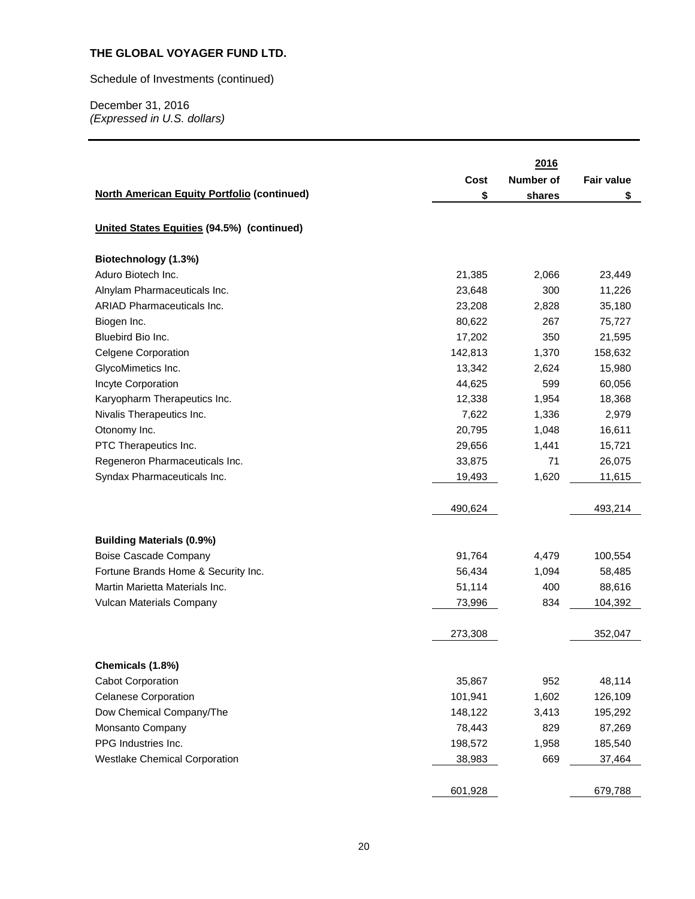Schedule of Investments (continued)

|                                                    |         | 2016             |                   |
|----------------------------------------------------|---------|------------------|-------------------|
|                                                    | Cost    | <b>Number of</b> | <b>Fair value</b> |
| <b>North American Equity Portfolio (continued)</b> | \$      | shares           | \$                |
|                                                    |         |                  |                   |
| United States Equities (94.5%) (continued)         |         |                  |                   |
| Biotechnology (1.3%)                               |         |                  |                   |
| Aduro Biotech Inc.                                 | 21,385  | 2,066            | 23,449            |
| Alnylam Pharmaceuticals Inc.                       | 23,648  | 300              | 11,226            |
| <b>ARIAD Pharmaceuticals Inc.</b>                  | 23,208  | 2,828            | 35,180            |
| Biogen Inc.                                        | 80,622  | 267              | 75,727            |
| Bluebird Bio Inc.                                  | 17,202  | 350              | 21,595            |
| <b>Celgene Corporation</b>                         | 142,813 | 1,370            | 158,632           |
| GlycoMimetics Inc.                                 | 13,342  | 2,624            | 15,980            |
| Incyte Corporation                                 | 44,625  | 599              | 60,056            |
| Karyopharm Therapeutics Inc.                       | 12,338  | 1,954            | 18,368            |
| Nivalis Therapeutics Inc.                          | 7,622   | 1,336            | 2,979             |
| Otonomy Inc.                                       | 20,795  | 1,048            | 16,611            |
| PTC Therapeutics Inc.                              | 29,656  | 1,441            | 15,721            |
| Regeneron Pharmaceuticals Inc.                     | 33,875  | 71               | 26,075            |
| Syndax Pharmaceuticals Inc.                        | 19,493  | 1,620            | 11,615            |
|                                                    |         |                  |                   |
|                                                    | 490,624 |                  | 493,214           |
| <b>Building Materials (0.9%)</b>                   |         |                  |                   |
| Boise Cascade Company                              | 91,764  | 4,479            | 100,554           |
| Fortune Brands Home & Security Inc.                | 56,434  | 1,094            | 58,485            |
| Martin Marietta Materials Inc.                     | 51,114  | 400              | 88,616            |
| Vulcan Materials Company                           | 73,996  | 834              | 104,392           |
|                                                    | 273,308 |                  | 352,047           |
|                                                    |         |                  |                   |
| Chemicals (1.8%)                                   |         |                  |                   |
| <b>Cabot Corporation</b>                           | 35,867  | 952              | 48,114            |
| <b>Celanese Corporation</b>                        | 101,941 | 1,602            | 126,109           |
| Dow Chemical Company/The                           | 148,122 | 3,413            | 195,292           |
| Monsanto Company                                   | 78,443  | 829              | 87,269            |
| PPG Industries Inc.                                | 198,572 | 1,958            | 185,540           |
| <b>Westlake Chemical Corporation</b>               | 38,983  | 669              | 37,464            |
|                                                    | 601,928 |                  | 679,788           |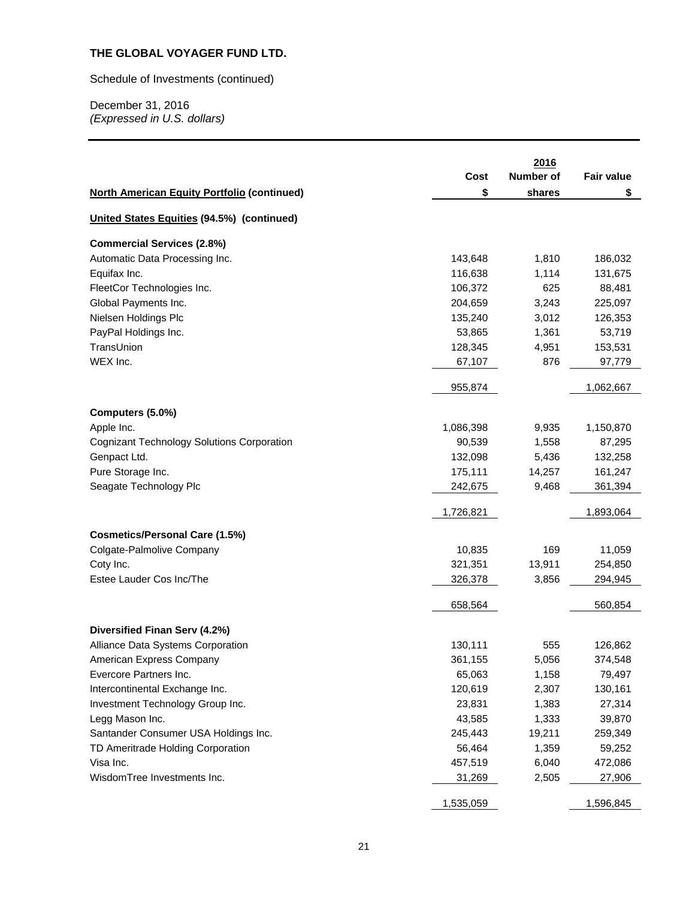Schedule of Investments (continued)

|                                                    |           | 2016             |                   |
|----------------------------------------------------|-----------|------------------|-------------------|
|                                                    | Cost      | <b>Number of</b> | <b>Fair value</b> |
| <b>North American Equity Portfolio (continued)</b> | \$        | shares           | \$                |
| United States Equities (94.5%) (continued)         |           |                  |                   |
| <b>Commercial Services (2.8%)</b>                  |           |                  |                   |
| Automatic Data Processing Inc.                     | 143,648   | 1,810            | 186,032           |
| Equifax Inc.                                       | 116,638   | 1,114            | 131,675           |
| FleetCor Technologies Inc.                         | 106,372   | 625              | 88,481            |
| Global Payments Inc.                               | 204,659   | 3,243            | 225,097           |
| Nielsen Holdings Plc                               | 135,240   | 3,012            | 126,353           |
| PayPal Holdings Inc.                               | 53,865    | 1,361            | 53,719            |
| TransUnion                                         | 128,345   | 4,951            | 153,531           |
| WEX Inc.                                           | 67,107    | 876              | 97,779            |
|                                                    | 955,874   |                  | 1,062,667         |
| Computers (5.0%)                                   |           |                  |                   |
| Apple Inc.                                         | 1,086,398 | 9,935            | 1,150,870         |
| <b>Cognizant Technology Solutions Corporation</b>  | 90,539    | 1,558            | 87,295            |
| Genpact Ltd.                                       | 132,098   | 5,436            | 132,258           |
| Pure Storage Inc.                                  | 175,111   | 14,257           | 161,247           |
| Seagate Technology Plc                             | 242,675   | 9,468            | 361,394           |
|                                                    | 1,726,821 |                  | 1,893,064         |
| <b>Cosmetics/Personal Care (1.5%)</b>              |           |                  |                   |
| Colgate-Palmolive Company                          | 10,835    | 169              | 11,059            |
| Coty Inc.                                          | 321,351   | 13,911           | 254,850           |
| Estee Lauder Cos Inc/The                           | 326,378   | 3,856            | 294,945           |
|                                                    | 658,564   |                  | 560,854           |
|                                                    |           |                  |                   |
| Diversified Finan Serv (4.2%)                      |           |                  |                   |
| Alliance Data Systems Corporation                  | 130,111   | 555              | 126,862           |
| American Express Company                           | 361,155   | 5,056            | 374,548           |
| Evercore Partners Inc.                             | 65,063    | 1,158            | 79,497            |
| Intercontinental Exchange Inc.                     | 120,619   | 2,307            | 130,161           |
| Investment Technology Group Inc.                   | 23,831    | 1,383            | 27,314            |
| Legg Mason Inc.                                    | 43,585    | 1,333            | 39,870            |
| Santander Consumer USA Holdings Inc.               | 245,443   | 19,211           | 259,349           |
| TD Ameritrade Holding Corporation                  | 56,464    | 1,359            | 59,252            |
| Visa Inc.                                          | 457,519   | 6,040            | 472,086           |
| WisdomTree Investments Inc.                        | 31,269    | 2,505            | 27,906            |
|                                                    | 1,535,059 |                  | 1,596,845         |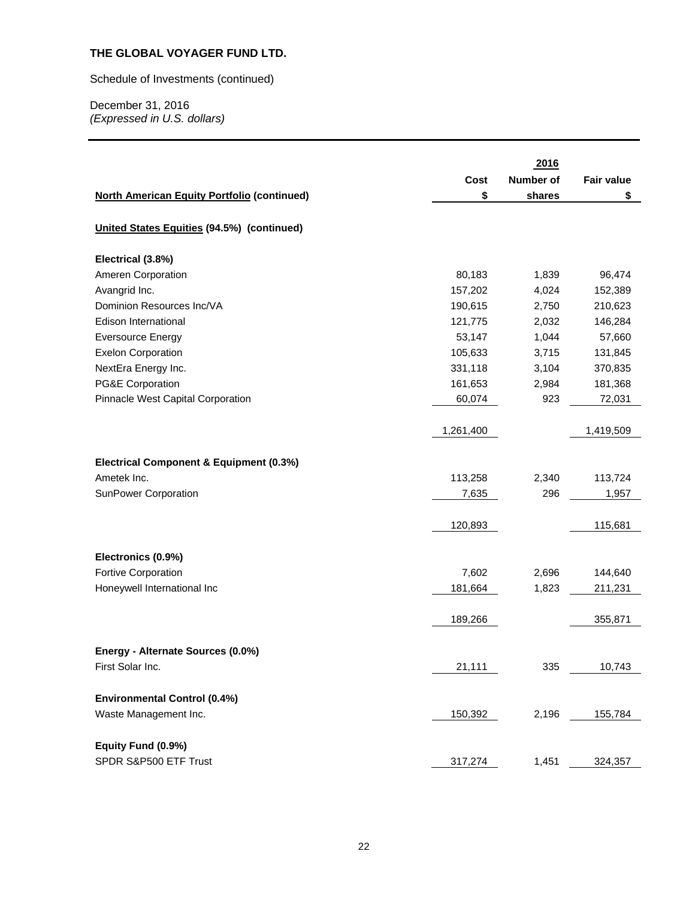Schedule of Investments (continued)

|                                                    |           | 2016             |                   |
|----------------------------------------------------|-----------|------------------|-------------------|
|                                                    | Cost      | <b>Number of</b> | <b>Fair value</b> |
| <b>North American Equity Portfolio (continued)</b> | \$        | shares           | \$                |
|                                                    |           |                  |                   |
| United States Equities (94.5%) (continued)         |           |                  |                   |
| Electrical (3.8%)                                  |           |                  |                   |
| Ameren Corporation                                 | 80,183    | 1,839            | 96,474            |
| Avangrid Inc.                                      | 157,202   | 4,024            | 152,389           |
| Dominion Resources Inc/VA                          | 190,615   | 2,750            | 210,623           |
| Edison International                               | 121,775   | 2,032            | 146,284           |
| <b>Eversource Energy</b>                           | 53,147    | 1,044            | 57,660            |
| <b>Exelon Corporation</b>                          | 105,633   | 3,715            | 131,845           |
| NextEra Energy Inc.                                | 331,118   | 3,104            | 370,835           |
| PG&E Corporation                                   | 161,653   | 2,984            | 181,368           |
| Pinnacle West Capital Corporation                  | 60,074    | 923              | 72,031            |
|                                                    |           |                  |                   |
|                                                    | 1,261,400 |                  | 1,419,509         |
|                                                    |           |                  |                   |
| Electrical Component & Equipment (0.3%)            |           |                  |                   |
| Ametek Inc.                                        | 113,258   | 2,340            | 113,724           |
| SunPower Corporation                               | 7,635     | 296              | 1,957             |
|                                                    |           |                  |                   |
|                                                    | 120,893   |                  | 115,681           |
|                                                    |           |                  |                   |
| Electronics (0.9%)                                 |           |                  |                   |
| Fortive Corporation                                | 7,602     | 2,696            | 144,640           |
| Honeywell International Inc                        | 181,664   | 1,823            | 211,231           |
|                                                    |           |                  |                   |
|                                                    | 189,266   |                  | 355,871           |
|                                                    |           |                  |                   |
| Energy - Alternate Sources (0.0%)                  |           |                  |                   |
| First Solar Inc.                                   | 21,111    | 335              | 10,743            |
|                                                    |           |                  |                   |
| <b>Environmental Control (0.4%)</b>                |           |                  |                   |
| Waste Management Inc.                              | 150,392   | 2,196            | 155,784           |
|                                                    |           |                  |                   |
| Equity Fund (0.9%)                                 |           |                  |                   |
| SPDR S&P500 ETF Trust                              | 317,274   | 1,451            | 324,357           |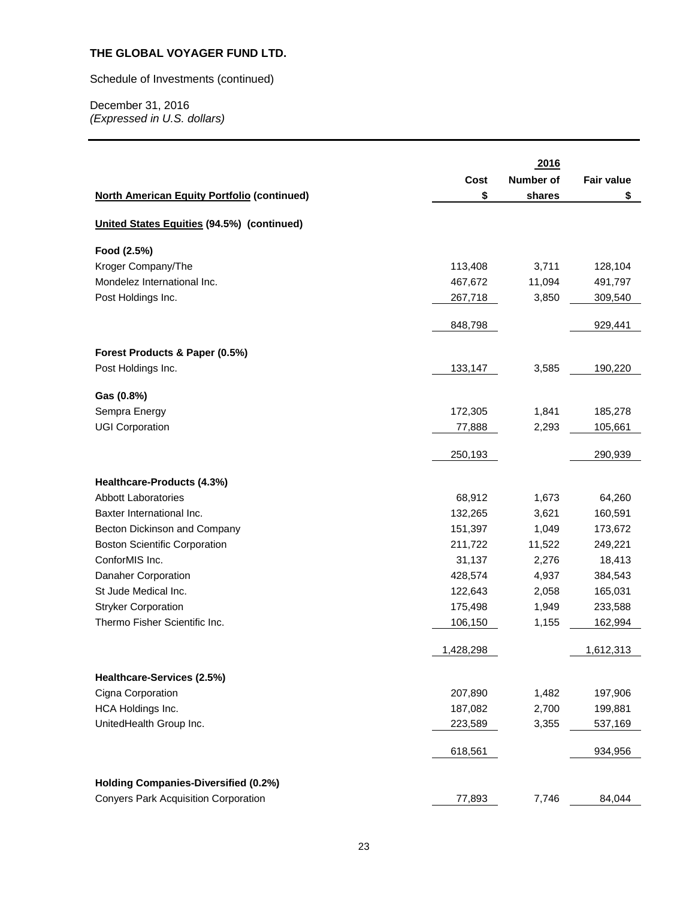Schedule of Investments (continued)

| <b>Number of</b><br>Cost<br><b>Fair value</b><br>\$<br><b>North American Equity Portfolio (continued)</b><br>shares<br>\$<br>United States Equities (94.5%) (continued)<br>Food (2.5%)<br>Kroger Company/The<br>113,408<br>3,711<br>128,104<br>Mondelez International Inc.<br>467,672<br>11,094<br>491,797<br>Post Holdings Inc.<br>3,850<br>267,718<br>309,540<br>848,798<br>929,441<br>Forest Products & Paper (0.5%)<br>Post Holdings Inc.<br>133,147<br>3,585<br>190,220<br>Gas (0.8%)<br>Sempra Energy<br>1,841<br>172,305<br>185,278<br><b>UGI Corporation</b><br>77,888<br>2,293<br>105,661<br>250,193<br>290,939<br>Healthcare-Products (4.3%)<br><b>Abbott Laboratories</b><br>68,912<br>1,673<br>64,260<br>132,265<br>160,591<br>Baxter International Inc.<br>3,621<br>151,397<br>Becton Dickinson and Company<br>1,049<br>173,672<br>211,722<br>249,221<br><b>Boston Scientific Corporation</b><br>11,522<br>ConforMIS Inc.<br>31,137<br>2,276<br>18,413<br>Danaher Corporation<br>428,574<br>4,937<br>384,543<br>St Jude Medical Inc.<br>122,643<br>2,058<br>165,031<br><b>Stryker Corporation</b><br>175,498<br>1,949<br>233,588<br>Thermo Fisher Scientific Inc.<br>1,155<br>106,150<br>162,994<br>1,428,298<br>1,612,313<br>Healthcare-Services (2.5%)<br>Cigna Corporation<br>207,890<br>1,482<br>197,906<br>HCA Holdings Inc.<br>187,082<br>2,700<br>199,881<br>UnitedHealth Group Inc.<br>223,589<br>3,355<br>537,169<br>618,561<br>934,956 |  |      |  |
|---------------------------------------------------------------------------------------------------------------------------------------------------------------------------------------------------------------------------------------------------------------------------------------------------------------------------------------------------------------------------------------------------------------------------------------------------------------------------------------------------------------------------------------------------------------------------------------------------------------------------------------------------------------------------------------------------------------------------------------------------------------------------------------------------------------------------------------------------------------------------------------------------------------------------------------------------------------------------------------------------------------------------------------------------------------------------------------------------------------------------------------------------------------------------------------------------------------------------------------------------------------------------------------------------------------------------------------------------------------------------------------------------------------------------------------------------------------|--|------|--|
|                                                                                                                                                                                                                                                                                                                                                                                                                                                                                                                                                                                                                                                                                                                                                                                                                                                                                                                                                                                                                                                                                                                                                                                                                                                                                                                                                                                                                                                               |  | 2016 |  |
|                                                                                                                                                                                                                                                                                                                                                                                                                                                                                                                                                                                                                                                                                                                                                                                                                                                                                                                                                                                                                                                                                                                                                                                                                                                                                                                                                                                                                                                               |  |      |  |
|                                                                                                                                                                                                                                                                                                                                                                                                                                                                                                                                                                                                                                                                                                                                                                                                                                                                                                                                                                                                                                                                                                                                                                                                                                                                                                                                                                                                                                                               |  |      |  |
|                                                                                                                                                                                                                                                                                                                                                                                                                                                                                                                                                                                                                                                                                                                                                                                                                                                                                                                                                                                                                                                                                                                                                                                                                                                                                                                                                                                                                                                               |  |      |  |
|                                                                                                                                                                                                                                                                                                                                                                                                                                                                                                                                                                                                                                                                                                                                                                                                                                                                                                                                                                                                                                                                                                                                                                                                                                                                                                                                                                                                                                                               |  |      |  |
|                                                                                                                                                                                                                                                                                                                                                                                                                                                                                                                                                                                                                                                                                                                                                                                                                                                                                                                                                                                                                                                                                                                                                                                                                                                                                                                                                                                                                                                               |  |      |  |
|                                                                                                                                                                                                                                                                                                                                                                                                                                                                                                                                                                                                                                                                                                                                                                                                                                                                                                                                                                                                                                                                                                                                                                                                                                                                                                                                                                                                                                                               |  |      |  |
|                                                                                                                                                                                                                                                                                                                                                                                                                                                                                                                                                                                                                                                                                                                                                                                                                                                                                                                                                                                                                                                                                                                                                                                                                                                                                                                                                                                                                                                               |  |      |  |
|                                                                                                                                                                                                                                                                                                                                                                                                                                                                                                                                                                                                                                                                                                                                                                                                                                                                                                                                                                                                                                                                                                                                                                                                                                                                                                                                                                                                                                                               |  |      |  |
|                                                                                                                                                                                                                                                                                                                                                                                                                                                                                                                                                                                                                                                                                                                                                                                                                                                                                                                                                                                                                                                                                                                                                                                                                                                                                                                                                                                                                                                               |  |      |  |
|                                                                                                                                                                                                                                                                                                                                                                                                                                                                                                                                                                                                                                                                                                                                                                                                                                                                                                                                                                                                                                                                                                                                                                                                                                                                                                                                                                                                                                                               |  |      |  |
|                                                                                                                                                                                                                                                                                                                                                                                                                                                                                                                                                                                                                                                                                                                                                                                                                                                                                                                                                                                                                                                                                                                                                                                                                                                                                                                                                                                                                                                               |  |      |  |
|                                                                                                                                                                                                                                                                                                                                                                                                                                                                                                                                                                                                                                                                                                                                                                                                                                                                                                                                                                                                                                                                                                                                                                                                                                                                                                                                                                                                                                                               |  |      |  |
|                                                                                                                                                                                                                                                                                                                                                                                                                                                                                                                                                                                                                                                                                                                                                                                                                                                                                                                                                                                                                                                                                                                                                                                                                                                                                                                                                                                                                                                               |  |      |  |
|                                                                                                                                                                                                                                                                                                                                                                                                                                                                                                                                                                                                                                                                                                                                                                                                                                                                                                                                                                                                                                                                                                                                                                                                                                                                                                                                                                                                                                                               |  |      |  |
|                                                                                                                                                                                                                                                                                                                                                                                                                                                                                                                                                                                                                                                                                                                                                                                                                                                                                                                                                                                                                                                                                                                                                                                                                                                                                                                                                                                                                                                               |  |      |  |
|                                                                                                                                                                                                                                                                                                                                                                                                                                                                                                                                                                                                                                                                                                                                                                                                                                                                                                                                                                                                                                                                                                                                                                                                                                                                                                                                                                                                                                                               |  |      |  |
|                                                                                                                                                                                                                                                                                                                                                                                                                                                                                                                                                                                                                                                                                                                                                                                                                                                                                                                                                                                                                                                                                                                                                                                                                                                                                                                                                                                                                                                               |  |      |  |
|                                                                                                                                                                                                                                                                                                                                                                                                                                                                                                                                                                                                                                                                                                                                                                                                                                                                                                                                                                                                                                                                                                                                                                                                                                                                                                                                                                                                                                                               |  |      |  |
|                                                                                                                                                                                                                                                                                                                                                                                                                                                                                                                                                                                                                                                                                                                                                                                                                                                                                                                                                                                                                                                                                                                                                                                                                                                                                                                                                                                                                                                               |  |      |  |
|                                                                                                                                                                                                                                                                                                                                                                                                                                                                                                                                                                                                                                                                                                                                                                                                                                                                                                                                                                                                                                                                                                                                                                                                                                                                                                                                                                                                                                                               |  |      |  |
|                                                                                                                                                                                                                                                                                                                                                                                                                                                                                                                                                                                                                                                                                                                                                                                                                                                                                                                                                                                                                                                                                                                                                                                                                                                                                                                                                                                                                                                               |  |      |  |
|                                                                                                                                                                                                                                                                                                                                                                                                                                                                                                                                                                                                                                                                                                                                                                                                                                                                                                                                                                                                                                                                                                                                                                                                                                                                                                                                                                                                                                                               |  |      |  |
|                                                                                                                                                                                                                                                                                                                                                                                                                                                                                                                                                                                                                                                                                                                                                                                                                                                                                                                                                                                                                                                                                                                                                                                                                                                                                                                                                                                                                                                               |  |      |  |
|                                                                                                                                                                                                                                                                                                                                                                                                                                                                                                                                                                                                                                                                                                                                                                                                                                                                                                                                                                                                                                                                                                                                                                                                                                                                                                                                                                                                                                                               |  |      |  |
|                                                                                                                                                                                                                                                                                                                                                                                                                                                                                                                                                                                                                                                                                                                                                                                                                                                                                                                                                                                                                                                                                                                                                                                                                                                                                                                                                                                                                                                               |  |      |  |
|                                                                                                                                                                                                                                                                                                                                                                                                                                                                                                                                                                                                                                                                                                                                                                                                                                                                                                                                                                                                                                                                                                                                                                                                                                                                                                                                                                                                                                                               |  |      |  |
|                                                                                                                                                                                                                                                                                                                                                                                                                                                                                                                                                                                                                                                                                                                                                                                                                                                                                                                                                                                                                                                                                                                                                                                                                                                                                                                                                                                                                                                               |  |      |  |
|                                                                                                                                                                                                                                                                                                                                                                                                                                                                                                                                                                                                                                                                                                                                                                                                                                                                                                                                                                                                                                                                                                                                                                                                                                                                                                                                                                                                                                                               |  |      |  |
|                                                                                                                                                                                                                                                                                                                                                                                                                                                                                                                                                                                                                                                                                                                                                                                                                                                                                                                                                                                                                                                                                                                                                                                                                                                                                                                                                                                                                                                               |  |      |  |
|                                                                                                                                                                                                                                                                                                                                                                                                                                                                                                                                                                                                                                                                                                                                                                                                                                                                                                                                                                                                                                                                                                                                                                                                                                                                                                                                                                                                                                                               |  |      |  |
| <b>Holding Companies-Diversified (0.2%)</b>                                                                                                                                                                                                                                                                                                                                                                                                                                                                                                                                                                                                                                                                                                                                                                                                                                                                                                                                                                                                                                                                                                                                                                                                                                                                                                                                                                                                                   |  |      |  |
| <b>Conyers Park Acquisition Corporation</b><br>7,746<br>77,893<br>84,044                                                                                                                                                                                                                                                                                                                                                                                                                                                                                                                                                                                                                                                                                                                                                                                                                                                                                                                                                                                                                                                                                                                                                                                                                                                                                                                                                                                      |  |      |  |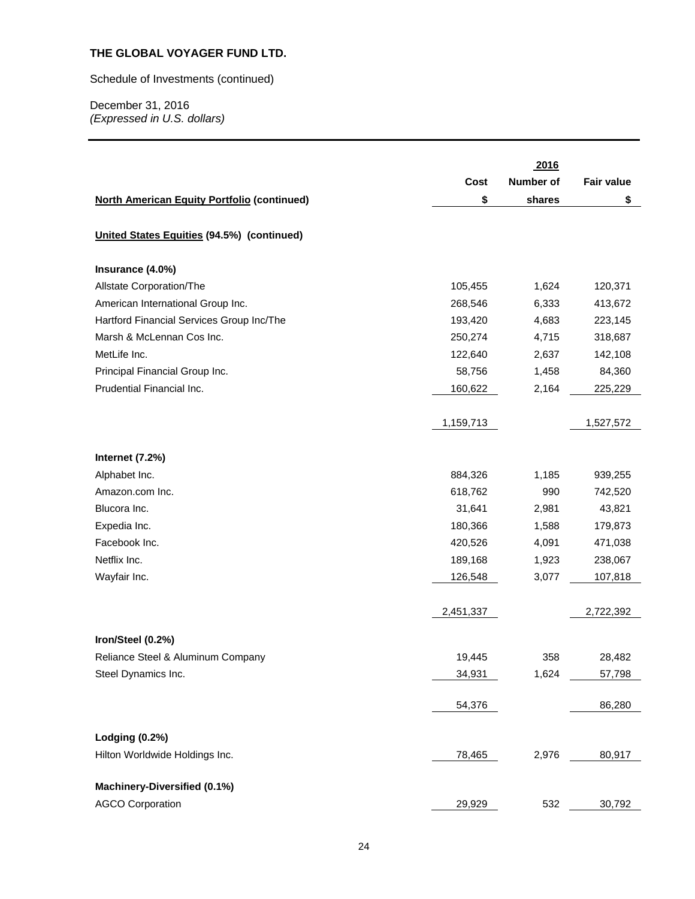Schedule of Investments (continued)

| Number of<br>Cost<br><b>Fair value</b><br><b>North American Equity Portfolio (continued)</b><br>\$<br>\$<br>shares<br>United States Equities (94.5%) (continued)<br>Insurance (4.0%)<br>Allstate Corporation/The<br>1,624<br>105,455<br>120,371<br>American International Group Inc.<br>6,333<br>268,546<br>413,672<br>Hartford Financial Services Group Inc/The<br>193,420<br>4,683<br>223,145<br>Marsh & McLennan Cos Inc.<br>250,274<br>4,715<br>318,687<br>MetLife Inc.<br>122,640<br>2,637<br>142,108<br>Principal Financial Group Inc.<br>58,756<br>1,458<br>84,360<br>Prudential Financial Inc.<br>2,164<br>160,622<br>225,229<br>1,159,713<br>1,527,572<br>Internet (7.2%)<br>Alphabet Inc.<br>1,185<br>884,326<br>939,255<br>618,762<br>990<br>Amazon.com Inc.<br>742,520<br>Blucora Inc.<br>31,641<br>2,981<br>43,821<br>Expedia Inc.<br>180,366<br>1,588<br>179,873<br>Facebook Inc.<br>420,526<br>4,091<br>471,038<br>Netflix Inc.<br>189,168<br>1,923<br>238,067<br>Wayfair Inc.<br>126,548<br>3,077<br>107,818<br>2,451,337<br>2,722,392<br>Iron/Steel (0.2%)<br>358<br>Reliance Steel & Aluminum Company<br>19,445<br>28,482<br>Steel Dynamics Inc.<br>1,624<br>34,931<br>57,798<br>54,376<br>86,280<br><b>Lodging (0.2%)</b><br>Hilton Worldwide Holdings Inc.<br>78,465<br>2,976<br>80,917<br>Machinery-Diversified (0.1%) |                         |        | 2016 |        |
|---------------------------------------------------------------------------------------------------------------------------------------------------------------------------------------------------------------------------------------------------------------------------------------------------------------------------------------------------------------------------------------------------------------------------------------------------------------------------------------------------------------------------------------------------------------------------------------------------------------------------------------------------------------------------------------------------------------------------------------------------------------------------------------------------------------------------------------------------------------------------------------------------------------------------------------------------------------------------------------------------------------------------------------------------------------------------------------------------------------------------------------------------------------------------------------------------------------------------------------------------------------------------------------------------------------------------------------------|-------------------------|--------|------|--------|
|                                                                                                                                                                                                                                                                                                                                                                                                                                                                                                                                                                                                                                                                                                                                                                                                                                                                                                                                                                                                                                                                                                                                                                                                                                                                                                                                             |                         |        |      |        |
|                                                                                                                                                                                                                                                                                                                                                                                                                                                                                                                                                                                                                                                                                                                                                                                                                                                                                                                                                                                                                                                                                                                                                                                                                                                                                                                                             |                         |        |      |        |
|                                                                                                                                                                                                                                                                                                                                                                                                                                                                                                                                                                                                                                                                                                                                                                                                                                                                                                                                                                                                                                                                                                                                                                                                                                                                                                                                             |                         |        |      |        |
|                                                                                                                                                                                                                                                                                                                                                                                                                                                                                                                                                                                                                                                                                                                                                                                                                                                                                                                                                                                                                                                                                                                                                                                                                                                                                                                                             |                         |        |      |        |
|                                                                                                                                                                                                                                                                                                                                                                                                                                                                                                                                                                                                                                                                                                                                                                                                                                                                                                                                                                                                                                                                                                                                                                                                                                                                                                                                             |                         |        |      |        |
|                                                                                                                                                                                                                                                                                                                                                                                                                                                                                                                                                                                                                                                                                                                                                                                                                                                                                                                                                                                                                                                                                                                                                                                                                                                                                                                                             |                         |        |      |        |
|                                                                                                                                                                                                                                                                                                                                                                                                                                                                                                                                                                                                                                                                                                                                                                                                                                                                                                                                                                                                                                                                                                                                                                                                                                                                                                                                             |                         |        |      |        |
|                                                                                                                                                                                                                                                                                                                                                                                                                                                                                                                                                                                                                                                                                                                                                                                                                                                                                                                                                                                                                                                                                                                                                                                                                                                                                                                                             |                         |        |      |        |
|                                                                                                                                                                                                                                                                                                                                                                                                                                                                                                                                                                                                                                                                                                                                                                                                                                                                                                                                                                                                                                                                                                                                                                                                                                                                                                                                             |                         |        |      |        |
|                                                                                                                                                                                                                                                                                                                                                                                                                                                                                                                                                                                                                                                                                                                                                                                                                                                                                                                                                                                                                                                                                                                                                                                                                                                                                                                                             |                         |        |      |        |
|                                                                                                                                                                                                                                                                                                                                                                                                                                                                                                                                                                                                                                                                                                                                                                                                                                                                                                                                                                                                                                                                                                                                                                                                                                                                                                                                             |                         |        |      |        |
|                                                                                                                                                                                                                                                                                                                                                                                                                                                                                                                                                                                                                                                                                                                                                                                                                                                                                                                                                                                                                                                                                                                                                                                                                                                                                                                                             |                         |        |      |        |
|                                                                                                                                                                                                                                                                                                                                                                                                                                                                                                                                                                                                                                                                                                                                                                                                                                                                                                                                                                                                                                                                                                                                                                                                                                                                                                                                             |                         |        |      |        |
|                                                                                                                                                                                                                                                                                                                                                                                                                                                                                                                                                                                                                                                                                                                                                                                                                                                                                                                                                                                                                                                                                                                                                                                                                                                                                                                                             |                         |        |      |        |
|                                                                                                                                                                                                                                                                                                                                                                                                                                                                                                                                                                                                                                                                                                                                                                                                                                                                                                                                                                                                                                                                                                                                                                                                                                                                                                                                             |                         |        |      |        |
|                                                                                                                                                                                                                                                                                                                                                                                                                                                                                                                                                                                                                                                                                                                                                                                                                                                                                                                                                                                                                                                                                                                                                                                                                                                                                                                                             |                         |        |      |        |
|                                                                                                                                                                                                                                                                                                                                                                                                                                                                                                                                                                                                                                                                                                                                                                                                                                                                                                                                                                                                                                                                                                                                                                                                                                                                                                                                             |                         |        |      |        |
|                                                                                                                                                                                                                                                                                                                                                                                                                                                                                                                                                                                                                                                                                                                                                                                                                                                                                                                                                                                                                                                                                                                                                                                                                                                                                                                                             |                         |        |      |        |
|                                                                                                                                                                                                                                                                                                                                                                                                                                                                                                                                                                                                                                                                                                                                                                                                                                                                                                                                                                                                                                                                                                                                                                                                                                                                                                                                             |                         |        |      |        |
|                                                                                                                                                                                                                                                                                                                                                                                                                                                                                                                                                                                                                                                                                                                                                                                                                                                                                                                                                                                                                                                                                                                                                                                                                                                                                                                                             |                         |        |      |        |
|                                                                                                                                                                                                                                                                                                                                                                                                                                                                                                                                                                                                                                                                                                                                                                                                                                                                                                                                                                                                                                                                                                                                                                                                                                                                                                                                             |                         |        |      |        |
|                                                                                                                                                                                                                                                                                                                                                                                                                                                                                                                                                                                                                                                                                                                                                                                                                                                                                                                                                                                                                                                                                                                                                                                                                                                                                                                                             |                         |        |      |        |
|                                                                                                                                                                                                                                                                                                                                                                                                                                                                                                                                                                                                                                                                                                                                                                                                                                                                                                                                                                                                                                                                                                                                                                                                                                                                                                                                             |                         |        |      |        |
|                                                                                                                                                                                                                                                                                                                                                                                                                                                                                                                                                                                                                                                                                                                                                                                                                                                                                                                                                                                                                                                                                                                                                                                                                                                                                                                                             |                         |        |      |        |
|                                                                                                                                                                                                                                                                                                                                                                                                                                                                                                                                                                                                                                                                                                                                                                                                                                                                                                                                                                                                                                                                                                                                                                                                                                                                                                                                             |                         |        |      |        |
|                                                                                                                                                                                                                                                                                                                                                                                                                                                                                                                                                                                                                                                                                                                                                                                                                                                                                                                                                                                                                                                                                                                                                                                                                                                                                                                                             |                         |        |      |        |
|                                                                                                                                                                                                                                                                                                                                                                                                                                                                                                                                                                                                                                                                                                                                                                                                                                                                                                                                                                                                                                                                                                                                                                                                                                                                                                                                             |                         |        |      |        |
|                                                                                                                                                                                                                                                                                                                                                                                                                                                                                                                                                                                                                                                                                                                                                                                                                                                                                                                                                                                                                                                                                                                                                                                                                                                                                                                                             |                         |        |      |        |
|                                                                                                                                                                                                                                                                                                                                                                                                                                                                                                                                                                                                                                                                                                                                                                                                                                                                                                                                                                                                                                                                                                                                                                                                                                                                                                                                             |                         |        |      |        |
|                                                                                                                                                                                                                                                                                                                                                                                                                                                                                                                                                                                                                                                                                                                                                                                                                                                                                                                                                                                                                                                                                                                                                                                                                                                                                                                                             |                         |        |      |        |
|                                                                                                                                                                                                                                                                                                                                                                                                                                                                                                                                                                                                                                                                                                                                                                                                                                                                                                                                                                                                                                                                                                                                                                                                                                                                                                                                             |                         |        |      |        |
|                                                                                                                                                                                                                                                                                                                                                                                                                                                                                                                                                                                                                                                                                                                                                                                                                                                                                                                                                                                                                                                                                                                                                                                                                                                                                                                                             |                         |        |      |        |
|                                                                                                                                                                                                                                                                                                                                                                                                                                                                                                                                                                                                                                                                                                                                                                                                                                                                                                                                                                                                                                                                                                                                                                                                                                                                                                                                             |                         |        |      |        |
|                                                                                                                                                                                                                                                                                                                                                                                                                                                                                                                                                                                                                                                                                                                                                                                                                                                                                                                                                                                                                                                                                                                                                                                                                                                                                                                                             | <b>AGCO Corporation</b> | 29,929 | 532  | 30,792 |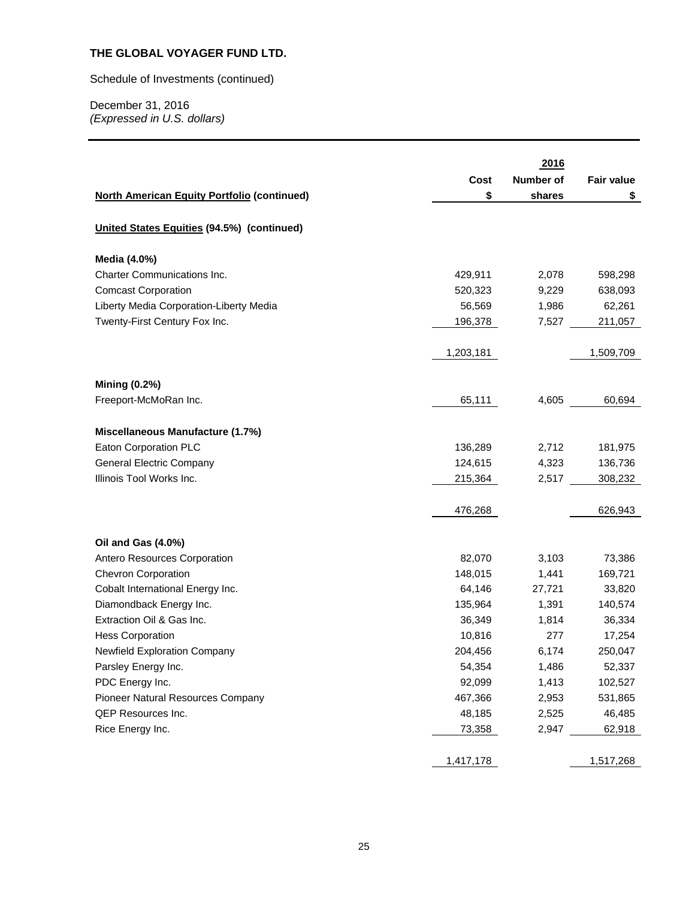Schedule of Investments (continued)

|                                                    |           | 2016      |                   |
|----------------------------------------------------|-----------|-----------|-------------------|
|                                                    | Cost      | Number of | <b>Fair value</b> |
| <b>North American Equity Portfolio (continued)</b> | \$        | shares    | \$                |
|                                                    |           |           |                   |
| United States Equities (94.5%) (continued)         |           |           |                   |
| Media (4.0%)                                       |           |           |                   |
| Charter Communications Inc.                        | 429,911   | 2,078     | 598,298           |
| <b>Comcast Corporation</b>                         | 520,323   | 9,229     | 638,093           |
| Liberty Media Corporation-Liberty Media            | 56,569    | 1,986     | 62,261            |
| Twenty-First Century Fox Inc.                      | 196,378   | 7,527     | 211,057           |
|                                                    | 1,203,181 |           | 1,509,709         |
|                                                    |           |           |                   |
| <b>Mining (0.2%)</b>                               |           |           |                   |
| Freeport-McMoRan Inc.                              | 65,111    | 4,605     | 60,694            |
|                                                    |           |           |                   |
| Miscellaneous Manufacture (1.7%)                   |           |           |                   |
| Eaton Corporation PLC                              | 136,289   | 2,712     | 181,975           |
| <b>General Electric Company</b>                    | 124,615   | 4,323     | 136,736           |
| Illinois Tool Works Inc.                           | 215,364   | 2,517     | 308,232           |
|                                                    |           |           |                   |
|                                                    | 476,268   |           | 626,943           |
|                                                    |           |           |                   |
| Oil and Gas (4.0%)                                 |           |           |                   |
| Antero Resources Corporation                       | 82,070    | 3,103     | 73,386            |
| <b>Chevron Corporation</b>                         | 148,015   | 1,441     | 169,721           |
| Cobalt International Energy Inc.                   | 64,146    | 27,721    | 33,820            |
| Diamondback Energy Inc.                            | 135,964   | 1,391     | 140,574           |
| Extraction Oil & Gas Inc.                          | 36,349    | 1,814     | 36,334            |
| <b>Hess Corporation</b>                            | 10,816    | 277       | 17,254            |
| Newfield Exploration Company                       | 204,456   | 6,174     | 250,047           |
| Parsley Energy Inc.                                | 54,354    | 1,486     | 52,337            |
| PDC Energy Inc.                                    | 92,099    | 1,413     | 102,527           |
| Pioneer Natural Resources Company                  | 467,366   | 2,953     | 531,865           |
| QEP Resources Inc.                                 | 48,185    | 2,525     | 46,485            |
| Rice Energy Inc.                                   | 73,358    | 2,947     | 62,918            |
|                                                    |           |           |                   |
|                                                    | 1,417,178 |           | 1,517,268         |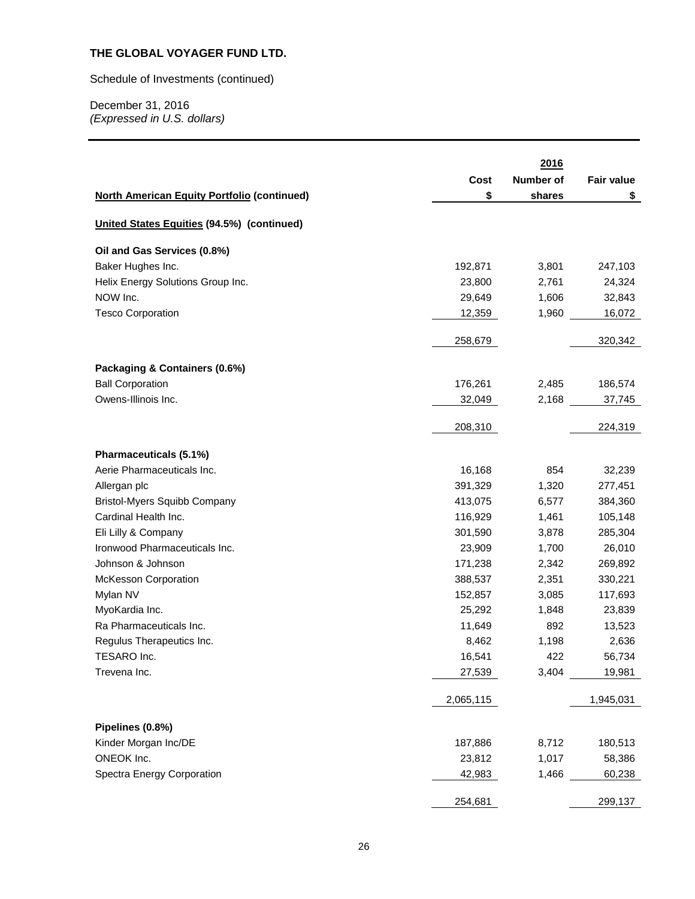Schedule of Investments (continued)

|                                                    |           | 2016      |                   |
|----------------------------------------------------|-----------|-----------|-------------------|
|                                                    | Cost      | Number of | <b>Fair value</b> |
| <b>North American Equity Portfolio (continued)</b> | \$        | shares    | \$                |
|                                                    |           |           |                   |
| <b>United States Equities (94.5%) (continued)</b>  |           |           |                   |
| Oil and Gas Services (0.8%)                        |           |           |                   |
| Baker Hughes Inc.                                  | 192,871   | 3,801     | 247,103           |
| Helix Energy Solutions Group Inc.                  | 23,800    | 2,761     | 24,324            |
| NOW Inc.                                           | 29,649    | 1,606     | 32,843            |
| <b>Tesco Corporation</b>                           | 12,359    | 1,960     | 16,072            |
|                                                    | 258,679   |           | 320,342           |
| Packaging & Containers (0.6%)                      |           |           |                   |
| <b>Ball Corporation</b>                            | 176,261   | 2,485     | 186,574           |
| Owens-Illinois Inc.                                | 32,049    | 2,168     |                   |
|                                                    |           |           | 37,745            |
|                                                    | 208,310   |           | 224,319           |
| Pharmaceuticals (5.1%)                             |           |           |                   |
| Aerie Pharmaceuticals Inc.                         | 16,168    | 854       | 32,239            |
| Allergan plc                                       | 391,329   | 1,320     | 277,451           |
| <b>Bristol-Myers Squibb Company</b>                | 413,075   | 6,577     | 384,360           |
| Cardinal Health Inc.                               | 116,929   | 1,461     | 105,148           |
| Eli Lilly & Company                                | 301,590   | 3,878     | 285,304           |
| Ironwood Pharmaceuticals Inc.                      | 23,909    | 1,700     | 26,010            |
| Johnson & Johnson                                  | 171,238   | 2,342     | 269,892           |
| McKesson Corporation                               | 388,537   | 2,351     | 330,221           |
| Mylan NV                                           | 152,857   | 3,085     | 117,693           |
| MyoKardia Inc.                                     | 25,292    | 1,848     | 23,839            |
| Ra Pharmaceuticals Inc.                            | 11,649    | 892       | 13,523            |
| Regulus Therapeutics Inc.                          | 8,462     | 1,198     | 2,636             |
| TESARO Inc.                                        | 16,541    | 422       | 56,734            |
| Trevena Inc.                                       | 27,539    | 3,404     | 19,981            |
|                                                    | 2,065,115 |           | 1,945,031         |
|                                                    |           |           |                   |
| Pipelines (0.8%)<br>Kinder Morgan Inc/DE           |           |           |                   |
|                                                    | 187,886   | 8,712     | 180,513           |
| ONEOK Inc.                                         | 23,812    | 1,017     | 58,386            |
| Spectra Energy Corporation                         | 42,983    | 1,466     | 60,238            |
|                                                    | 254,681   |           | 299,137           |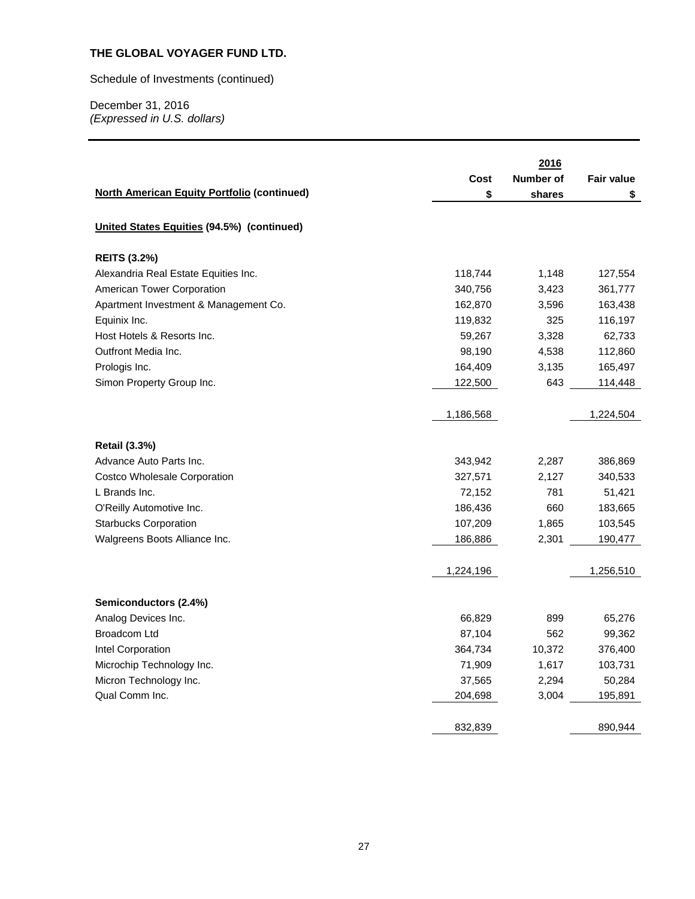Schedule of Investments (continued)

|                                                    |           | 2016      |                   |
|----------------------------------------------------|-----------|-----------|-------------------|
|                                                    | Cost      | Number of | <b>Fair value</b> |
| <b>North American Equity Portfolio (continued)</b> | \$        | shares    | \$                |
|                                                    |           |           |                   |
| United States Equities (94.5%) (continued)         |           |           |                   |
| <b>REITS (3.2%)</b>                                |           |           |                   |
| Alexandria Real Estate Equities Inc.               | 118,744   | 1,148     | 127,554           |
| American Tower Corporation                         | 340,756   | 3,423     | 361,777           |
| Apartment Investment & Management Co.              | 162,870   | 3,596     | 163,438           |
| Equinix Inc.                                       | 119,832   | 325       | 116,197           |
| Host Hotels & Resorts Inc.                         | 59,267    | 3,328     | 62,733            |
| Outfront Media Inc.                                | 98,190    | 4,538     | 112,860           |
| Prologis Inc.                                      | 164,409   | 3,135     | 165,497           |
| Simon Property Group Inc.                          | 122,500   | 643       | 114,448           |
|                                                    |           |           |                   |
|                                                    | 1,186,568 |           | 1,224,504         |
|                                                    |           |           |                   |
| <b>Retail (3.3%)</b>                               |           |           |                   |
| Advance Auto Parts Inc.                            | 343,942   | 2,287     | 386,869           |
| Costco Wholesale Corporation                       | 327,571   | 2,127     | 340,533           |
| L Brands Inc.                                      | 72,152    | 781       | 51,421            |
| O'Reilly Automotive Inc.                           | 186,436   | 660       | 183,665           |
| <b>Starbucks Corporation</b>                       | 107,209   | 1,865     | 103,545           |
| Walgreens Boots Alliance Inc.                      | 186,886   | 2,301     | 190,477           |
|                                                    |           |           |                   |
|                                                    | 1,224,196 |           | 1,256,510         |
| Semiconductors (2.4%)                              |           |           |                   |
| Analog Devices Inc.                                | 66,829    | 899       | 65,276            |
| <b>Broadcom Ltd</b>                                | 87,104    | 562       | 99,362            |
| Intel Corporation                                  | 364,734   | 10,372    | 376,400           |
| Microchip Technology Inc.                          | 71,909    | 1,617     | 103,731           |
| Micron Technology Inc.                             | 37,565    | 2,294     | 50,284            |
| Qual Comm Inc.                                     | 204,698   | 3,004     | 195,891           |
|                                                    |           |           |                   |
|                                                    | 832,839   |           | 890,944           |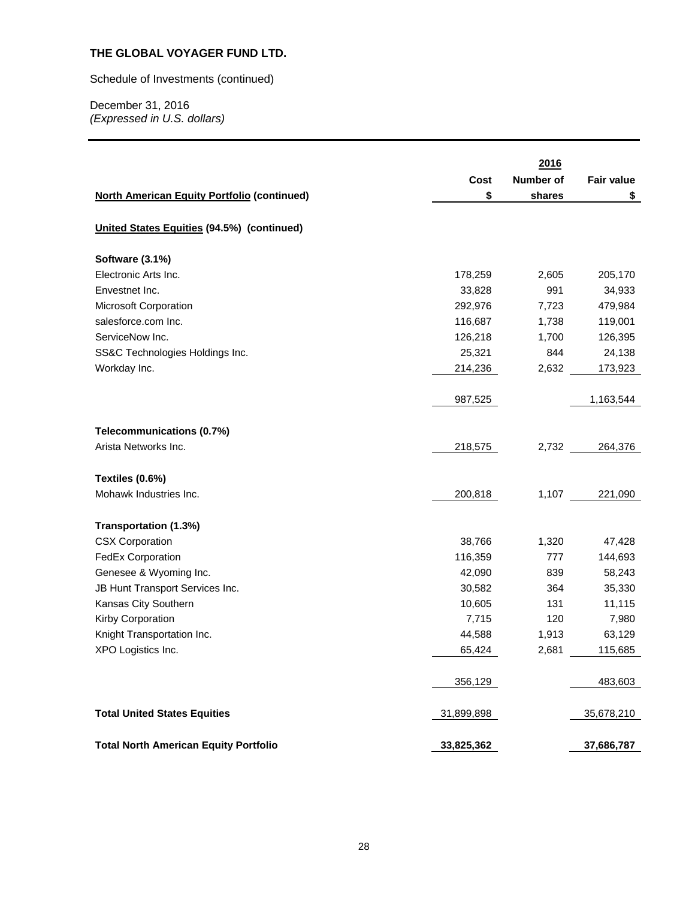Schedule of Investments (continued)

|                                                    |            | 2016      |                   |
|----------------------------------------------------|------------|-----------|-------------------|
|                                                    | Cost       | Number of | <b>Fair value</b> |
| <b>North American Equity Portfolio (continued)</b> | \$         | shares    | \$                |
|                                                    |            |           |                   |
| United States Equities (94.5%) (continued)         |            |           |                   |
| Software (3.1%)                                    |            |           |                   |
| Electronic Arts Inc.                               | 178,259    | 2,605     | 205,170           |
| Envestnet Inc.                                     | 33,828     | 991       | 34,933            |
| Microsoft Corporation                              | 292,976    | 7,723     | 479,984           |
| salesforce.com Inc.                                | 116,687    | 1,738     | 119,001           |
| ServiceNow Inc.                                    | 126,218    | 1,700     | 126,395           |
| SS&C Technologies Holdings Inc.                    | 25,321     | 844       | 24,138            |
| Workday Inc.                                       | 214,236    | 2,632     | 173,923           |
|                                                    |            |           |                   |
|                                                    | 987,525    |           | 1,163,544         |
| Telecommunications (0.7%)                          |            |           |                   |
| Arista Networks Inc.                               | 218,575    | 2,732     | 264,376           |
|                                                    |            |           |                   |
| Textiles (0.6%)                                    |            |           |                   |
| Mohawk Industries Inc.                             | 200,818    | 1,107     | 221,090           |
| Transportation (1.3%)                              |            |           |                   |
| <b>CSX Corporation</b>                             | 38,766     | 1,320     | 47,428            |
| <b>FedEx Corporation</b>                           | 116,359    | 777       | 144,693           |
| Genesee & Wyoming Inc.                             | 42,090     | 839       | 58,243            |
| JB Hunt Transport Services Inc.                    | 30,582     | 364       | 35,330            |
| Kansas City Southern                               | 10,605     | 131       | 11,115            |
| Kirby Corporation                                  | 7,715      | 120       | 7,980             |
| Knight Transportation Inc.                         | 44,588     | 1,913     | 63,129            |
| XPO Logistics Inc.                                 | 65,424     | 2,681     | 115,685           |
|                                                    |            |           |                   |
|                                                    | 356,129    |           | 483,603           |
| <b>Total United States Equities</b>                | 31,899,898 |           | 35,678,210        |
| <b>Total North American Equity Portfolio</b>       | 33,825,362 |           | 37,686,787        |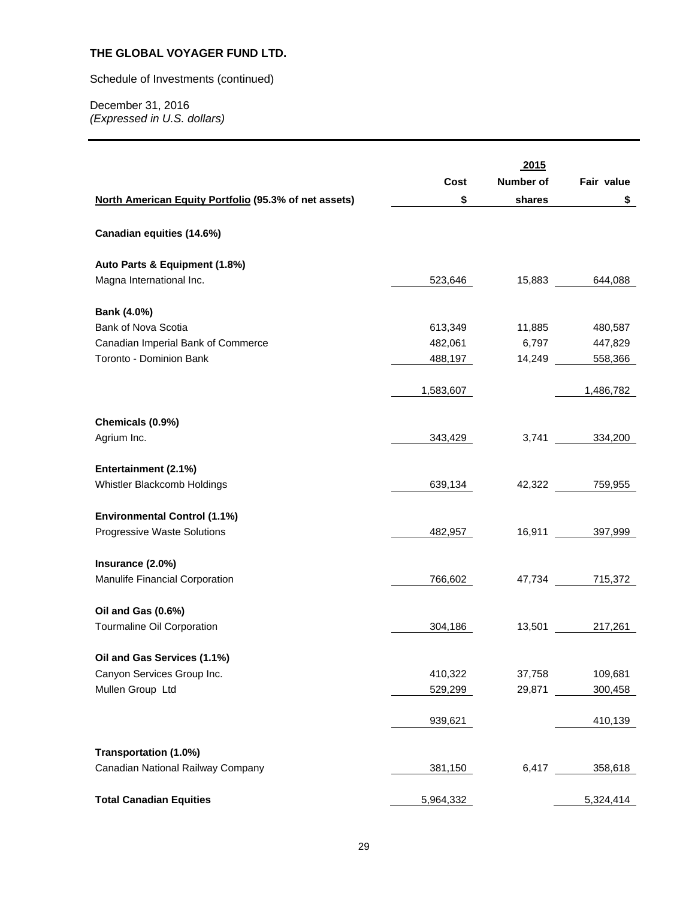Schedule of Investments (continued)

|                                                       |           | 2015      |                |
|-------------------------------------------------------|-----------|-----------|----------------|
|                                                       | Cost      | Number of | Fair value     |
| North American Equity Portfolio (95.3% of net assets) | \$        | shares    | \$             |
|                                                       |           |           |                |
| Canadian equities (14.6%)                             |           |           |                |
| Auto Parts & Equipment (1.8%)                         |           |           |                |
| Magna International Inc.                              | 523,646   |           | 15,883 644,088 |
|                                                       |           |           |                |
| Bank (4.0%)<br>Bank of Nova Scotia                    | 613,349   | 11,885    |                |
|                                                       | 482,061   | 6,797     | 480,587        |
| Canadian Imperial Bank of Commerce                    |           |           | 447,829        |
| Toronto - Dominion Bank                               | 488,197   | 14,249    | 558,366        |
|                                                       | 1,583,607 |           | 1,486,782      |
|                                                       |           |           |                |
| Chemicals (0.9%)                                      |           |           |                |
| Agrium Inc.                                           | 343,429   |           | 3,741 334,200  |
| Entertainment (2.1%)                                  |           |           |                |
| Whistler Blackcomb Holdings                           | 639,134   |           | 42,322 759,955 |
|                                                       |           |           |                |
| <b>Environmental Control (1.1%)</b>                   |           |           |                |
| Progressive Waste Solutions                           | 482,957   |           | 16,911 397,999 |
|                                                       |           |           |                |
| Insurance (2.0%)                                      |           |           |                |
| Manulife Financial Corporation                        | 766,602   |           | 47,734 715,372 |
|                                                       |           |           |                |
| Oil and Gas (0.6%)                                    |           |           |                |
| Tourmaline Oil Corporation                            | 304,186   | 13,501    | 217,261        |
|                                                       |           |           |                |
| Oil and Gas Services (1.1%)                           |           |           |                |
| Canyon Services Group Inc.                            | 410,322   | 37,758    | 109,681        |
| Mullen Group Ltd                                      | 529,299   | 29,871    | 300,458        |
|                                                       |           |           |                |
|                                                       | 939,621   |           | 410,139        |
| Transportation (1.0%)                                 |           |           |                |
| Canadian National Railway Company                     | 381,150   | 6,417     | 358,618        |
|                                                       |           |           |                |
| <b>Total Canadian Equities</b>                        | 5,964,332 |           | 5,324,414      |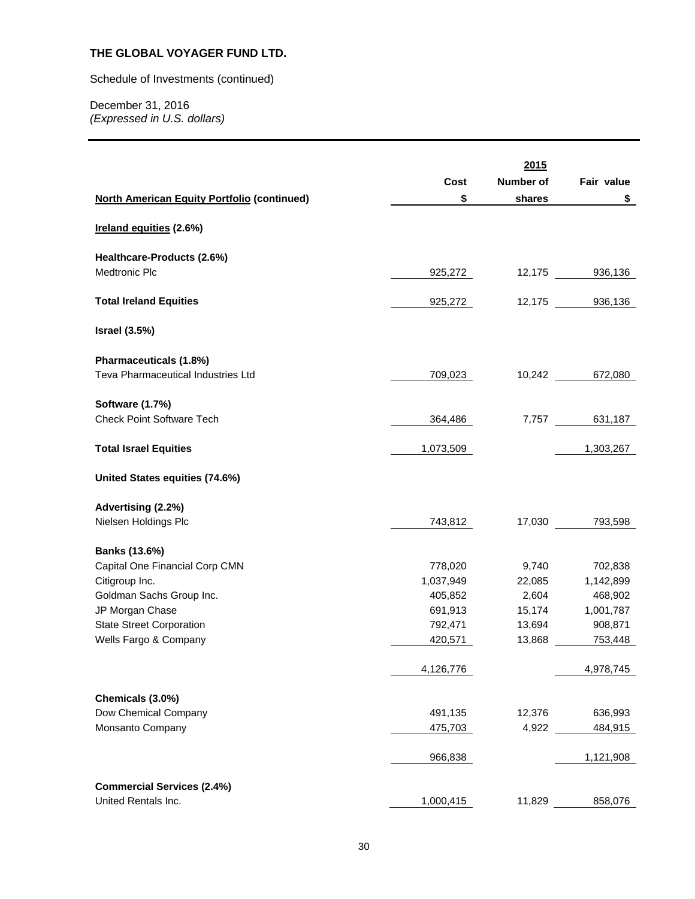Schedule of Investments (continued)

|                                                    |           | 2015      |                |
|----------------------------------------------------|-----------|-----------|----------------|
|                                                    | Cost      | Number of | Fair value     |
| <b>North American Equity Portfolio (continued)</b> | \$        | shares    | \$             |
| Ireland equities (2.6%)                            |           |           |                |
| Healthcare-Products (2.6%)                         |           |           |                |
| Medtronic Plc                                      | 925,272   |           | 12,175 936,136 |
|                                                    |           |           |                |
| <b>Total Ireland Equities</b>                      | 925,272   |           | 12,175 936,136 |
| <b>Israel (3.5%)</b>                               |           |           |                |
| Pharmaceuticals (1.8%)                             |           |           |                |
| Teva Pharmaceutical Industries Ltd                 | 709,023   |           | 10,242 672,080 |
| <b>Software (1.7%)</b>                             |           |           |                |
| <b>Check Point Software Tech</b>                   | 364,486   |           | 7,757 631,187  |
| <b>Total Israel Equities</b>                       | 1,073,509 |           | 1,303,267      |
|                                                    |           |           |                |
| United States equities (74.6%)                     |           |           |                |
| Advertising (2.2%)                                 |           |           |                |
| Nielsen Holdings Plc                               | 743,812   | 17,030    | 793,598        |
|                                                    |           |           |                |
| Banks (13.6%)                                      |           |           |                |
| Capital One Financial Corp CMN                     | 778,020   | 9,740     | 702,838        |
| Citigroup Inc.                                     | 1,037,949 | 22,085    | 1,142,899      |
| Goldman Sachs Group Inc.                           | 405,852   | 2,604     | 468,902        |
| JP Morgan Chase                                    | 691,913   | 15,174    | 1,001,787      |
| <b>State Street Corporation</b>                    | 792,471   | 13,694    | 908,871        |
| Wells Fargo & Company                              | 420,571   | 13,868    | 753,448        |
|                                                    | 4,126,776 |           | 4,978,745      |
|                                                    |           |           |                |
| Chemicals (3.0%)                                   |           |           |                |
| Dow Chemical Company                               | 491,135   | 12,376    | 636,993        |
| Monsanto Company                                   | 475,703   | 4,922     | 484,915        |
|                                                    | 966,838   |           | 1,121,908      |
| <b>Commercial Services (2.4%)</b>                  |           |           |                |
| United Rentals Inc.                                | 1,000,415 | 11,829    | 858,076        |
|                                                    |           |           |                |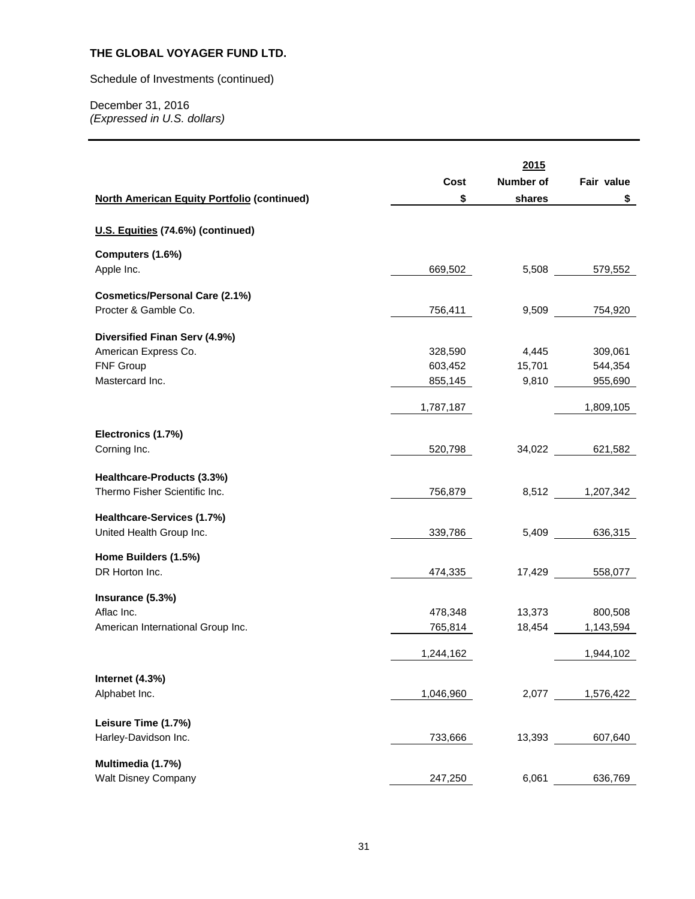Schedule of Investments (continued)

|                                                    |           | 2015      |                  |
|----------------------------------------------------|-----------|-----------|------------------|
|                                                    | Cost      | Number of | Fair value       |
| <b>North American Equity Portfolio (continued)</b> | \$        | shares    | \$               |
| U.S. Equities (74.6%) (continued)                  |           |           |                  |
| Computers (1.6%)                                   |           |           |                  |
| Apple Inc.                                         | 669,502   |           | 5,508<br>579,552 |
| <b>Cosmetics/Personal Care (2.1%)</b>              |           |           |                  |
| Procter & Gamble Co.                               | 756,411   |           | 9,509 754,920    |
| Diversified Finan Serv (4.9%)                      |           |           |                  |
| American Express Co.                               | 328,590   | 4,445     | 309,061          |
| FNF Group                                          | 603,452   | 15,701    | 544,354          |
| Mastercard Inc.                                    | 855,145   | 9,810     | 955,690          |
|                                                    | 1,787,187 |           | 1,809,105        |
|                                                    |           |           |                  |
| Electronics (1.7%)                                 |           |           |                  |
| Corning Inc.                                       | 520,798   | 34,022    | 621,582          |
| Healthcare-Products (3.3%)                         |           |           |                  |
| Thermo Fisher Scientific Inc.                      | 756,879   | 8,512     | 1,207,342        |
| Healthcare-Services (1.7%)                         |           |           |                  |
| United Health Group Inc.                           | 339,786   | 5,409     | 636,315          |
| Home Builders (1.5%)                               |           |           |                  |
| DR Horton Inc.                                     | 474,335   | 17,429    | 558,077          |
| Insurance (5.3%)                                   |           |           |                  |
| Aflac Inc.                                         | 478,348   | 13,373    | 800,508          |
| American International Group Inc.                  | 765,814   | 18,454    | 1,143,594        |
|                                                    | 1,244,162 |           | 1,944,102        |
|                                                    |           |           |                  |
| Internet (4.3%)<br>Alphabet Inc.                   | 1,046,960 | 2,077     | 1,576,422        |
|                                                    |           |           |                  |
| Leisure Time (1.7%)                                |           |           |                  |
| Harley-Davidson Inc.                               | 733,666   | 13,393    | 607,640          |
| Multimedia (1.7%)                                  |           |           |                  |
| <b>Walt Disney Company</b>                         | 247,250   | 6,061     | 636,769          |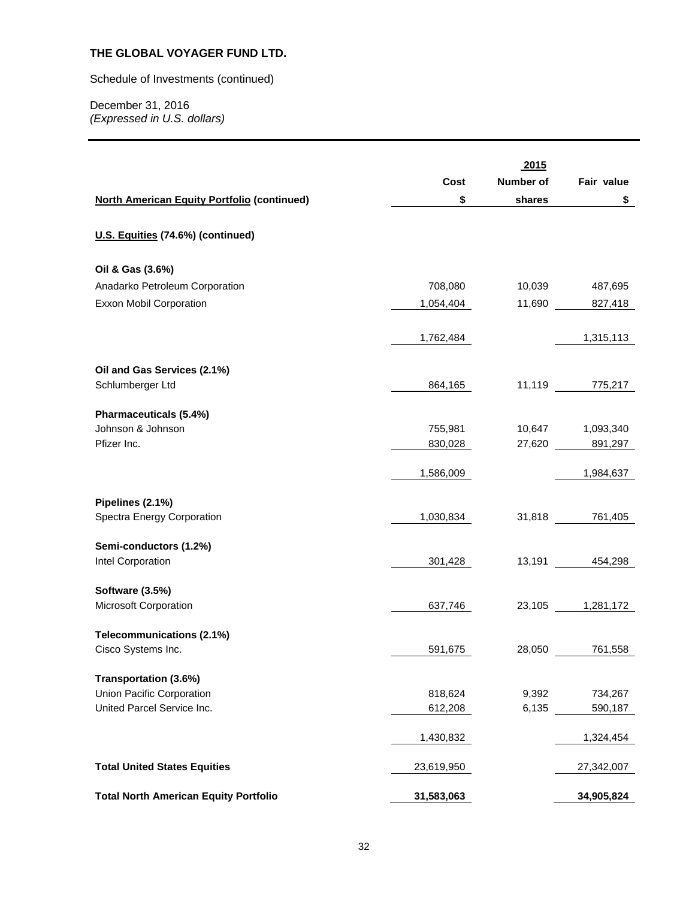Schedule of Investments (continued)

|                                                    |            | 2015      |                    |
|----------------------------------------------------|------------|-----------|--------------------|
|                                                    | Cost       | Number of | Fair value         |
| <b>North American Equity Portfolio (continued)</b> | \$         | shares    | \$                 |
|                                                    |            |           |                    |
| U.S. Equities (74.6%) (continued)                  |            |           |                    |
| Oil & Gas (3.6%)                                   |            |           |                    |
| Anadarko Petroleum Corporation                     | 708,080    | 10,039    | 487,695            |
| Exxon Mobil Corporation                            | 1,054,404  | 11,690    | 827,418            |
|                                                    |            |           |                    |
|                                                    | 1,762,484  |           | 1,315,113          |
| Oil and Gas Services (2.1%)                        |            |           |                    |
| Schlumberger Ltd                                   | 864,165    |           | 11,119 775,217     |
| Pharmaceuticals (5.4%)                             |            |           |                    |
| Johnson & Johnson                                  | 755,981    |           | 10,647   1,093,340 |
| Pfizer Inc.                                        | 830,028    |           | 27,620 891,297     |
|                                                    | 1,586,009  |           | 1,984,637          |
|                                                    |            |           |                    |
| Pipelines (2.1%)                                   |            |           |                    |
| Spectra Energy Corporation                         | 1,030,834  |           | 31,818 761,405     |
| Semi-conductors (1.2%)                             |            |           |                    |
| Intel Corporation                                  | 301,428    |           | 13,191 454,298     |
|                                                    |            |           |                    |
| <b>Software (3.5%)</b><br>Microsoft Corporation    | 637,746    |           | 23,105 1,281,172   |
|                                                    |            |           |                    |
| Telecommunications (2.1%)                          |            |           |                    |
| Cisco Systems Inc.                                 | 591,675    | 28,050    | 761,558            |
| Transportation (3.6%)                              |            |           |                    |
| Union Pacific Corporation                          | 818,624    | 9,392     | 734,267            |
| United Parcel Service Inc.                         | 612,208    | 6,135     | 590,187            |
|                                                    |            |           |                    |
|                                                    | 1,430,832  |           | 1,324,454          |
| <b>Total United States Equities</b>                | 23,619,950 |           | 27,342,007         |
|                                                    |            |           |                    |
| <b>Total North American Equity Portfolio</b>       | 31,583,063 |           | 34,905,824         |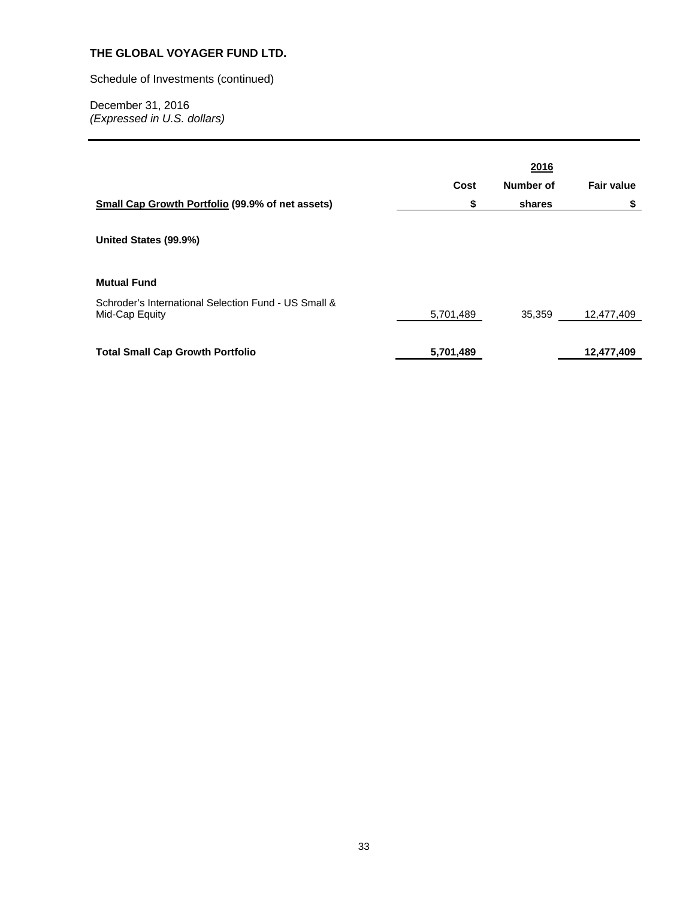Schedule of Investments (continued)

| <b>Small Cap Growth Portfolio (99.9% of net assets)</b><br>United States (99.9%)             | Cost<br>\$ | 2016<br>Number of<br>shares | <b>Fair value</b><br>\$ |
|----------------------------------------------------------------------------------------------|------------|-----------------------------|-------------------------|
| <b>Mutual Fund</b><br>Schroder's International Selection Fund - US Small &<br>Mid-Cap Equity | 5,701,489  | 35,359                      | 12,477,409              |
| <b>Total Small Cap Growth Portfolio</b>                                                      | 5,701,489  |                             | 12,477,409              |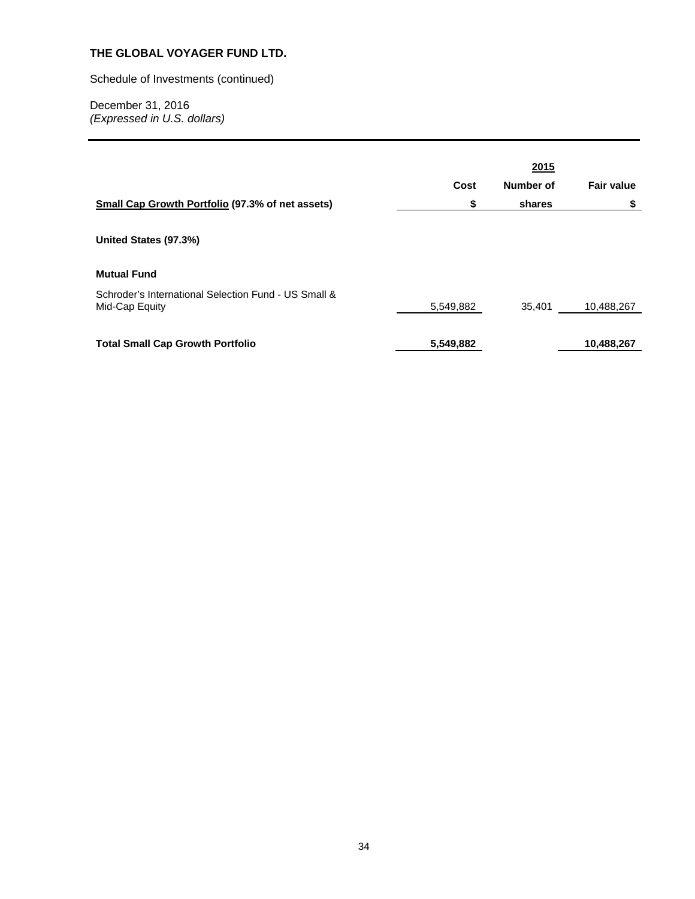Schedule of Investments (continued)

| <b>Small Cap Growth Portfolio (97.3% of net assets)</b>                                             | Cost<br>\$             | 2015<br>Number of<br>shares | <b>Fair value</b><br>\$  |
|-----------------------------------------------------------------------------------------------------|------------------------|-----------------------------|--------------------------|
| United States (97.3%)<br><b>Mutual Fund</b><br>Schroder's International Selection Fund - US Small & |                        |                             |                          |
| Mid-Cap Equity<br><b>Total Small Cap Growth Portfolio</b>                                           | 5,549,882<br>5,549,882 | 35,401                      | 10,488,267<br>10,488,267 |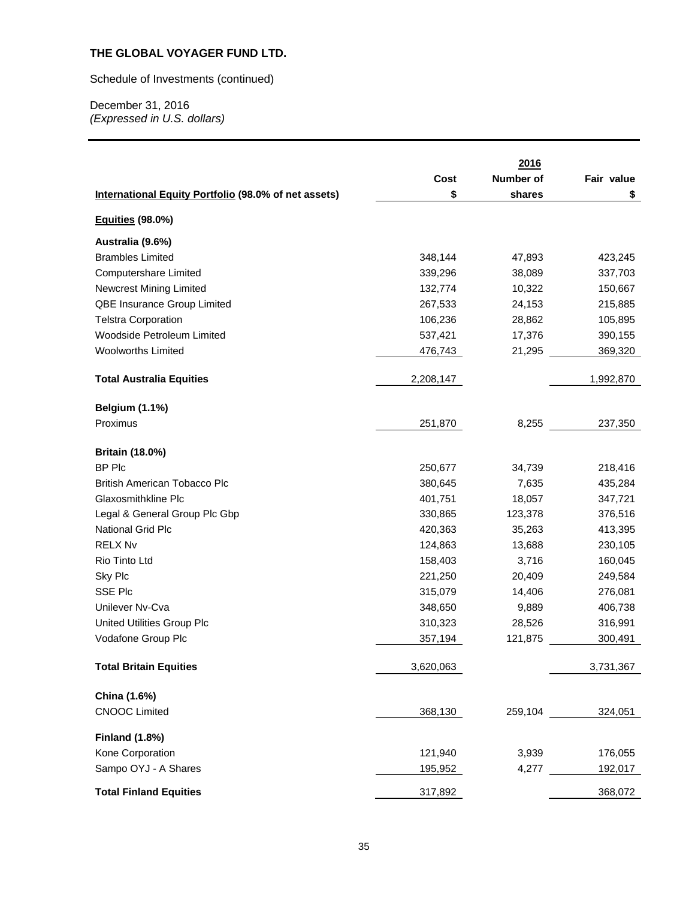Schedule of Investments (continued)

|                                                      |           | 2016             |            |
|------------------------------------------------------|-----------|------------------|------------|
|                                                      | Cost      | <b>Number of</b> | Fair value |
| International Equity Portfolio (98.0% of net assets) | \$        | shares           | \$         |
| Equities (98.0%)                                     |           |                  |            |
| Australia (9.6%)                                     |           |                  |            |
| <b>Brambles Limited</b>                              | 348,144   | 47,893           | 423,245    |
| Computershare Limited                                | 339,296   | 38,089           | 337,703    |
| <b>Newcrest Mining Limited</b>                       | 132,774   | 10,322           | 150,667    |
| QBE Insurance Group Limited                          | 267,533   | 24,153           | 215,885    |
| <b>Telstra Corporation</b>                           | 106,236   | 28,862           | 105,895    |
| Woodside Petroleum Limited                           | 537,421   | 17,376           | 390,155    |
| <b>Woolworths Limited</b>                            | 476,743   | 21,295           | 369,320    |
| <b>Total Australia Equities</b>                      | 2,208,147 |                  | 1,992,870  |
|                                                      |           |                  |            |
| <b>Belgium (1.1%)</b>                                |           |                  |            |
| Proximus                                             | 251,870   | 8,255            | 237,350    |
| <b>Britain (18.0%)</b>                               |           |                  |            |
| <b>BP Plc</b>                                        | 250,677   | 34,739           | 218,416    |
| <b>British American Tobacco Plc</b>                  | 380,645   | 7,635            | 435,284    |
| Glaxosmithkline Plc                                  | 401,751   | 18,057           | 347,721    |
| Legal & General Group Plc Gbp                        | 330,865   | 123,378          | 376,516    |
| National Grid Plc                                    | 420,363   | 35,263           | 413,395    |
| <b>RELX Nv</b>                                       | 124,863   | 13,688           | 230,105    |
| Rio Tinto Ltd                                        | 158,403   | 3,716            | 160,045    |
| Sky Plc                                              | 221,250   | 20,409           | 249,584    |
| <b>SSE Plc</b>                                       | 315,079   | 14,406           | 276,081    |
| Unilever Nv-Cva                                      | 348,650   | 9,889            | 406,738    |
| <b>United Utilities Group Plc</b>                    | 310,323   | 28,526           | 316,991    |
| Vodafone Group Plc                                   | 357,194   | 121,875          | 300,491    |
| <b>Total Britain Equities</b>                        | 3,620,063 |                  | 3,731,367  |
| China (1.6%)                                         |           |                  |            |
| <b>CNOOC Limited</b>                                 | 368,130   | 259,104          | 324,051    |
|                                                      |           |                  |            |
| <b>Finland (1.8%)</b><br>Kone Corporation            | 121,940   | 3,939            | 176,055    |
| Sampo OYJ - A Shares                                 | 195,952   | 4,277            | 192,017    |
|                                                      |           |                  |            |
| <b>Total Finland Equities</b>                        | 317,892   |                  | 368,072    |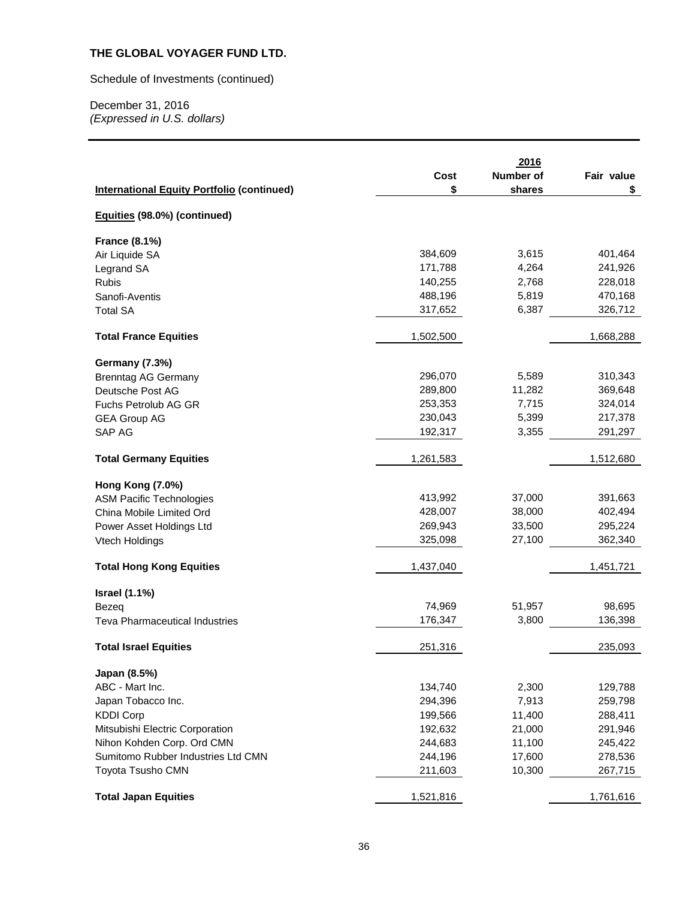Schedule of Investments (continued)

|                                                   | Cost      | 2016<br><b>Number of</b> | Fair value |
|---------------------------------------------------|-----------|--------------------------|------------|
| <b>International Equity Portfolio (continued)</b> | \$        | shares                   | \$         |
| Equities (98.0%) (continued)                      |           |                          |            |
| <b>France (8.1%)</b>                              |           |                          |            |
| Air Liquide SA                                    | 384,609   | 3,615                    | 401,464    |
| Legrand SA                                        | 171,788   | 4,264                    | 241,926    |
| <b>Rubis</b>                                      | 140,255   | 2,768                    | 228,018    |
| Sanofi-Aventis                                    | 488,196   | 5,819                    | 470,168    |
| <b>Total SA</b>                                   | 317,652   | 6,387                    | 326,712    |
| <b>Total France Equities</b>                      | 1,502,500 |                          | 1,668,288  |
| <b>Germany (7.3%)</b>                             |           |                          |            |
| <b>Brenntag AG Germany</b>                        | 296,070   | 5,589                    | 310,343    |
| Deutsche Post AG                                  | 289,800   | 11,282                   | 369,648    |
| Fuchs Petrolub AG GR                              | 253,353   | 7,715                    | 324,014    |
| <b>GEA Group AG</b>                               | 230,043   | 5,399                    | 217,378    |
| SAP AG                                            | 192,317   | 3,355                    | 291,297    |
| <b>Total Germany Equities</b>                     | 1,261,583 |                          | 1,512,680  |
| <b>Hong Kong (7.0%)</b>                           |           |                          |            |
| <b>ASM Pacific Technologies</b>                   | 413,992   | 37,000                   | 391,663    |
| China Mobile Limited Ord                          | 428,007   | 38,000                   | 402,494    |
| Power Asset Holdings Ltd                          | 269,943   | 33,500                   | 295,224    |
| Vtech Holdings                                    | 325,098   | 27,100                   | 362,340    |
| <b>Total Hong Kong Equities</b>                   | 1,437,040 |                          | 1,451,721  |
| <b>Israel (1.1%)</b>                              |           |                          |            |
| Bezeg                                             | 74,969    | 51,957                   | 98,695     |
| <b>Teva Pharmaceutical Industries</b>             | 176,347   | 3,800                    | 136,398    |
| <b>Total Israel Equities</b>                      | 251,316   |                          | 235,093    |
| Japan (8.5%)                                      |           |                          |            |
| ABC - Mart Inc.                                   | 134,740   | 2,300                    | 129,788    |
| Japan Tobacco Inc.                                | 294,396   | 7,913                    | 259,798    |
| <b>KDDI Corp</b>                                  | 199,566   | 11,400                   | 288,411    |
| Mitsubishi Electric Corporation                   | 192,632   | 21,000                   | 291,946    |
| Nihon Kohden Corp. Ord CMN                        | 244,683   | 11,100                   | 245,422    |
| Sumitomo Rubber Industries Ltd CMN                | 244,196   | 17,600                   | 278,536    |
| Toyota Tsusho CMN                                 | 211,603   | 10,300                   | 267,715    |
| <b>Total Japan Equities</b>                       | 1,521,816 |                          | 1,761,616  |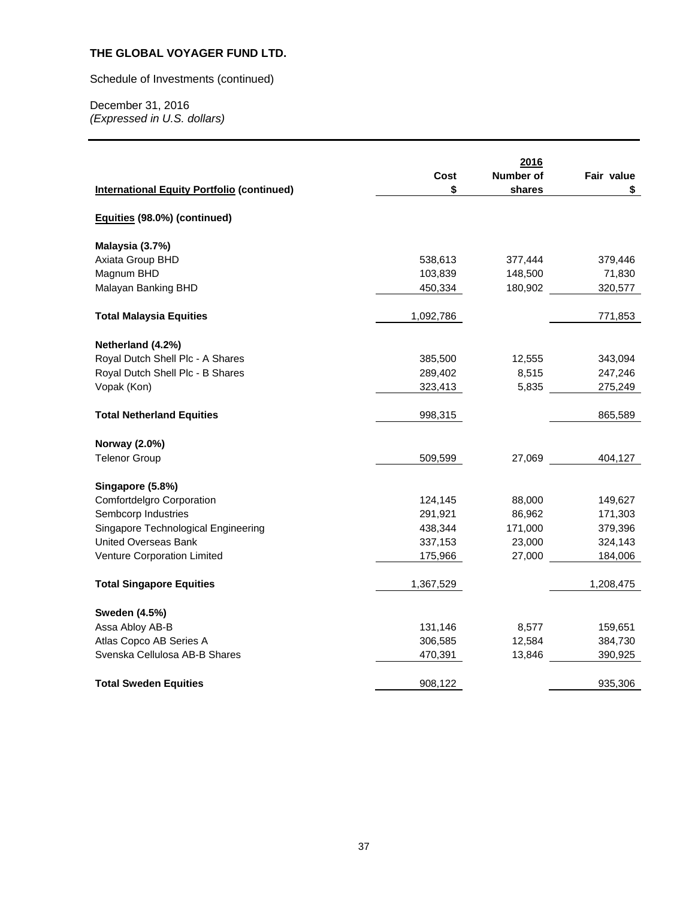Schedule of Investments (continued)

| <b>International Equity Portfolio (continued)</b> | Cost<br>\$ | 2016<br>Number of<br>shares | Fair value<br>\$ |
|---------------------------------------------------|------------|-----------------------------|------------------|
| Equities (98.0%) (continued)                      |            |                             |                  |
| Malaysia (3.7%)                                   |            |                             |                  |
| Axiata Group BHD                                  | 538,613    | 377,444                     | 379,446          |
| Magnum BHD                                        | 103,839    | 148,500                     | 71,830           |
| Malayan Banking BHD                               | 450,334    | 180,902                     | 320,577          |
| <b>Total Malaysia Equities</b>                    | 1,092,786  |                             | 771,853          |
| Netherland (4.2%)                                 |            |                             |                  |
| Royal Dutch Shell Plc - A Shares                  | 385,500    | 12,555                      | 343,094          |
| Royal Dutch Shell Plc - B Shares                  | 289,402    | 8,515                       | 247,246          |
| Vopak (Kon)                                       | 323,413    | 5,835                       | 275,249          |
| <b>Total Netherland Equities</b>                  | 998,315    |                             | 865,589          |
| Norway (2.0%)                                     |            |                             |                  |
| <b>Telenor Group</b>                              | 509,599    | 27,069                      | 404,127          |
| Singapore (5.8%)                                  |            |                             |                  |
| Comfortdelgro Corporation                         | 124,145    | 88,000                      | 149,627          |
| Sembcorp Industries                               | 291,921    | 86,962                      | 171,303          |
| Singapore Technological Engineering               | 438,344    | 171,000                     | 379,396          |
| <b>United Overseas Bank</b>                       | 337,153    | 23,000                      | 324,143          |
| Venture Corporation Limited                       | 175,966    | 27,000                      | 184,006          |
| <b>Total Singapore Equities</b>                   | 1,367,529  |                             | 1,208,475        |
| <b>Sweden (4.5%)</b>                              |            |                             |                  |
| Assa Abloy AB-B                                   | 131,146    | 8,577                       | 159,651          |
| Atlas Copco AB Series A                           | 306,585    | 12,584                      | 384,730          |
| Svenska Cellulosa AB-B Shares                     | 470,391    | 13,846                      | 390,925          |
| <b>Total Sweden Equities</b>                      | 908,122    |                             | 935,306          |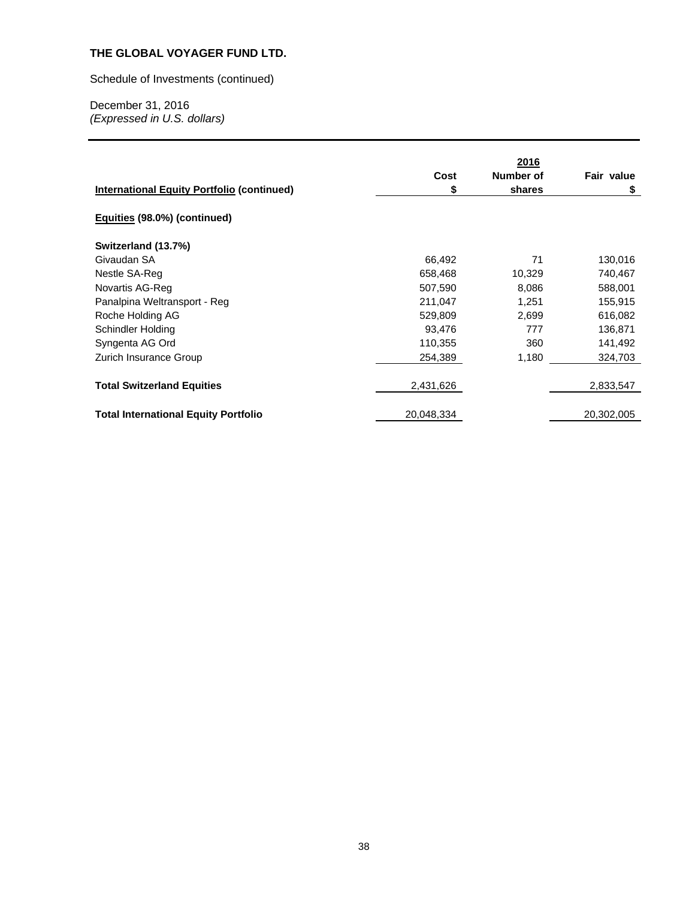Schedule of Investments (continued)

|                                                   |            | 2016      |            |
|---------------------------------------------------|------------|-----------|------------|
|                                                   | Cost       | Number of | Fair value |
| <b>International Equity Portfolio (continued)</b> | \$         | shares    | \$         |
| Equities (98.0%) (continued)                      |            |           |            |
| Switzerland (13.7%)                               |            |           |            |
| Givaudan SA                                       | 66,492     | 71        | 130,016    |
| Nestle SA-Reg                                     | 658,468    | 10,329    | 740,467    |
| Novartis AG-Reg                                   | 507,590    | 8,086     | 588,001    |
| Panalpina Weltransport - Reg                      | 211,047    | 1,251     | 155,915    |
| Roche Holding AG                                  | 529,809    | 2,699     | 616,082    |
| Schindler Holding                                 | 93,476     | 777       | 136,871    |
| Syngenta AG Ord                                   | 110,355    | 360       | 141,492    |
| Zurich Insurance Group                            | 254,389    | 1,180     | 324,703    |
| <b>Total Switzerland Equities</b>                 | 2,431,626  |           | 2,833,547  |
| <b>Total International Equity Portfolio</b>       | 20,048,334 |           | 20,302,005 |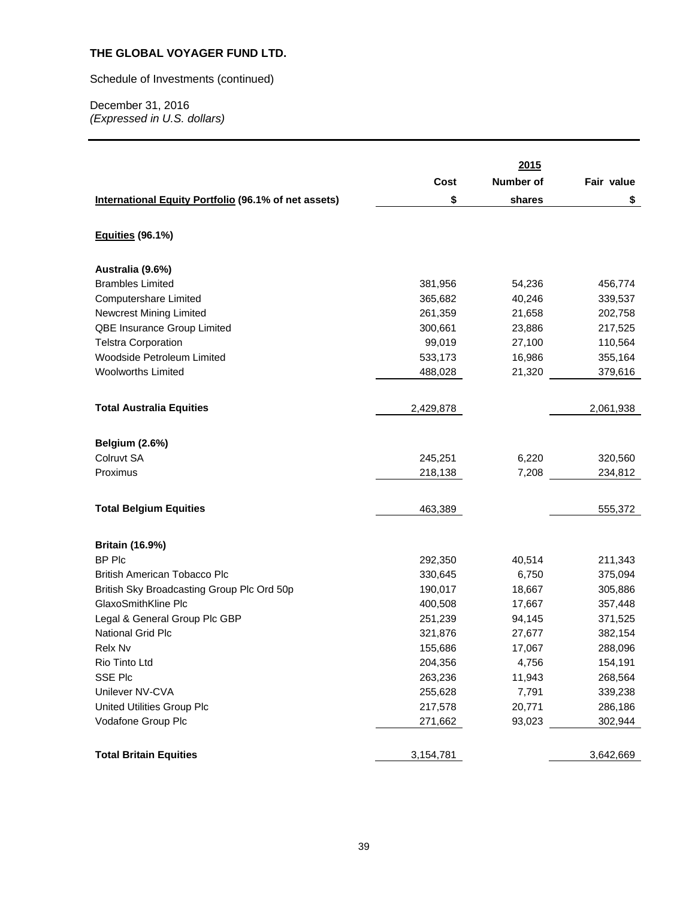Schedule of Investments (continued)

|                                                             |           | 2015      |            |
|-------------------------------------------------------------|-----------|-----------|------------|
|                                                             | Cost      | Number of | Fair value |
|                                                             |           |           |            |
| <b>International Equity Portfolio (96.1% of net assets)</b> | \$        | shares    | \$         |
| <b>Equities (96.1%)</b>                                     |           |           |            |
| Australia (9.6%)                                            |           |           |            |
| <b>Brambles Limited</b>                                     | 381,956   | 54,236    | 456,774    |
| Computershare Limited                                       | 365,682   | 40,246    | 339,537    |
| Newcrest Mining Limited                                     | 261,359   | 21,658    | 202,758    |
| QBE Insurance Group Limited                                 | 300,661   | 23,886    | 217,525    |
| <b>Telstra Corporation</b>                                  | 99,019    | 27,100    | 110,564    |
| Woodside Petroleum Limited                                  | 533,173   | 16,986    | 355,164    |
| <b>Woolworths Limited</b>                                   | 488,028   | 21,320    | 379,616    |
|                                                             |           |           |            |
| <b>Total Australia Equities</b>                             | 2,429,878 |           | 2,061,938  |
| <b>Belgium (2.6%)</b>                                       |           |           |            |
| Colruvt SA                                                  | 245,251   | 6,220     | 320,560    |
| Proximus                                                    | 218,138   | 7,208     | 234,812    |
|                                                             |           |           |            |
| <b>Total Belgium Equities</b>                               | 463,389   |           | 555,372    |
|                                                             |           |           |            |
| <b>Britain (16.9%)</b>                                      |           |           |            |
| <b>BP Plc</b>                                               | 292,350   | 40,514    | 211,343    |
| British American Tobacco Plc                                | 330,645   | 6,750     | 375,094    |
| British Sky Broadcasting Group Plc Ord 50p                  | 190,017   | 18,667    | 305,886    |
| GlaxoSmithKline Plc                                         | 400,508   | 17,667    | 357,448    |
| Legal & General Group Plc GBP                               | 251,239   | 94,145    | 371,525    |
| <b>National Grid Plc</b>                                    | 321,876   | 27,677    | 382,154    |
| Relx Nv                                                     | 155,686   | 17,067    | 288,096    |
| Rio Tinto Ltd                                               | 204,356   | 4,756     | 154,191    |
| <b>SSE Plc</b>                                              | 263,236   | 11,943    | 268,564    |
| Unilever NV-CVA                                             | 255,628   | 7,791     | 339,238    |
| United Utilities Group Plc                                  | 217,578   | 20,771    | 286,186    |
| Vodafone Group Plc                                          | 271,662   | 93,023    | 302,944    |
| <b>Total Britain Equities</b>                               | 3,154,781 |           | 3,642,669  |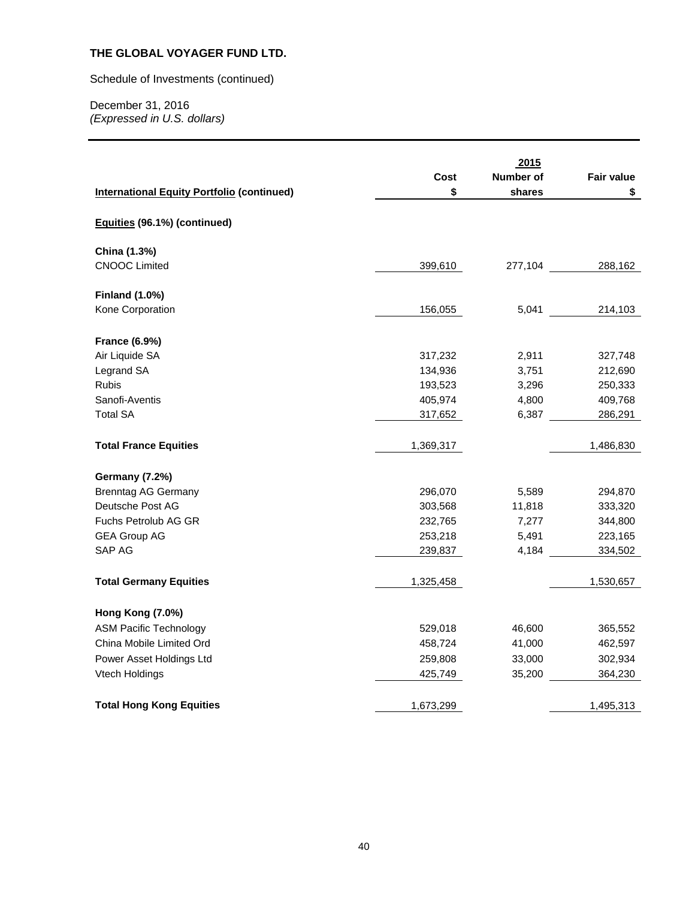Schedule of Investments (continued)

| <b>International Equity Portfolio (continued)</b> | Cost<br>\$ | 2015<br>Number of<br>shares | <b>Fair value</b><br>\$ |
|---------------------------------------------------|------------|-----------------------------|-------------------------|
| Equities (96.1%) (continued)                      |            |                             |                         |
| China (1.3%)                                      |            |                             |                         |
| <b>CNOOC Limited</b>                              | 399,610    | 277,104                     | 288,162                 |
| <b>Finland (1.0%)</b>                             |            |                             |                         |
| Kone Corporation                                  | 156,055    | 5,041                       | 214,103                 |
| <b>France (6.9%)</b>                              |            |                             |                         |
| Air Liquide SA                                    | 317,232    | 2,911                       | 327,748                 |
| Legrand SA                                        | 134,936    | 3,751                       | 212,690                 |
| <b>Rubis</b>                                      | 193,523    | 3,296                       | 250,333                 |
| Sanofi-Aventis                                    | 405,974    | 4,800                       | 409,768                 |
| <b>Total SA</b>                                   | 317,652    | 6,387                       | 286,291                 |
| <b>Total France Equities</b>                      | 1,369,317  |                             | 1,486,830               |
| <b>Germany (7.2%)</b>                             |            |                             |                         |
| <b>Brenntag AG Germany</b>                        | 296,070    | 5,589                       | 294,870                 |
| Deutsche Post AG                                  | 303,568    | 11,818                      | 333,320                 |
| <b>Fuchs Petrolub AG GR</b>                       | 232,765    | 7,277                       | 344,800                 |
| <b>GEA Group AG</b>                               | 253,218    | 5,491                       | 223,165                 |
| SAP AG                                            | 239,837    | 4,184                       | 334,502                 |
| <b>Total Germany Equities</b>                     | 1,325,458  |                             | 1,530,657               |
| Hong Kong (7.0%)                                  |            |                             |                         |
| <b>ASM Pacific Technology</b>                     | 529,018    | 46,600                      | 365,552                 |
| China Mobile Limited Ord                          | 458,724    | 41,000                      | 462,597                 |
| Power Asset Holdings Ltd                          | 259,808    | 33,000                      | 302,934                 |
| Vtech Holdings                                    | 425,749    | 35,200                      | 364,230                 |
| <b>Total Hong Kong Equities</b>                   | 1,673,299  |                             | 1,495,313               |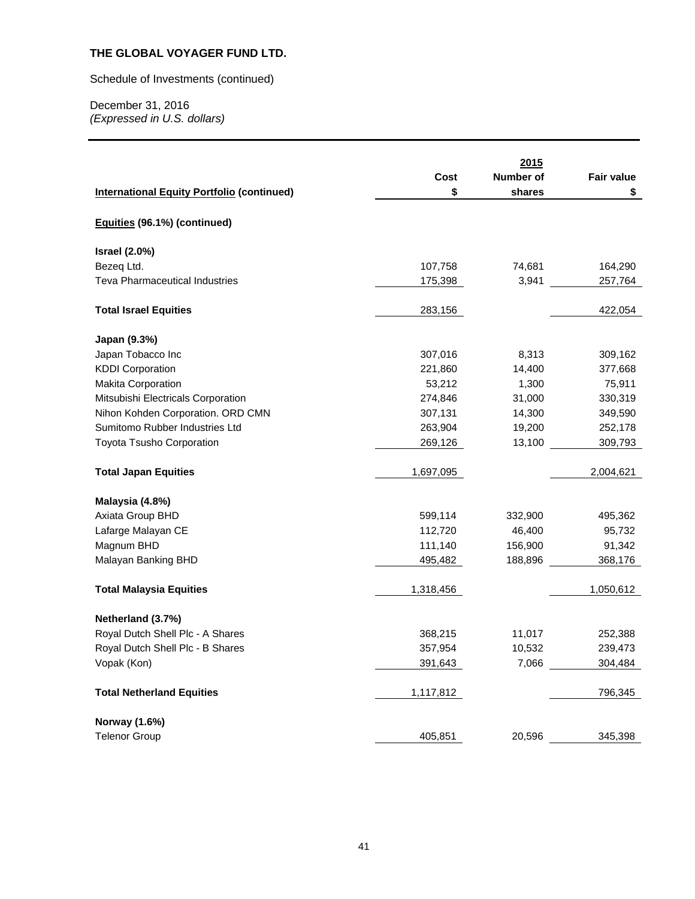# Schedule of Investments (continued)

|                                                   | Cost      | 2015<br>Number of | <b>Fair value</b> |
|---------------------------------------------------|-----------|-------------------|-------------------|
| <b>International Equity Portfolio (continued)</b> | \$        | shares            | \$                |
|                                                   |           |                   |                   |
| Equities (96.1%) (continued)                      |           |                   |                   |
| <b>Israel (2.0%)</b>                              |           |                   |                   |
| Bezeq Ltd.                                        | 107,758   | 74,681            | 164,290           |
| <b>Teva Pharmaceutical Industries</b>             | 175,398   | 3,941             | 257,764           |
| <b>Total Israel Equities</b>                      | 283,156   |                   | 422,054           |
| Japan (9.3%)                                      |           |                   |                   |
| Japan Tobacco Inc                                 | 307,016   | 8,313             | 309,162           |
| <b>KDDI Corporation</b>                           | 221,860   | 14,400            | 377,668           |
| Makita Corporation                                | 53,212    | 1,300             | 75,911            |
| Mitsubishi Electricals Corporation                | 274,846   | 31,000            | 330,319           |
| Nihon Kohden Corporation. ORD CMN                 | 307,131   | 14,300            | 349,590           |
| Sumitomo Rubber Industries Ltd                    | 263,904   | 19,200            | 252,178           |
| <b>Toyota Tsusho Corporation</b>                  | 269,126   | 13,100            | 309,793           |
| <b>Total Japan Equities</b>                       | 1,697,095 |                   | 2,004,621         |
| Malaysia (4.8%)                                   |           |                   |                   |
| Axiata Group BHD                                  | 599,114   | 332,900           | 495,362           |
| Lafarge Malayan CE                                | 112,720   | 46,400            | 95,732            |
| Magnum BHD                                        | 111,140   | 156,900           | 91,342            |
| Malayan Banking BHD                               | 495,482   | 188,896           | 368,176           |
| <b>Total Malaysia Equities</b>                    | 1,318,456 |                   | 1,050,612         |
| Netherland (3.7%)                                 |           |                   |                   |
| Royal Dutch Shell Plc - A Shares                  | 368,215   | 11,017            | 252,388           |
| Royal Dutch Shell Plc - B Shares                  | 357,954   | 10,532            | 239,473           |
| Vopak (Kon)                                       | 391,643   | 7,066             | 304,484           |
| <b>Total Netherland Equities</b>                  | 1,117,812 |                   | 796,345           |
| Norway (1.6%)                                     |           |                   |                   |
| <b>Telenor Group</b>                              | 405,851   | 20,596            | 345,398           |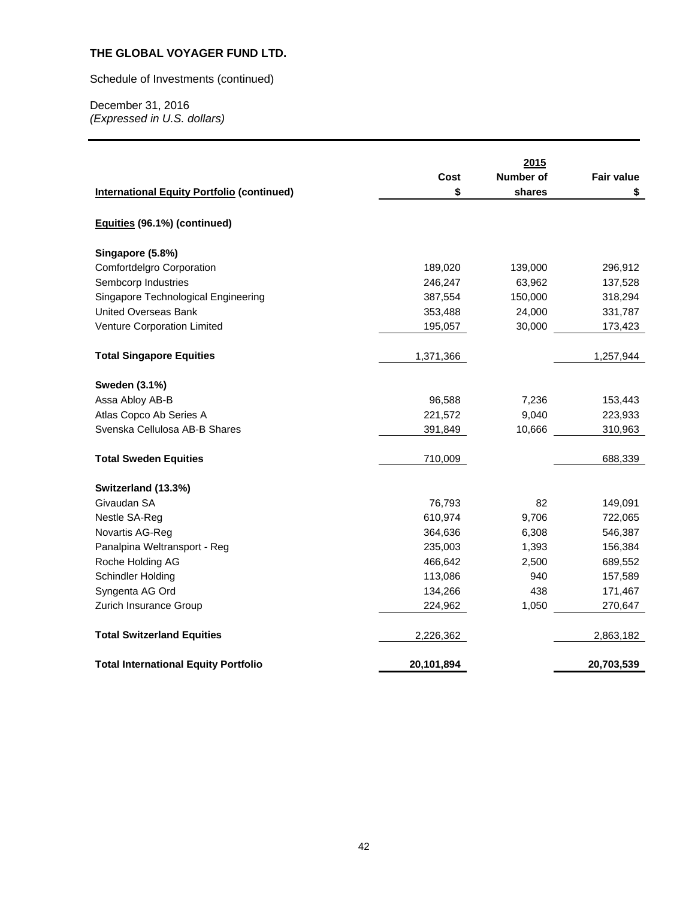Schedule of Investments (continued)

|                                                   |            | 2015             |                   |
|---------------------------------------------------|------------|------------------|-------------------|
|                                                   | Cost       | <b>Number of</b> | <b>Fair value</b> |
| <b>International Equity Portfolio (continued)</b> | \$         | shares           | \$                |
| Equities (96.1%) (continued)                      |            |                  |                   |
| Singapore (5.8%)                                  |            |                  |                   |
| Comfortdelgro Corporation                         | 189,020    | 139,000          | 296,912           |
| Sembcorp Industries                               | 246,247    | 63,962           | 137,528           |
| Singapore Technological Engineering               | 387,554    | 150,000          | 318,294           |
| <b>United Overseas Bank</b>                       | 353,488    | 24,000           | 331,787           |
| Venture Corporation Limited                       | 195,057    | 30,000           | 173,423           |
| <b>Total Singapore Equities</b>                   | 1,371,366  |                  | 1,257,944         |
| Sweden (3.1%)                                     |            |                  |                   |
| Assa Abloy AB-B                                   | 96,588     | 7,236            | 153,443           |
| Atlas Copco Ab Series A                           | 221,572    | 9,040            | 223,933           |
| Svenska Cellulosa AB-B Shares                     | 391,849    | 10,666           | 310,963           |
| <b>Total Sweden Equities</b>                      | 710,009    |                  | 688,339           |
| Switzerland (13.3%)                               |            |                  |                   |
| Givaudan SA                                       | 76,793     | 82               | 149,091           |
| Nestle SA-Reg                                     | 610,974    | 9,706            | 722,065           |
| Novartis AG-Reg                                   | 364,636    | 6,308            | 546,387           |
| Panalpina Weltransport - Reg                      | 235,003    | 1,393            | 156,384           |
| Roche Holding AG                                  | 466,642    | 2,500            | 689,552           |
| Schindler Holding                                 | 113,086    | 940              | 157,589           |
| Syngenta AG Ord                                   | 134,266    | 438              | 171,467           |
| Zurich Insurance Group                            | 224,962    | 1,050            | 270,647           |
| <b>Total Switzerland Equities</b>                 | 2,226,362  |                  | 2,863,182         |
| <b>Total International Equity Portfolio</b>       | 20,101,894 |                  | 20,703,539        |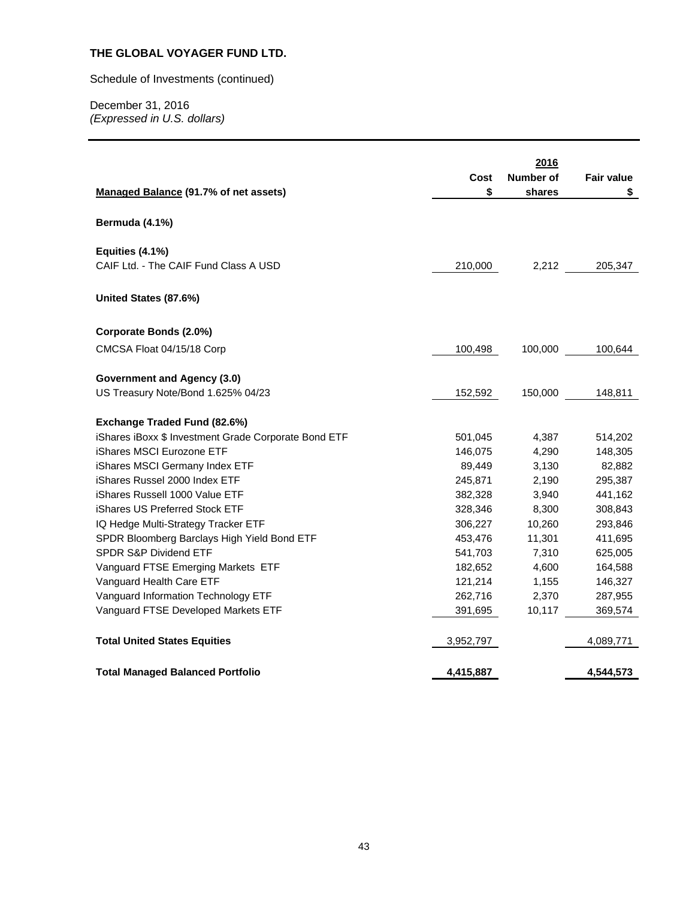# Schedule of Investments (continued)

| Managed Balance (91.7% of net assets)                                    | Cost<br>\$         | 2016<br><b>Number of</b><br>shares | <b>Fair value</b><br>\$ |
|--------------------------------------------------------------------------|--------------------|------------------------------------|-------------------------|
| Bermuda (4.1%)                                                           |                    |                                    |                         |
| Equities (4.1%)<br>CAIF Ltd. - The CAIF Fund Class A USD                 | 210,000            | 2,212                              | 205,347                 |
| United States (87.6%)                                                    |                    |                                    |                         |
| Corporate Bonds (2.0%)                                                   |                    |                                    |                         |
| CMCSA Float 04/15/18 Corp                                                | 100,498            | 100,000                            | 100,644                 |
| <b>Government and Agency (3.0)</b><br>US Treasury Note/Bond 1.625% 04/23 | 152,592            | 150,000                            | 148,811                 |
|                                                                          |                    |                                    |                         |
| Exchange Traded Fund (82.6%)                                             |                    |                                    |                         |
| iShares iBoxx \$ Investment Grade Corporate Bond ETF                     | 501,045            | 4,387                              | 514,202                 |
| iShares MSCI Eurozone ETF                                                | 146,075            | 4,290                              | 148,305                 |
| iShares MSCI Germany Index ETF                                           | 89,449             | 3,130                              | 82,882                  |
| iShares Russel 2000 Index ETF                                            | 245,871            | 2,190                              | 295,387                 |
| iShares Russell 1000 Value ETF<br>iShares US Preferred Stock ETF         | 382,328            | 3,940                              | 441,162                 |
| IQ Hedge Multi-Strategy Tracker ETF                                      | 328,346<br>306,227 | 8,300<br>10,260                    | 308,843<br>293,846      |
| SPDR Bloomberg Barclays High Yield Bond ETF                              | 453,476            | 11,301                             | 411,695                 |
| SPDR S&P Dividend ETF                                                    | 541,703            | 7,310                              | 625,005                 |
| Vanguard FTSE Emerging Markets ETF                                       | 182,652            | 4,600                              | 164,588                 |
| Vanguard Health Care ETF                                                 | 121,214            | 1,155                              | 146,327                 |
| Vanguard Information Technology ETF                                      | 262,716            | 2,370                              | 287,955                 |
| Vanguard FTSE Developed Markets ETF                                      | 391,695            | 10,117                             | 369,574                 |
| <b>Total United States Equities</b>                                      | 3,952,797          |                                    | 4,089,771               |
| <b>Total Managed Balanced Portfolio</b>                                  | 4,415,887          |                                    | 4,544,573               |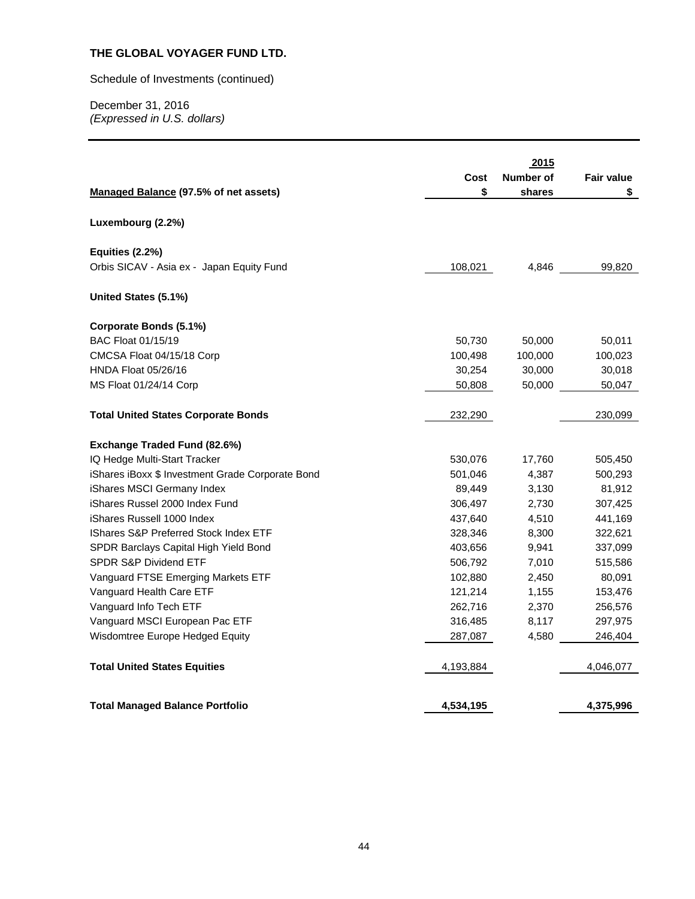# Schedule of Investments (continued)

| Managed Balance (97.5% of net assets)            | Cost<br>\$ | 2015<br>Number of<br>shares | <b>Fair value</b><br>S |
|--------------------------------------------------|------------|-----------------------------|------------------------|
| Luxembourg (2.2%)                                |            |                             |                        |
| Equities (2.2%)                                  |            |                             |                        |
| Orbis SICAV - Asia ex - Japan Equity Fund        | 108,021    | 4,846                       | 99,820                 |
| United States (5.1%)                             |            |                             |                        |
| Corporate Bonds (5.1%)                           |            |                             |                        |
| <b>BAC Float 01/15/19</b>                        | 50,730     | 50,000                      | 50,011                 |
| CMCSA Float 04/15/18 Corp                        | 100,498    | 100,000                     | 100,023                |
| HNDA Float 05/26/16                              | 30,254     | 30,000                      | 30,018                 |
| MS Float 01/24/14 Corp                           | 50,808     | 50,000                      | 50,047                 |
| <b>Total United States Corporate Bonds</b>       | 232,290    |                             | 230,099                |
| Exchange Traded Fund (82.6%)                     |            |                             |                        |
| IQ Hedge Multi-Start Tracker                     | 530,076    | 17,760                      | 505,450                |
| iShares iBoxx \$ Investment Grade Corporate Bond | 501,046    | 4,387                       | 500,293                |
| iShares MSCI Germany Index                       | 89,449     | 3,130                       | 81,912                 |
| iShares Russel 2000 Index Fund                   | 306,497    | 2,730                       | 307,425                |
| iShares Russell 1000 Index                       | 437,640    | 4,510                       | 441,169                |
| <b>IShares S&amp;P Preferred Stock Index ETF</b> | 328,346    | 8,300                       | 322,621                |
| SPDR Barclays Capital High Yield Bond            | 403,656    | 9,941                       | 337,099                |
| <b>SPDR S&amp;P Dividend ETF</b>                 | 506,792    | 7,010                       | 515,586                |
| Vanguard FTSE Emerging Markets ETF               | 102,880    | 2,450                       | 80,091                 |
| Vanguard Health Care ETF                         | 121,214    | 1,155                       | 153,476                |
| Vanguard Info Tech ETF                           | 262,716    | 2,370                       | 256,576                |
| Vanguard MSCI European Pac ETF                   | 316,485    | 8,117                       | 297,975                |
| Wisdomtree Europe Hedged Equity                  | 287,087    | 4,580                       | 246,404                |
| <b>Total United States Equities</b>              | 4,193,884  |                             | 4,046,077              |
| <b>Total Managed Balance Portfolio</b>           | 4,534,195  |                             | 4,375,996              |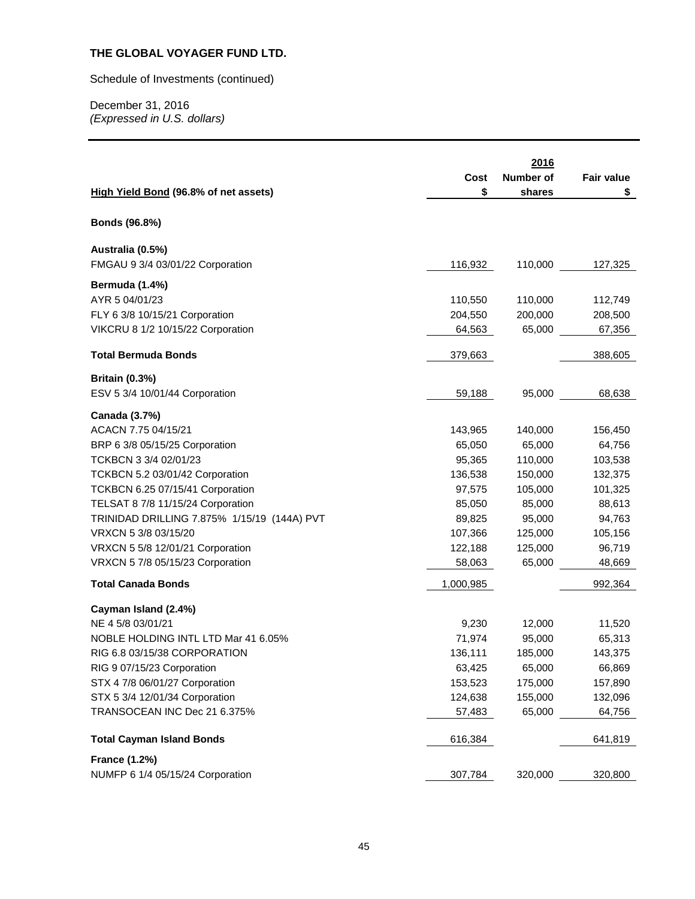Schedule of Investments (continued)

|                                             | Cost      | 2016<br>Number of | <b>Fair value</b> |
|---------------------------------------------|-----------|-------------------|-------------------|
| High Yield Bond (96.8% of net assets)       | \$        | shares            | \$                |
| Bonds (96.8%)                               |           |                   |                   |
| Australia (0.5%)                            |           |                   |                   |
| FMGAU 9 3/4 03/01/22 Corporation            | 116,932   | 110,000           | 127,325           |
| Bermuda (1.4%)                              |           |                   |                   |
| AYR 5 04/01/23                              | 110,550   | 110,000           | 112,749           |
| FLY 6 3/8 10/15/21 Corporation              | 204,550   | 200,000           | 208,500           |
| VIKCRU 8 1/2 10/15/22 Corporation           | 64,563    | 65,000            | 67,356            |
| <b>Total Bermuda Bonds</b>                  | 379,663   |                   | 388,605           |
| <b>Britain (0.3%)</b>                       |           |                   |                   |
| ESV 5 3/4 10/01/44 Corporation              | 59,188    | 95,000            | 68,638            |
| Canada (3.7%)                               |           |                   |                   |
| ACACN 7.75 04/15/21                         | 143,965   | 140,000           | 156,450           |
| BRP 6 3/8 05/15/25 Corporation              | 65,050    | 65,000            | 64,756            |
| TCKBCN 3 3/4 02/01/23                       | 95,365    | 110,000           | 103,538           |
| TCKBCN 5.2 03/01/42 Corporation             | 136,538   | 150,000           | 132,375           |
| TCKBCN 6.25 07/15/41 Corporation            | 97,575    | 105,000           | 101,325           |
| TELSAT 8 7/8 11/15/24 Corporation           | 85,050    | 85,000            | 88,613            |
| TRINIDAD DRILLING 7.875% 1/15/19 (144A) PVT | 89,825    | 95,000            | 94,763            |
| VRXCN 5 3/8 03/15/20                        | 107,366   | 125,000           | 105,156           |
| VRXCN 5 5/8 12/01/21 Corporation            | 122,188   | 125,000           | 96,719            |
| VRXCN 5 7/8 05/15/23 Corporation            | 58,063    | 65,000            | 48,669            |
| <b>Total Canada Bonds</b>                   | 1,000,985 |                   | 992,364           |
| Cayman Island (2.4%)                        |           |                   |                   |
| NE 4 5/8 03/01/21                           | 9,230     | 12,000            | 11,520            |
| NOBLE HOLDING INTL LTD Mar 41 6.05%         | 71,974    | 95,000            | 65,313            |
| RIG 6.8 03/15/38 CORPORATION                | 136,111   | 185,000           | 143,375           |
| RIG 9 07/15/23 Corporation                  | 63,425    | 65,000            | 66,869            |
| STX 4 7/8 06/01/27 Corporation              | 153,523   | 175,000           | 157,890           |
| STX 5 3/4 12/01/34 Corporation              | 124,638   | 155,000           | 132,096           |
| TRANSOCEAN INC Dec 21 6.375%                | 57,483    | 65,000            | 64,756            |
| <b>Total Cayman Island Bonds</b>            | 616,384   |                   | 641,819           |
| <b>France (1.2%)</b>                        |           |                   |                   |
| NUMFP 6 1/4 05/15/24 Corporation            | 307,784   | 320,000           | 320,800           |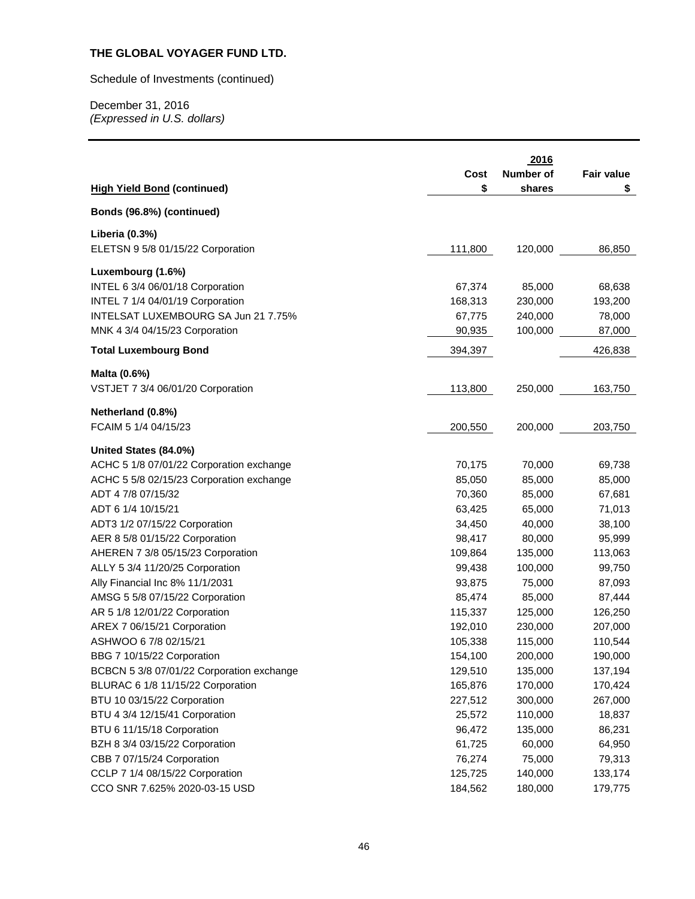Schedule of Investments (continued)

|                                           | Cost    | 2016<br>Number of | <b>Fair value</b> |
|-------------------------------------------|---------|-------------------|-------------------|
| <b>High Yield Bond (continued)</b>        | \$      | shares            | \$                |
| Bonds (96.8%) (continued)                 |         |                   |                   |
| Liberia (0.3%)                            |         |                   |                   |
| ELETSN 9 5/8 01/15/22 Corporation         | 111,800 | 120,000           | 86,850            |
| Luxembourg (1.6%)                         |         |                   |                   |
| INTEL 6 3/4 06/01/18 Corporation          | 67,374  | 85,000            | 68,638            |
| INTEL 7 1/4 04/01/19 Corporation          | 168,313 | 230,000           | 193,200           |
| INTELSAT LUXEMBOURG SA Jun 21 7.75%       | 67,775  | 240,000           | 78,000            |
| MNK 4 3/4 04/15/23 Corporation            | 90,935  | 100,000           | 87,000            |
| <b>Total Luxembourg Bond</b>              | 394,397 |                   | 426,838           |
| Malta (0.6%)                              |         |                   |                   |
| VSTJET 7 3/4 06/01/20 Corporation         | 113,800 | 250,000           | 163,750           |
| Netherland (0.8%)                         |         |                   |                   |
| FCAIM 5 1/4 04/15/23                      | 200,550 | 200,000           | 203,750           |
| United States (84.0%)                     |         |                   |                   |
| ACHC 5 1/8 07/01/22 Corporation exchange  | 70,175  | 70,000            | 69,738            |
| ACHC 5 5/8 02/15/23 Corporation exchange  | 85,050  | 85,000            | 85,000            |
| ADT 4 7/8 07/15/32                        | 70,360  | 85,000            | 67,681            |
| ADT 6 1/4 10/15/21                        | 63,425  | 65,000            | 71,013            |
| ADT3 1/2 07/15/22 Corporation             | 34,450  | 40,000            | 38,100            |
| AER 8 5/8 01/15/22 Corporation            | 98,417  | 80,000            | 95,999            |
| AHEREN 7 3/8 05/15/23 Corporation         | 109,864 | 135,000           | 113,063           |
| ALLY 5 3/4 11/20/25 Corporation           | 99,438  | 100,000           | 99,750            |
| Ally Financial Inc 8% 11/1/2031           | 93,875  | 75,000            | 87,093            |
| AMSG 5 5/8 07/15/22 Corporation           | 85,474  | 85,000            | 87,444            |
| AR 5 1/8 12/01/22 Corporation             | 115,337 | 125,000           | 126,250           |
| AREX 7 06/15/21 Corporation               | 192,010 | 230,000           | 207,000           |
| ASHWOO 6 7/8 02/15/21                     | 105,338 | 115,000           | 110,544           |
| BBG 7 10/15/22 Corporation                | 154,100 | 200,000           | 190,000           |
| BCBCN 5 3/8 07/01/22 Corporation exchange | 129,510 | 135,000           | 137,194           |
| BLURAC 6 1/8 11/15/22 Corporation         | 165,876 | 170,000           | 170,424           |
| BTU 10 03/15/22 Corporation               | 227,512 | 300,000           | 267,000           |
| BTU 4 3/4 12/15/41 Corporation            | 25,572  | 110,000           | 18,837            |
| BTU 6 11/15/18 Corporation                | 96,472  | 135,000           | 86,231            |
| BZH 8 3/4 03/15/22 Corporation            | 61,725  | 60,000            | 64,950            |
| CBB 7 07/15/24 Corporation                | 76,274  | 75,000            | 79,313            |
| CCLP 7 1/4 08/15/22 Corporation           | 125,725 | 140,000           | 133,174           |
| CCO SNR 7.625% 2020-03-15 USD             | 184,562 | 180,000           | 179,775           |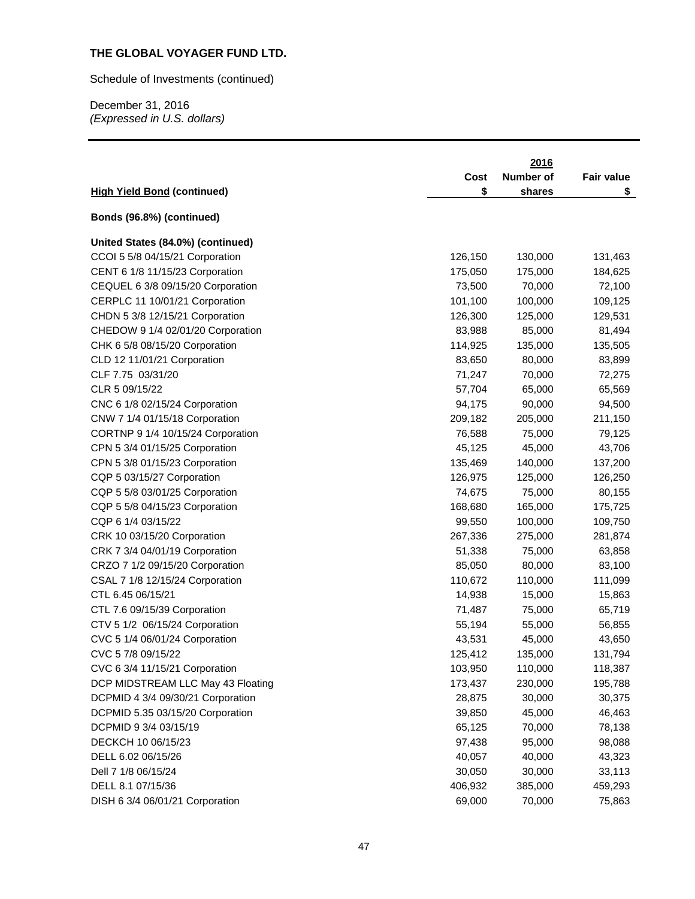Schedule of Investments (continued)

| <b>High Yield Bond (continued)</b> | Cost<br>\$ | 2016<br>Number of<br>shares | <b>Fair value</b><br>\$ |
|------------------------------------|------------|-----------------------------|-------------------------|
|                                    |            |                             |                         |
| Bonds (96.8%) (continued)          |            |                             |                         |
| United States (84.0%) (continued)  |            |                             |                         |
| CCOI 5 5/8 04/15/21 Corporation    | 126,150    | 130,000                     | 131,463                 |
| CENT 6 1/8 11/15/23 Corporation    | 175,050    | 175,000                     | 184,625                 |
| CEQUEL 6 3/8 09/15/20 Corporation  | 73,500     | 70,000                      | 72,100                  |
| CERPLC 11 10/01/21 Corporation     | 101,100    | 100,000                     | 109,125                 |
| CHDN 5 3/8 12/15/21 Corporation    | 126,300    | 125,000                     | 129,531                 |
| CHEDOW 9 1/4 02/01/20 Corporation  | 83,988     | 85,000                      | 81,494                  |
| CHK 6 5/8 08/15/20 Corporation     | 114,925    | 135,000                     | 135,505                 |
| CLD 12 11/01/21 Corporation        | 83,650     | 80,000                      | 83,899                  |
| CLF 7.75 03/31/20                  | 71,247     | 70,000                      | 72,275                  |
| CLR 5 09/15/22                     | 57,704     | 65,000                      | 65,569                  |
| CNC 6 1/8 02/15/24 Corporation     | 94,175     | 90,000                      | 94,500                  |
| CNW 7 1/4 01/15/18 Corporation     | 209,182    | 205,000                     | 211,150                 |
| CORTNP 9 1/4 10/15/24 Corporation  | 76,588     | 75,000                      | 79,125                  |
| CPN 5 3/4 01/15/25 Corporation     | 45,125     | 45,000                      | 43,706                  |
| CPN 5 3/8 01/15/23 Corporation     | 135,469    | 140,000                     | 137,200                 |
| CQP 5 03/15/27 Corporation         | 126,975    | 125,000                     | 126,250                 |
| CQP 5 5/8 03/01/25 Corporation     | 74,675     | 75,000                      | 80,155                  |
| CQP 5 5/8 04/15/23 Corporation     | 168,680    | 165,000                     | 175,725                 |
| CQP 6 1/4 03/15/22                 | 99,550     | 100,000                     | 109,750                 |
| CRK 10 03/15/20 Corporation        | 267,336    | 275,000                     | 281,874                 |
| CRK 7 3/4 04/01/19 Corporation     | 51,338     | 75,000                      | 63,858                  |
| CRZO 7 1/2 09/15/20 Corporation    | 85,050     | 80,000                      | 83,100                  |
| CSAL 7 1/8 12/15/24 Corporation    | 110,672    | 110,000                     | 111,099                 |
| CTL 6.45 06/15/21                  | 14,938     | 15,000                      | 15,863                  |
| CTL 7.6 09/15/39 Corporation       | 71,487     | 75,000                      | 65,719                  |
| CTV 5 1/2 06/15/24 Corporation     | 55,194     | 55,000                      | 56,855                  |
| CVC 5 1/4 06/01/24 Corporation     | 43,531     | 45,000                      | 43,650                  |
| CVC 5 7/8 09/15/22                 | 125,412    | 135,000                     | 131,794                 |
| CVC 6 3/4 11/15/21 Corporation     | 103,950    | 110,000                     | 118,387                 |
| DCP MIDSTREAM LLC May 43 Floating  | 173,437    | 230,000                     | 195,788                 |
| DCPMID 4 3/4 09/30/21 Corporation  | 28,875     | 30,000                      | 30,375                  |
| DCPMID 5.35 03/15/20 Corporation   | 39,850     | 45,000                      | 46,463                  |
| DCPMID 9 3/4 03/15/19              | 65,125     | 70,000                      | 78,138                  |
| DECKCH 10 06/15/23                 | 97,438     | 95,000                      | 98,088                  |
| DELL 6.02 06/15/26                 | 40,057     | 40,000                      | 43,323                  |
| Dell 7 1/8 06/15/24                | 30,050     | 30,000                      | 33,113                  |
| DELL 8.1 07/15/36                  | 406,932    | 385,000                     | 459,293                 |
| DISH 6 3/4 06/01/21 Corporation    | 69,000     | 70,000                      | 75,863                  |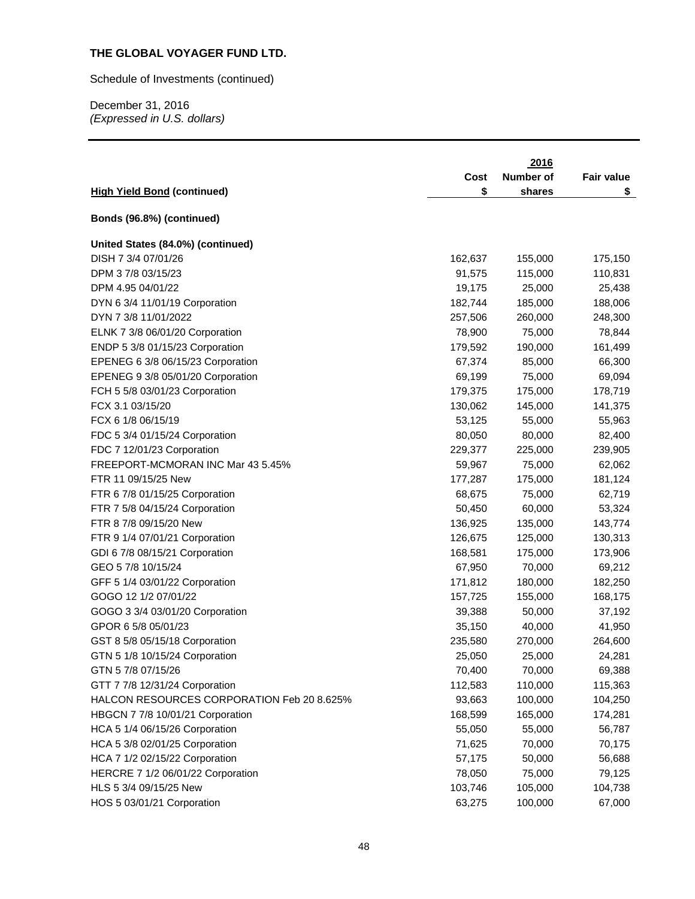Schedule of Investments (continued)

|                                            |         | 2016      |                   |
|--------------------------------------------|---------|-----------|-------------------|
|                                            | Cost    | Number of | <b>Fair value</b> |
| <b>High Yield Bond (continued)</b>         | \$      | shares    | \$                |
|                                            |         |           |                   |
| Bonds (96.8%) (continued)                  |         |           |                   |
| United States (84.0%) (continued)          |         |           |                   |
| DISH 7 3/4 07/01/26                        | 162,637 | 155,000   | 175,150           |
| DPM 3 7/8 03/15/23                         | 91,575  | 115,000   | 110,831           |
| DPM 4.95 04/01/22                          | 19,175  | 25,000    | 25,438            |
| DYN 6 3/4 11/01/19 Corporation             | 182,744 | 185,000   | 188,006           |
| DYN 7 3/8 11/01/2022                       | 257,506 | 260,000   | 248,300           |
| ELNK 7 3/8 06/01/20 Corporation            | 78,900  | 75,000    | 78,844            |
| ENDP 5 3/8 01/15/23 Corporation            | 179,592 | 190,000   | 161,499           |
| EPENEG 6 3/8 06/15/23 Corporation          | 67,374  | 85,000    | 66,300            |
| EPENEG 9 3/8 05/01/20 Corporation          | 69,199  | 75,000    | 69,094            |
| FCH 5 5/8 03/01/23 Corporation             | 179,375 | 175,000   | 178,719           |
| FCX 3.1 03/15/20                           | 130,062 | 145,000   | 141,375           |
| FCX 6 1/8 06/15/19                         | 53,125  | 55,000    | 55,963            |
| FDC 5 3/4 01/15/24 Corporation             | 80,050  | 80,000    | 82,400            |
| FDC 7 12/01/23 Corporation                 | 229,377 | 225,000   | 239,905           |
| FREEPORT-MCMORAN INC Mar 43 5.45%          | 59,967  | 75,000    | 62,062            |
| FTR 11 09/15/25 New                        | 177,287 | 175,000   | 181,124           |
| FTR 6 7/8 01/15/25 Corporation             | 68,675  | 75,000    | 62,719            |
| FTR 7 5/8 04/15/24 Corporation             | 50,450  | 60,000    | 53,324            |
| FTR 8 7/8 09/15/20 New                     | 136,925 | 135,000   | 143,774           |
| FTR 9 1/4 07/01/21 Corporation             | 126,675 | 125,000   | 130,313           |
| GDI 6 7/8 08/15/21 Corporation             | 168,581 | 175,000   | 173,906           |
| GEO 5 7/8 10/15/24                         | 67,950  | 70,000    | 69,212            |
| GFF 5 1/4 03/01/22 Corporation             | 171,812 | 180,000   | 182,250           |
| GOGO 12 1/2 07/01/22                       | 157,725 | 155,000   | 168,175           |
| GOGO 3 3/4 03/01/20 Corporation            | 39,388  | 50,000    | 37,192            |
| GPOR 6 5/8 05/01/23                        | 35,150  | 40,000    | 41,950            |
| GST 8 5/8 05/15/18 Corporation             | 235,580 | 270,000   | 264,600           |
| GTN 5 1/8 10/15/24 Corporation             | 25,050  | 25,000    | 24,281            |
| GTN 57/8 07/15/26                          | 70,400  | 70,000    | 69,388            |
| GTT 7 7/8 12/31/24 Corporation             | 112,583 | 110,000   | 115,363           |
| HALCON RESOURCES CORPORATION Feb 20 8.625% | 93,663  | 100,000   | 104,250           |
| HBGCN 7 7/8 10/01/21 Corporation           | 168,599 | 165,000   | 174,281           |
| HCA 5 1/4 06/15/26 Corporation             | 55,050  | 55,000    | 56,787            |
| HCA 5 3/8 02/01/25 Corporation             | 71,625  | 70,000    | 70,175            |
| HCA 7 1/2 02/15/22 Corporation             | 57,175  | 50,000    | 56,688            |
| HERCRE 7 1/2 06/01/22 Corporation          | 78,050  | 75,000    | 79,125            |
| HLS 5 3/4 09/15/25 New                     | 103,746 | 105,000   | 104,738           |
| HOS 5 03/01/21 Corporation                 | 63,275  | 100,000   | 67,000            |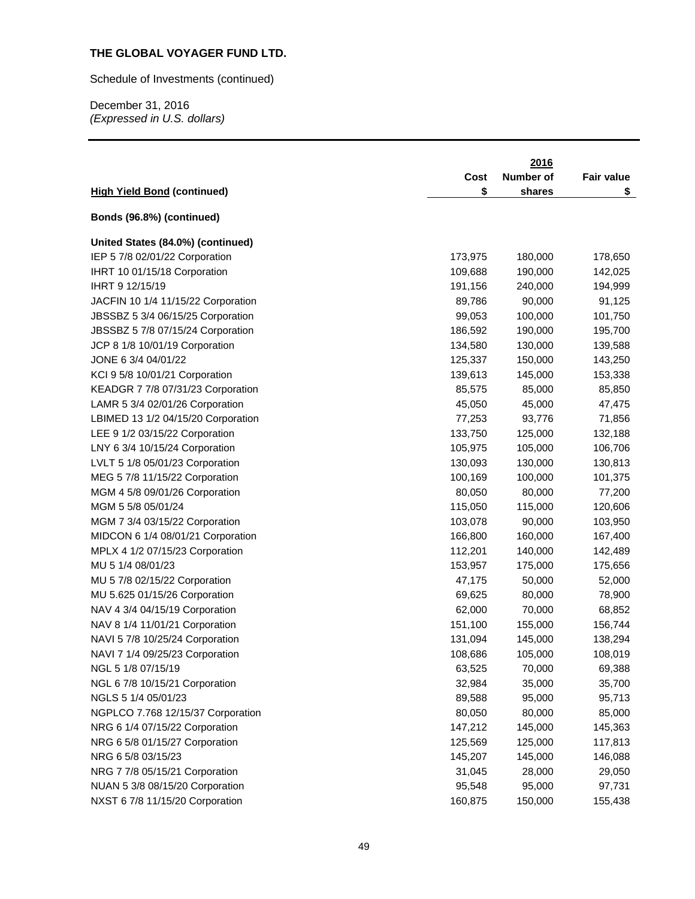# Schedule of Investments (continued)

|                                    | Cost    | 2016<br>Number of | Fair value |
|------------------------------------|---------|-------------------|------------|
| <b>High Yield Bond (continued)</b> | \$      | shares            | \$         |
| Bonds (96.8%) (continued)          |         |                   |            |
| United States (84.0%) (continued)  |         |                   |            |
| IEP 5 7/8 02/01/22 Corporation     | 173,975 | 180,000           | 178,650    |
| IHRT 10 01/15/18 Corporation       | 109,688 | 190,000           | 142,025    |
| IHRT 9 12/15/19                    | 191,156 | 240,000           | 194,999    |
| JACFIN 10 1/4 11/15/22 Corporation | 89,786  | 90,000            | 91,125     |
| JBSSBZ 5 3/4 06/15/25 Corporation  | 99,053  | 100,000           | 101,750    |
| JBSSBZ 5 7/8 07/15/24 Corporation  | 186,592 | 190,000           | 195,700    |
| JCP 8 1/8 10/01/19 Corporation     | 134,580 | 130,000           | 139,588    |
| JONE 6 3/4 04/01/22                | 125,337 | 150,000           | 143,250    |
| KCI 9 5/8 10/01/21 Corporation     | 139,613 | 145,000           | 153,338    |
| KEADGR 7 7/8 07/31/23 Corporation  | 85,575  | 85,000            | 85,850     |
| LAMR 5 3/4 02/01/26 Corporation    | 45,050  | 45,000            | 47,475     |
| LBIMED 13 1/2 04/15/20 Corporation | 77,253  | 93,776            | 71,856     |
| LEE 9 1/2 03/15/22 Corporation     | 133,750 | 125,000           | 132,188    |
| LNY 6 3/4 10/15/24 Corporation     | 105,975 | 105,000           | 106,706    |
| LVLT 5 1/8 05/01/23 Corporation    | 130,093 | 130,000           | 130,813    |
| MEG 5 7/8 11/15/22 Corporation     | 100,169 | 100,000           | 101,375    |
| MGM 4 5/8 09/01/26 Corporation     | 80,050  | 80,000            | 77,200     |
| MGM 5 5/8 05/01/24                 | 115,050 | 115,000           | 120,606    |
| MGM 7 3/4 03/15/22 Corporation     | 103,078 | 90,000            | 103,950    |
| MIDCON 6 1/4 08/01/21 Corporation  | 166,800 | 160,000           | 167,400    |
| MPLX 4 1/2 07/15/23 Corporation    | 112,201 | 140,000           | 142,489    |
| MU 5 1/4 08/01/23                  | 153,957 | 175,000           | 175,656    |
| MU 5 7/8 02/15/22 Corporation      | 47,175  | 50,000            | 52,000     |
| MU 5.625 01/15/26 Corporation      | 69,625  | 80,000            | 78,900     |
| NAV 4 3/4 04/15/19 Corporation     | 62,000  | 70,000            | 68,852     |
| NAV 8 1/4 11/01/21 Corporation     | 151,100 | 155,000           | 156,744    |
| NAVI 5 7/8 10/25/24 Corporation    | 131,094 | 145,000           | 138,294    |
| NAVI 7 1/4 09/25/23 Corporation    | 108,686 | 105,000           | 108,019    |
| NGL 5 1/8 07/15/19                 | 63,525  | 70,000            | 69,388     |
| NGL 6 7/8 10/15/21 Corporation     | 32,984  | 35,000            | 35,700     |
| NGLS 5 1/4 05/01/23                | 89,588  | 95,000            | 95,713     |
| NGPLCO 7.768 12/15/37 Corporation  | 80,050  | 80,000            | 85,000     |
| NRG 6 1/4 07/15/22 Corporation     | 147,212 | 145,000           | 145,363    |
| NRG 6 5/8 01/15/27 Corporation     | 125,569 | 125,000           | 117,813    |
| NRG 6 5/8 03/15/23                 | 145,207 | 145,000           | 146,088    |
| NRG 7 7/8 05/15/21 Corporation     | 31,045  | 28,000            | 29,050     |
| NUAN 5 3/8 08/15/20 Corporation    | 95,548  | 95,000            | 97,731     |
| NXST 6 7/8 11/15/20 Corporation    | 160,875 | 150,000           | 155,438    |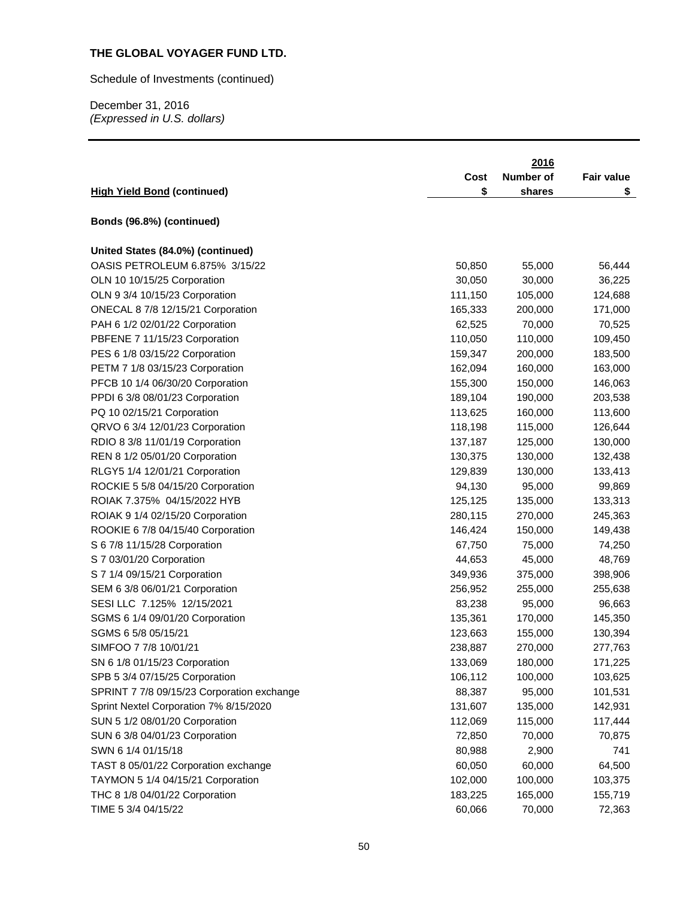Schedule of Investments (continued)

|                                            | Cost    | 2016<br><b>Number of</b> | <b>Fair value</b> |
|--------------------------------------------|---------|--------------------------|-------------------|
| <b>High Yield Bond (continued)</b>         | \$      | shares                   | \$                |
| Bonds (96.8%) (continued)                  |         |                          |                   |
| United States (84.0%) (continued)          |         |                          |                   |
| OASIS PETROLEUM 6.875% 3/15/22             | 50,850  | 55,000                   | 56,444            |
| OLN 10 10/15/25 Corporation                | 30,050  | 30,000                   | 36,225            |
| OLN 9 3/4 10/15/23 Corporation             | 111,150 | 105,000                  | 124,688           |
| ONECAL 8 7/8 12/15/21 Corporation          | 165,333 | 200,000                  | 171,000           |
| PAH 6 1/2 02/01/22 Corporation             | 62,525  | 70,000                   | 70,525            |
| PBFENE 7 11/15/23 Corporation              | 110,050 | 110,000                  | 109,450           |
| PES 6 1/8 03/15/22 Corporation             | 159,347 | 200,000                  | 183,500           |
| PETM 7 1/8 03/15/23 Corporation            | 162,094 | 160,000                  | 163,000           |
| PFCB 10 1/4 06/30/20 Corporation           | 155,300 | 150,000                  | 146,063           |
| PPDI 6 3/8 08/01/23 Corporation            | 189,104 | 190,000                  | 203,538           |
| PQ 10 02/15/21 Corporation                 | 113,625 | 160,000                  | 113,600           |
| QRVO 6 3/4 12/01/23 Corporation            | 118,198 | 115,000                  | 126,644           |
| RDIO 8 3/8 11/01/19 Corporation            | 137,187 | 125,000                  | 130,000           |
| REN 8 1/2 05/01/20 Corporation             | 130,375 | 130,000                  | 132,438           |
| RLGY5 1/4 12/01/21 Corporation             | 129,839 | 130,000                  | 133,413           |
| ROCKIE 5 5/8 04/15/20 Corporation          | 94,130  | 95,000                   | 99,869            |
| ROIAK 7.375% 04/15/2022 HYB                | 125,125 | 135,000                  | 133,313           |
| ROIAK 9 1/4 02/15/20 Corporation           | 280,115 | 270,000                  | 245,363           |
| ROOKIE 6 7/8 04/15/40 Corporation          | 146,424 | 150,000                  | 149,438           |
| S 6 7/8 11/15/28 Corporation               | 67,750  | 75,000                   | 74,250            |
| S 7 03/01/20 Corporation                   | 44,653  | 45,000                   | 48,769            |
| S 7 1/4 09/15/21 Corporation               | 349,936 | 375,000                  | 398,906           |
| SEM 6 3/8 06/01/21 Corporation             | 256,952 | 255,000                  | 255,638           |
| SESI LLC 7.125% 12/15/2021                 | 83,238  | 95,000                   | 96,663            |
| SGMS 6 1/4 09/01/20 Corporation            | 135,361 | 170,000                  | 145,350           |
| SGMS 6 5/8 05/15/21                        | 123,663 | 155,000                  | 130,394           |
| SIMFOO 7 7/8 10/01/21                      | 238,887 | 270,000                  | 277,763           |
| SN 6 1/8 01/15/23 Corporation              | 133,069 | 180,000                  | 171,225           |
| SPB 5 3/4 07/15/25 Corporation             | 106,112 | 100,000                  | 103,625           |
| SPRINT 7 7/8 09/15/23 Corporation exchange | 88,387  | 95,000                   | 101,531           |
| Sprint Nextel Corporation 7% 8/15/2020     | 131,607 | 135,000                  | 142,931           |
| SUN 5 1/2 08/01/20 Corporation             | 112,069 | 115,000                  | 117,444           |
| SUN 6 3/8 04/01/23 Corporation             | 72,850  | 70,000                   | 70,875            |
| SWN 6 1/4 01/15/18                         | 80,988  | 2,900                    | 741               |
| TAST 8 05/01/22 Corporation exchange       | 60,050  | 60,000                   | 64,500            |
| TAYMON 5 1/4 04/15/21 Corporation          | 102,000 | 100,000                  | 103,375           |
| THC 8 1/8 04/01/22 Corporation             | 183,225 | 165,000                  | 155,719           |
| TIME 5 3/4 04/15/22                        | 60,066  | 70,000                   | 72,363            |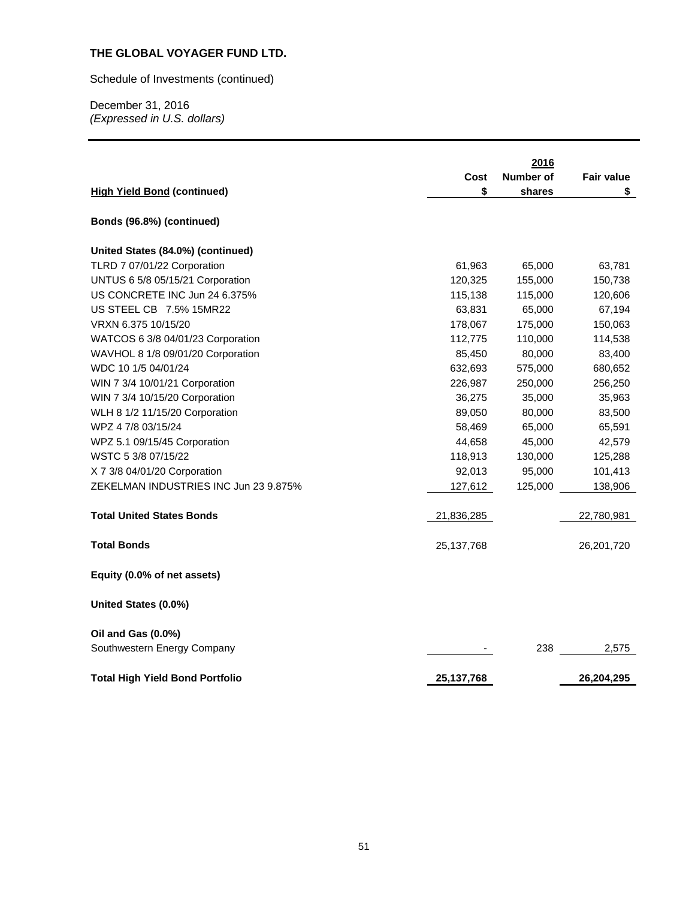Schedule of Investments (continued)

|                                                   |              | 2016      |                   |
|---------------------------------------------------|--------------|-----------|-------------------|
|                                                   | Cost         | Number of | <b>Fair value</b> |
| <b>High Yield Bond (continued)</b>                | \$           | shares    | \$                |
| Bonds (96.8%) (continued)                         |              |           |                   |
| United States (84.0%) (continued)                 |              |           |                   |
| TLRD 7 07/01/22 Corporation                       | 61,963       | 65,000    | 63,781            |
| UNTUS 6 5/8 05/15/21 Corporation                  | 120,325      | 155,000   | 150,738           |
| US CONCRETE INC Jun 24 6.375%                     | 115,138      | 115,000   | 120,606           |
| US STEEL CB 7.5% 15MR22                           | 63,831       | 65,000    | 67,194            |
| VRXN 6.375 10/15/20                               | 178,067      | 175,000   | 150,063           |
| WATCOS 6 3/8 04/01/23 Corporation                 | 112,775      | 110,000   | 114,538           |
| WAVHOL 8 1/8 09/01/20 Corporation                 | 85,450       | 80,000    | 83,400            |
| WDC 10 1/5 04/01/24                               | 632,693      | 575,000   | 680,652           |
| WIN 7 3/4 10/01/21 Corporation                    | 226,987      | 250,000   | 256,250           |
| WIN 7 3/4 10/15/20 Corporation                    | 36,275       | 35,000    | 35,963            |
| WLH 8 1/2 11/15/20 Corporation                    | 89,050       | 80,000    | 83,500            |
| WPZ 4 7/8 03/15/24                                | 58,469       | 65,000    | 65,591            |
| WPZ 5.1 09/15/45 Corporation                      | 44,658       | 45,000    | 42,579            |
| WSTC 5 3/8 07/15/22                               | 118,913      | 130,000   | 125,288           |
| X 7 3/8 04/01/20 Corporation                      | 92,013       | 95,000    | 101,413           |
| ZEKELMAN INDUSTRIES INC Jun 23 9.875%             | 127,612      | 125,000   | 138,906           |
| <b>Total United States Bonds</b>                  | 21,836,285   |           | 22,780,981        |
| <b>Total Bonds</b>                                | 25, 137, 768 |           | 26,201,720        |
| Equity (0.0% of net assets)                       |              |           |                   |
| United States (0.0%)                              |              |           |                   |
| Oil and Gas (0.0%)<br>Southwestern Energy Company |              | 238       | 2,575             |
| <b>Total High Yield Bond Portfolio</b>            | 25, 137, 768 |           | 26,204,295        |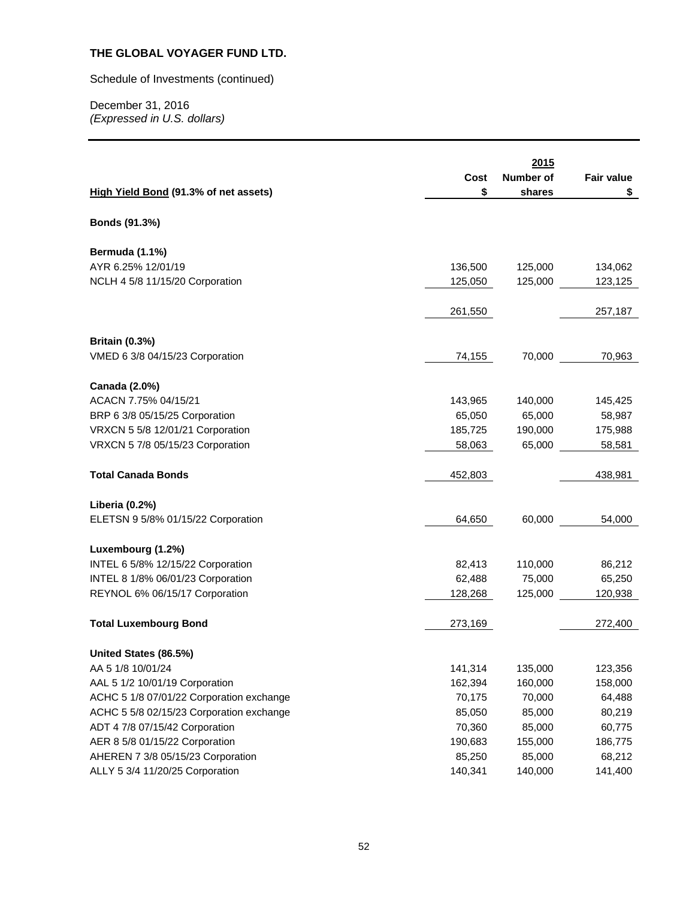Schedule of Investments (continued)

|                                          |         | 2015      |            |
|------------------------------------------|---------|-----------|------------|
|                                          | Cost    | Number of | Fair value |
| High Yield Bond (91.3% of net assets)    | \$      | shares    | \$         |
|                                          |         |           |            |
| Bonds (91.3%)                            |         |           |            |
| Bermuda (1.1%)                           |         |           |            |
| AYR 6.25% 12/01/19                       | 136,500 | 125,000   | 134,062    |
| NCLH 4 5/8 11/15/20 Corporation          | 125,050 | 125,000   | 123,125    |
|                                          | 261,550 |           | 257,187    |
| <b>Britain (0.3%)</b>                    |         |           |            |
| VMED 6 3/8 04/15/23 Corporation          | 74,155  | 70,000    | 70,963     |
| Canada (2.0%)                            |         |           |            |
| ACACN 7.75% 04/15/21                     | 143,965 | 140,000   | 145,425    |
| BRP 6 3/8 05/15/25 Corporation           | 65,050  | 65,000    | 58,987     |
| VRXCN 5 5/8 12/01/21 Corporation         | 185,725 | 190,000   | 175,988    |
| VRXCN 5 7/8 05/15/23 Corporation         | 58,063  | 65,000    | 58,581     |
| <b>Total Canada Bonds</b>                | 452,803 |           | 438,981    |
| Liberia (0.2%)                           |         |           |            |
| ELETSN 9 5/8% 01/15/22 Corporation       | 64,650  | 60,000    | 54,000     |
| Luxembourg (1.2%)                        |         |           |            |
| INTEL 6 5/8% 12/15/22 Corporation        | 82,413  | 110,000   | 86,212     |
| INTEL 8 1/8% 06/01/23 Corporation        | 62,488  | 75,000    | 65,250     |
| REYNOL 6% 06/15/17 Corporation           | 128,268 | 125,000   | 120,938    |
| <b>Total Luxembourg Bond</b>             | 273,169 |           | 272,400    |
| United States (86.5%)                    |         |           |            |
| AA 5 1/8 10/01/24                        | 141,314 | 135,000   | 123,356    |
| AAL 5 1/2 10/01/19 Corporation           | 162,394 | 160,000   | 158,000    |
| ACHC 5 1/8 07/01/22 Corporation exchange | 70,175  | 70,000    | 64,488     |
| ACHC 5 5/8 02/15/23 Corporation exchange | 85,050  | 85,000    | 80,219     |
| ADT 4 7/8 07/15/42 Corporation           | 70,360  | 85,000    | 60,775     |
| AER 8 5/8 01/15/22 Corporation           | 190,683 | 155,000   | 186,775    |
| AHEREN 7 3/8 05/15/23 Corporation        | 85,250  | 85,000    | 68,212     |
| ALLY 5 3/4 11/20/25 Corporation          | 140,341 | 140,000   | 141,400    |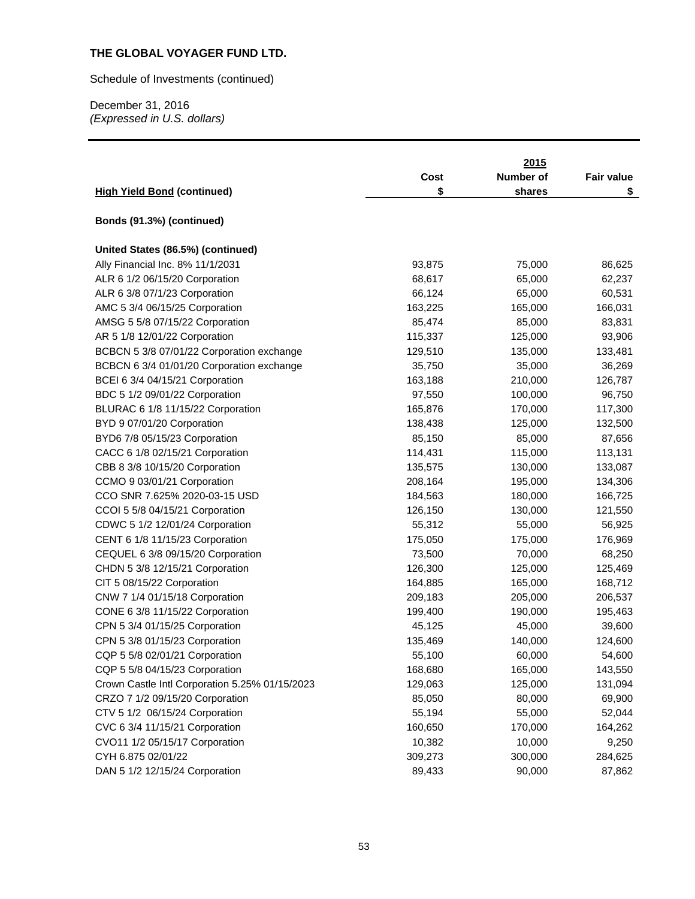Schedule of Investments (continued)

|                                                |         | 2015      |                   |
|------------------------------------------------|---------|-----------|-------------------|
|                                                | Cost    | Number of | <b>Fair value</b> |
| <b>High Yield Bond (continued)</b>             | \$      | shares    | \$                |
|                                                |         |           |                   |
| Bonds (91.3%) (continued)                      |         |           |                   |
| United States (86.5%) (continued)              |         |           |                   |
| Ally Financial Inc. 8% 11/1/2031               | 93,875  | 75,000    | 86,625            |
| ALR 6 1/2 06/15/20 Corporation                 | 68,617  | 65,000    | 62,237            |
| ALR 6 3/8 07/1/23 Corporation                  | 66,124  | 65,000    | 60,531            |
| AMC 5 3/4 06/15/25 Corporation                 | 163,225 | 165,000   | 166,031           |
| AMSG 5 5/8 07/15/22 Corporation                | 85,474  | 85,000    | 83,831            |
| AR 5 1/8 12/01/22 Corporation                  | 115,337 | 125,000   | 93,906            |
| BCBCN 5 3/8 07/01/22 Corporation exchange      | 129,510 | 135,000   | 133,481           |
| BCBCN 6 3/4 01/01/20 Corporation exchange      | 35,750  | 35,000    | 36,269            |
| BCEI 6 3/4 04/15/21 Corporation                | 163,188 | 210,000   | 126,787           |
| BDC 5 1/2 09/01/22 Corporation                 | 97,550  | 100,000   | 96,750            |
| BLURAC 6 1/8 11/15/22 Corporation              | 165,876 | 170,000   | 117,300           |
| BYD 9 07/01/20 Corporation                     | 138,438 | 125,000   | 132,500           |
| BYD6 7/8 05/15/23 Corporation                  | 85,150  | 85,000    | 87,656            |
| CACC 6 1/8 02/15/21 Corporation                | 114,431 | 115,000   | 113,131           |
| CBB 8 3/8 10/15/20 Corporation                 | 135,575 | 130,000   | 133,087           |
| CCMO 9 03/01/21 Corporation                    | 208,164 | 195,000   | 134,306           |
| CCO SNR 7.625% 2020-03-15 USD                  | 184,563 | 180,000   | 166,725           |
| CCOI 5 5/8 04/15/21 Corporation                | 126,150 | 130,000   | 121,550           |
| CDWC 5 1/2 12/01/24 Corporation                | 55,312  | 55,000    | 56,925            |
| CENT 6 1/8 11/15/23 Corporation                | 175,050 | 175,000   | 176,969           |
| CEQUEL 6 3/8 09/15/20 Corporation              | 73,500  | 70,000    | 68,250            |
| CHDN 5 3/8 12/15/21 Corporation                | 126,300 | 125,000   | 125,469           |
| CIT 5 08/15/22 Corporation                     | 164,885 | 165,000   | 168,712           |
| CNW 7 1/4 01/15/18 Corporation                 | 209,183 | 205,000   | 206,537           |
| CONE 6 3/8 11/15/22 Corporation                | 199,400 | 190,000   | 195,463           |
| CPN 5 3/4 01/15/25 Corporation                 | 45,125  | 45,000    | 39,600            |
| CPN 5 3/8 01/15/23 Corporation                 | 135,469 | 140,000   | 124,600           |
| CQP 5 5/8 02/01/21 Corporation                 | 55,100  | 60,000    | 54,600            |
| CQP 5 5/8 04/15/23 Corporation                 | 168,680 | 165,000   | 143,550           |
| Crown Castle Intl Corporation 5.25% 01/15/2023 | 129,063 | 125,000   | 131,094           |
| CRZO 7 1/2 09/15/20 Corporation                | 85,050  | 80,000    | 69,900            |
| CTV 5 1/2 06/15/24 Corporation                 | 55,194  | 55,000    | 52,044            |
| CVC 6 3/4 11/15/21 Corporation                 | 160,650 | 170,000   | 164,262           |
| CVO11 1/2 05/15/17 Corporation                 | 10,382  | 10,000    | 9,250             |
| CYH 6.875 02/01/22                             | 309,273 | 300,000   | 284,625           |
| DAN 5 1/2 12/15/24 Corporation                 | 89,433  | 90,000    | 87,862            |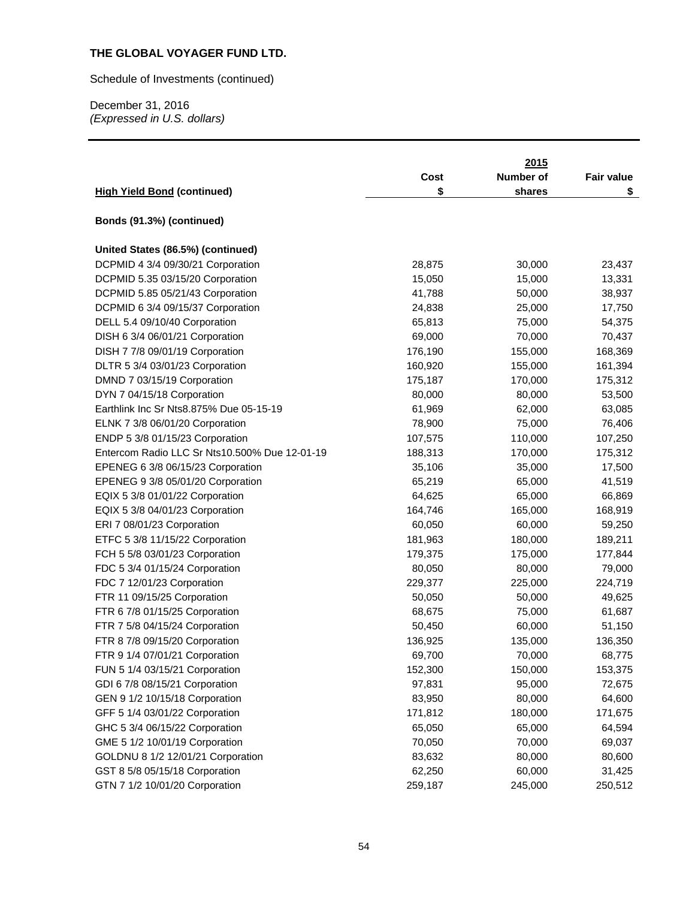Schedule of Investments (continued)

|                                               |         | 2015      |                   |
|-----------------------------------------------|---------|-----------|-------------------|
|                                               | Cost    | Number of | <b>Fair value</b> |
| <b>High Yield Bond (continued)</b>            | \$      | shares    | \$                |
|                                               |         |           |                   |
| Bonds (91.3%) (continued)                     |         |           |                   |
| United States (86.5%) (continued)             |         |           |                   |
| DCPMID 4 3/4 09/30/21 Corporation             | 28,875  | 30,000    | 23,437            |
| DCPMID 5.35 03/15/20 Corporation              | 15,050  | 15,000    | 13,331            |
| DCPMID 5.85 05/21/43 Corporation              | 41,788  | 50,000    | 38,937            |
| DCPMID 6 3/4 09/15/37 Corporation             | 24,838  | 25,000    | 17,750            |
| DELL 5.4 09/10/40 Corporation                 | 65,813  | 75,000    | 54,375            |
| DISH 6 3/4 06/01/21 Corporation               | 69,000  | 70,000    | 70,437            |
| DISH 7 7/8 09/01/19 Corporation               | 176,190 | 155,000   | 168,369           |
| DLTR 5 3/4 03/01/23 Corporation               | 160,920 | 155,000   | 161,394           |
| DMND 7 03/15/19 Corporation                   | 175,187 | 170,000   | 175,312           |
| DYN 7 04/15/18 Corporation                    | 80,000  | 80,000    | 53,500            |
| Earthlink Inc Sr Nts8.875% Due 05-15-19       | 61,969  | 62,000    | 63,085            |
| ELNK 7 3/8 06/01/20 Corporation               | 78,900  | 75,000    | 76,406            |
| ENDP 5 3/8 01/15/23 Corporation               | 107,575 | 110,000   | 107,250           |
| Entercom Radio LLC Sr Nts10.500% Due 12-01-19 | 188,313 | 170,000   | 175,312           |
| EPENEG 6 3/8 06/15/23 Corporation             | 35,106  | 35,000    | 17,500            |
| EPENEG 9 3/8 05/01/20 Corporation             | 65,219  | 65,000    | 41,519            |
| EQIX 5 3/8 01/01/22 Corporation               | 64,625  | 65,000    | 66,869            |
| EQIX 5 3/8 04/01/23 Corporation               | 164,746 | 165,000   | 168,919           |
| ERI 7 08/01/23 Corporation                    | 60,050  | 60,000    | 59,250            |
| ETFC 5 3/8 11/15/22 Corporation               | 181,963 | 180,000   | 189,211           |
| FCH 5 5/8 03/01/23 Corporation                | 179,375 | 175,000   | 177,844           |
| FDC 5 3/4 01/15/24 Corporation                | 80,050  | 80,000    | 79,000            |
| FDC 7 12/01/23 Corporation                    | 229,377 | 225,000   | 224,719           |
| FTR 11 09/15/25 Corporation                   | 50,050  | 50,000    | 49,625            |
| FTR 6 7/8 01/15/25 Corporation                | 68,675  | 75,000    | 61,687            |
| FTR 7 5/8 04/15/24 Corporation                | 50,450  | 60,000    | 51,150            |
| FTR 8 7/8 09/15/20 Corporation                | 136,925 | 135,000   | 136,350           |
| FTR 9 1/4 07/01/21 Corporation                | 69,700  | 70,000    | 68,775            |
| FUN 5 1/4 03/15/21 Corporation                | 152,300 | 150,000   | 153,375           |
| GDI 6 7/8 08/15/21 Corporation                | 97,831  | 95,000    | 72,675            |
| GEN 9 1/2 10/15/18 Corporation                | 83,950  | 80,000    | 64,600            |
| GFF 5 1/4 03/01/22 Corporation                | 171,812 | 180,000   | 171,675           |
| GHC 5 3/4 06/15/22 Corporation                | 65,050  | 65,000    | 64,594            |
| GME 5 1/2 10/01/19 Corporation                | 70,050  | 70,000    | 69,037            |
| GOLDNU 8 1/2 12/01/21 Corporation             | 83,632  | 80,000    | 80,600            |
| GST 8 5/8 05/15/18 Corporation                | 62,250  | 60,000    | 31,425            |
| GTN 7 1/2 10/01/20 Corporation                | 259,187 | 245,000   | 250,512           |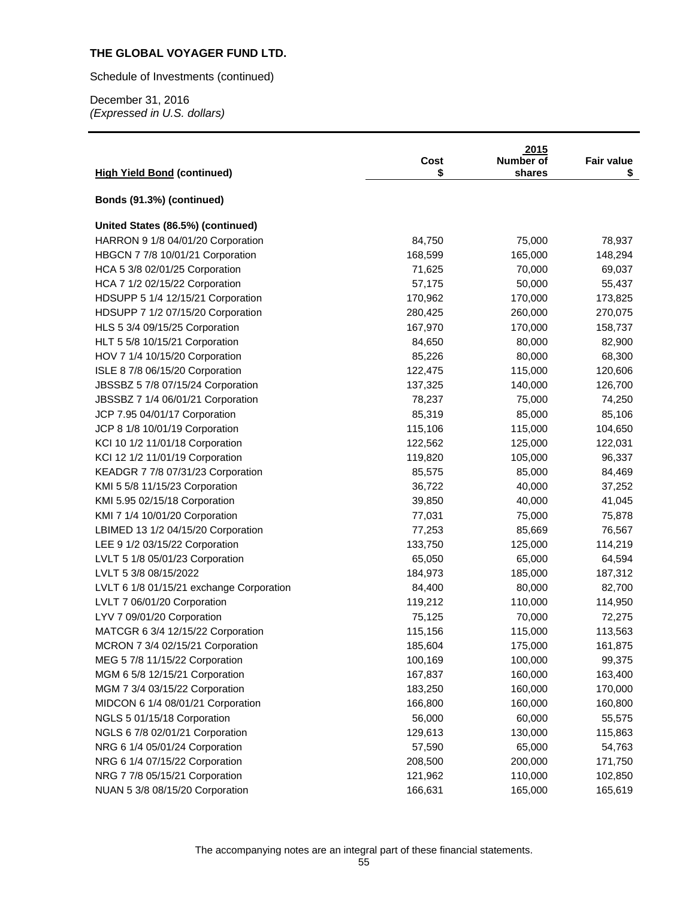Schedule of Investments (continued)

|                                          | Cost    | 2015<br>Number of | <b>Fair value</b> |
|------------------------------------------|---------|-------------------|-------------------|
| <b>High Yield Bond (continued)</b>       | \$      | shares            | \$                |
| Bonds (91.3%) (continued)                |         |                   |                   |
| United States (86.5%) (continued)        |         |                   |                   |
| HARRON 9 1/8 04/01/20 Corporation        | 84,750  | 75,000            | 78,937            |
| HBGCN 7 7/8 10/01/21 Corporation         | 168,599 | 165,000           | 148,294           |
| HCA 5 3/8 02/01/25 Corporation           | 71,625  | 70,000            | 69,037            |
| HCA 7 1/2 02/15/22 Corporation           | 57,175  | 50,000            | 55,437            |
| HDSUPP 5 1/4 12/15/21 Corporation        | 170,962 | 170,000           | 173,825           |
| HDSUPP 7 1/2 07/15/20 Corporation        | 280,425 | 260,000           | 270,075           |
| HLS 5 3/4 09/15/25 Corporation           | 167,970 | 170,000           | 158,737           |
| HLT 5 5/8 10/15/21 Corporation           | 84,650  | 80,000            | 82,900            |
| HOV 7 1/4 10/15/20 Corporation           | 85,226  | 80,000            | 68,300            |
| ISLE 8 7/8 06/15/20 Corporation          | 122,475 | 115,000           | 120,606           |
| JBSSBZ 5 7/8 07/15/24 Corporation        | 137,325 | 140,000           | 126,700           |
| JBSSBZ 7 1/4 06/01/21 Corporation        | 78,237  | 75,000            | 74,250            |
| JCP 7.95 04/01/17 Corporation            | 85,319  | 85,000            | 85,106            |
| JCP 8 1/8 10/01/19 Corporation           | 115,106 | 115,000           | 104,650           |
| KCI 10 1/2 11/01/18 Corporation          | 122,562 | 125,000           | 122,031           |
| KCI 12 1/2 11/01/19 Corporation          | 119,820 | 105,000           | 96,337            |
| KEADGR 7 7/8 07/31/23 Corporation        | 85,575  | 85,000            | 84,469            |
| KMI 5 5/8 11/15/23 Corporation           | 36,722  | 40,000            | 37,252            |
| KMI 5.95 02/15/18 Corporation            | 39,850  | 40,000            | 41,045            |
| KMI 7 1/4 10/01/20 Corporation           | 77,031  | 75,000            | 75,878            |
| LBIMED 13 1/2 04/15/20 Corporation       | 77,253  | 85,669            | 76,567            |
| LEE 9 1/2 03/15/22 Corporation           | 133,750 | 125,000           | 114,219           |
| LVLT 5 1/8 05/01/23 Corporation          | 65,050  | 65,000            | 64,594            |
| LVLT 5 3/8 08/15/2022                    | 184,973 | 185,000           | 187,312           |
| LVLT 6 1/8 01/15/21 exchange Corporation | 84,400  | 80,000            | 82,700            |
| LVLT 7 06/01/20 Corporation              | 119,212 | 110,000           | 114,950           |
| LYV 7 09/01/20 Corporation               | 75,125  | 70,000            | 72,275            |
| MATCGR 6 3/4 12/15/22 Corporation        | 115,156 | 115,000           | 113,563           |
| MCRON 7 3/4 02/15/21 Corporation         | 185,604 | 175,000           | 161,875           |
| MEG 5 7/8 11/15/22 Corporation           | 100,169 | 100,000           | 99,375            |
| MGM 6 5/8 12/15/21 Corporation           | 167,837 | 160,000           | 163,400           |
| MGM 7 3/4 03/15/22 Corporation           | 183,250 | 160,000           | 170,000           |
| MIDCON 6 1/4 08/01/21 Corporation        | 166,800 | 160,000           | 160,800           |
| NGLS 5 01/15/18 Corporation              | 56,000  | 60,000            | 55,575            |
| NGLS 6 7/8 02/01/21 Corporation          | 129,613 | 130,000           | 115,863           |
| NRG 6 1/4 05/01/24 Corporation           | 57,590  | 65,000            | 54,763            |
| NRG 6 1/4 07/15/22 Corporation           | 208,500 | 200,000           | 171,750           |
| NRG 7 7/8 05/15/21 Corporation           | 121,962 | 110,000           | 102,850           |
| NUAN 5 3/8 08/15/20 Corporation          | 166,631 | 165,000           | 165,619           |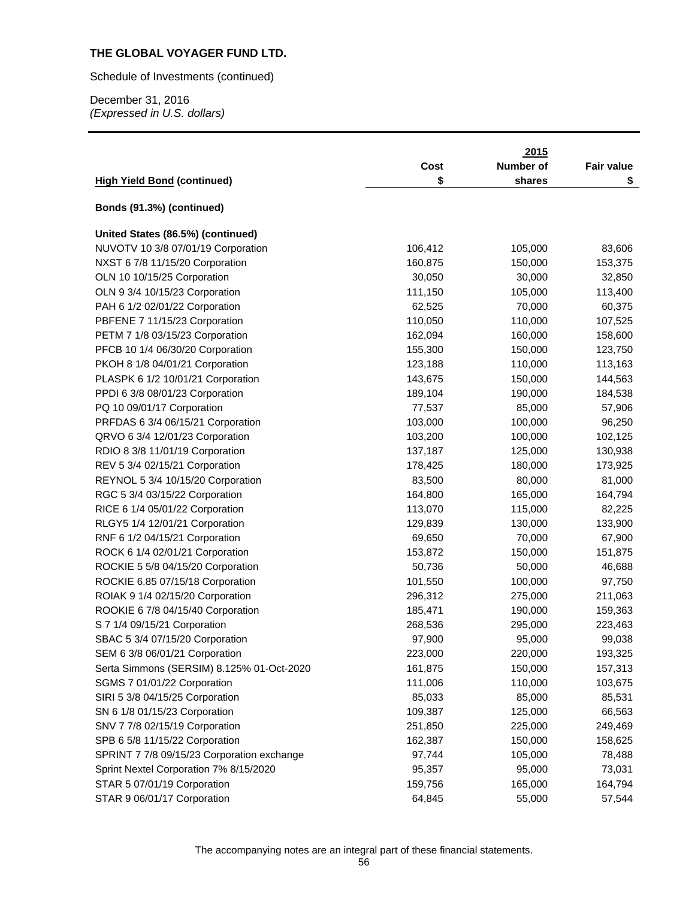Schedule of Investments (continued)

December 31, 2016 *(Expressed in U.S. dollars)* 

|                                            |         | 2015      |                   |
|--------------------------------------------|---------|-----------|-------------------|
|                                            | Cost    | Number of | <b>Fair value</b> |
| <b>High Yield Bond (continued)</b>         | \$      | shares    | \$                |
|                                            |         |           |                   |
| Bonds (91.3%) (continued)                  |         |           |                   |
| United States (86.5%) (continued)          |         |           |                   |
| NUVOTV 10 3/8 07/01/19 Corporation         | 106,412 | 105,000   | 83,606            |
| NXST 6 7/8 11/15/20 Corporation            | 160,875 | 150,000   | 153,375           |
| OLN 10 10/15/25 Corporation                | 30,050  | 30,000    | 32,850            |
| OLN 9 3/4 10/15/23 Corporation             | 111,150 | 105,000   | 113,400           |
| PAH 6 1/2 02/01/22 Corporation             | 62,525  | 70,000    | 60,375            |
| PBFENE 7 11/15/23 Corporation              | 110,050 | 110,000   | 107,525           |
| PETM 7 1/8 03/15/23 Corporation            | 162,094 | 160,000   | 158,600           |
| PFCB 10 1/4 06/30/20 Corporation           | 155,300 | 150,000   | 123,750           |
| PKOH 8 1/8 04/01/21 Corporation            | 123,188 | 110,000   | 113,163           |
| PLASPK 6 1/2 10/01/21 Corporation          | 143,675 | 150,000   | 144,563           |
| PPDI 6 3/8 08/01/23 Corporation            | 189,104 | 190,000   | 184,538           |
| PQ 10 09/01/17 Corporation                 | 77,537  | 85,000    | 57,906            |
| PRFDAS 6 3/4 06/15/21 Corporation          | 103,000 | 100,000   | 96,250            |
| QRVO 6 3/4 12/01/23 Corporation            | 103,200 | 100,000   | 102,125           |
| RDIO 8 3/8 11/01/19 Corporation            | 137,187 | 125,000   | 130,938           |
| REV 5 3/4 02/15/21 Corporation             | 178,425 | 180,000   | 173,925           |
| REYNOL 5 3/4 10/15/20 Corporation          | 83,500  | 80,000    | 81,000            |
| RGC 5 3/4 03/15/22 Corporation             | 164,800 | 165,000   | 164,794           |
| RICE 6 1/4 05/01/22 Corporation            | 113,070 | 115,000   | 82,225            |
| RLGY5 1/4 12/01/21 Corporation             | 129,839 | 130,000   | 133,900           |
| RNF 6 1/2 04/15/21 Corporation             | 69,650  | 70,000    | 67,900            |
| ROCK 6 1/4 02/01/21 Corporation            | 153,872 | 150,000   | 151,875           |
| ROCKIE 5 5/8 04/15/20 Corporation          | 50,736  | 50,000    | 46,688            |
| ROCKIE 6.85 07/15/18 Corporation           | 101,550 | 100,000   | 97,750            |
| ROIAK 9 1/4 02/15/20 Corporation           | 296,312 | 275,000   | 211,063           |
| ROOKIE 6 7/8 04/15/40 Corporation          | 185,471 | 190,000   | 159,363           |
| S 7 1/4 09/15/21 Corporation               | 268,536 | 295,000   | 223,463           |
| SBAC 5 3/4 07/15/20 Corporation            | 97,900  | 95,000    | 99,038            |
| SEM 6 3/8 06/01/21 Corporation             | 223,000 | 220,000   | 193,325           |
| Serta Simmons (SERSIM) 8.125% 01-Oct-2020  | 161,875 | 150,000   | 157,313           |
| SGMS 7 01/01/22 Corporation                | 111,006 | 110,000   | 103,675           |
| SIRI 5 3/8 04/15/25 Corporation            | 85,033  | 85,000    | 85,531            |
| SN 6 1/8 01/15/23 Corporation              | 109,387 | 125,000   | 66,563            |
| SNV 7 7/8 02/15/19 Corporation             | 251,850 | 225,000   | 249,469           |
| SPB 6 5/8 11/15/22 Corporation             | 162,387 | 150,000   | 158,625           |
| SPRINT 7 7/8 09/15/23 Corporation exchange | 97,744  | 105,000   | 78,488            |
| Sprint Nextel Corporation 7% 8/15/2020     | 95,357  | 95,000    | 73,031            |
| STAR 5 07/01/19 Corporation                | 159,756 | 165,000   | 164,794           |
| STAR 9 06/01/17 Corporation                | 64,845  | 55,000    | 57,544            |

The accompanying notes are an integral part of these financial statements.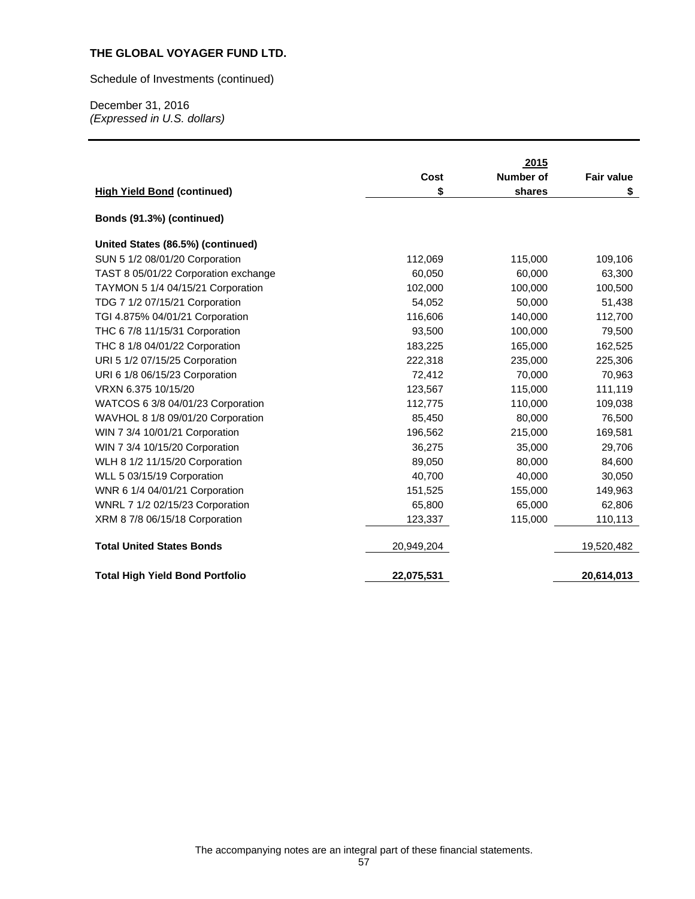Schedule of Investments (continued)

|                                        |            | 2015      |                   |
|----------------------------------------|------------|-----------|-------------------|
|                                        | Cost       | Number of | <b>Fair value</b> |
| <b>High Yield Bond (continued)</b>     | \$         | shares    | \$                |
| Bonds (91.3%) (continued)              |            |           |                   |
| United States (86.5%) (continued)      |            |           |                   |
| SUN 5 1/2 08/01/20 Corporation         | 112,069    | 115,000   | 109,106           |
| TAST 8 05/01/22 Corporation exchange   | 60,050     | 60,000    | 63,300            |
| TAYMON 5 1/4 04/15/21 Corporation      | 102,000    | 100,000   | 100,500           |
| TDG 7 1/2 07/15/21 Corporation         | 54,052     | 50,000    | 51,438            |
| TGI 4.875% 04/01/21 Corporation        | 116,606    | 140,000   | 112,700           |
| THC 6 7/8 11/15/31 Corporation         | 93,500     | 100,000   | 79,500            |
| THC 8 1/8 04/01/22 Corporation         | 183,225    | 165,000   | 162,525           |
| URI 5 1/2 07/15/25 Corporation         | 222,318    | 235,000   | 225,306           |
| URI 6 1/8 06/15/23 Corporation         | 72,412     | 70,000    | 70,963            |
| VRXN 6.375 10/15/20                    | 123,567    | 115,000   | 111,119           |
| WATCOS 6 3/8 04/01/23 Corporation      | 112,775    | 110,000   | 109,038           |
| WAVHOL 8 1/8 09/01/20 Corporation      | 85,450     | 80,000    | 76,500            |
| WIN 7 3/4 10/01/21 Corporation         | 196,562    | 215,000   | 169,581           |
| WIN 7 3/4 10/15/20 Corporation         | 36,275     | 35,000    | 29,706            |
| WLH 8 1/2 11/15/20 Corporation         | 89,050     | 80,000    | 84,600            |
| WLL 5 03/15/19 Corporation             | 40,700     | 40,000    | 30,050            |
| WNR 6 1/4 04/01/21 Corporation         | 151,525    | 155,000   | 149,963           |
| WNRL 7 1/2 02/15/23 Corporation        | 65,800     | 65,000    | 62,806            |
| XRM 8 7/8 06/15/18 Corporation         | 123,337    | 115,000   | 110,113           |
| <b>Total United States Bonds</b>       | 20,949,204 |           | 19,520,482        |
| <b>Total High Yield Bond Portfolio</b> | 22,075,531 |           | 20,614,013        |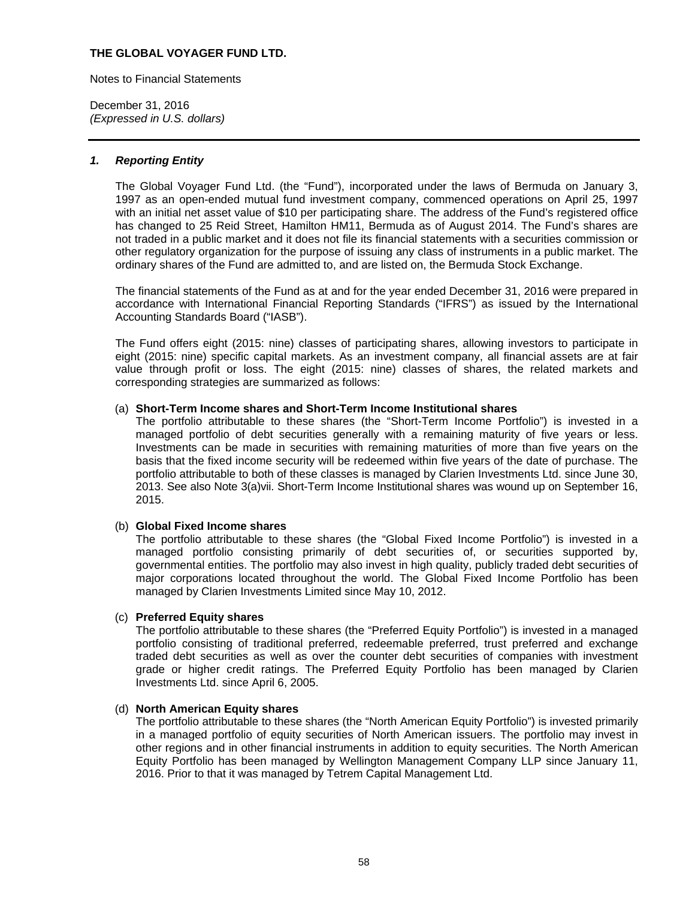Notes to Financial Statements

December 31, 2016 *(Expressed in U.S. dollars)* 

### *1. Reporting Entity*

The Global Voyager Fund Ltd. (the "Fund"), incorporated under the laws of Bermuda on January 3, 1997 as an open-ended mutual fund investment company, commenced operations on April 25, 1997 with an initial net asset value of \$10 per participating share. The address of the Fund's registered office has changed to 25 Reid Street, Hamilton HM11, Bermuda as of August 2014. The Fund's shares are not traded in a public market and it does not file its financial statements with a securities commission or other regulatory organization for the purpose of issuing any class of instruments in a public market. The ordinary shares of the Fund are admitted to, and are listed on, the Bermuda Stock Exchange.

The financial statements of the Fund as at and for the year ended December 31, 2016 were prepared in accordance with International Financial Reporting Standards ("IFRS") as issued by the International Accounting Standards Board ("IASB").

The Fund offers eight (2015: nine) classes of participating shares, allowing investors to participate in eight (2015: nine) specific capital markets. As an investment company, all financial assets are at fair value through profit or loss. The eight (2015: nine) classes of shares, the related markets and corresponding strategies are summarized as follows:

#### (a) **Short-Term Income shares and Short-Term Income Institutional shares**

The portfolio attributable to these shares (the "Short-Term Income Portfolio") is invested in a managed portfolio of debt securities generally with a remaining maturity of five years or less. Investments can be made in securities with remaining maturities of more than five years on the basis that the fixed income security will be redeemed within five years of the date of purchase. The portfolio attributable to both of these classes is managed by Clarien Investments Ltd. since June 30, 2013. See also Note 3(a)vii. Short-Term Income Institutional shares was wound up on September 16, 2015.

### (b) **Global Fixed Income shares**

The portfolio attributable to these shares (the "Global Fixed Income Portfolio") is invested in a managed portfolio consisting primarily of debt securities of, or securities supported by, governmental entities. The portfolio may also invest in high quality, publicly traded debt securities of major corporations located throughout the world. The Global Fixed Income Portfolio has been managed by Clarien Investments Limited since May 10, 2012.

## (c) **Preferred Equity shares**

The portfolio attributable to these shares (the "Preferred Equity Portfolio") is invested in a managed portfolio consisting of traditional preferred, redeemable preferred, trust preferred and exchange traded debt securities as well as over the counter debt securities of companies with investment grade or higher credit ratings. The Preferred Equity Portfolio has been managed by Clarien Investments Ltd. since April 6, 2005.

### (d) **North American Equity shares**

The portfolio attributable to these shares (the "North American Equity Portfolio") is invested primarily in a managed portfolio of equity securities of North American issuers. The portfolio may invest in other regions and in other financial instruments in addition to equity securities. The North American Equity Portfolio has been managed by Wellington Management Company LLP since January 11, 2016. Prior to that it was managed by Tetrem Capital Management Ltd.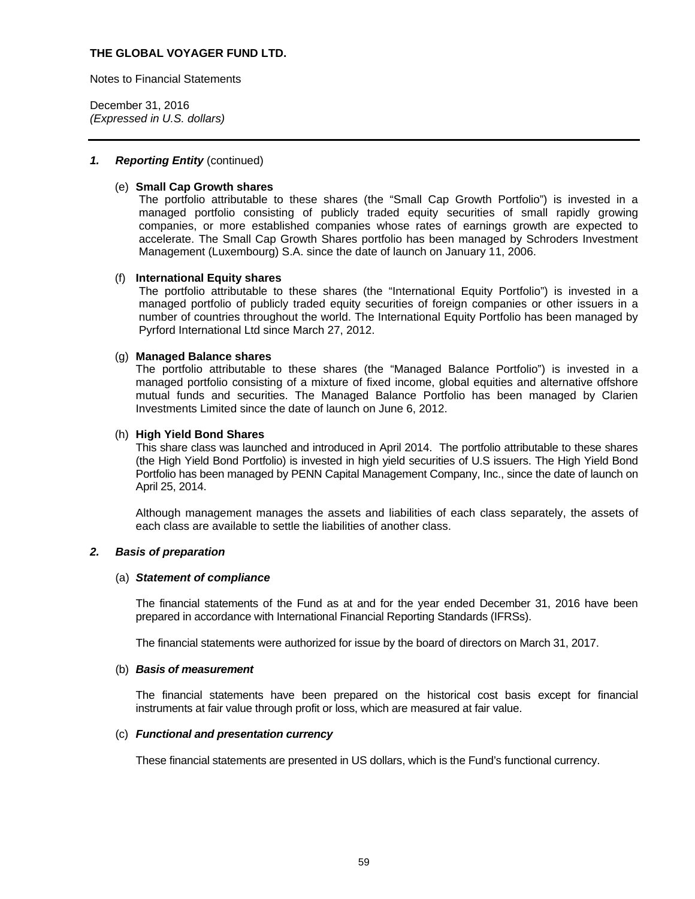Notes to Financial Statements

December 31, 2016 *(Expressed in U.S. dollars)* 

### *1. Reporting Entity* (continued)

### (e) **Small Cap Growth shares**

The portfolio attributable to these shares (the "Small Cap Growth Portfolio") is invested in a managed portfolio consisting of publicly traded equity securities of small rapidly growing companies, or more established companies whose rates of earnings growth are expected to accelerate. The Small Cap Growth Shares portfolio has been managed by Schroders Investment Management (Luxembourg) S.A. since the date of launch on January 11, 2006.

#### (f) **International Equity shares**

The portfolio attributable to these shares (the "International Equity Portfolio") is invested in a managed portfolio of publicly traded equity securities of foreign companies or other issuers in a number of countries throughout the world. The International Equity Portfolio has been managed by Pyrford International Ltd since March 27, 2012.

#### (g) **Managed Balance shares**

The portfolio attributable to these shares (the "Managed Balance Portfolio") is invested in a managed portfolio consisting of a mixture of fixed income, global equities and alternative offshore mutual funds and securities. The Managed Balance Portfolio has been managed by Clarien Investments Limited since the date of launch on June 6, 2012.

#### (h) **High Yield Bond Shares**

This share class was launched and introduced in April 2014. The portfolio attributable to these shares (the High Yield Bond Portfolio) is invested in high yield securities of U.S issuers. The High Yield Bond Portfolio has been managed by PENN Capital Management Company, Inc., since the date of launch on April 25, 2014.

Although management manages the assets and liabilities of each class separately, the assets of each class are available to settle the liabilities of another class.

### *2. Basis of preparation*

#### (a) *Statement of compliance*

The financial statements of the Fund as at and for the year ended December 31, 2016 have been prepared in accordance with International Financial Reporting Standards (IFRSs).

The financial statements were authorized for issue by the board of directors on March 31, 2017.

### (b) *Basis of measurement*

The financial statements have been prepared on the historical cost basis except for financial instruments at fair value through profit or loss, which are measured at fair value.

#### (c) *Functional and presentation currency*

These financial statements are presented in US dollars, which is the Fund's functional currency.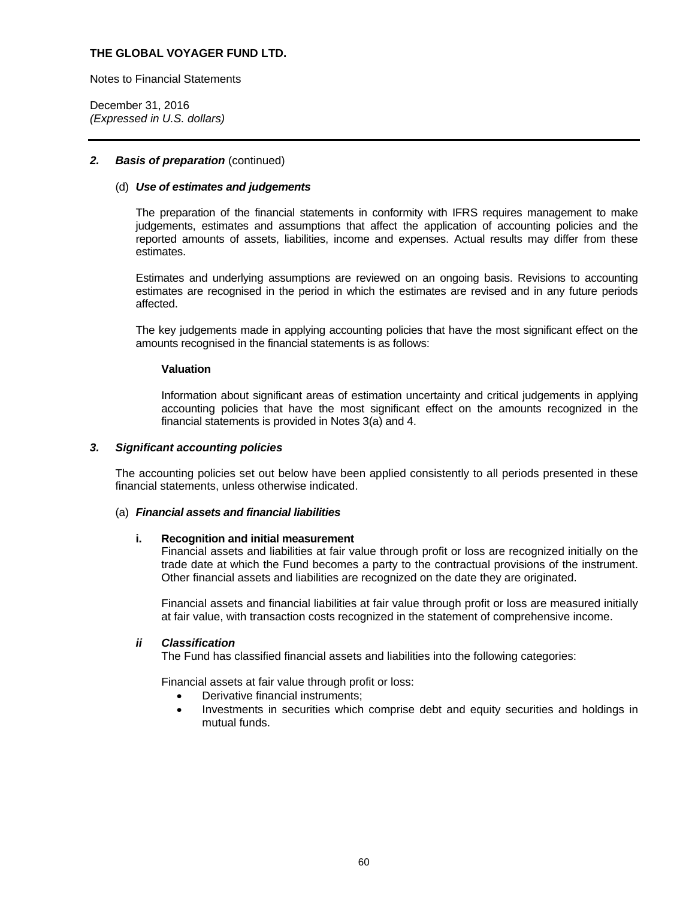Notes to Financial Statements

December 31, 2016 *(Expressed in U.S. dollars)* 

## **2.** Basis of preparation (continued)

### (d) *Use of estimates and judgements*

The preparation of the financial statements in conformity with IFRS requires management to make judgements, estimates and assumptions that affect the application of accounting policies and the reported amounts of assets, liabilities, income and expenses. Actual results may differ from these estimates.

Estimates and underlying assumptions are reviewed on an ongoing basis. Revisions to accounting estimates are recognised in the period in which the estimates are revised and in any future periods affected.

The key judgements made in applying accounting policies that have the most significant effect on the amounts recognised in the financial statements is as follows:

### **Valuation**

Information about significant areas of estimation uncertainty and critical judgements in applying accounting policies that have the most significant effect on the amounts recognized in the financial statements is provided in Notes 3(a) and 4.

### *3. Significant accounting policies*

The accounting policies set out below have been applied consistently to all periods presented in these financial statements, unless otherwise indicated.

### (a) *Financial assets and financial liabilities*

#### **i. Recognition and initial measurement**

Financial assets and liabilities at fair value through profit or loss are recognized initially on the trade date at which the Fund becomes a party to the contractual provisions of the instrument. Other financial assets and liabilities are recognized on the date they are originated.

Financial assets and financial liabilities at fair value through profit or loss are measured initially at fair value, with transaction costs recognized in the statement of comprehensive income.

### *ii Classification*

The Fund has classified financial assets and liabilities into the following categories:

Financial assets at fair value through profit or loss:

- Derivative financial instruments;
- Investments in securities which comprise debt and equity securities and holdings in mutual funds.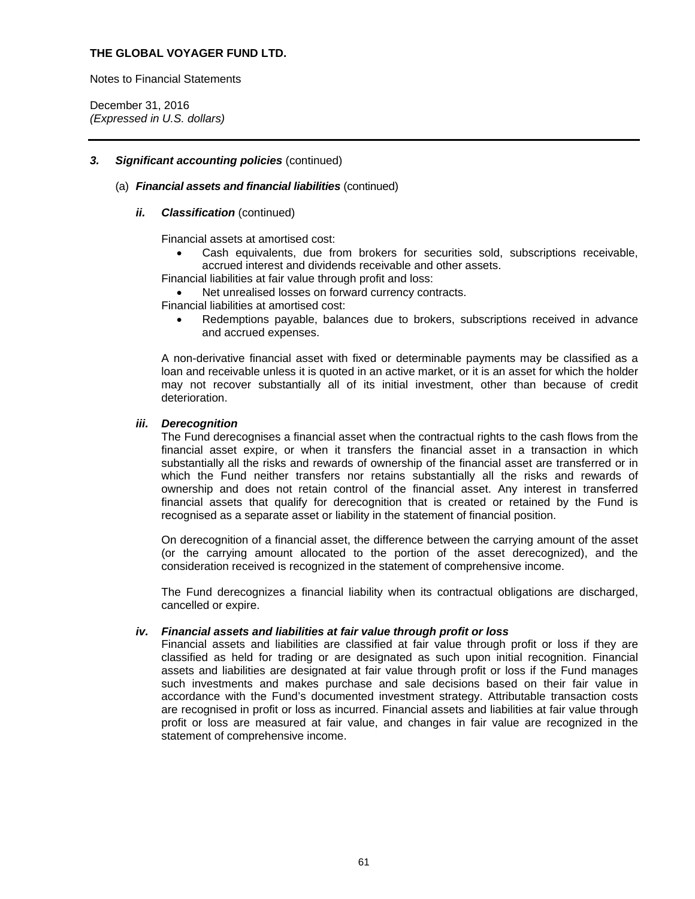Notes to Financial Statements

December 31, 2016 *(Expressed in U.S. dollars)* 

### *3. Significant accounting policies* (continued)

### (a) *Financial assets and financial liabilities* (continued)

## *ii. Classification* (continued)

Financial assets at amortised cost:

 Cash equivalents, due from brokers for securities sold, subscriptions receivable, accrued interest and dividends receivable and other assets.

Financial liabilities at fair value through profit and loss:

Net unrealised losses on forward currency contracts.

Financial liabilities at amortised cost:

 Redemptions payable, balances due to brokers, subscriptions received in advance and accrued expenses.

A non-derivative financial asset with fixed or determinable payments may be classified as a loan and receivable unless it is quoted in an active market, or it is an asset for which the holder may not recover substantially all of its initial investment, other than because of credit deterioration.

### *iii. Derecognition*

The Fund derecognises a financial asset when the contractual rights to the cash flows from the financial asset expire, or when it transfers the financial asset in a transaction in which substantially all the risks and rewards of ownership of the financial asset are transferred or in which the Fund neither transfers nor retains substantially all the risks and rewards of ownership and does not retain control of the financial asset. Any interest in transferred financial assets that qualify for derecognition that is created or retained by the Fund is recognised as a separate asset or liability in the statement of financial position.

On derecognition of a financial asset, the difference between the carrying amount of the asset (or the carrying amount allocated to the portion of the asset derecognized), and the consideration received is recognized in the statement of comprehensive income.

The Fund derecognizes a financial liability when its contractual obligations are discharged, cancelled or expire.

### *iv. Financial assets and liabilities at fair value through profit or loss*

Financial assets and liabilities are classified at fair value through profit or loss if they are classified as held for trading or are designated as such upon initial recognition. Financial assets and liabilities are designated at fair value through profit or loss if the Fund manages such investments and makes purchase and sale decisions based on their fair value in accordance with the Fund's documented investment strategy. Attributable transaction costs are recognised in profit or loss as incurred. Financial assets and liabilities at fair value through profit or loss are measured at fair value, and changes in fair value are recognized in the statement of comprehensive income.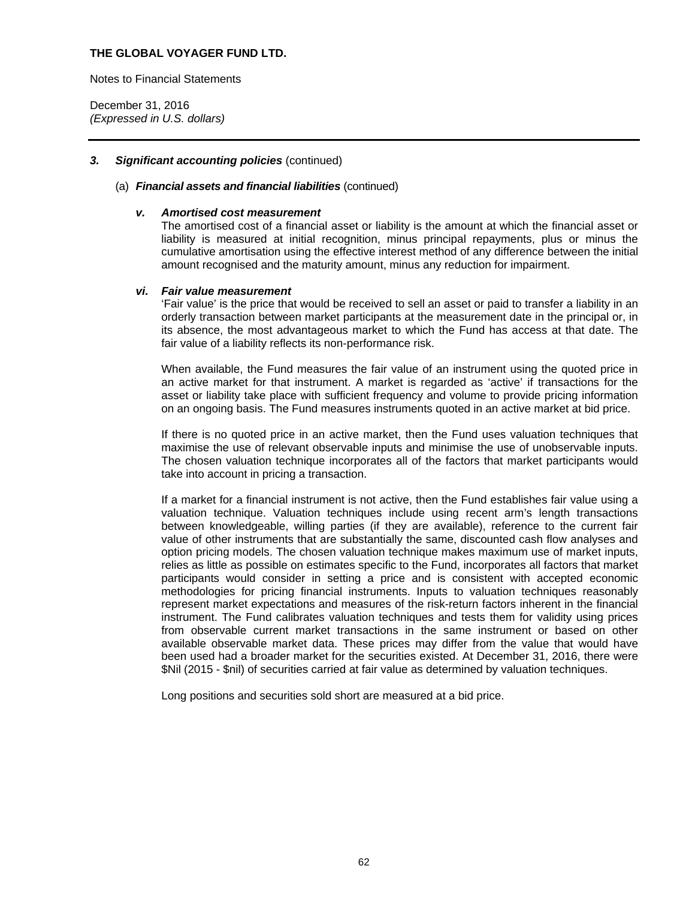Notes to Financial Statements

December 31, 2016 *(Expressed in U.S. dollars)* 

### *3. Significant accounting policies* (continued)

#### (a) *Financial assets and financial liabilities* (continued)

#### *v. Amortised cost measurement*

The amortised cost of a financial asset or liability is the amount at which the financial asset or liability is measured at initial recognition, minus principal repayments, plus or minus the cumulative amortisation using the effective interest method of any difference between the initial amount recognised and the maturity amount, minus any reduction for impairment.

#### *vi. Fair value measurement*

'Fair value' is the price that would be received to sell an asset or paid to transfer a liability in an orderly transaction between market participants at the measurement date in the principal or, in its absence, the most advantageous market to which the Fund has access at that date. The fair value of a liability reflects its non-performance risk.

When available, the Fund measures the fair value of an instrument using the quoted price in an active market for that instrument. A market is regarded as 'active' if transactions for the asset or liability take place with sufficient frequency and volume to provide pricing information on an ongoing basis. The Fund measures instruments quoted in an active market at bid price.

If there is no quoted price in an active market, then the Fund uses valuation techniques that maximise the use of relevant observable inputs and minimise the use of unobservable inputs. The chosen valuation technique incorporates all of the factors that market participants would take into account in pricing a transaction.

If a market for a financial instrument is not active, then the Fund establishes fair value using a valuation technique. Valuation techniques include using recent arm's length transactions between knowledgeable, willing parties (if they are available), reference to the current fair value of other instruments that are substantially the same, discounted cash flow analyses and option pricing models. The chosen valuation technique makes maximum use of market inputs, relies as little as possible on estimates specific to the Fund, incorporates all factors that market participants would consider in setting a price and is consistent with accepted economic methodologies for pricing financial instruments. Inputs to valuation techniques reasonably represent market expectations and measures of the risk-return factors inherent in the financial instrument. The Fund calibrates valuation techniques and tests them for validity using prices from observable current market transactions in the same instrument or based on other available observable market data. These prices may differ from the value that would have been used had a broader market for the securities existed. At December 31, 2016, there were \$Nil (2015 - \$nil) of securities carried at fair value as determined by valuation techniques.

Long positions and securities sold short are measured at a bid price.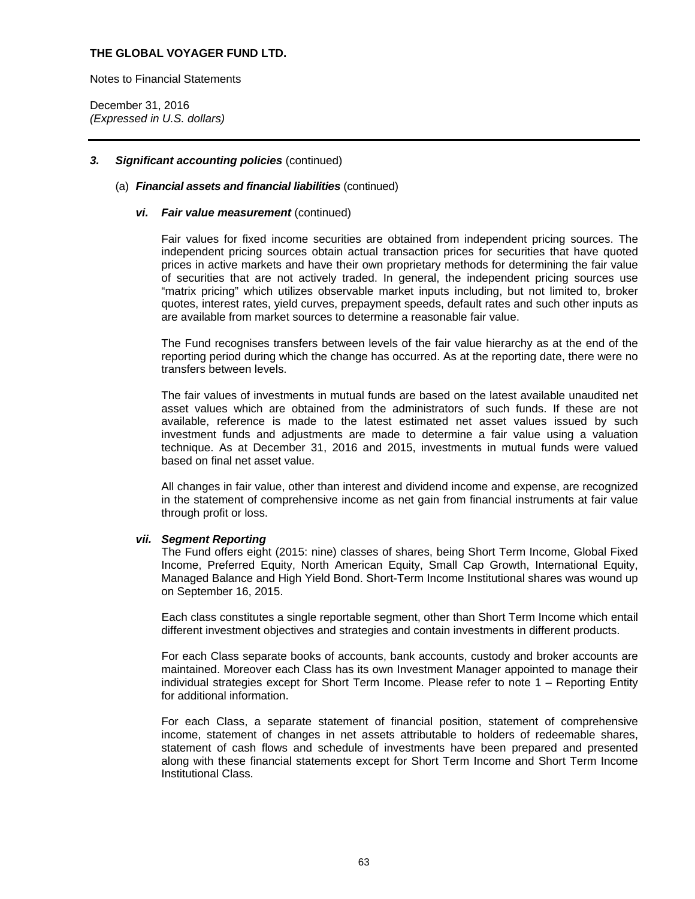Notes to Financial Statements

December 31, 2016 *(Expressed in U.S. dollars)* 

### *3. Significant accounting policies* (continued)

### (a) *Financial assets and financial liabilities* (continued)

#### *vi. Fair value measurement* (continued)

Fair values for fixed income securities are obtained from independent pricing sources. The independent pricing sources obtain actual transaction prices for securities that have quoted prices in active markets and have their own proprietary methods for determining the fair value of securities that are not actively traded. In general, the independent pricing sources use "matrix pricing" which utilizes observable market inputs including, but not limited to, broker quotes, interest rates, yield curves, prepayment speeds, default rates and such other inputs as are available from market sources to determine a reasonable fair value.

The Fund recognises transfers between levels of the fair value hierarchy as at the end of the reporting period during which the change has occurred. As at the reporting date, there were no transfers between levels.

The fair values of investments in mutual funds are based on the latest available unaudited net asset values which are obtained from the administrators of such funds. If these are not available, reference is made to the latest estimated net asset values issued by such investment funds and adjustments are made to determine a fair value using a valuation technique. As at December 31, 2016 and 2015, investments in mutual funds were valued based on final net asset value.

All changes in fair value, other than interest and dividend income and expense, are recognized in the statement of comprehensive income as net gain from financial instruments at fair value through profit or loss.

#### *vii. Segment Reporting*

The Fund offers eight (2015: nine) classes of shares, being Short Term Income, Global Fixed Income, Preferred Equity, North American Equity, Small Cap Growth, International Equity, Managed Balance and High Yield Bond. Short-Term Income Institutional shares was wound up on September 16, 2015.

Each class constitutes a single reportable segment, other than Short Term Income which entail different investment objectives and strategies and contain investments in different products.

For each Class separate books of accounts, bank accounts, custody and broker accounts are maintained. Moreover each Class has its own Investment Manager appointed to manage their individual strategies except for Short Term Income. Please refer to note 1 – Reporting Entity for additional information.

For each Class, a separate statement of financial position, statement of comprehensive income, statement of changes in net assets attributable to holders of redeemable shares, statement of cash flows and schedule of investments have been prepared and presented along with these financial statements except for Short Term Income and Short Term Income Institutional Class.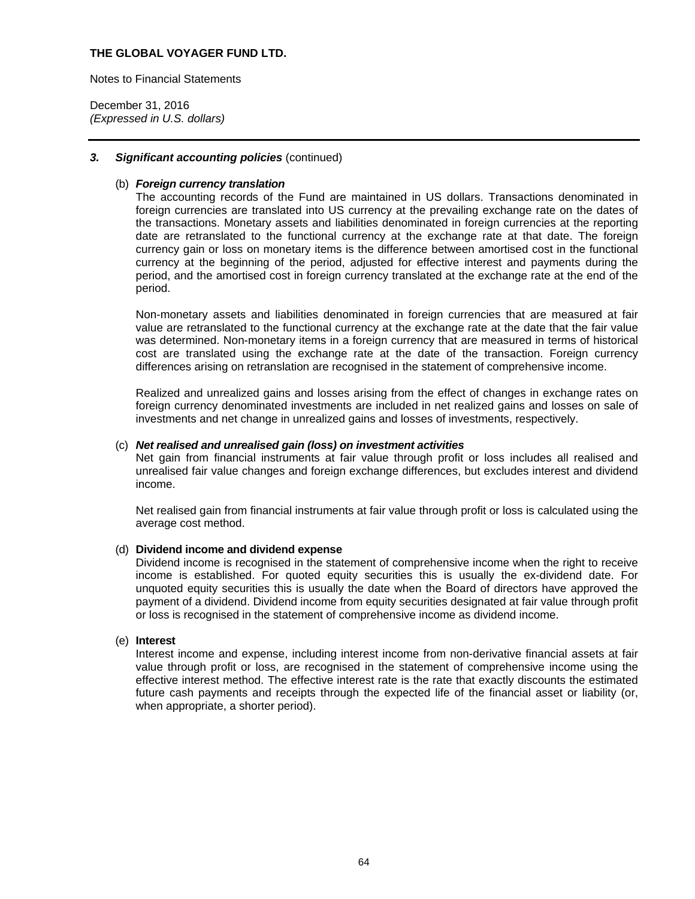Notes to Financial Statements

December 31, 2016 *(Expressed in U.S. dollars)* 

### *3. Significant accounting policies* (continued)

### (b) *Foreign currency translation*

The accounting records of the Fund are maintained in US dollars. Transactions denominated in foreign currencies are translated into US currency at the prevailing exchange rate on the dates of the transactions. Monetary assets and liabilities denominated in foreign currencies at the reporting date are retranslated to the functional currency at the exchange rate at that date. The foreign currency gain or loss on monetary items is the difference between amortised cost in the functional currency at the beginning of the period, adjusted for effective interest and payments during the period, and the amortised cost in foreign currency translated at the exchange rate at the end of the period.

Non-monetary assets and liabilities denominated in foreign currencies that are measured at fair value are retranslated to the functional currency at the exchange rate at the date that the fair value was determined. Non-monetary items in a foreign currency that are measured in terms of historical cost are translated using the exchange rate at the date of the transaction. Foreign currency differences arising on retranslation are recognised in the statement of comprehensive income.

Realized and unrealized gains and losses arising from the effect of changes in exchange rates on foreign currency denominated investments are included in net realized gains and losses on sale of investments and net change in unrealized gains and losses of investments, respectively.

### (c) *Net realised and unrealised gain (loss) on investment activities*

Net gain from financial instruments at fair value through profit or loss includes all realised and unrealised fair value changes and foreign exchange differences, but excludes interest and dividend income.

Net realised gain from financial instruments at fair value through profit or loss is calculated using the average cost method.

### (d) **Dividend income and dividend expense**

Dividend income is recognised in the statement of comprehensive income when the right to receive income is established. For quoted equity securities this is usually the ex-dividend date. For unquoted equity securities this is usually the date when the Board of directors have approved the payment of a dividend. Dividend income from equity securities designated at fair value through profit or loss is recognised in the statement of comprehensive income as dividend income.

#### (e) **Interest**

Interest income and expense, including interest income from non-derivative financial assets at fair value through profit or loss, are recognised in the statement of comprehensive income using the effective interest method. The effective interest rate is the rate that exactly discounts the estimated future cash payments and receipts through the expected life of the financial asset or liability (or, when appropriate, a shorter period).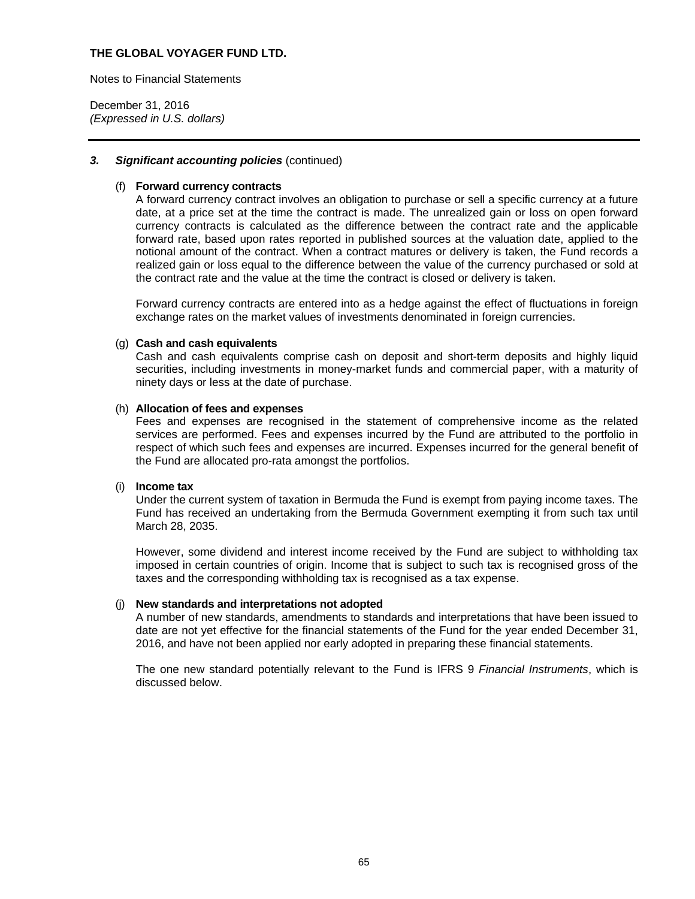Notes to Financial Statements

December 31, 2016 *(Expressed in U.S. dollars)* 

### *3. Significant accounting policies* (continued)

#### (f) **Forward currency contracts**

A forward currency contract involves an obligation to purchase or sell a specific currency at a future date, at a price set at the time the contract is made. The unrealized gain or loss on open forward currency contracts is calculated as the difference between the contract rate and the applicable forward rate, based upon rates reported in published sources at the valuation date, applied to the notional amount of the contract. When a contract matures or delivery is taken, the Fund records a realized gain or loss equal to the difference between the value of the currency purchased or sold at the contract rate and the value at the time the contract is closed or delivery is taken.

Forward currency contracts are entered into as a hedge against the effect of fluctuations in foreign exchange rates on the market values of investments denominated in foreign currencies.

#### (g) **Cash and cash equivalents**

Cash and cash equivalents comprise cash on deposit and short-term deposits and highly liquid securities, including investments in money-market funds and commercial paper, with a maturity of ninety days or less at the date of purchase.

#### (h) **Allocation of fees and expenses**

Fees and expenses are recognised in the statement of comprehensive income as the related services are performed. Fees and expenses incurred by the Fund are attributed to the portfolio in respect of which such fees and expenses are incurred. Expenses incurred for the general benefit of the Fund are allocated pro-rata amongst the portfolios.

#### (i) **Income tax**

Under the current system of taxation in Bermuda the Fund is exempt from paying income taxes. The Fund has received an undertaking from the Bermuda Government exempting it from such tax until March 28, 2035.

However, some dividend and interest income received by the Fund are subject to withholding tax imposed in certain countries of origin. Income that is subject to such tax is recognised gross of the taxes and the corresponding withholding tax is recognised as a tax expense.

#### (j) **New standards and interpretations not adopted**

A number of new standards, amendments to standards and interpretations that have been issued to date are not yet effective for the financial statements of the Fund for the year ended December 31, 2016, and have not been applied nor early adopted in preparing these financial statements.

The one new standard potentially relevant to the Fund is IFRS 9 *Financial Instruments*, which is discussed below.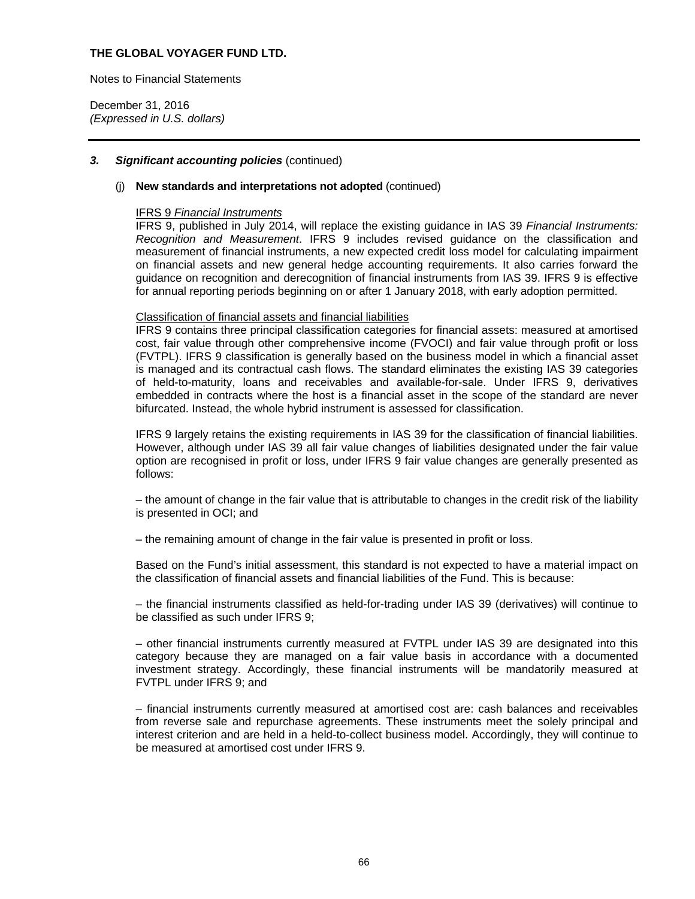Notes to Financial Statements

December 31, 2016 *(Expressed in U.S. dollars)* 

### *3. Significant accounting policies* (continued)

## (j) **New standards and interpretations not adopted** (continued)

#### IFRS 9 *Financial Instruments*

IFRS 9, published in July 2014, will replace the existing guidance in IAS 39 *Financial Instruments: Recognition and Measurement*. IFRS 9 includes revised guidance on the classification and measurement of financial instruments, a new expected credit loss model for calculating impairment on financial assets and new general hedge accounting requirements. It also carries forward the guidance on recognition and derecognition of financial instruments from IAS 39. IFRS 9 is effective for annual reporting periods beginning on or after 1 January 2018, with early adoption permitted.

#### Classification of financial assets and financial liabilities

IFRS 9 contains three principal classification categories for financial assets: measured at amortised cost, fair value through other comprehensive income (FVOCI) and fair value through profit or loss (FVTPL). IFRS 9 classification is generally based on the business model in which a financial asset is managed and its contractual cash flows. The standard eliminates the existing IAS 39 categories of held-to-maturity, loans and receivables and available-for-sale. Under IFRS 9, derivatives embedded in contracts where the host is a financial asset in the scope of the standard are never bifurcated. Instead, the whole hybrid instrument is assessed for classification.

IFRS 9 largely retains the existing requirements in IAS 39 for the classification of financial liabilities. However, although under IAS 39 all fair value changes of liabilities designated under the fair value option are recognised in profit or loss, under IFRS 9 fair value changes are generally presented as follows:

– the amount of change in the fair value that is attributable to changes in the credit risk of the liability is presented in OCI; and

– the remaining amount of change in the fair value is presented in profit or loss.

Based on the Fund's initial assessment, this standard is not expected to have a material impact on the classification of financial assets and financial liabilities of the Fund. This is because:

– the financial instruments classified as held-for-trading under IAS 39 (derivatives) will continue to be classified as such under IFRS 9;

– other financial instruments currently measured at FVTPL under IAS 39 are designated into this category because they are managed on a fair value basis in accordance with a documented investment strategy. Accordingly, these financial instruments will be mandatorily measured at FVTPL under IFRS 9; and

– financial instruments currently measured at amortised cost are: cash balances and receivables from reverse sale and repurchase agreements. These instruments meet the solely principal and interest criterion and are held in a held-to-collect business model. Accordingly, they will continue to be measured at amortised cost under IFRS 9.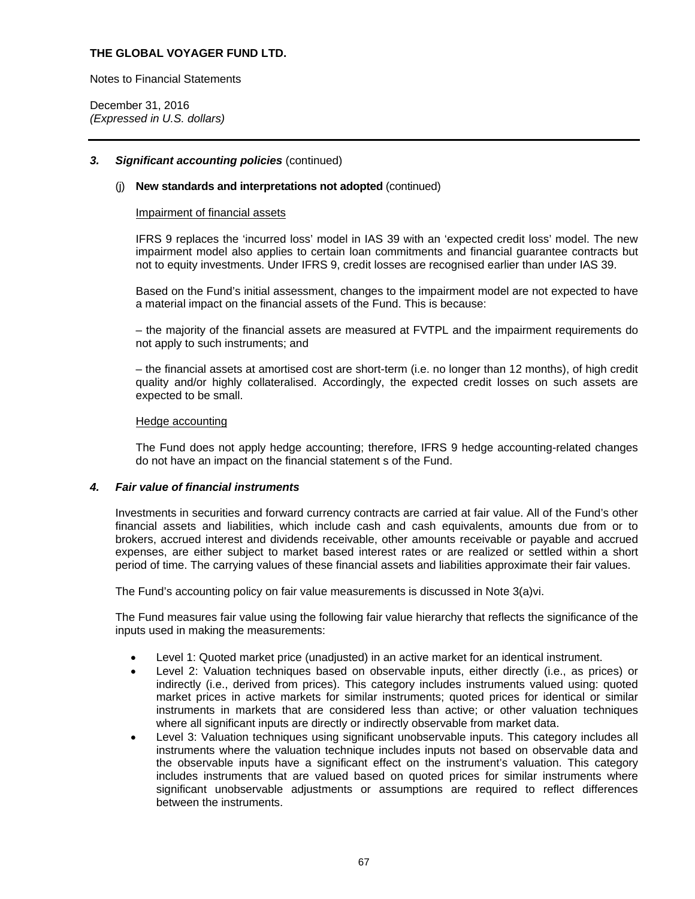Notes to Financial Statements

December 31, 2016 *(Expressed in U.S. dollars)* 

### *3. Significant accounting policies* (continued)

### (j) **New standards and interpretations not adopted** (continued)

#### Impairment of financial assets

IFRS 9 replaces the 'incurred loss' model in IAS 39 with an 'expected credit loss' model. The new impairment model also applies to certain loan commitments and financial guarantee contracts but not to equity investments. Under IFRS 9, credit losses are recognised earlier than under IAS 39.

Based on the Fund's initial assessment, changes to the impairment model are not expected to have a material impact on the financial assets of the Fund. This is because:

– the majority of the financial assets are measured at FVTPL and the impairment requirements do not apply to such instruments; and

– the financial assets at amortised cost are short-term (i.e. no longer than 12 months), of high credit quality and/or highly collateralised. Accordingly, the expected credit losses on such assets are expected to be small.

#### Hedge accounting

The Fund does not apply hedge accounting; therefore, IFRS 9 hedge accounting-related changes do not have an impact on the financial statement s of the Fund.

### *4. Fair value of financial instruments*

Investments in securities and forward currency contracts are carried at fair value. All of the Fund's other financial assets and liabilities, which include cash and cash equivalents, amounts due from or to brokers, accrued interest and dividends receivable, other amounts receivable or payable and accrued expenses, are either subject to market based interest rates or are realized or settled within a short period of time. The carrying values of these financial assets and liabilities approximate their fair values.

The Fund's accounting policy on fair value measurements is discussed in Note 3(a)vi.

The Fund measures fair value using the following fair value hierarchy that reflects the significance of the inputs used in making the measurements:

- Level 1: Quoted market price (unadjusted) in an active market for an identical instrument.
- Level 2: Valuation techniques based on observable inputs, either directly (i.e., as prices) or indirectly (i.e., derived from prices). This category includes instruments valued using: quoted market prices in active markets for similar instruments; quoted prices for identical or similar instruments in markets that are considered less than active; or other valuation techniques where all significant inputs are directly or indirectly observable from market data.
- Level 3: Valuation techniques using significant unobservable inputs. This category includes all instruments where the valuation technique includes inputs not based on observable data and the observable inputs have a significant effect on the instrument's valuation. This category includes instruments that are valued based on quoted prices for similar instruments where significant unobservable adjustments or assumptions are required to reflect differences between the instruments.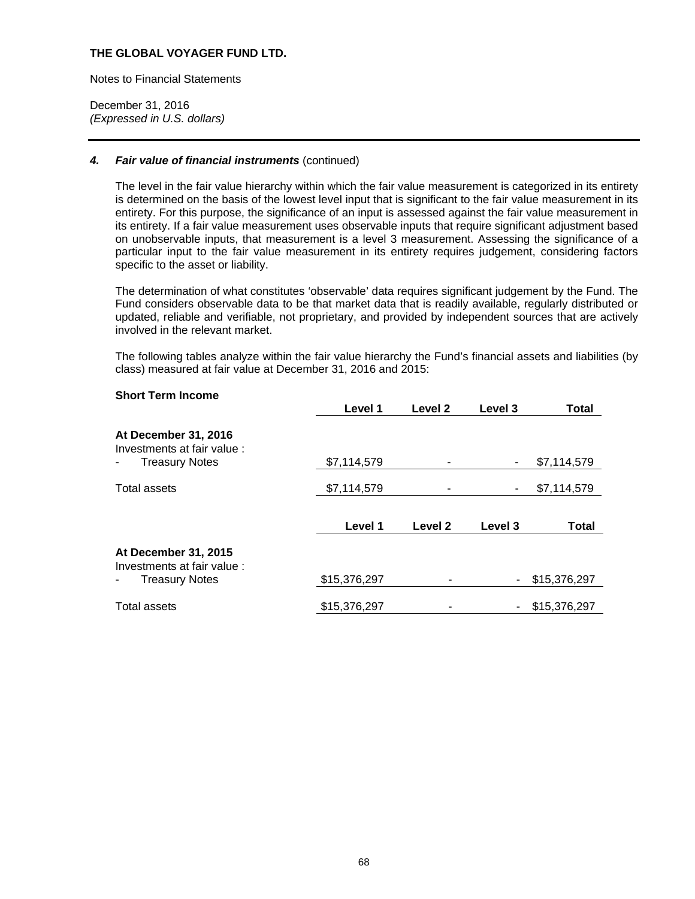Notes to Financial Statements

December 31, 2016 *(Expressed in U.S. dollars)* 

### *4. Fair value of financial instruments* (continued)

The level in the fair value hierarchy within which the fair value measurement is categorized in its entirety is determined on the basis of the lowest level input that is significant to the fair value measurement in its entirety. For this purpose, the significance of an input is assessed against the fair value measurement in its entirety. If a fair value measurement uses observable inputs that require significant adjustment based on unobservable inputs, that measurement is a level 3 measurement. Assessing the significance of a particular input to the fair value measurement in its entirety requires judgement, considering factors specific to the asset or liability.

The determination of what constitutes 'observable' data requires significant judgement by the Fund. The Fund considers observable data to be that market data that is readily available, regularly distributed or updated, reliable and verifiable, not proprietary, and provided by independent sources that are actively involved in the relevant market.

The following tables analyze within the fair value hierarchy the Fund's financial assets and liabilities (by class) measured at fair value at December 31, 2016 and 2015:

### **Short Term Income**

|                                                                              | Level 1      | Level <sub>2</sub> | Level 3 | <b>Total</b> |
|------------------------------------------------------------------------------|--------------|--------------------|---------|--------------|
| At December 31, 2016<br>Investments at fair value :<br><b>Treasury Notes</b> | \$7,114,579  |                    |         | \$7,114,579  |
| <b>Total assets</b>                                                          | \$7,114,579  |                    | ۰       | \$7,114,579  |
|                                                                              | Level 1      | Level 2            | Level 3 | <b>Total</b> |
| At December 31, 2015                                                         |              |                    |         |              |
| Investments at fair value:<br><b>Treasury Notes</b>                          | \$15,376,297 |                    | -       | \$15,376,297 |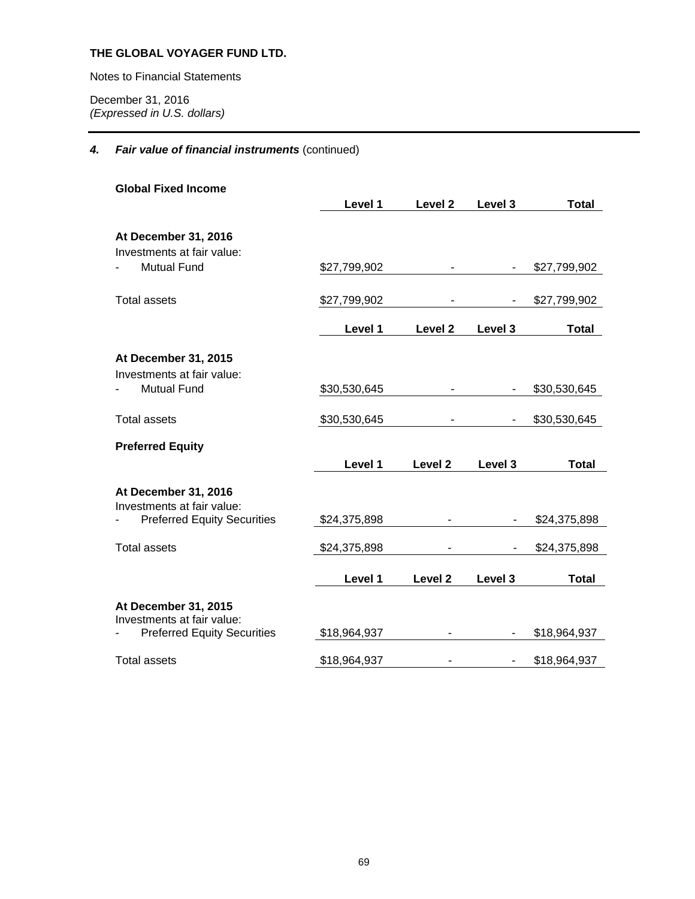Notes to Financial Statements

December 31, 2016 *(Expressed in U.S. dollars)* 

# *4. Fair value of financial instruments* (continued)

| <b>Global Fixed Income</b>                         |              |                    |         |              |
|----------------------------------------------------|--------------|--------------------|---------|--------------|
|                                                    | Level 1      | Level 2            | Level 3 | <b>Total</b> |
|                                                    |              |                    |         |              |
| At December 31, 2016<br>Investments at fair value: |              |                    |         |              |
| <b>Mutual Fund</b>                                 | \$27,799,902 |                    |         | \$27,799,902 |
| Total assets                                       | \$27,799,902 |                    |         | \$27,799,902 |
|                                                    | Level 1      | Level <sub>2</sub> | Level 3 | <b>Total</b> |
| At December 31, 2015<br>Investments at fair value: |              |                    |         |              |
| <b>Mutual Fund</b>                                 | \$30,530,645 |                    |         | \$30,530,645 |
| <b>Total assets</b>                                | \$30,530,645 |                    |         | \$30,530,645 |
| <b>Preferred Equity</b>                            |              |                    |         |              |
|                                                    | Level 1      | Level <sub>2</sub> | Level 3 | <b>Total</b> |
| At December 31, 2016<br>Investments at fair value: |              |                    |         |              |
| <b>Preferred Equity Securities</b>                 | \$24,375,898 |                    |         | \$24,375,898 |
| <b>Total assets</b>                                | \$24,375,898 |                    |         | \$24,375,898 |
|                                                    | Level 1      | Level <sub>2</sub> | Level 3 | <b>Total</b> |
| At December 31, 2015<br>Investments at fair value: |              |                    |         |              |
| <b>Preferred Equity Securities</b>                 | \$18,964,937 |                    |         | \$18,964,937 |
| <b>Total assets</b>                                | \$18,964,937 |                    |         | \$18,964,937 |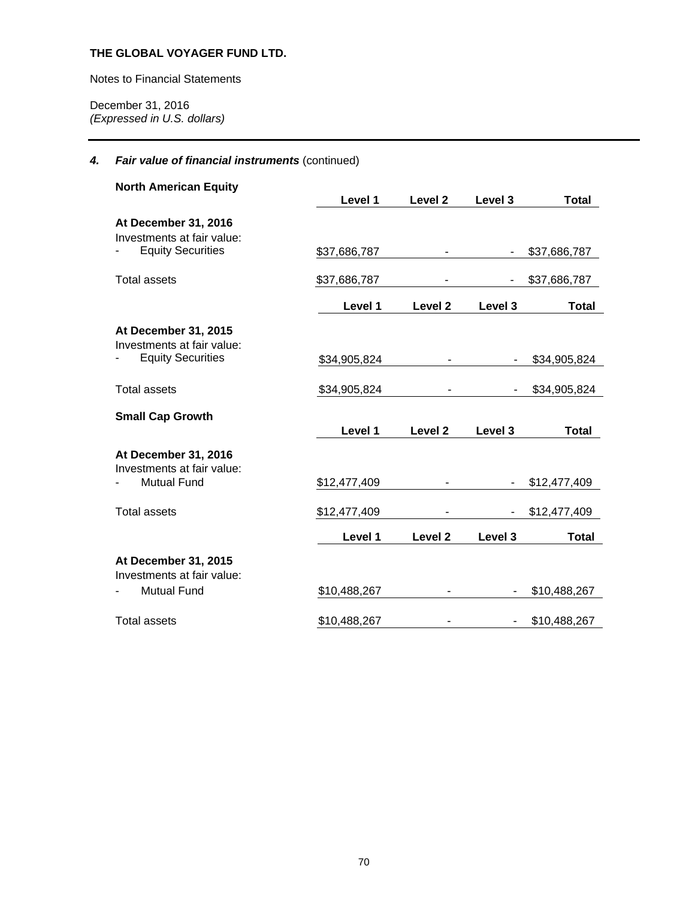Notes to Financial Statements

December 31, 2016 *(Expressed in U.S. dollars)* 

# *4. Fair value of financial instruments* (continued)

| <b>North American Equity</b>                           |              |                    |                          |              |
|--------------------------------------------------------|--------------|--------------------|--------------------------|--------------|
|                                                        | Level 1      | Level 2            | Level 3                  | <b>Total</b> |
| At December 31, 2016<br>Investments at fair value:     |              |                    |                          |              |
| <b>Equity Securities</b>                               | \$37,686,787 |                    |                          | \$37,686,787 |
| <b>Total assets</b>                                    | \$37,686,787 |                    | $\overline{\phantom{a}}$ | \$37,686,787 |
|                                                        | Level 1      | Level <sub>2</sub> | Level 3                  | Total        |
| At December 31, 2015                                   |              |                    |                          |              |
| Investments at fair value:<br><b>Equity Securities</b> | \$34,905,824 |                    |                          | \$34,905,824 |
| <b>Total assets</b>                                    | \$34,905,824 |                    |                          | \$34,905,824 |
| <b>Small Cap Growth</b>                                |              |                    |                          |              |
|                                                        | Level 1      | Level 2            | Level 3                  | <b>Total</b> |
| At December 31, 2016<br>Investments at fair value:     |              |                    |                          |              |
| <b>Mutual Fund</b>                                     | \$12,477,409 |                    |                          | \$12,477,409 |
| <b>Total assets</b>                                    | \$12,477,409 |                    |                          | \$12,477,409 |
|                                                        | Level 1      | Level 2            | Level 3                  | <b>Total</b> |
| At December 31, 2015<br>Investments at fair value:     |              |                    |                          |              |
| <b>Mutual Fund</b>                                     | \$10,488,267 |                    |                          | \$10,488,267 |
| <b>Total assets</b>                                    | \$10,488,267 |                    |                          | \$10,488,267 |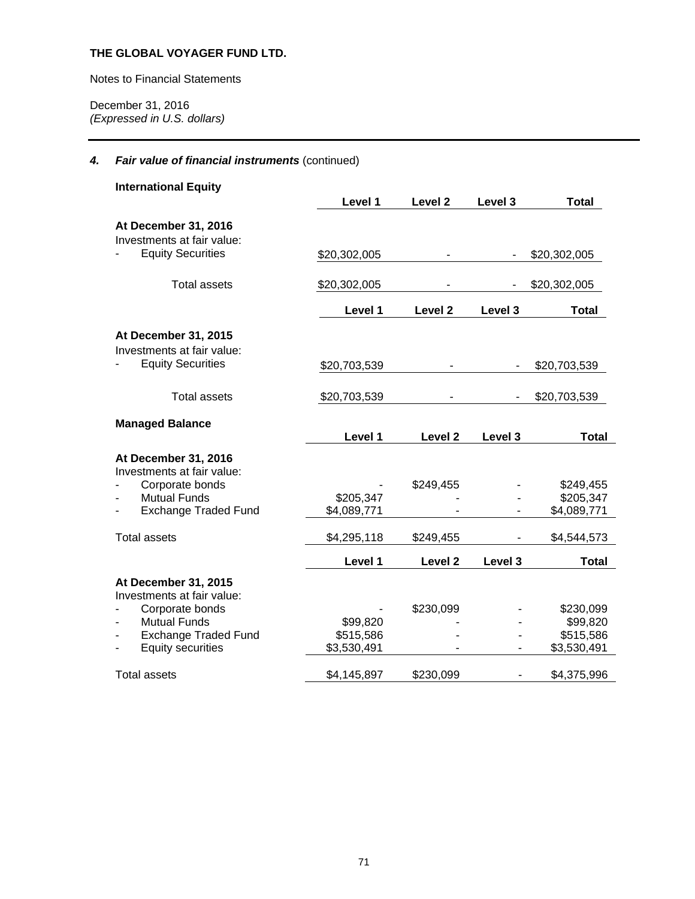Notes to Financial Statements

December 31, 2016 *(Expressed in U.S. dollars)* 

# *4. Fair value of financial instruments* (continued)

| <b>International Equity</b>                        |              |                    |              |              |
|----------------------------------------------------|--------------|--------------------|--------------|--------------|
|                                                    | Level 1      | Level 2            | Level 3      | <b>Total</b> |
| At December 31, 2016                               |              |                    |              |              |
| Investments at fair value:                         |              |                    |              |              |
| <b>Equity Securities</b>                           | \$20,302,005 |                    |              | \$20,302,005 |
| <b>Total assets</b>                                | \$20,302,005 |                    | \$20,302,005 |              |
|                                                    | Level 1      | Level <sub>2</sub> | Level 3      | <b>Total</b> |
| At December 31, 2015                               |              |                    |              |              |
| Investments at fair value:                         |              |                    |              |              |
| <b>Equity Securities</b>                           | \$20,703,539 |                    |              | \$20,703,539 |
| <b>Total assets</b>                                | \$20,703,539 |                    |              | \$20,703,539 |
|                                                    |              |                    |              |              |
| <b>Managed Balance</b>                             |              |                    |              |              |
|                                                    | Level 1      | Level <sub>2</sub> | Level 3      | <b>Total</b> |
| At December 31, 2016<br>Investments at fair value: |              |                    |              |              |
| Corporate bonds                                    |              | \$249,455          |              | \$249,455    |
| <b>Mutual Funds</b>                                | \$205,347    |                    |              | \$205,347    |
| <b>Exchange Traded Fund</b>                        | \$4,089,771  |                    |              | \$4,089,771  |
| <b>Total assets</b>                                | \$4,295,118  | \$249,455          |              | \$4,544,573  |
|                                                    | Level 1      | Level <sub>2</sub> | Level 3      | <b>Total</b> |
| At December 31, 2015                               |              |                    |              |              |
| Investments at fair value:                         |              |                    |              |              |
| Corporate bonds                                    |              | \$230,099          |              | \$230,099    |
| <b>Mutual Funds</b>                                | \$99,820     |                    |              | \$99,820     |
| <b>Exchange Traded Fund</b>                        | \$515,586    |                    |              | \$515,586    |
| <b>Equity securities</b>                           | \$3,530,491  |                    |              | \$3,530,491  |
| <b>Total assets</b>                                | \$4,145,897  | \$230,099          |              | \$4,375,996  |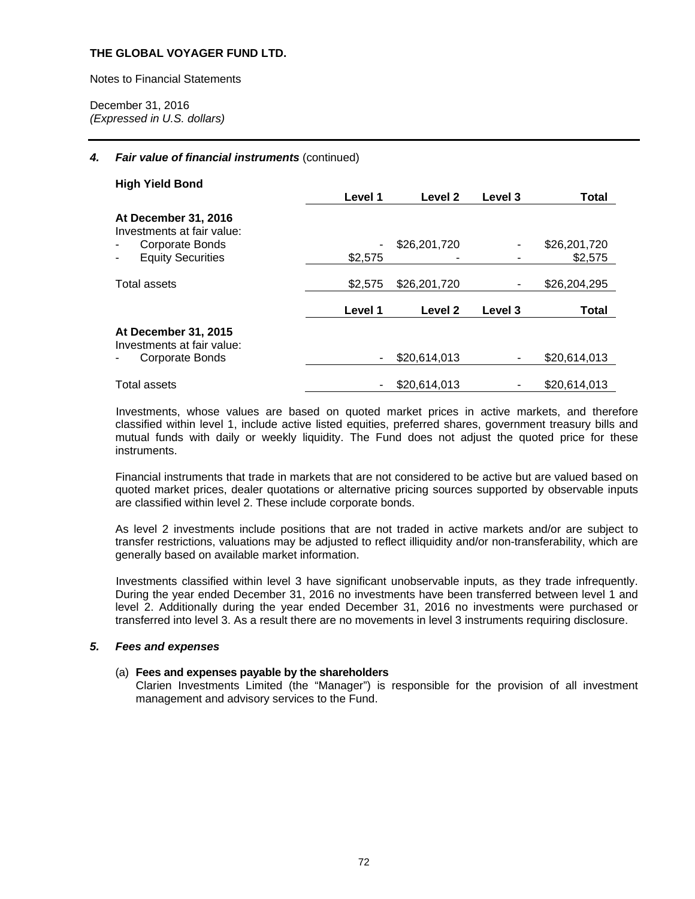Notes to Financial Statements

December 31, 2016 *(Expressed in U.S. dollars)* 

### *4. Fair value of financial instruments* (continued)

| <b>High Yield Bond</b>                             |         |                    |         |              |
|----------------------------------------------------|---------|--------------------|---------|--------------|
|                                                    | Level 1 | Level 2            | Level 3 | <b>Total</b> |
| At December 31, 2016<br>Investments at fair value: |         |                    |         |              |
| Corporate Bonds                                    |         | \$26,201,720       |         | \$26,201,720 |
| <b>Equity Securities</b>                           | \$2,575 |                    |         | \$2,575      |
| Total assets                                       | \$2,575 | \$26,201,720       |         | \$26,204,295 |
|                                                    | Level 1 | Level <sub>2</sub> | Level 3 | Total        |
| At December 31, 2015<br>Investments at fair value: |         |                    |         |              |
| Corporate Bonds                                    | ۰       | \$20,614,013       |         | \$20,614,013 |
| <b>Total assets</b>                                |         | \$20,614,013       |         | \$20,614,013 |

Investments, whose values are based on quoted market prices in active markets, and therefore classified within level 1, include active listed equities, preferred shares, government treasury bills and mutual funds with daily or weekly liquidity. The Fund does not adjust the quoted price for these instruments.

Financial instruments that trade in markets that are not considered to be active but are valued based on quoted market prices, dealer quotations or alternative pricing sources supported by observable inputs are classified within level 2. These include corporate bonds.

As level 2 investments include positions that are not traded in active markets and/or are subject to transfer restrictions, valuations may be adjusted to reflect illiquidity and/or non-transferability, which are generally based on available market information.

Investments classified within level 3 have significant unobservable inputs, as they trade infrequently. During the year ended December 31, 2016 no investments have been transferred between level 1 and level 2. Additionally during the year ended December 31, 2016 no investments were purchased or transferred into level 3. As a result there are no movements in level 3 instruments requiring disclosure.

### *5. Fees and expenses*

### (a) **Fees and expenses payable by the shareholders**

Clarien Investments Limited (the "Manager") is responsible for the provision of all investment management and advisory services to the Fund.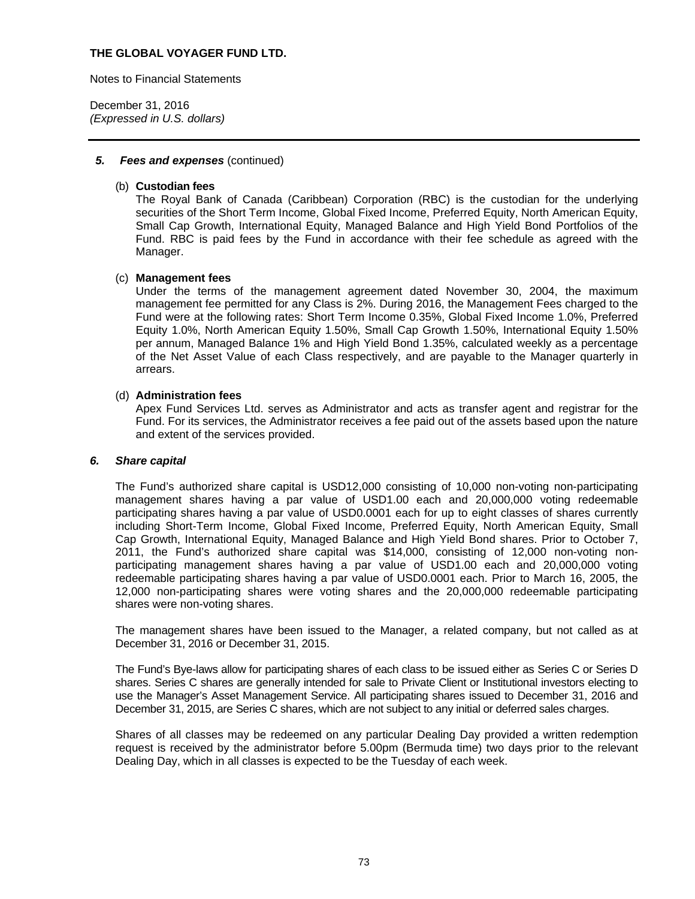Notes to Financial Statements

December 31, 2016 *(Expressed in U.S. dollars)* 

### *5. Fees and expenses* (continued)

### (b) **Custodian fees**

The Royal Bank of Canada (Caribbean) Corporation (RBC) is the custodian for the underlying securities of the Short Term Income, Global Fixed Income, Preferred Equity, North American Equity, Small Cap Growth, International Equity, Managed Balance and High Yield Bond Portfolios of the Fund. RBC is paid fees by the Fund in accordance with their fee schedule as agreed with the Manager.

### (c) **Management fees**

Under the terms of the management agreement dated November 30, 2004, the maximum management fee permitted for any Class is 2%. During 2016, the Management Fees charged to the Fund were at the following rates: Short Term Income 0.35%, Global Fixed Income 1.0%, Preferred Equity 1.0%, North American Equity 1.50%, Small Cap Growth 1.50%, International Equity 1.50% per annum, Managed Balance 1% and High Yield Bond 1.35%, calculated weekly as a percentage of the Net Asset Value of each Class respectively, and are payable to the Manager quarterly in arrears.

#### (d) **Administration fees**

Apex Fund Services Ltd. serves as Administrator and acts as transfer agent and registrar for the Fund. For its services, the Administrator receives a fee paid out of the assets based upon the nature and extent of the services provided.

### *6. Share capital*

The Fund's authorized share capital is USD12,000 consisting of 10,000 non-voting non-participating management shares having a par value of USD1.00 each and 20,000,000 voting redeemable participating shares having a par value of USD0.0001 each for up to eight classes of shares currently including Short-Term Income, Global Fixed Income, Preferred Equity, North American Equity, Small Cap Growth, International Equity, Managed Balance and High Yield Bond shares. Prior to October 7, 2011, the Fund's authorized share capital was \$14,000, consisting of 12,000 non-voting nonparticipating management shares having a par value of USD1.00 each and 20,000,000 voting redeemable participating shares having a par value of USD0.0001 each. Prior to March 16, 2005, the 12,000 non-participating shares were voting shares and the 20,000,000 redeemable participating shares were non-voting shares.

The management shares have been issued to the Manager, a related company, but not called as at December 31, 2016 or December 31, 2015.

The Fund's Bye-laws allow for participating shares of each class to be issued either as Series C or Series D shares. Series C shares are generally intended for sale to Private Client or Institutional investors electing to use the Manager's Asset Management Service. All participating shares issued to December 31, 2016 and December 31, 2015, are Series C shares, which are not subject to any initial or deferred sales charges.

Shares of all classes may be redeemed on any particular Dealing Day provided a written redemption request is received by the administrator before 5.00pm (Bermuda time) two days prior to the relevant Dealing Day, which in all classes is expected to be the Tuesday of each week.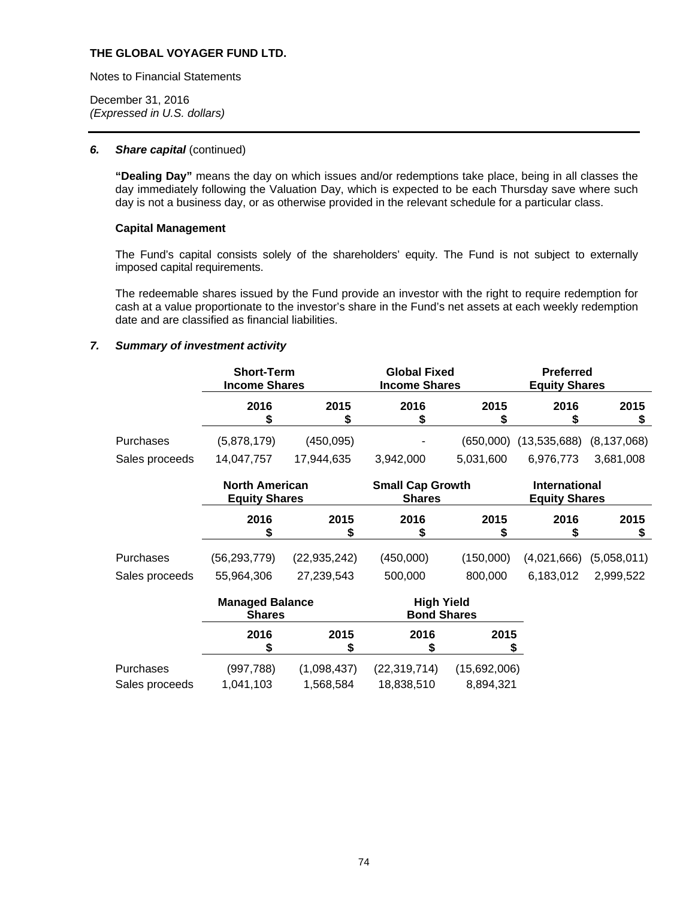Notes to Financial Statements

December 31, 2016 *(Expressed in U.S. dollars)* 

#### *6. Share capital* (continued)

**"Dealing Day"** means the day on which issues and/or redemptions take place, being in all classes the day immediately following the Valuation Day, which is expected to be each Thursday save where such day is not a business day, or as otherwise provided in the relevant schedule for a particular class.

### **Capital Management**

The Fund's capital consists solely of the shareholders' equity. The Fund is not subject to externally imposed capital requirements.

The redeemable shares issued by the Fund provide an investor with the right to require redemption for cash at a value proportionate to the investor's share in the Fund's net assets at each weekly redemption date and are classified as financial liabilities.

## *7. Summary of investment activity*

|                | <b>Short-Term</b><br><b>Income Shares</b>     |                | <b>Global Fixed</b><br><b>Income Shares</b> |                    | <b>Preferred</b><br><b>Equity Shares</b>     |               |
|----------------|-----------------------------------------------|----------------|---------------------------------------------|--------------------|----------------------------------------------|---------------|
|                | 2016<br>S                                     | 2015<br>\$     | 2016<br>S                                   | 2015<br>S          | 2016<br>\$                                   | 2015<br>5     |
| Purchases      | (5,878,179)                                   | (450,095)      |                                             | (650,000)          | (13,535,688)                                 | (8, 137, 068) |
| Sales proceeds | 14,047,757                                    | 17,944,635     | 3,942,000                                   | 5,031,600          | 6,976,773                                    | 3,681,008     |
|                | <b>North American</b><br><b>Equity Shares</b> |                | <b>Small Cap Growth</b><br><b>Shares</b>    |                    | <b>International</b><br><b>Equity Shares</b> |               |
|                | 2016                                          | 2015           | 2016                                        | 2015<br>S          | 2016                                         | 2015          |
| Purchases      | (56, 293, 779)                                | (22, 935, 242) | (450,000)                                   | (150,000)          | (4,021,666)                                  | (5,058,011)   |
| Sales proceeds | 55,964,306                                    | 27,239,543     | 500,000                                     | 800,000            | 6,183,012                                    | 2,999,522     |
|                | <b>Managed Balance</b><br><b>Shares</b>       |                | <b>High Yield</b>                           | <b>Bond Shares</b> |                                              |               |

|                | 2016       | 2015        | 2016           | 2015         |
|----------------|------------|-------------|----------------|--------------|
| Purchases      | (997, 788) | (1,098,437) | (22, 319, 714) | (15,692,006) |
| Sales proceeds | 1,041,103  | 1,568,584   | 18,838,510     | 8,894,321    |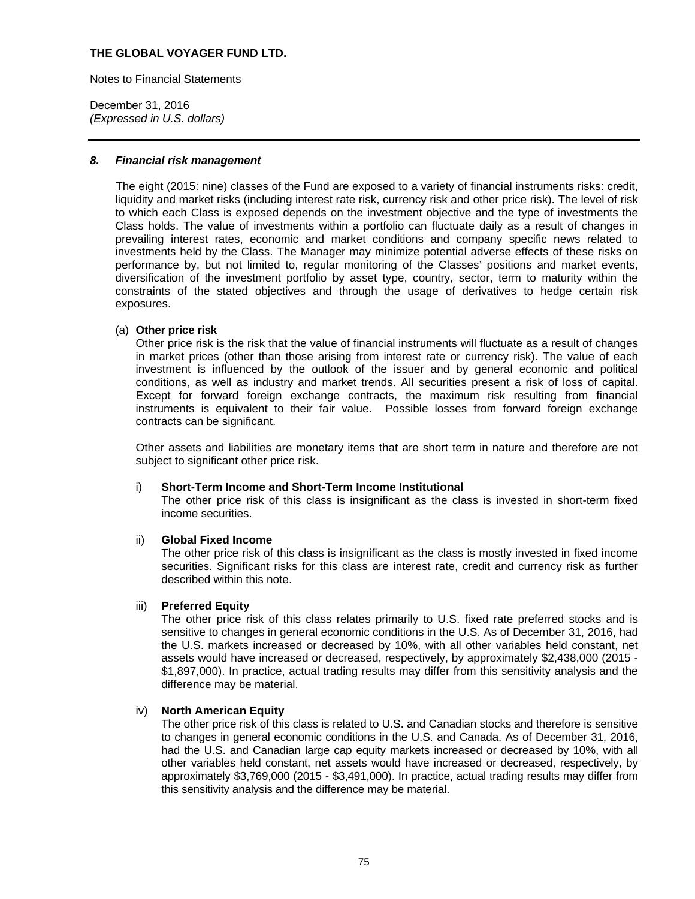Notes to Financial Statements

December 31, 2016 *(Expressed in U.S. dollars)* 

#### *8. Financial risk management*

The eight (2015: nine) classes of the Fund are exposed to a variety of financial instruments risks: credit, liquidity and market risks (including interest rate risk, currency risk and other price risk). The level of risk to which each Class is exposed depends on the investment objective and the type of investments the Class holds. The value of investments within a portfolio can fluctuate daily as a result of changes in prevailing interest rates, economic and market conditions and company specific news related to investments held by the Class. The Manager may minimize potential adverse effects of these risks on performance by, but not limited to, regular monitoring of the Classes' positions and market events, diversification of the investment portfolio by asset type, country, sector, term to maturity within the constraints of the stated objectives and through the usage of derivatives to hedge certain risk exposures.

### (a) **Other price risk**

Other price risk is the risk that the value of financial instruments will fluctuate as a result of changes in market prices (other than those arising from interest rate or currency risk). The value of each investment is influenced by the outlook of the issuer and by general economic and political conditions, as well as industry and market trends. All securities present a risk of loss of capital. Except for forward foreign exchange contracts, the maximum risk resulting from financial instruments is equivalent to their fair value. Possible losses from forward foreign exchange contracts can be significant.

Other assets and liabilities are monetary items that are short term in nature and therefore are not subject to significant other price risk.

### i) **Short-Term Income and Short-Term Income Institutional**

The other price risk of this class is insignificant as the class is invested in short-term fixed income securities.

### ii) **Global Fixed Income**

The other price risk of this class is insignificant as the class is mostly invested in fixed income securities. Significant risks for this class are interest rate, credit and currency risk as further described within this note.

### iii) **Preferred Equity**

The other price risk of this class relates primarily to U.S. fixed rate preferred stocks and is sensitive to changes in general economic conditions in the U.S. As of December 31, 2016, had the U.S. markets increased or decreased by 10%, with all other variables held constant, net assets would have increased or decreased, respectively, by approximately \$2,438,000 (2015 - \$1,897,000). In practice, actual trading results may differ from this sensitivity analysis and the difference may be material.

#### iv) **North American Equity**

The other price risk of this class is related to U.S. and Canadian stocks and therefore is sensitive to changes in general economic conditions in the U.S. and Canada. As of December 31, 2016, had the U.S. and Canadian large cap equity markets increased or decreased by 10%, with all other variables held constant, net assets would have increased or decreased, respectively, by approximately \$3,769,000 (2015 - \$3,491,000). In practice, actual trading results may differ from this sensitivity analysis and the difference may be material.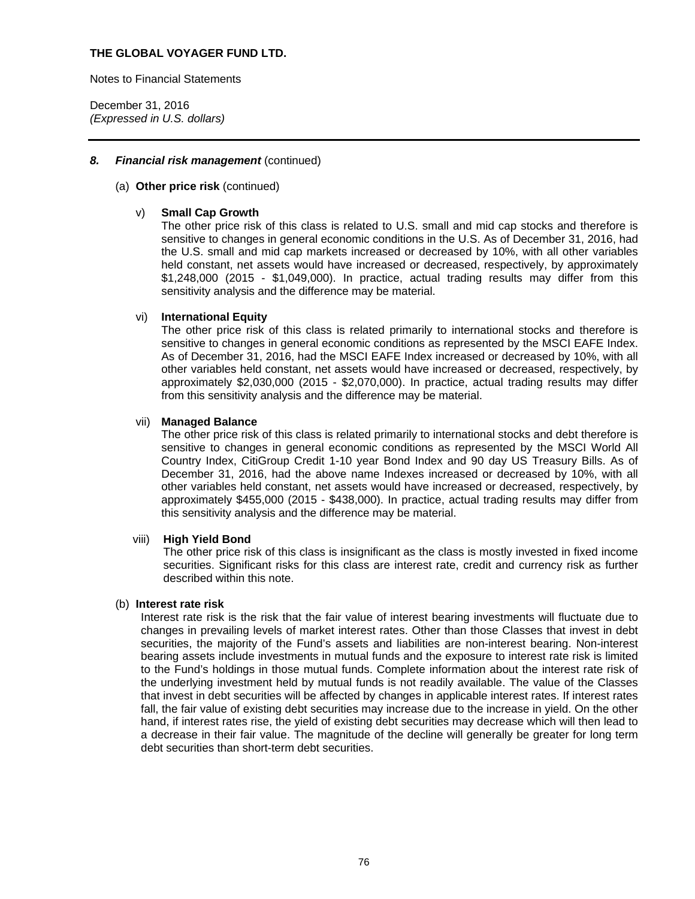Notes to Financial Statements

December 31, 2016 *(Expressed in U.S. dollars)* 

### *8. Financial risk management* (continued)

#### (a) **Other price risk** (continued)

### v) **Small Cap Growth**

The other price risk of this class is related to U.S. small and mid cap stocks and therefore is sensitive to changes in general economic conditions in the U.S. As of December 31, 2016, had the U.S. small and mid cap markets increased or decreased by 10%, with all other variables held constant, net assets would have increased or decreased, respectively, by approximately \$1,248,000 (2015 - \$1,049,000). In practice, actual trading results may differ from this sensitivity analysis and the difference may be material.

### vi) **International Equity**

The other price risk of this class is related primarily to international stocks and therefore is sensitive to changes in general economic conditions as represented by the MSCI EAFE Index. As of December 31, 2016, had the MSCI EAFE Index increased or decreased by 10%, with all other variables held constant, net assets would have increased or decreased, respectively, by approximately \$2,030,000 (2015 - \$2,070,000). In practice, actual trading results may differ from this sensitivity analysis and the difference may be material.

#### vii) **Managed Balance**

The other price risk of this class is related primarily to international stocks and debt therefore is sensitive to changes in general economic conditions as represented by the MSCI World All Country Index, CitiGroup Credit 1-10 year Bond Index and 90 day US Treasury Bills. As of December 31, 2016, had the above name Indexes increased or decreased by 10%, with all other variables held constant, net assets would have increased or decreased, respectively, by approximately \$455,000 (2015 - \$438,000). In practice, actual trading results may differ from this sensitivity analysis and the difference may be material.

#### viii) **High Yield Bond**

The other price risk of this class is insignificant as the class is mostly invested in fixed income securities. Significant risks for this class are interest rate, credit and currency risk as further described within this note.

#### (b) **Interest rate risk**

Interest rate risk is the risk that the fair value of interest bearing investments will fluctuate due to changes in prevailing levels of market interest rates. Other than those Classes that invest in debt securities, the majority of the Fund's assets and liabilities are non-interest bearing. Non-interest bearing assets include investments in mutual funds and the exposure to interest rate risk is limited to the Fund's holdings in those mutual funds. Complete information about the interest rate risk of the underlying investment held by mutual funds is not readily available. The value of the Classes that invest in debt securities will be affected by changes in applicable interest rates. If interest rates fall, the fair value of existing debt securities may increase due to the increase in yield. On the other hand, if interest rates rise, the yield of existing debt securities may decrease which will then lead to a decrease in their fair value. The magnitude of the decline will generally be greater for long term debt securities than short-term debt securities.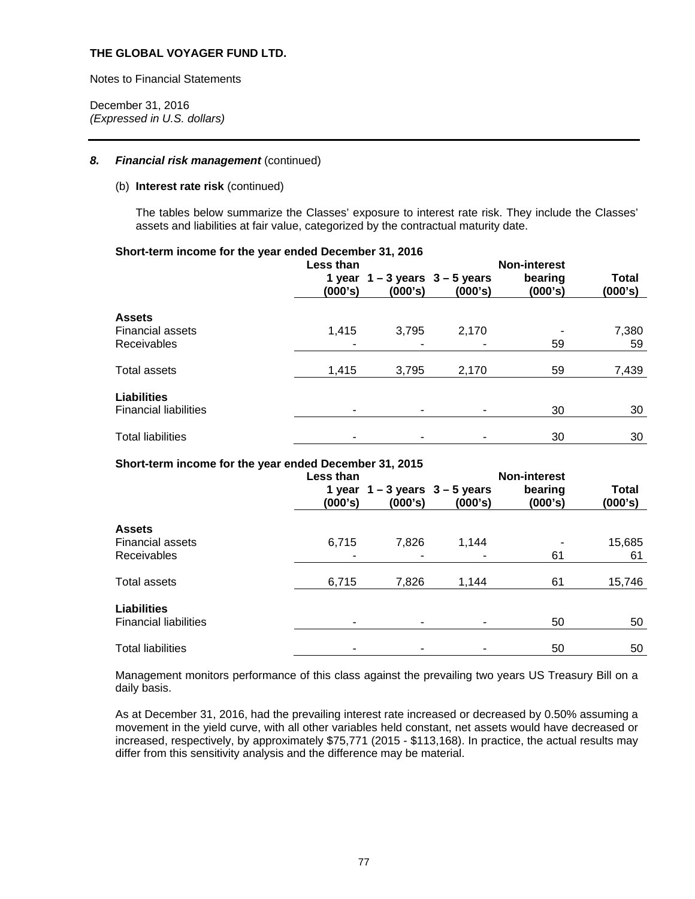Notes to Financial Statements

December 31, 2016 *(Expressed in U.S. dollars)* 

### *8. Financial risk management* (continued)

#### (b) **Interest rate risk** (continued)

The tables below summarize the Classes' exposure to interest rate risk. They include the Classes' assets and liabilities at fair value, categorized by the contractual maturity date.

#### **Short-term income for the year ended December 31, 2016**

|                                                         | Less than<br>(000's) | 1 year $1 - 3$ years $3 - 5$ years<br>(000's) | (000's)    | <b>Non-interest</b><br>bearing<br>(000's) | <b>Total</b><br>(000's) |
|---------------------------------------------------------|----------------------|-----------------------------------------------|------------|-------------------------------------------|-------------------------|
| <b>Assets</b><br><b>Financial assets</b><br>Receivables | 1,415                | 3,795<br>۰                                    | 2,170<br>- | 59                                        | 7,380<br>59             |
| Total assets                                            | 1,415                | 3,795                                         | 2,170      | 59                                        | 7,439                   |
| <b>Liabilities</b><br><b>Financial liabilities</b>      |                      | ٠                                             |            | 30                                        | 30                      |
| <b>Total liabilities</b>                                |                      |                                               |            | 30                                        | 30                      |

### **Short-term income for the year ended December 31, 2015**

|                                                    | Less than<br>(000's) | 1 year $1 - 3$ years $3 - 5$ years<br>(000's) | (000's) | <b>Non-interest</b><br>bearing<br>(000's) | <b>Total</b><br>(000's) |
|----------------------------------------------------|----------------------|-----------------------------------------------|---------|-------------------------------------------|-------------------------|
| <b>Assets</b>                                      |                      |                                               |         |                                           |                         |
| <b>Financial assets</b>                            | 6,715                | 7,826                                         | 1.144   |                                           | 15,685                  |
| Receivables                                        |                      |                                               | ۰       | 61                                        | 61                      |
| <b>Total assets</b>                                | 6,715                | 7,826                                         | 1,144   | 61                                        | 15,746                  |
| <b>Liabilities</b><br><b>Financial liabilities</b> |                      | ٠                                             |         | 50                                        | 50                      |
|                                                    |                      |                                               |         |                                           |                         |
| <b>Total liabilities</b>                           |                      |                                               |         | 50                                        | 50                      |

Management monitors performance of this class against the prevailing two years US Treasury Bill on a daily basis.

As at December 31, 2016, had the prevailing interest rate increased or decreased by 0.50% assuming a movement in the yield curve, with all other variables held constant, net assets would have decreased or increased, respectively, by approximately \$75,771 (2015 - \$113,168). In practice, the actual results may differ from this sensitivity analysis and the difference may be material.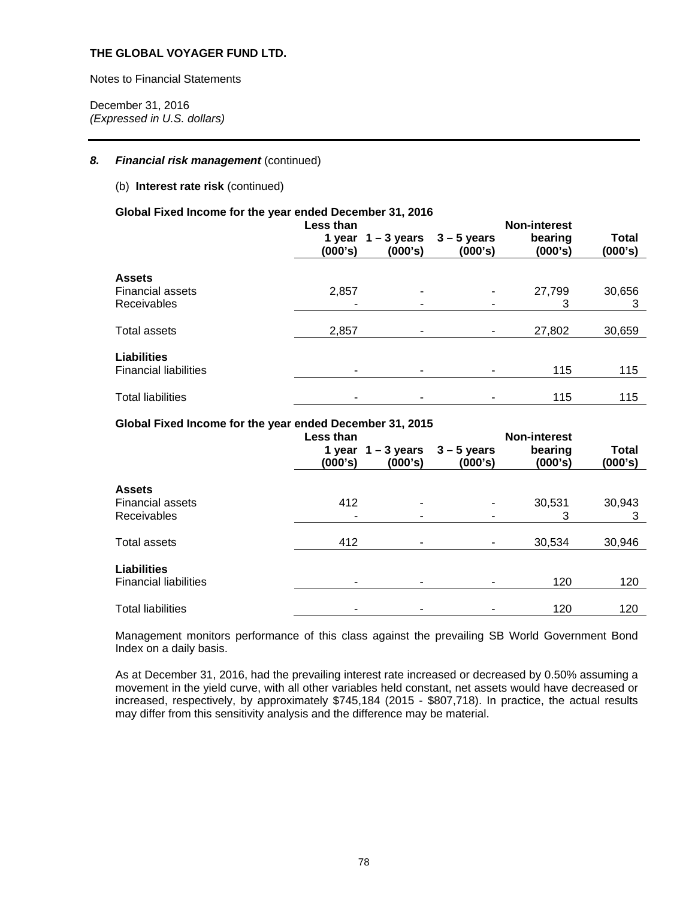Notes to Financial Statements

December 31, 2016 *(Expressed in U.S. dollars)* 

### 8. Financial risk management (continued)

### (b) **Interest rate risk** (continued)

## **Global Fixed Income for the year ended December 31, 2016**

|                                                    | Less than<br>(000's) | 1 year $1 - 3$ years<br>(000's) | $3 - 5$ years<br>(000's) | <b>Non-interest</b><br>bearing<br>(000's) | <b>Total</b><br>(000's) |
|----------------------------------------------------|----------------------|---------------------------------|--------------------------|-------------------------------------------|-------------------------|
| <b>Assets</b>                                      |                      |                                 |                          |                                           |                         |
| <b>Financial assets</b>                            | 2,857                | -                               |                          | 27,799                                    | 30,656                  |
| <b>Receivables</b>                                 |                      | -                               |                          | 3                                         | 3                       |
| <b>Total assets</b>                                | 2,857                | ۰                               |                          | 27,802                                    | 30,659                  |
| <b>Liabilities</b><br><b>Financial liabilities</b> |                      |                                 |                          | 115                                       | 115                     |
|                                                    | ۰                    | ۰                               |                          |                                           |                         |
| <b>Total liabilities</b>                           |                      |                                 |                          | 115                                       | 115                     |

## **Global Fixed Income for the year ended December 31, 2015**

|                                                    | Less than<br>(000's) | 1 year $1 - 3$ years<br>(000's) | $3 - 5$ years<br>(000's) | <b>Non-interest</b><br>bearing<br>(000's) | <b>Total</b><br>(000's) |
|----------------------------------------------------|----------------------|---------------------------------|--------------------------|-------------------------------------------|-------------------------|
| <b>Assets</b>                                      |                      |                                 |                          |                                           |                         |
| <b>Financial assets</b><br>Receivables             | 412<br>٠             | ۰<br>٠                          | ۰<br>۰                   | 30,531<br>3                               | 30,943<br>3             |
| <b>Total assets</b>                                | 412                  | ۰                               |                          | 30,534                                    | 30,946                  |
| <b>Liabilities</b><br><b>Financial liabilities</b> |                      |                                 |                          | 120                                       | 120                     |
| <b>Total liabilities</b>                           |                      |                                 |                          | 120                                       | 120                     |

Management monitors performance of this class against the prevailing SB World Government Bond Index on a daily basis.

As at December 31, 2016, had the prevailing interest rate increased or decreased by 0.50% assuming a movement in the yield curve, with all other variables held constant, net assets would have decreased or increased, respectively, by approximately \$745,184 (2015 - \$807,718). In practice, the actual results may differ from this sensitivity analysis and the difference may be material.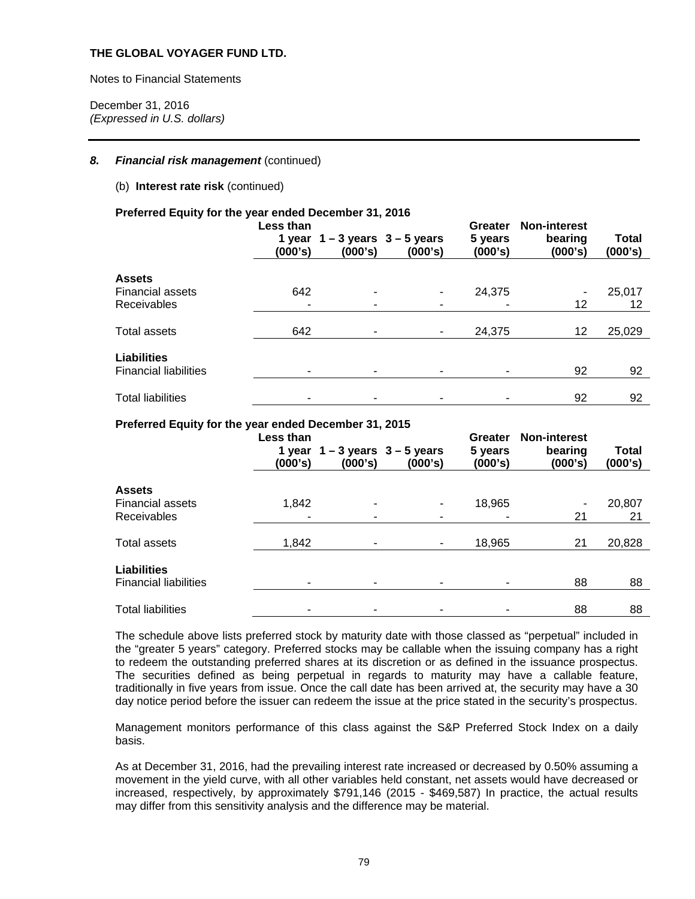Notes to Financial Statements

December 31, 2016 *(Expressed in U.S. dollars)* 

### 8. Financial risk management (continued)

### (b) **Interest rate risk** (continued)

#### **Preferred Equity for the year ended December 31, 2016**

|                                                    | Less than<br>(000's) | 1 year $1 - 3$ years $3 - 5$ years<br>(000's) | (000's) | Greater<br>5 years<br>(000's) | <b>Non-interest</b><br>bearing<br>(000's) | <b>Total</b><br>(000's) |
|----------------------------------------------------|----------------------|-----------------------------------------------|---------|-------------------------------|-------------------------------------------|-------------------------|
| <b>Assets</b>                                      |                      |                                               |         |                               |                                           |                         |
| <b>Financial assets</b>                            | 642                  | ٠                                             | ٠       | 24,375                        |                                           | 25,017                  |
| <b>Receivables</b>                                 | ٠                    | ۰                                             |         |                               | 12                                        | 12                      |
| Total assets                                       | 642                  | ۰                                             |         | 24,375                        | 12                                        | 25,029                  |
| <b>Liabilities</b><br><b>Financial liabilities</b> |                      | ۰                                             |         |                               | 92                                        | 92                      |
| <b>Total liabilities</b>                           |                      |                                               |         |                               | 92                                        | 92                      |

### **Preferred Equity for the year ended December 31, 2015**

|                                                    | Less than<br>(000's) | 1 year $1 - 3$ years $3 - 5$ years<br>(000's) | (000's) | <b>Greater</b><br>5 years<br>(000's) | <b>Non-interest</b><br>bearing<br>(000's) | <b>Total</b><br>(000's) |
|----------------------------------------------------|----------------------|-----------------------------------------------|---------|--------------------------------------|-------------------------------------------|-------------------------|
| <b>Assets</b>                                      |                      |                                               |         |                                      |                                           |                         |
| <b>Financial assets</b>                            | 1,842                | ۰                                             |         | 18,965                               |                                           | 20,807                  |
| Receivables                                        |                      | ۰                                             |         |                                      | 21                                        | 21                      |
| Total assets                                       | 1,842                | ٠                                             |         | 18,965                               | 21                                        | 20,828                  |
| <b>Liabilities</b><br><b>Financial liabilities</b> |                      | ۰                                             |         |                                      | 88                                        | 88                      |
| <b>Total liabilities</b>                           |                      | ۰                                             |         |                                      | 88                                        | 88                      |

The schedule above lists preferred stock by maturity date with those classed as "perpetual" included in the "greater 5 years" category. Preferred stocks may be callable when the issuing company has a right to redeem the outstanding preferred shares at its discretion or as defined in the issuance prospectus. The securities defined as being perpetual in regards to maturity may have a callable feature, traditionally in five years from issue. Once the call date has been arrived at, the security may have a 30 day notice period before the issuer can redeem the issue at the price stated in the security's prospectus.

Management monitors performance of this class against the S&P Preferred Stock Index on a daily basis.

As at December 31, 2016, had the prevailing interest rate increased or decreased by 0.50% assuming a movement in the yield curve, with all other variables held constant, net assets would have decreased or increased, respectively, by approximately \$791,146 (2015 - \$469,587) In practice, the actual results may differ from this sensitivity analysis and the difference may be material.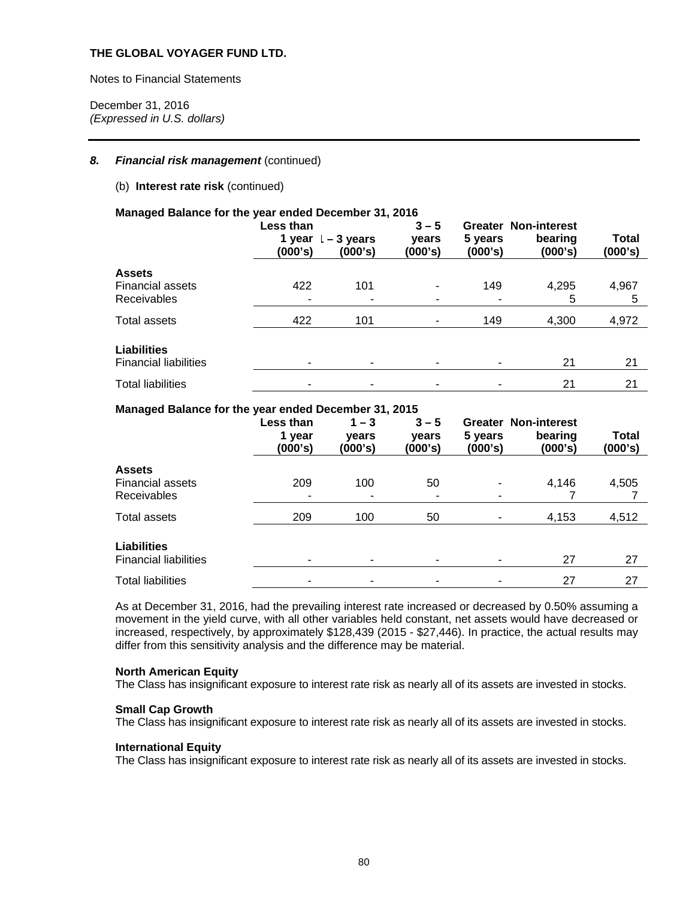Notes to Financial Statements

December 31, 2016 *(Expressed in U.S. dollars)* 

### *8. Financial risk management* (continued)

### (b) **Interest rate risk** (continued)

#### **Managed Balance for the year ended December 31, 2016**

|                                                    | <b>Less than</b><br>1 year<br>(000's) | -3 years<br>(000's) | $3 - 5$<br>vears<br>(000's) | Greater<br>5 years<br>(000's) | <b>Non-interest</b><br>bearing<br>(000's) | Total<br>(000's) |
|----------------------------------------------------|---------------------------------------|---------------------|-----------------------------|-------------------------------|-------------------------------------------|------------------|
| <b>Assets</b>                                      |                                       |                     |                             |                               |                                           |                  |
| <b>Financial assets</b>                            | 422                                   | 101                 | ۰                           | 149                           | 4,295                                     | 4,967            |
| Receivables                                        |                                       | ۰                   |                             |                               | 5                                         | 5                |
| Total assets                                       | 422                                   | 101                 | ۰                           | 149                           | 4,300                                     | 4,972            |
| <b>Liabilities</b><br><b>Financial liabilities</b> | ۰                                     |                     |                             |                               | 21                                        | 21               |
| <b>Total liabilities</b>                           | -                                     |                     |                             |                               | 21                                        | 21               |

#### **Managed Balance for the year ended December 31, 2015**

|                              | Less than<br>1 year<br>(000's) | $1 - 3$<br>vears<br>(000's) | $3 - 5$<br>vears<br>(000's) | 5 years<br>(000's) | <b>Greater Non-interest</b><br>bearing<br>(000's) | Total<br>(000's) |
|------------------------------|--------------------------------|-----------------------------|-----------------------------|--------------------|---------------------------------------------------|------------------|
| <b>Assets</b>                |                                |                             |                             |                    |                                                   |                  |
| <b>Financial assets</b>      | 209                            | 100                         | 50                          | ۰                  | 4,146                                             | 4,505            |
| <b>Receivables</b>           | ۰                              | ۰                           | ٠                           | -                  |                                                   |                  |
| Total assets                 | 209                            | 100                         | 50                          | ۰                  | 4,153                                             | 4,512            |
| <b>Liabilities</b>           |                                |                             |                             |                    |                                                   |                  |
| <b>Financial liabilities</b> | ۰                              | ۰                           | ۰                           |                    | 27                                                | 27               |
| <b>Total liabilities</b>     | ۰                              | ۰                           | ۰                           |                    | 27                                                | 27               |

As at December 31, 2016, had the prevailing interest rate increased or decreased by 0.50% assuming a movement in the yield curve, with all other variables held constant, net assets would have decreased or increased, respectively, by approximately \$128,439 (2015 - \$27,446). In practice, the actual results may differ from this sensitivity analysis and the difference may be material.

#### **North American Equity**

The Class has insignificant exposure to interest rate risk as nearly all of its assets are invested in stocks.

#### **Small Cap Growth**

The Class has insignificant exposure to interest rate risk as nearly all of its assets are invested in stocks.

#### **International Equity**

The Class has insignificant exposure to interest rate risk as nearly all of its assets are invested in stocks.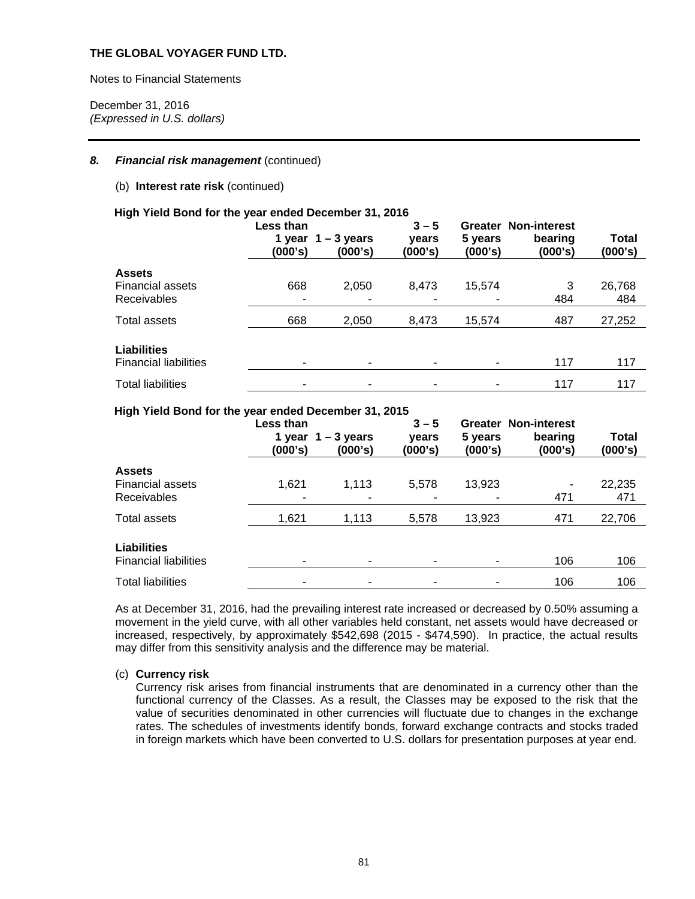Notes to Financial Statements

December 31, 2016 *(Expressed in U.S. dollars)* 

### 8. Financial risk management (continued)

### (b) **Interest rate risk** (continued)

#### **High Yield Bond for the year ended December 31, 2016**

|                              | Less than<br>(000's) | 1 year $1 - 3$ years<br>(000's) | $3 - 5$<br>vears<br>(000's) | Greater<br>5 years<br>(000's) | <b>Non-interest</b><br>bearing<br>(000's) | Total<br>(000's) |
|------------------------------|----------------------|---------------------------------|-----------------------------|-------------------------------|-------------------------------------------|------------------|
| <b>Assets</b>                |                      |                                 |                             |                               |                                           |                  |
| <b>Financial assets</b>      | 668                  | 2,050                           | 8.473                       | 15,574                        | 3                                         | 26,768           |
| <b>Receivables</b>           |                      |                                 |                             |                               | 484                                       | 484              |
| Total assets                 | 668                  | 2,050                           | 8,473                       | 15,574                        | 487                                       | 27,252           |
| <b>Liabilities</b>           |                      |                                 |                             |                               |                                           |                  |
| <b>Financial liabilities</b> |                      |                                 |                             |                               | 117                                       | 117              |
| <b>Total liabilities</b>     |                      |                                 |                             |                               | 117                                       | 117              |

#### **High Yield Bond for the year ended December 31, 2015**

|                                                    | Less than<br>(000's) | 1 year $1 - 3$ years<br>(000's) | $3 - 5$<br>vears<br>(000's) | 5 years<br>(000's) | <b>Greater Non-interest</b><br>bearing<br>(000's) | Total<br>(000's) |
|----------------------------------------------------|----------------------|---------------------------------|-----------------------------|--------------------|---------------------------------------------------|------------------|
| <b>Assets</b>                                      |                      |                                 |                             |                    |                                                   |                  |
| <b>Financial assets</b>                            | 1,621                | 1,113                           | 5,578                       | 13,923             | $\overline{\phantom{a}}$                          | 22,235           |
| <b>Receivables</b>                                 |                      |                                 |                             |                    | 471                                               | 471              |
| Total assets                                       | 1,621                | 1,113                           | 5,578                       | 13,923             | 471                                               | 22,706           |
| <b>Liabilities</b><br><b>Financial liabilities</b> |                      |                                 |                             |                    | 106                                               | 106              |
| <b>Total liabilities</b>                           | ۰                    | ۰                               |                             |                    | 106                                               | 106              |

As at December 31, 2016, had the prevailing interest rate increased or decreased by 0.50% assuming a movement in the yield curve, with all other variables held constant, net assets would have decreased or increased, respectively, by approximately \$542,698 (2015 - \$474,590). In practice, the actual results may differ from this sensitivity analysis and the difference may be material.

### (c) **Currency risk**

Currency risk arises from financial instruments that are denominated in a currency other than the functional currency of the Classes. As a result, the Classes may be exposed to the risk that the value of securities denominated in other currencies will fluctuate due to changes in the exchange rates. The schedules of investments identify bonds, forward exchange contracts and stocks traded in foreign markets which have been converted to U.S. dollars for presentation purposes at year end.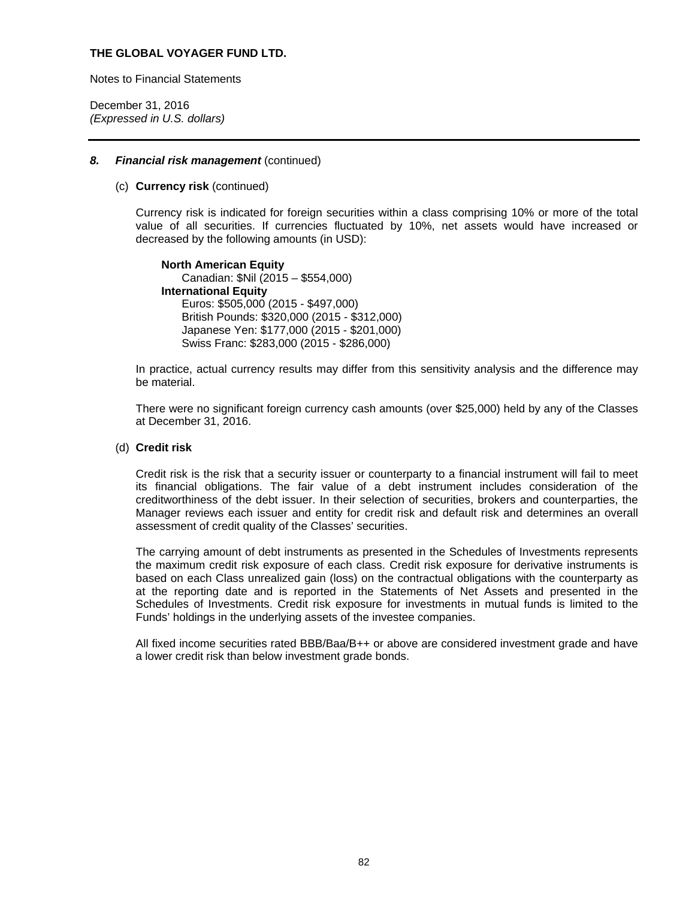Notes to Financial Statements

December 31, 2016 *(Expressed in U.S. dollars)* 

#### *8. Financial risk management* (continued)

#### (c) **Currency risk** (continued)

Currency risk is indicated for foreign securities within a class comprising 10% or more of the total value of all securities. If currencies fluctuated by 10%, net assets would have increased or decreased by the following amounts (in USD):

**North American Equity** Canadian: \$Nil (2015 – \$554,000) **International Equity**  Euros: \$505,000 (2015 - \$497,000) British Pounds: \$320,000 (2015 - \$312,000) Japanese Yen: \$177,000 (2015 - \$201,000) Swiss Franc: \$283,000 (2015 - \$286,000)

In practice, actual currency results may differ from this sensitivity analysis and the difference may be material.

There were no significant foreign currency cash amounts (over \$25,000) held by any of the Classes at December 31, 2016.

### (d) **Credit risk**

Credit risk is the risk that a security issuer or counterparty to a financial instrument will fail to meet its financial obligations. The fair value of a debt instrument includes consideration of the creditworthiness of the debt issuer. In their selection of securities, brokers and counterparties, the Manager reviews each issuer and entity for credit risk and default risk and determines an overall assessment of credit quality of the Classes' securities.

The carrying amount of debt instruments as presented in the Schedules of Investments represents the maximum credit risk exposure of each class. Credit risk exposure for derivative instruments is based on each Class unrealized gain (loss) on the contractual obligations with the counterparty as at the reporting date and is reported in the Statements of Net Assets and presented in the Schedules of Investments. Credit risk exposure for investments in mutual funds is limited to the Funds' holdings in the underlying assets of the investee companies.

All fixed income securities rated BBB/Baa/B++ or above are considered investment grade and have a lower credit risk than below investment grade bonds.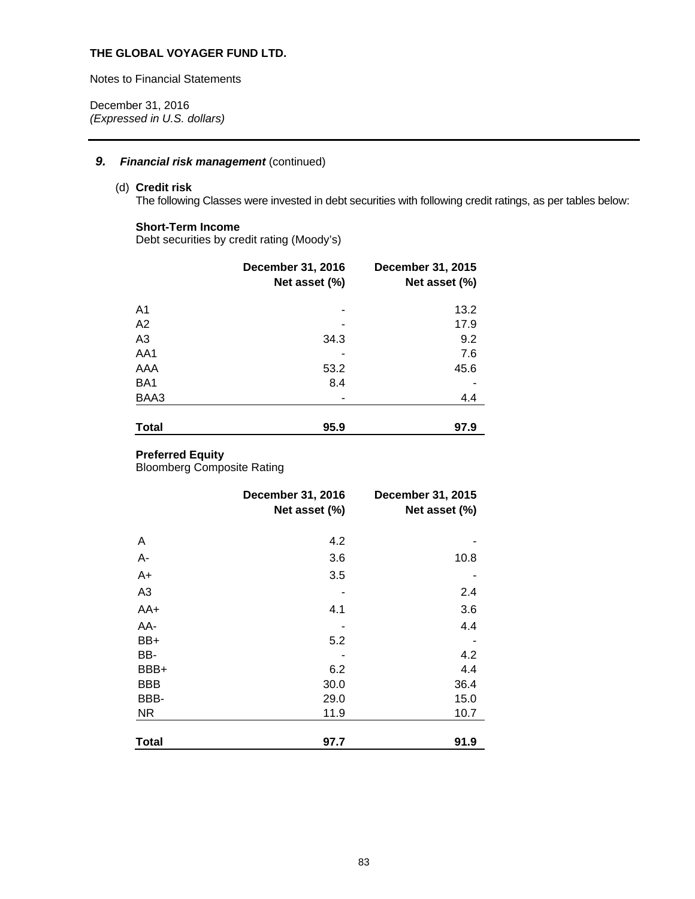Notes to Financial Statements

December 31, 2016 *(Expressed in U.S. dollars)* 

## **9.** Financial risk management (continued)

## (d) **Credit risk**

The following Classes were invested in debt securities with following credit ratings, as per tables below:

## **Short-Term Income**

Debt securities by credit rating (Moody's)

|                | <b>December 31, 2016</b><br>Net asset (%) | <b>December 31, 2015</b><br>Net asset (%) |
|----------------|-------------------------------------------|-------------------------------------------|
| A <sub>1</sub> |                                           | 13.2                                      |
| A2             |                                           | 17.9                                      |
| A <sub>3</sub> | 34.3                                      | 9.2                                       |
| AA1            |                                           | 7.6                                       |
| AAA            | 53.2                                      | 45.6                                      |
| BA1            | 8.4                                       |                                           |
| BAA3           |                                           | 4.4                                       |
| <b>Total</b>   | 95.9                                      | 97.9                                      |

### **Preferred Equity**

Bloomberg Composite Rating

| December 31, 2016 | <b>December 31, 2015</b><br>Net asset (%) |
|-------------------|-------------------------------------------|
|                   |                                           |
| 4.2               |                                           |
| 3.6               | 10.8                                      |
| 3.5               |                                           |
|                   | 2.4                                       |
| 4.1               | 3.6                                       |
|                   | 4.4                                       |
| 5.2               |                                           |
|                   | 4.2                                       |
| 6.2               | 4.4                                       |
| 30.0              | 36.4                                      |
| 29.0              | 15.0                                      |
| 11.9              | 10.7                                      |
|                   | 91.9                                      |
|                   | Net asset (%)<br>97.7                     |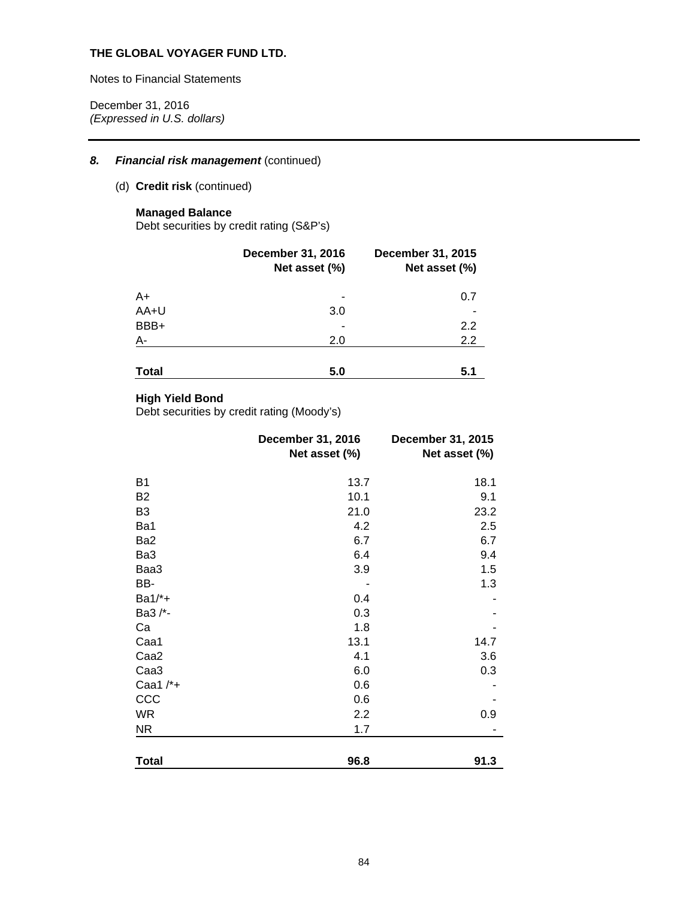Notes to Financial Statements

December 31, 2016 *(Expressed in U.S. dollars)* 

## 8. Financial risk management (continued)

## (d) **Credit risk** (continued)

## **Managed Balance**

Debt securities by credit rating (S&P's)

|              | <b>December 31, 2016</b><br>Net asset (%) | December 31, 2015<br>Net asset (%) |
|--------------|-------------------------------------------|------------------------------------|
| A+           |                                           | 0.7                                |
| AA+U         | 3.0                                       |                                    |
| BBB+         |                                           | 2.2                                |
| A-           | 2.0                                       | 2.2                                |
| <b>Total</b> | 5.0                                       | 5.1                                |

## **High Yield Bond**

Debt securities by credit rating (Moody's)

|                  | December 31, 2016<br>Net asset (%) | December 31, 2015<br>Net asset (%) |
|------------------|------------------------------------|------------------------------------|
| <b>B1</b>        | 13.7                               | 18.1                               |
| <b>B2</b>        | 10.1                               | 9.1                                |
| B <sub>3</sub>   | 21.0                               | 23.2                               |
| Ba1              | 4.2                                | 2.5                                |
| Ba2              | 6.7                                | 6.7                                |
| Ba3              | 6.4                                | 9.4                                |
| Baa3             | 3.9                                | 1.5                                |
| BB-              |                                    | 1.3                                |
| $Ba1/*+$         | 0.4                                |                                    |
| Ba3 /*-          | 0.3                                |                                    |
| Ca               | 1.8                                |                                    |
| Caa1             | 13.1                               | 14.7                               |
| Caa <sub>2</sub> | 4.1                                | 3.6                                |
| Caa <sub>3</sub> | 6.0                                | 0.3                                |
| Caa1 $/*+$       | 0.6                                |                                    |
| CCC              | 0.6                                |                                    |
| <b>WR</b>        | 2.2                                | 0.9                                |
| <b>NR</b>        | 1.7                                |                                    |
| <b>Total</b>     | 96.8                               | 91.3                               |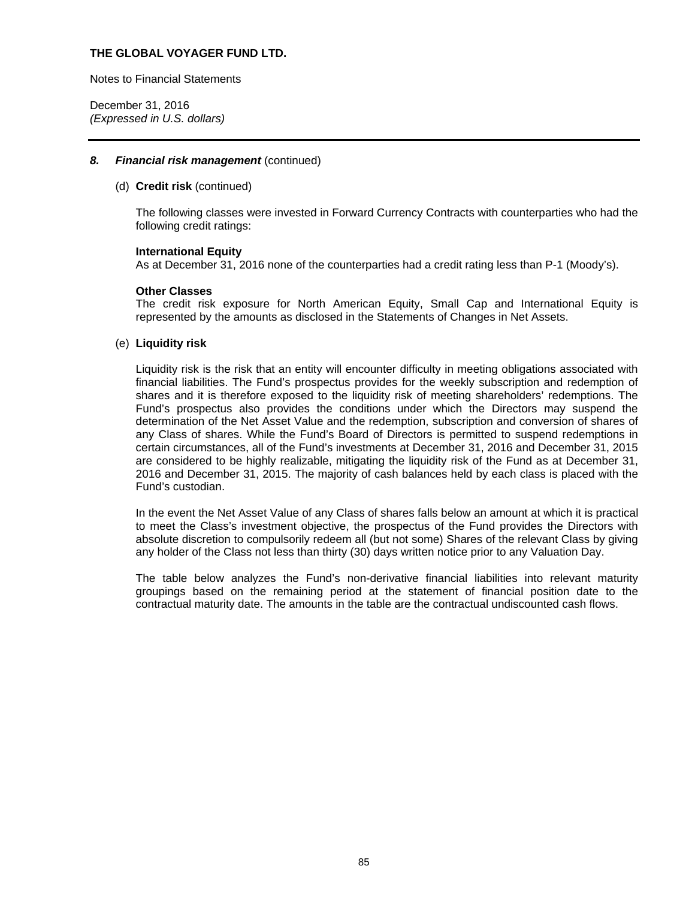Notes to Financial Statements

December 31, 2016 *(Expressed in U.S. dollars)* 

### *8. Financial risk management* (continued)

#### (d) **Credit risk** (continued)

The following classes were invested in Forward Currency Contracts with counterparties who had the following credit ratings:

#### **International Equity**

As at December 31, 2016 none of the counterparties had a credit rating less than P-1 (Moody's).

#### **Other Classes**

The credit risk exposure for North American Equity, Small Cap and International Equity is represented by the amounts as disclosed in the Statements of Changes in Net Assets.

#### (e) **Liquidity risk**

Liquidity risk is the risk that an entity will encounter difficulty in meeting obligations associated with financial liabilities. The Fund's prospectus provides for the weekly subscription and redemption of shares and it is therefore exposed to the liquidity risk of meeting shareholders' redemptions. The Fund's prospectus also provides the conditions under which the Directors may suspend the determination of the Net Asset Value and the redemption, subscription and conversion of shares of any Class of shares. While the Fund's Board of Directors is permitted to suspend redemptions in certain circumstances, all of the Fund's investments at December 31, 2016 and December 31, 2015 are considered to be highly realizable, mitigating the liquidity risk of the Fund as at December 31, 2016 and December 31, 2015. The majority of cash balances held by each class is placed with the Fund's custodian.

In the event the Net Asset Value of any Class of shares falls below an amount at which it is practical to meet the Class's investment objective, the prospectus of the Fund provides the Directors with absolute discretion to compulsorily redeem all (but not some) Shares of the relevant Class by giving any holder of the Class not less than thirty (30) days written notice prior to any Valuation Day.

The table below analyzes the Fund's non-derivative financial liabilities into relevant maturity groupings based on the remaining period at the statement of financial position date to the contractual maturity date. The amounts in the table are the contractual undiscounted cash flows.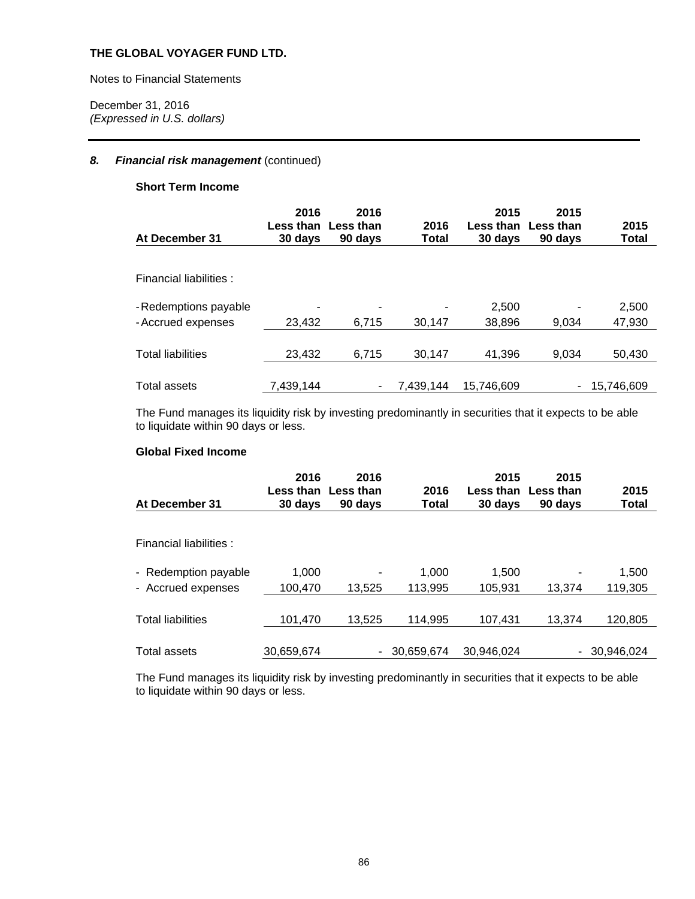Notes to Financial Statements

December 31, 2016 *(Expressed in U.S. dollars)* 

## 8. Financial risk management (continued)

## **Short Term Income**

| At December 31                              | 2016<br>Less than<br>30 days | 2016<br>Less than<br>90 days | 2016<br>Total | 2015<br>Less than<br>30 days | 2015<br>Less than<br>90 days | 2015<br>Total   |
|---------------------------------------------|------------------------------|------------------------------|---------------|------------------------------|------------------------------|-----------------|
| Financial liabilities :                     |                              |                              |               |                              |                              |                 |
| - Redemptions payable<br>- Accrued expenses | 23,432                       | 6.715                        | 30,147        | 2,500<br>38,896              | 9,034                        | 2,500<br>47,930 |
| <b>Total liabilities</b>                    | 23,432                       | 6.715                        | 30.147        | 41,396                       | 9.034                        | 50,430          |
| Total assets                                | 7,439,144                    |                              | 7.439.144     | 15.746.609                   | -                            | 15.746.609      |

The Fund manages its liquidity risk by investing predominantly in securities that it expects to be able to liquidate within 90 days or less.

## **Global Fixed Income**

| At December 31                             | 2016<br>Less than<br>30 days | 2016<br>Less than<br>90 days | 2016<br>Total    | 2015<br>Less than<br>30 days | 2015<br>Less than<br>90 days | 2015<br>Total    |
|--------------------------------------------|------------------------------|------------------------------|------------------|------------------------------|------------------------------|------------------|
| Financial liabilities :                    |                              |                              |                  |                              |                              |                  |
| - Redemption payable<br>- Accrued expenses | 1.000<br>100,470             | 13.525                       | 1.000<br>113,995 | 1.500<br>105,931             | 13.374                       | 1,500<br>119,305 |
| <b>Total liabilities</b>                   | 101,470                      | 13,525                       | 114,995          | 107,431                      | 13.374                       | 120,805          |
| Total assets                               | 30,659,674                   |                              | 30.659.674       | 30.946.024                   | $\overline{a}$               | 30.946.024       |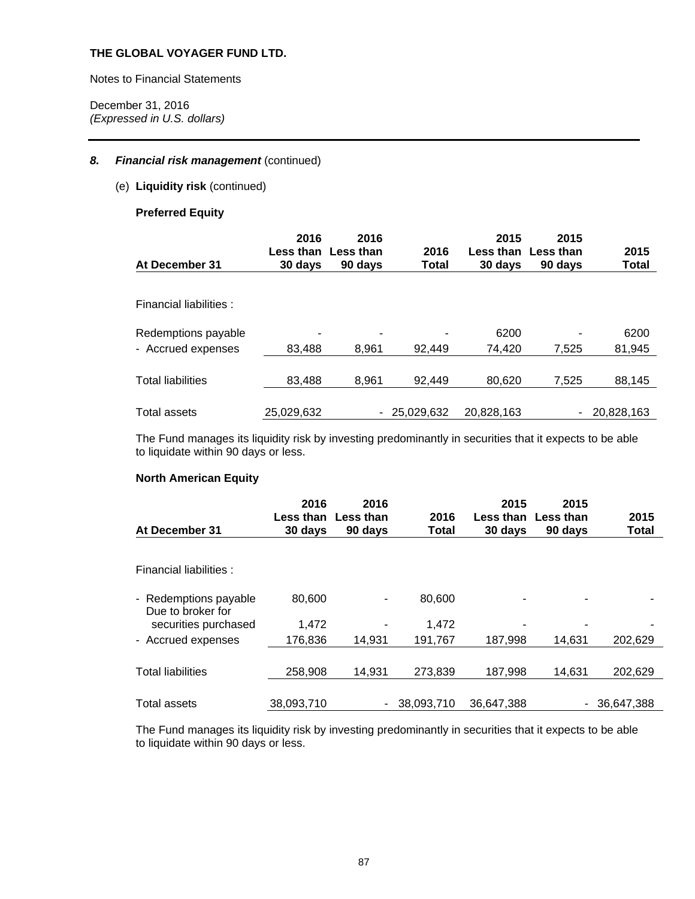Notes to Financial Statements

December 31, 2016 *(Expressed in U.S. dollars)* 

## 8. Financial risk management (continued)

(e) **Liquidity risk** (continued)

## **Preferred Equity**

| At December 31           | 2016<br>Less than<br>30 days | 2016<br>Less than<br>90 days | 2016<br>Total | 2015<br>30 days | 2015<br>Less than Less than<br>90 days | 2015<br><b>Total</b> |
|--------------------------|------------------------------|------------------------------|---------------|-----------------|----------------------------------------|----------------------|
| Financial liabilities :  |                              |                              |               |                 |                                        |                      |
| Redemptions payable      |                              | $\overline{\phantom{0}}$     | ۰             | 6200            |                                        | 6200                 |
| - Accrued expenses       | 83.488                       | 8.961                        | 92.449        | 74,420          | 7.525                                  | 81,945               |
| <b>Total liabilities</b> | 83,488                       | 8.961                        | 92.449        | 80,620          | 7,525                                  | 88,145               |
| Total assets             | 25,029,632                   |                              | 25,029,632    | 20,828,163      | -                                      | 20,828,163           |

The Fund manages its liquidity risk by investing predominantly in securities that it expects to be able to liquidate within 90 days or less.

## **North American Equity**

| At December 31                             | 2016<br>Less than<br>30 days | 2016<br><b>Less than</b><br>90 days | 2016<br>Total | 2015<br>Less than<br>30 days | 2015<br><b>Less than</b><br>90 days | 2015<br>Total |
|--------------------------------------------|------------------------------|-------------------------------------|---------------|------------------------------|-------------------------------------|---------------|
|                                            |                              |                                     |               |                              |                                     |               |
| Financial liabilities :                    |                              |                                     |               |                              |                                     |               |
| - Redemptions payable<br>Due to broker for | 80,600                       |                                     | 80,600        |                              |                                     |               |
| securities purchased                       | 1,472                        |                                     | 1,472         |                              |                                     |               |
| - Accrued expenses                         | 176,836                      | 14.931                              | 191,767       | 187,998                      | 14,631                              | 202,629       |
|                                            |                              |                                     |               |                              |                                     |               |
| <b>Total liabilities</b>                   | 258,908                      | 14,931                              | 273,839       | 187,998                      | 14,631                              | 202,629       |
|                                            |                              |                                     |               |                              |                                     |               |
| <b>Total assets</b>                        | 38.093.710                   | $\overline{\phantom{a}}$            | 38.093.710    | 36.647.388                   |                                     | 36.647.388    |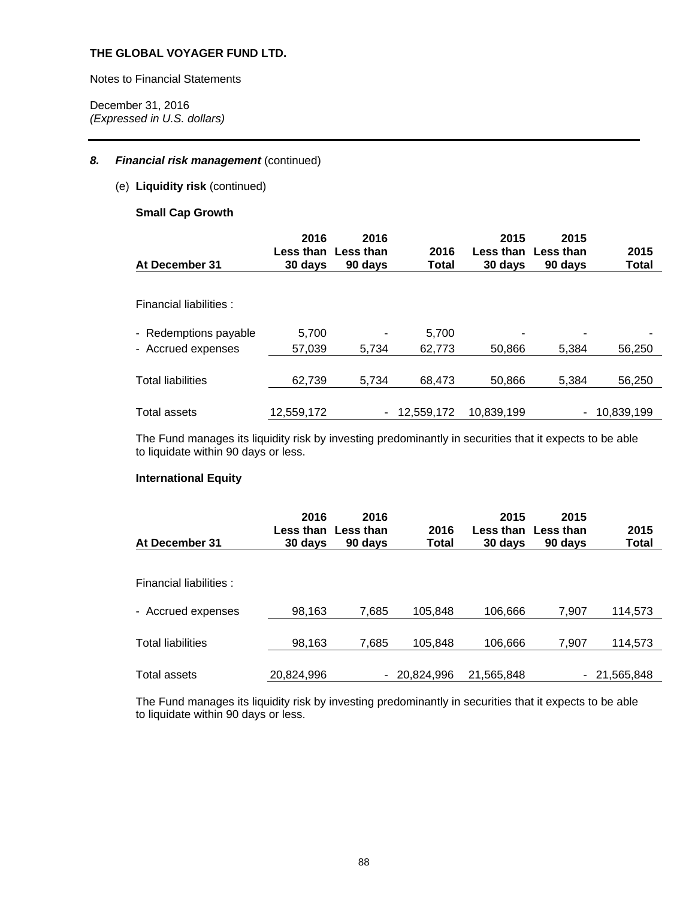Notes to Financial Statements

December 31, 2016 *(Expressed in U.S. dollars)* 

## 8. Financial risk management (continued)

(e) **Liquidity risk** (continued)

## **Small Cap Growth**

| At December 31                              | 2016<br>30 days | 2016<br>Less than Less than<br>90 days | 2016<br>Total   | 2015<br>Less than<br>30 days | 2015<br>Less than<br>90 davs | 2015<br>Total |
|---------------------------------------------|-----------------|----------------------------------------|-----------------|------------------------------|------------------------------|---------------|
| Financial liabilities :                     |                 |                                        |                 |                              |                              |               |
| - Redemptions payable<br>- Accrued expenses | 5,700<br>57.039 | 5.734                                  | 5,700<br>62.773 | 50.866                       | 5.384                        | ۰<br>56.250   |
| <b>Total liabilities</b>                    | 62,739          | 5.734                                  | 68.473          | 50,866                       | 5.384                        | 56,250        |
| <b>Total assets</b>                         | 12,559,172      | $\overline{\phantom{a}}$               | 12.559.172      | 10.839.199                   |                              | 10,839,199    |

The Fund manages its liquidity risk by investing predominantly in securities that it expects to be able to liquidate within 90 days or less.

## **International Equity**

| At December 31           | 2016<br>30 days | 2016<br>Less than Less than<br>90 days | 2016<br>Total | 2015<br>Less than<br>30 days | 2015<br>Less than<br>90 days | 2015<br><b>Total</b> |
|--------------------------|-----------------|----------------------------------------|---------------|------------------------------|------------------------------|----------------------|
| Financial liabilities :  |                 |                                        |               |                              |                              |                      |
| - Accrued expenses       | 98,163          | 7,685                                  | 105,848       | 106,666                      | 7,907                        | 114,573              |
| <b>Total liabilities</b> | 98,163          | 7,685                                  | 105,848       | 106,666                      | 7.907                        | 114,573              |
| Total assets             | 20,824,996      | ٠                                      | 20,824,996    | 21,565,848                   |                              | $-21,565,848$        |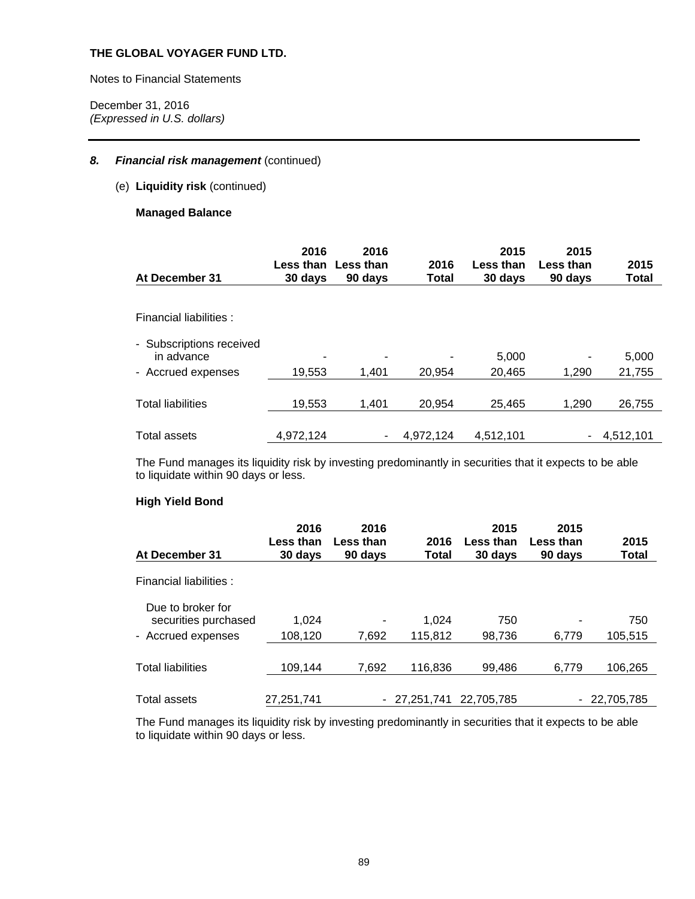Notes to Financial Statements

December 31, 2016 *(Expressed in U.S. dollars)* 

## 8. Financial risk management (continued)

(e) **Liquidity risk** (continued)

## **Managed Balance**

| At December 31                         | 2016<br>30 days | 2016<br>Less than Less than<br>90 days | 2016<br>Total | 2015<br>Less than<br>30 days | 2015<br>Less than<br>90 days | 2015<br>Total |
|----------------------------------------|-----------------|----------------------------------------|---------------|------------------------------|------------------------------|---------------|
| Financial liabilities :                |                 |                                        |               |                              |                              |               |
| - Subscriptions received<br>in advance |                 | -                                      |               | 5,000                        |                              | 5,000         |
| - Accrued expenses                     | 19,553          | 1.401                                  | 20,954        | 20,465                       | 1.290                        | 21,755        |
| <b>Total liabilities</b>               | 19,553          | 1,401                                  | 20,954        | 25.465                       | 1,290                        | 26,755        |
| <b>Total assets</b>                    | 4,972,124       | -                                      | 4.972.124     | 4,512,101                    |                              | $-4,512,101$  |

The Fund manages its liquidity risk by investing predominantly in securities that it expects to be able to liquidate within 90 days or less.

## **High Yield Bond**

|                                           | 2016                 | 2016                 |               | 2015                 | 2015                 |               |
|-------------------------------------------|----------------------|----------------------|---------------|----------------------|----------------------|---------------|
| At December 31                            | Less than<br>30 days | Less than<br>90 days | 2016<br>Total | Less than<br>30 days | Less than<br>90 days | 2015<br>Total |
| Financial liabilities :                   |                      |                      |               |                      |                      |               |
| Due to broker for<br>securities purchased | 1,024                |                      | 1.024         | 750                  |                      | 750           |
| - Accrued expenses                        | 108,120              | 7,692                | 115,812       | 98,736               | 6.779                | 105.515       |
| <b>Total liabilities</b>                  | 109,144              | 7,692                | 116,836       | 99,486               | 6.779                | 106,265       |
| <b>Total assets</b>                       | 27,251,741           |                      | $-27.251.741$ | 22.705.785           |                      | $-22,705,785$ |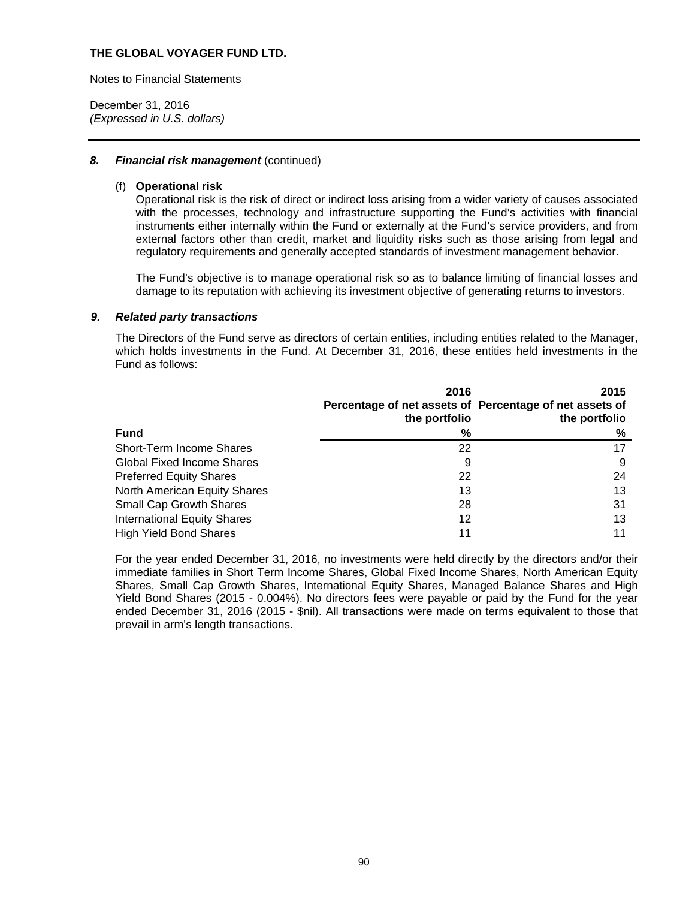Notes to Financial Statements

December 31, 2016 *(Expressed in U.S. dollars)* 

### 8. Financial risk management (continued)

### (f) **Operational risk**

Operational risk is the risk of direct or indirect loss arising from a wider variety of causes associated with the processes, technology and infrastructure supporting the Fund's activities with financial instruments either internally within the Fund or externally at the Fund's service providers, and from external factors other than credit, market and liquidity risks such as those arising from legal and regulatory requirements and generally accepted standards of investment management behavior.

The Fund's objective is to manage operational risk so as to balance limiting of financial losses and damage to its reputation with achieving its investment objective of generating returns to investors.

#### *9. Related party transactions*

The Directors of the Fund serve as directors of certain entities, including entities related to the Manager, which holds investments in the Fund. At December 31, 2016, these entities held investments in the Fund as follows:

|                                    | 2016                                                                     | 2015          |
|------------------------------------|--------------------------------------------------------------------------|---------------|
|                                    | Percentage of net assets of Percentage of net assets of<br>the portfolio | the portfolio |
| <b>Fund</b>                        | %                                                                        | %             |
| Short-Term Income Shares           | 22                                                                       |               |
| <b>Global Fixed Income Shares</b>  | 9                                                                        | 9             |
| <b>Preferred Equity Shares</b>     | 22                                                                       | 24            |
| North American Equity Shares       | 13                                                                       | 13            |
| <b>Small Cap Growth Shares</b>     | 28                                                                       | 31            |
| <b>International Equity Shares</b> | 12                                                                       | 13            |
| <b>High Yield Bond Shares</b>      | 11                                                                       |               |

For the year ended December 31, 2016, no investments were held directly by the directors and/or their immediate families in Short Term Income Shares, Global Fixed Income Shares, North American Equity Shares, Small Cap Growth Shares, International Equity Shares, Managed Balance Shares and High Yield Bond Shares (2015 - 0.004%). No directors fees were payable or paid by the Fund for the year ended December 31, 2016 (2015 - \$nil). All transactions were made on terms equivalent to those that prevail in arm's length transactions.